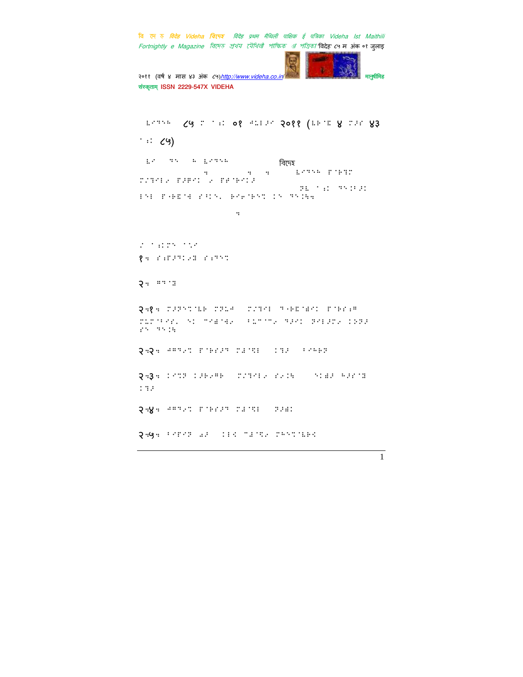```
त्रि एन रु विदेह Videha विएम्ब विदेह प्रथम मैथिली पाक्षिक ई पत्रिका Videha Ist Maithili
Fortnightly e Magazine রিদেহ প্রথম মৌথিনী পাক্ষিক প্র পত্রিকা' বিदेह' ८५ म अंक ०१ जुलाइ
                                                      College
                                                                     मानुषीमिह
२०११ (वर्ष ४ मास ४३ अंक ८५<u>)http://www.videha.co.</u>
संस्कृताम् ISSN 2229-547X VIDEHA
 ENTER 29 Control of ATERN SOBB (EFTER CIRC 83
\cdot :: \zeta)
 \mathbb{E}[\mathcal{S}^{\mathcal{A}}] , and \mathcal{S}^{\mathcal{A}} is a \mathbb{E}[\mathcal{S}^{\mathcal{A}}] of
                                          বিদেহ
                                      \alpha , and \alpha is the set of the \alphalie<br>Standard Scheeler Standard
                                                \begin{array}{ll} \left( 34.7 \pm 0.1 \right) & \left( 35.1 \pm 0.1 \right) \\ \end{array}ENE PARTNER MAY BARNENT IN THINE
                             \cdot:and approaches
8 + 7 + 7 + 7 + 1 + 3 + 7 + 7 + 72 + 4 + 12Sebe cased as care contact a esteri suscen
RASA APPAR EMBRAS DEME LOSE L'APPR
Quasi conditatevee incorrelativa de la contrata escrita
1,399
Qugu annos precon carte - does
Queen Francis ad Codes marker centrales
```
 $\mathbf{1}$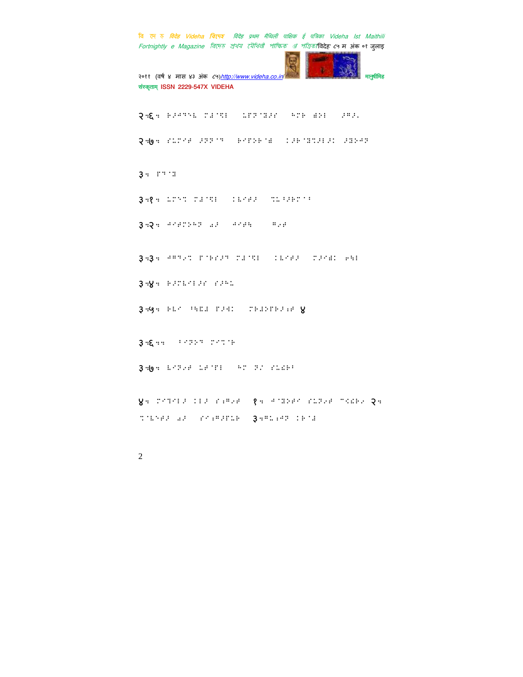```
दि एन रु विदेह Videha चिएन्श विदेह प्रथम मैथिली पाक्षिक ई पत्रिका Videha Ist Maithili
Fortnightly e Magazine  রিদেহ প্রথম মৌথিনী পাক্ষিক প্র পত্রিক/বিदेह' ८५ म अंक ०१ जुलाइ
२०११ (वर्ष ४ मास ४३ अंक ८५)http://www.videha.co.in/ मानुषी स्थानिक मानुषीमिह
संकृताम् ISSN 2229-547X VIDEHA 
२⣒६⣒!⢷⢼⢺⢹⣇!⣜ ⣋.!⣅2⢽ ⣝⢼".!⢳⢷!⣞⢵!.⢼⢻⢼F!
२⣒७⣒!"⣅⢾!⢼⢽⢽ ⢹.!⢷2⢵⢷ ⣞!)⢼⢷ ⣝⣉⢼⢼!⢼⣝⢵⢺⢽*!
3 + 12३⣒१⣒!⣅⣉!⣜ ⣋.!⣇⢾⢼.!⣉⣅⢸⢼⢷ ⢸!!
३⣒२⣒!⢺⢾⢵⢳⢽!⣔⢼!)⢺⢾⣓*.!⢻⢴⢾!
३⣒३⣒!⢺⢻⢹⢴⣉!2 ⢷"⢼⢹!⣜ ⣋.!⣇⢾⢼.!⢼⣞!⢶⣓!
३⣒४⣒!⢷⢼⣇⢼"!"⢼⢳⣅!
3.494 PER PER PRES PRESERVE Q
३⣒६⣒⣒!.B⢽⢵⢹!⣉ ⢷!!
3 des also de la rei de la plusa est
४⣒!⣙⢼!⢼."⣐⢻⢴⢾.!१⣒!⢺ ⣝⢵⢾!"⣅⢽⢴⢾![⣊⣎⢷⢴!२⣒!
⣉ ⣇⢾⢼!⣔⢼!)"⣐⢻⢼2⣅⢷*!३⣒⢻⣅⣐⢺⢽!⢷ ⣜!!!
```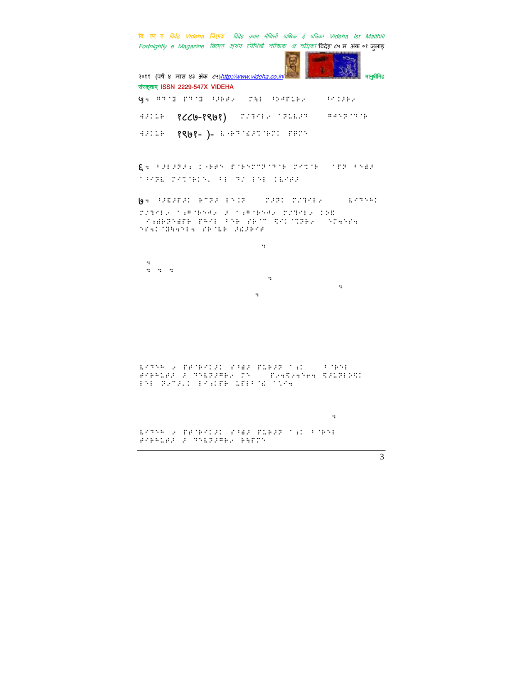肅

**Septim** 

ø २०११ (वर्ष ४ मास ४३ अंक *८५)http://www.videha.co.in*/ मानुष्या कार्यक्रम मानुषीमिह संकृताम् ISSN 2229-547X VIDEHA ५⣒!⢻⢹ ⣝.2⢹ ⣝!⢸⢼⢷⢾⢴;!⣓!⢸⢵⢺2⣅⢷⢴.!!⢸⣈⢼⢷⢴! ⣚⢼⣅⢷!)१८८७-१९७१)-!4⣙⢴!⢽⣅⣇⢼⢹.!!⢻⢺⢽ ⢹ ⢷! ⣚⢼⣅⢷!)१९७१- )- ⣇C⢷⢹ ⣎⢼⣉ ⢷!2⢿!!

६⣒!B⢼⢼⢽⢼⣐!C⢷⢾.2 ⢷[⢽ ⢹ ⢷!⣉ ⢷.!2⢽!B⣞⢼! ⢸⢽⣇!⣉ ⢷F!B!⢹4!!⣇⢾⢼!

७⣒!⢸⢼⣏⢼2⢼!⢷[⢽⢼.⣈⢽!.\⢼⢽!4⣙⢴^-!\⣇⢹⢳! 4⣙⢴.⣐⢻ ⢷⢺⢴!⢼!⣐⢻ ⢷⢺⢴!4⣙⢴!⢵⣏! ) { {idegrape (paral) frequency shows the summary ( "⣒ ⣝⣓⣒⣒!"⢷ ⣇⢷!⢼⣎⢼⢷⢾!.Cbtfe!po!nt.trm!

Nbjuijmj!Ejdujpobsz⣒^!! 9 WJEFIBID: SFTJEFIBID: SFTJEFIBID: SFTJEFIBID: SFTJEFIBID: SFTJEFIBID: SFTJEFIBID: SFTJEFIBID: SFTJEFIBID: SF  $\frac{1}{3}$ Ljtu Kffwbo#! Thursday was a strong who was a strong was a strong was a strong was a strong was a strong was a usbotmbufe. Joup is the problem of the problem of the problem of the problem of the problem of the problem of Kib!Dibveibsz. Psjhjobm! Dibveibsz. Psjhjobm!

⣇⢹⢳!⢴.2⢾ ⢷⢼!"⢸⣞⢼!2⣅⢷⢼⢽!⣐!)!B ⢷-! ⢾⢷⢳⣅⢾⢼!⢼!⢹⣇⢽⢼⢻⢷⢴!!\*!2⢴⣒⣋⢴⣒⢶⣒!⣋⢼⣅⢽⢵⣋! !⢽⢴[⢼F!⣐2⢷!⣅2B ⣎!⣁⣒!Bmm!uif!pme!

LARRE & PARENTAL PRESENTATION OF THE ⢾⢷⢳⣅⢾⢼!⢼!⢹⣇⢽⢼⢻⢷⢴!⢷⣓2!Wjefib!f!

epxomption in the particle of the particle of the particle of the particle of the particle of the particle of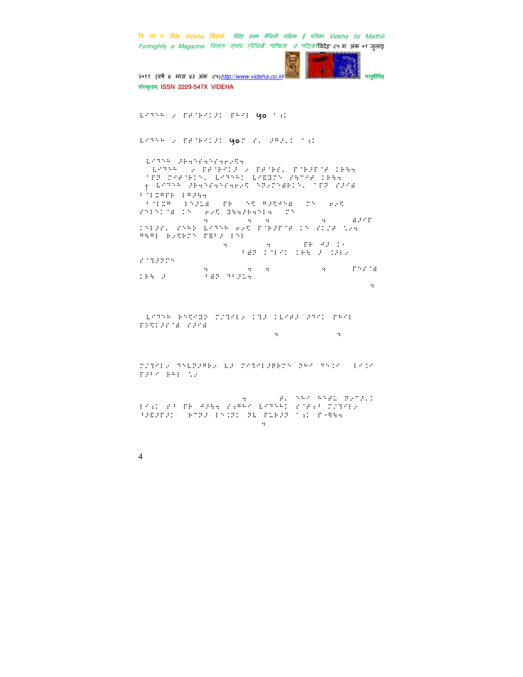दि एन रु विदेह Videha चिएन्श विदेह प्रथम मैथिली पाक्षिक ई पत्रिका Videha Ist Maithili Fortnightly e Magazine রিদেহ প্রথম মৌথিনী পাক্ষিক প্র পত্রিক/**বিदेह' ८५ म अंक ०१ जुलाइ County** ø २०११ (वर्ष ४ मास ४३ अंक *८५)http://www.videha.co.in*/ मानुषी कर कर मानुषीमिह संकृताम् ISSN 2229-547X VIDEHA ⣇⢹⢳!⢴.2⢾ ⢷⢼!2⢳!५० ⣐! ⣇⢹⢳!⢴.2⢾ ⢷⢼!५०!"F!⢼⢻⢼F!⣐! !⣇⢹⢳!⢼⢷⣒"⣒"⣒⢶⢴⣋⣒! ! # EXPART 2 & TEST 2 & TEST FELT TRATIFIC LEAR ! 2 FER 1048 1910, 1920 ESPART LANDER STATE REPORT ↑!⣇⢹⢳!⢼⢷⣒"⣒"⣒⢶⢴⣋!⢽⢴⣞⢷F!2⢽!"⢼⣞0! B ⣍⢻2⢷!⢻⢼⣓⣒!! !B ⣍⢻!#⢼⣅⣞#!2⢷!#⣋!⢻⢼⣋⢺⣞#!!#⢶⢴⣋#!  $T^*$   $\rightarrow$   $T^*$   $\rightarrow$   $T^*$   $\rightarrow$   $T^*$   $\rightarrow$   $T^*$   $\rightarrow$   $T^*$   $\rightarrow$   $T^*$   $\rightarrow$ iuuq;00xxxiyofib, with the second policy of the second policy of the second policy of the second policy of the ⢼"F!"⢳⢵!⣇⢹⢳!⢶⢴⣋!2 ⢷⢼2 ⢾!!"4⢾!⣁⢴⣒! **BARI BARES PRES PRE** ius;00sfbefs1.0sfbefs@hpphmfdpn0.0sfbefs@hpphmfdpn0.0sfbefs@hpphmfdpn0.0sfbefs@hpphmfd b!!Tvctdsjqujpo!B⣞⢽! !⢷⣓!⢼!⣈⢼⢴! " ⣙⢼⢽! iuuq;00xxx;00joefy $\alpha$ joojoefy $\alpha$ joojoefy $\alpha$ joojoefy $\alpha$ ⢷⣓!⢼!Bee!!B⣞⢽!⢹B⢼⣅⣒!  $\mathbf{R}^{\text{max}}$  parameters of the parameters of the parameters  $\mathbf{R}^{\text{max}}$ !⣇⢹⢳!⢷⣋⣝⢵;4⣙⢴!⣙⢼.⣇⢾⢼!⢼⢹!2⢳! 2⢵⣋⢼" ⣞!"⢼⣞! ius;00wjefib234sbejpovisitelib234sbejpovisitelib234sbejpovisitelib234sbejpovisitelib234sbejpovisitelib234sbejp 4⣙⢴!⢹⣇⢽⢼⢻⢷⢴!⣇⢼!⣙⢼⢿⢷!⢽⢳!⢹⣈0!⣈! 2⢼B!⢷⢳!⣁⢴-!)dboopu!tff0xsjuf!Nbjuijmj! hhbkfoesbAwjefibloesbAwjefibloedbawjefibloedbawjefibloedbawjefibloedbawjefibloedbawjefibloedbawjefibloedbawjef

⣐!"⢸!2⢷!⢺⢼⣓⣒!"⣐⢻⢳!⣇⢹⢳!" ⢾⣐⢸!4⣙⢴! ⢸⢼⣏⢼2⢼0!⢷[⢽⢼!⣈⢽!⢽⣇.2⣅⢷⢼⢽!⣐!2C⣛⣓⣒!!

ius;00efwbobbhbsjjuot;00efwbobbhbsj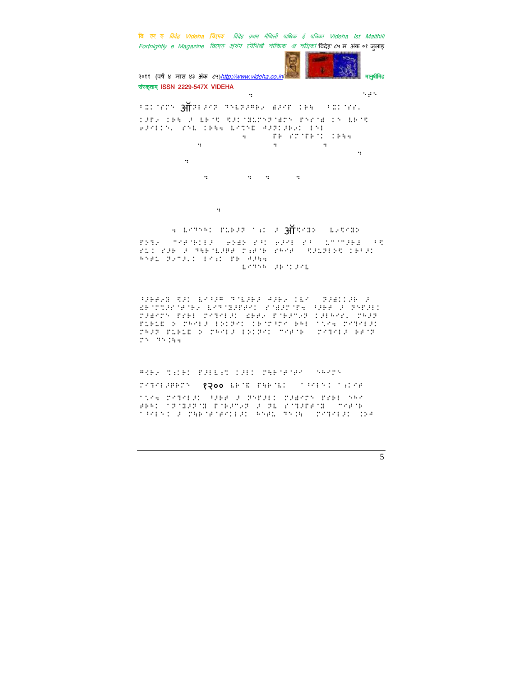

 $\cdot:$ 

a benesi risan tai a 3ñoezh - baoezh

space inversed a clebed sign ears show that a compression YOU YAR A MARYLARE CHEME YAYE (RADRESS LEFA) PARL PATRIC ESSO PROPPER EVAN SETTINE

FREEZI WAS LEARNED WILKER HARD SLEAT DRAINING OF PAPP PLACE & PAPER EXIPT THATA (PHOPER ART) 25. 95.184

ROBO TELEC POILET COIC THE GORD CARDS CATALLERSTA ( 2000) ERMEDIERRATES ( 1981 NS 1991 AR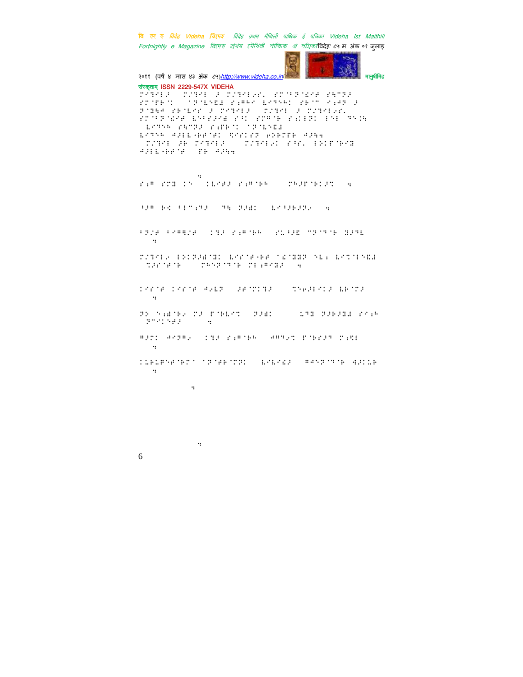

संस्कृताम् ISSN 2229-547X VIDEHA<br>अन्तराज्ञाः अस्ति । अस्ति अस्ति । अस्ति । अस्ति अस्ति । अस्ति । अस्ति । अस्ति ।  $\overline{2}$  2010 - 2010 - 2021 - 2021 - 2021 - 2021 - 2022 - 2022 - 2022 - 2022 - 2022 - 2022 - 2022 - 2022 - 2023 - 2023 ⢽ ⣝⣓⢺!"⢷ ⣇"!⢼!⣙⢼-!4⣙!⢼!4⣙⢴"F!  $\,$  B $\,$  B  $\,$   $\,$  B  $\,$  B  $\,$  B  $\,$  B  $\,$  B  $\,$  B  $\,$  B  $\,$  B  $\,$  B  $\,$  B  $\,$  B  $\,$  B  $\,$  B  $\,$  B  $\,$  B  $\,$  B  $\,$  B  $\,$  B  $\,$  B  $\,$  B  $\,$  B  $\,$  B  $\,$  B  $\,$  B  $\,$  B  $\,$  B  $\,$  B  $\,$  B  $\,$  B  $\sim$  1000  $\pm$  0.000  $\pm$  0.000  $\pm$  0.000  $\pm$  0.000  $\pm$  0.000  $\pm$  0.000  $\pm$  0.000  $\pm$ ⣇⢹⢳!⢺⢼⣇C⢷⢾ ⢾!⣋""⢽!⢶⢵⢷2⢷!⢺⢼⣓⣒!  $\sim$  0,000 F.C. . The first state of the state of the first state of the first state of the first state of the ⢺⢼⣇C⢷⢾ ⢾\*!2⢷!⢺⢼⣓⣒!

zpvs! wpuf wpuf  $\mathcal{L}$  of the state of the state of the state  $\mathcal{L}$  ,  $\mathcal{L}$  and  $\mathcal{L}$ 

⢸⢼⢻!⢷⣊!B[⣐⢹⢼!)⢹⣓!⢽⢼⣞\*.⣇⢸⢼⢷⢼⢽⢴!3⣒5&!!)51!

BOAS BELIEV DES STRAKT PROFINS TO A LIGHT A STRAKT WAS ARRESTED FOR A LIGHT OF A LIGHT OF A LIGHT OF A LIGHT OF 26 State State State State State State State State

4⣙⢴!⢵⢽⢼⣞ ⣝!⣇" ⢾C⢷⢾!⣎ ⣝⣝⢽!⣇⣐!⣇⣉ ⣏⣜! ) with the star  $\mathcal{L}$  . These this field  $\mathcal{L}$  is a field  $\mathcal{L}$  ,  $\mathcal{L}$  ,  $\mathcal{L}$  ,  $\mathcal{L}$  ,  $\mathcal{L}$ 

"  $\mathcal{L} \times \mathcal{L} \times \mathcal{L} \times \mathcal{L} \times \mathcal{L} \times \mathcal{L} \times \mathcal{L} \times \mathcal{L} \times \mathcal{L} \times \mathcal{L} \times \mathcal{L} \times \mathcal{L} \times \mathcal{L} \times \mathcal{L} \times \mathcal{L} \times \mathcal{L} \times \mathcal{L} \times \mathcal{L} \times \mathcal{L} \times \mathcal{L} \times \mathcal{L} \times \mathcal{L} \times \mathcal{L} \times \mathcal{L} \times \mathcal{L} \times \mathcal{L} \times \mathcal{L} \times \mathcal$ 29 September 2007 (2007) 2007 (2007) 2007

⢽⢵!⣐⣞ ⢷⢴!⢼!2 ⢷⣇⣉!)⢽⢼⣞!\*.!⣅⢹⣝!⢽⢼⢷⢼⣝⣜!"⣐⢳!  $\frac{1}{2}$   $\frac{1}{2}$   $\frac{1}{2}$   $\frac{1}{2}$   $\frac{1}{2}$   $\frac{1}{2}$   $\frac{1}{2}$   $\frac{1}{2}$   $\frac{1}{2}$   $\frac{1}{2}$   $\frac{1}{2}$   $\frac{1}{2}$   $\frac{1}{2}$   $\frac{1}{2}$   $\frac{1}{2}$   $\frac{1}{2}$   $\frac{1}{2}$   $\frac{1}{2}$   $\frac{1}{2}$   $\frac{1}{2}$   $\frac{1}{2}$   $\frac{1}{2}$ 

⢻⢼!⢺⢽⢻⢴!)⣙⢼!"⣐⢻ ⢷⢳\*.⢺⢻⢹⢴⣉!2 ⢷"⢼⢹!⣐⣋! 32⣒39&!!)466!wpuft\*!!!!

 $\mathbf{1}$  . The start of the start of the start of the start of the start of the start of the start of the start of the start of the start of the start of the start of the start of the start of the start of the start of the 31⣒19&!!)446!wpuft\*!!!!

Puifs: 10 Application of the Company of the Company of the Company of the Company of the Company of the Company

zpvs! wpuf wpuf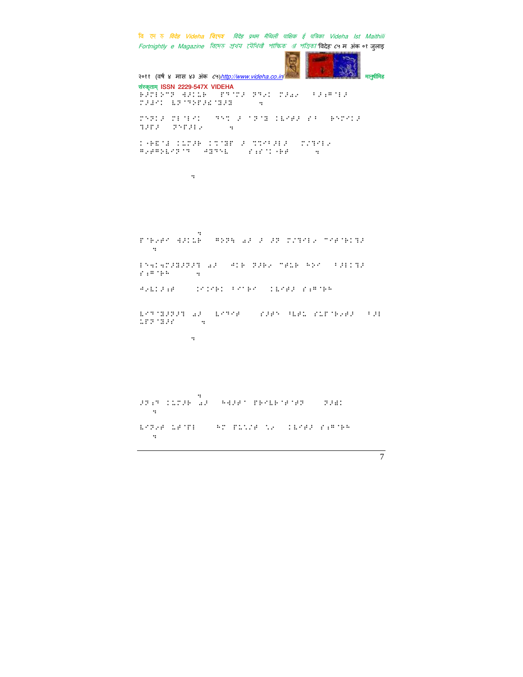**COLOR** 

G × मानुषीमिह २०११ (वर्ष ४ मास ४३ अंक ८५)http://www.videha.co.in/ संस्कृताम् ISSN 2229-547X VIDEHA BANDANA (4011B) (PRINTA (2921) NABA (1921B)19 TAGES (EPITAPACIDAE)  $\sim$   $\sim$ I REDNA INDIAR INDIAR DE DOCERER CONCRETA **AVERYLARIA CONSTRUCT PERMITTER**  $\sim$   $\sim$ 

 $\ddot{\cdot}$ 

rieven asile, spre us so strange mnemeras  $\mathbf{r}$ ENVIRONMENT WAS SAME MANY MADE AND STATING  $\varphi_{\rm eff}$  in the  $\eta$  $\sim$   $\sim$ AVES A BASIC CONSTANT OF THE CONTRACTOR OF THE EVANDUDUS SE EVANG CONDUCTED NOTABLE CON LEB MERE  $\sim$   $\sim$  $\cdot:$ 

2039 COD2P G2 - PR2PT PRYLETETER - D2BD  $\cdot$ : EKPAN DAMES TO POTED VALUE OF SERVER STRIPP  $\ddot{\mathbf{r}}$ 

 $\overline{7}$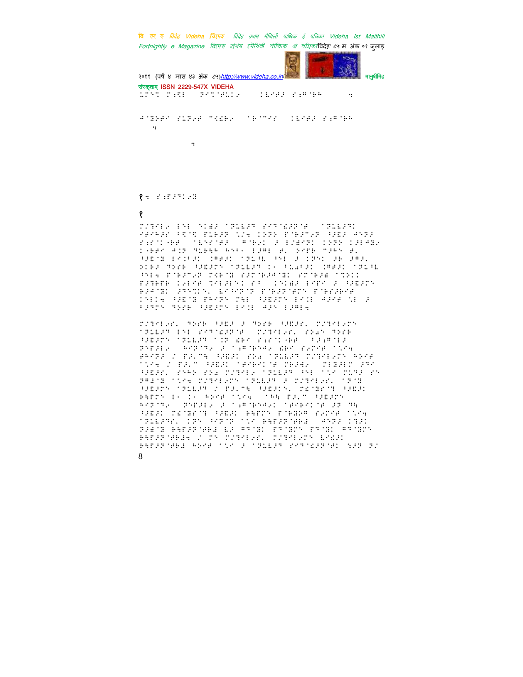Fortnightly e Magazine রিদেত প্রথম মৌথিনী পাক্ষিক প্র পত্রিকাবিदेह' ८५ म अंक ०१ जुलाइ Gal **County** २०११ (वर्ष ४ मास ४३ अंक ८५)http://www.videha.co.inl मानुषीमिह संस्कृताम् ISSN 2229-547X VIDEHA LTAT TEST  $\cdot$ : A 1959Y (PLOVE COVER ) (TECOMPOS ) (EMPERIMENT  $\cdot$ :  $\cdot$ :

त्रि एन् रु विदेह Videha विरमर विदेह प्रथम मैथिली पाक्षिक ई पत्रिका Videha Ist Maithili

### $8 + 3 + 7 + 7 + 1 + 3$

#### δ,

i Gero alponiese entitalies de care maen el adelm estedit importante l'español de l'andro.<br>Sied more adedinationellem istorie de l'andro more. APEA EMPANYA MARMI YAMMPARMI YAMMPAR MODO rankre barek verarsbirg i bståa bere a lådavs Baktar atytis, bekan makaitars makaker INFORMATION PROPERTIES ARRAIN FOOT ARGE NEWS FURTH RESEARCHERS ERIE AUS EUREN

DIRECT REFERENCE REPORT CONSTRUCTION ndualde la sallivere naddina i libunga avullive alas ledvera.<br>Indades indulade in 10 i aperiliviva en nordiale en didi angala - Afgirea al Marghal Gef Gartel Mith.<br>Gerga - L'ealme (Babal Gard Mabbach Clare Lin Gerg.<br>Mithe - L'ealm (Babal Mereri Me Cead) - Claad C'acr RABAY, YARA YAN TITKEY SALEAT PAE SAN TITA YA akana (1944) pinakary (1966an ampirikal mana)<br>Habary (1966an ing paling Habary, penanta Habar FREDRICK IN POSS TOSS  $\mathcal{L}(\mathcal{F},\mathcal{H},\mathcal{H})=\mathcal{L}(\mathcal{F},\mathcal{F})\otimes\mathcal{L}(\mathcal{F},\mathcal{F},\mathcal{F})$ sabar pendeng sabar egers enedag evree nike **TRIERRY, IRA PROTOCO ESPERIMENTO ANDERITAR** daana aynad waa ala wuxuu inununkiinu muraa iyo mirk<br>aynad maala iyo muraa waxa muraa wuxuunaad BARDO MBA (ASKA) (15K) D. COLLOR (KKR 1600-161) NDO OC

 $\mathbf{8}$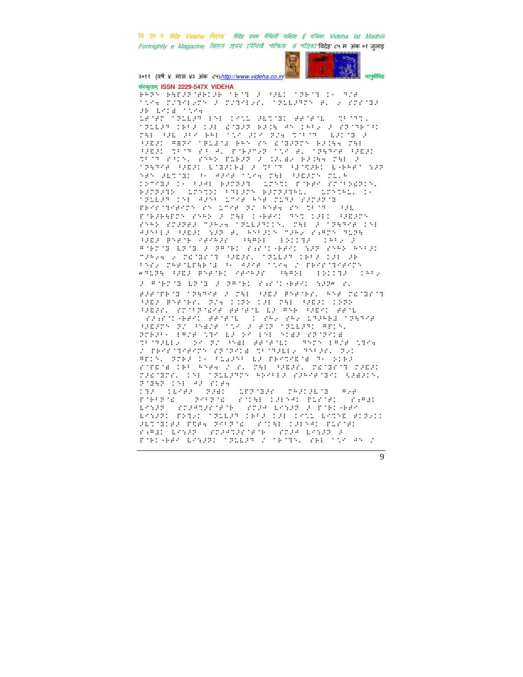

२०११ (वर्ष ४ मास ४३ अंक ८५)http://www.videha.co.inl

संस्कृताम् ISSN 2229-547X VIDEHA

**SECRETE STORE** 

1979) TRIER ENE CRISTALTED BENEDICTING MAGGAR (1952) 125 (GMAAA 9219) 95 (1952) 2 (SAMPANG na laut den afhancen den den den handelsen.<br>1989 hunder helden afhancen den besten afhancen. RABAL DESTRIKER AL BIBATAR SIN AL SIRBINA RABAL TRIP PRINT PARK PLEAD A CATER EACHER THE A -539 TREEP INFORMATIONS AND TEST PROPERTY sterringerte so ches de lega soldat de l'ago<br>s'agent poppe d'agos chego me caso agent.<br>s'en staged have caccancie, ser a canger ce RAMEA (REAL SAR BUCHMARY TANK PERDY TURE FABA BYANE KAREAR (FREDE) EDITOR (TERR) A RINGING BOND OF ORIGINAL AND HEART ACCOUNTS AND AND naka lihatarra (Abarlindusa) 1992-1992<br>1982-1998 upaka Libi Hare (Shell peresteran)  $\mathbf{w} = \mathbf{1} \mathbf{1} \mathbf{1} \mathbf{2} \mathbf{3} \mathbf{4} \mathbf{4} \mathbf{5} \mathbf{1} \mathbf{4} \mathbf{5} \mathbf{4} \mathbf{5} \mathbf{6} \mathbf{7} \mathbf{4} \mathbf{7} \mathbf{5} \mathbf{7} \mathbf{6} \mathbf{7} \mathbf{7} \mathbf{7} \mathbf{7} \mathbf{7} \mathbf{7} \mathbf{7} \mathbf{7} \mathbf{7} \mathbf{7} \mathbf{7} \mathbf{7} \mathbf{7} \mathbf{7} \mathbf{7} \mathbf$  $-151132 - 1812$ 2 FORTI EROB PORTE: PAPO ARRO 1978 P. avannens føyere videt ivev erener. Hra dødens sabari romanere eenenbloa ese sabri eenb i parti (perci eranti i conpresi pravidarea indepen<br>Fabade do Ferreirono a reconditatari estel debatk (Escal van Earlien Ene intaal voordie)<br>distaale (Lien die thae van tatus) onder Escal vana 2 sekritaren rajaren iaurraldu media a PEIN, STEP IN PLAPP AR TESTSENS TO MIER KOTEDA 193 3599 Z K. DAI 32E3K. DENEKA DIREK radiary, information engles yakeraman kapain 37353 173 92 3195 **CRA CONSEA CORADO** ESPERING CORPORATION CONTRACTOR PARTNERS CONTRACT ERNAD - EDARDAR NENE - EDAR ERNAD IA BINE HERR aksad (pasal talak 1993) ia (1995) atoma alaki.<br>Albaran peliku atau (pasal 1999) ia (1999) PARAD ERNAR CONSPIREDENT CONSPIRENCE PORT REPORTABLY TRIERS IN TESTING YEAR ONLY AN IN

 $\overline{Q}$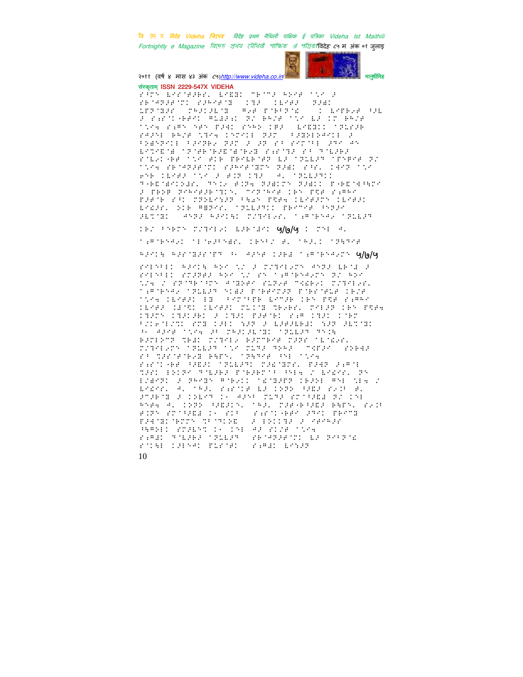

२०११ (वर्ष ४ मास ४३ अंक ८५)http://www.videha.co.inl

संस्कृताम् ISSN 2229-547X VIDEHA

rini bereker, beda mema kore sor a PERAPARTEN PARAPTEN INSPIRANT  $-7.361$ LEGIONARY CONGERENT CONGERED PRESENCE **SALE AND STRAIN SERVICE** a raromeen gwaar as eeskonsk wal oo eesk inte (ales ses pael asko lega l'oggali indiale<br>agasi este nova lispili dap i gabieggi (al<br>gabasili gabez dap a ad ag abrig ago gs Expresse in the relationship and an international manager. KOLVI (PROSTA) PIP TRYLROPPOLA SPLEPPOSTRYPYROPI ting perkadang pakeeton dao paka television<br>Ane topea ting a eta taal ku taboarti in kelamatan di kecamatan di kecamatan di kecamatan.<br>20 merepakan banyak menjadi banyak dalam pada sebagai pada tahun 1990. FARIE SIL TANESARA FESS FORE IESPATS IESPAI EREAD, DIE REPORT TRIEARII EBRURE PORAR SANDO AORINE CONSEGUIU INAPIANAD IDEEDA 360731

TEC PRETS TOTOLS ESPITED SAMPLY STORE R.

TERMINANT MEMBERSEN, IBRAIN BUCKARIT MOBRAR

Advise Adviser from the Advise coded in Enteractive G/Ig/G

inka salah melendak menjuduk di perang bersekal dan dan pertama dan menganjuduk dan menganjuduk menganjuduk me<br>Senara dan di pertama dan menganjuduk menganjuduk menganjuduk menganjuduk menganjuduk menganjuduk menganjuduk tre lo admisemento empagniatagua medeus primeiua. Genesey nobeles spale preakcep prepraba pera TORA CERARD ES (PROTEER ERTRE CEN ESP PARA iakas isto iakas pulta peser, preso les more.<br>Inspiritoriale (sitori maenel memorial line). FOIR NOTE POSTED ARE ARREST ERRAGED ARRESTED THE PAPER STORY OF CORPORATION SPACE AND THE Barbana medi (nymera Barneeg naak histori DIRECTS CRIEFS ON DIRECTIVE CONFIDENTIAL PROTECTED BATS, CREATE PARCOCA rartiser (ded Toulde: cdrteck roed daete TAYO ENCRY THEARD PORCHUT INER 2 ENEMY OF almakori di okkori Amedri Manduro redogi Analinia (m<br>Ekakel (Alimedi amerika editropo (deputador) el<br>Umdemo di robert (Kiladh) muta amerikano di rha i kalendari dan sebagai sebagai dan kemasan dan sebagai dan sebagai sebagai dan sebagai dan sebagai dan sebaga<br>Selatan sebagai dan sebagai dan sebagai dan sebagai dan sebagai dan sebagai dan sebagai dan sebagai dan sebaga FRAME MATTS STANDARY annais atalant se san ad asa taal.<br>Album malaka taluam careeraa too la detatu rotal curvat portat (ramat braum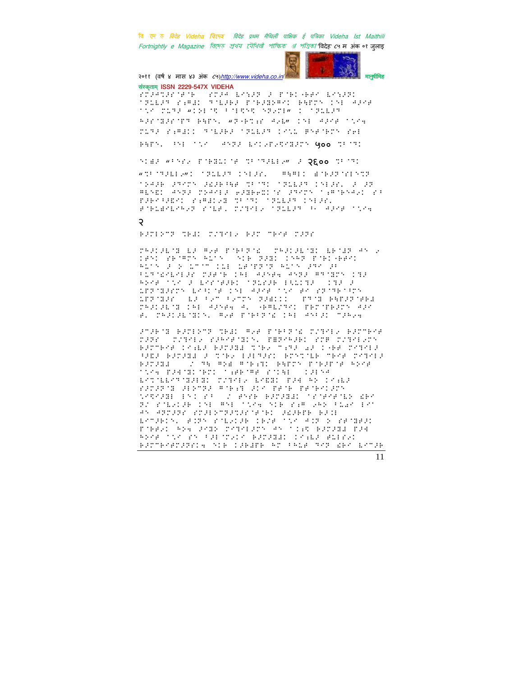

 $11$ 

# २०११ (वर्ष ४ मास ४३ अंक ८५)http://www.videha.co.inl

araktarikin arteko arago aleman ekeko basar:<br>1916an alegrafiareak emeageko esprintzaileak TAC PLAS WILL AS A MEAN SPACE A LOCALER REPORTED BREN, WERPIE REAL INFORMATION PLAS PARIN ANESES NOLESA INVL. PARNETA PRE PATE PERIODE PART ESTRIPADATO MOO TECT

संस्कृताम् ISSN 2229-547X VIDEHA

STEP WESTER PORTER THOSE PRESENTED RECEIVED

 $\mathbf{w}^{\mathsf{H}}(\mathbf{f}) = \mathbf{f}^{\mathsf{H}}(\mathbf{f},\mathbf{f}) + \mathbf{f}^{\mathsf{H}}(\mathbf{f},\mathbf{f}) = \mathbf{f}^{\mathsf{H}}(\mathbf{f},\mathbf{f},\mathbf{f}) + \mathbf{f}^{\mathsf{H}}(\mathbf{f},\mathbf{f},\mathbf{f}) + \mathbf{f}^{\mathsf{H}}(\mathbf{f},\mathbf{f})$ 19426 29425 2020 908 39 191 120029 151261 2 20 PENED PNPA COPACEA PASSPECIAL APROVATIVENENT 23 FUERINGERI PROVINCI DE 1910 INDUSTRIALES. anebarbreva probas podrav naboža (+) ažra novre  $\mathcal{S}$ 

BATESTA TRAD TITRES BAT TREE TARE

TRADALIS LA RVA PIRPADA (TRADALIS) LEGGA PROV Rona con la brecada: capeza aspida (1937) SEP MOREN SERVICE CONFIDERATION OF CREATED FROM ing may i sia siya siyara idan ni sina misekara mela<br>1931-2674 (1945-1959) - Seperator sina melanci 1930<br>26 shekara masu bulu ne berama (1945-1959) - Tabya

anaers earlyng meal (#29) pressor basely earnede TARE CONTRALACEAREMENT EBREARED FOR TITREATS adrhama (mald adrigi hiana had id da chaa highed.<br>Saba adrigi di highed adalam arhite had had highed. BUTUBA (17) TA FINA FOR IT SAFTS FORUTOR ANNE TORA EVANDONEDO TARBITRA ENTADO CURINA EVIDENTISES: TABLE ANNO EXEMPLES ON THE ededdia da ynddianaeth do cilearaine ar recoder 1959-188 (ENIT) et l'installé autobalistic référentes (des do analdea che mne nova noa alm labo esse eve AN Adolde codiendatacia in Japane edit.<br>Echanis, altas ciedade libra inco alta dicamadal rneeu esa yhdy phaniyon en cile eyoyda fye aber the restaurance researchered research BATTERBTARING NIE IABURE AT FALB TRI GER LRTAB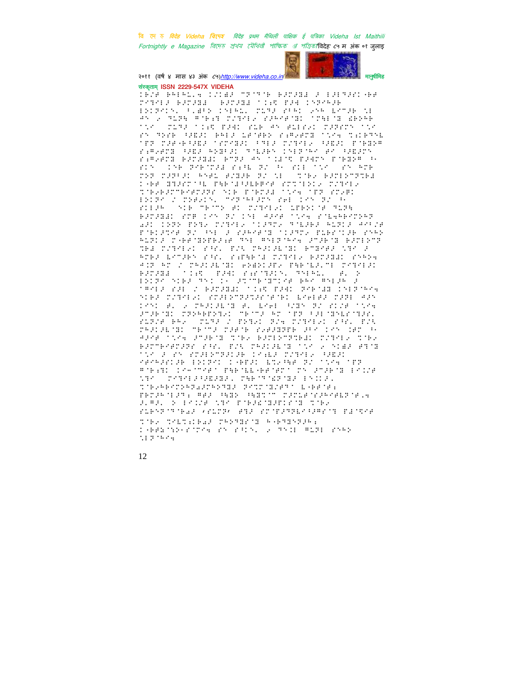

२०११ (वर्ष ४ मास ४३ अंक ८५)http://www.videha.co.in

संस्कृताम् ISSN 2229-547X VIDEHA 1979 BRERLA (1718) MOMENTA BODOBA O EDEMOCIAR PANALA BARAGA (BARAGA 1118) PAR 115935AR a podredno se varios o na Rovi o pontri er Rosi vinho a Ermita sista.<br>1967: Vichold Richard Sovorna Vice Zanne for coma sob server KARAADO (PADA 1450) AS 1971-AAS (SSERINA 147) PADADS KARAADO BADADAL BMAA AN MILANO BAADN BNBOARTH artis (crise) desembal algun du cos (arres crise) als seres.<br>Insolinado arcolesceu autores du circura de son sondite : He diarona, persamare roomas ordina TORGROUPHARDOGE SIR PORTOGE CAAR CEP ROGED spide v ppavin, mednagan yas ien du <sup>1</sup>a 21124 (Stelmenns al comercial muse<br>expaggi 200 125 sol politica come 2144 emperores adi ibab pogo svario ridgeo graded espid<sup>5</sup>er<sup>i</sup>ve ESPIRING RACINE A CAPACHI SIARRA ELPASIAR CAPA ACRES CHARLOSERS ARCHIVE CANER 1474 CSTSP 10 CRSTESTS ina ponesta di sesti posti natitali andea stello.<br>Anati Esmaari sesti scenarita nonetta attuada cerrara.<br>Alta ancor natitalitati speptunta naritaline nonettat RADABA (1988) PART PAPTRAIN, PNEALL (B. 5 ESCRA SCEPTANO CAL POMPEMBNOGRAPHA PSEPRIP teria vai viedrami ilise pai dretmi trebeler.<br>Stea pubrici volvogi spanana reteo mrei ea padi lass sikon (1920) un melastas no 1920 (sukes 1920) ost principalite ture.<br>Iamae nos complexementus come novo leo complexe no novel novel PLAZE ERR (TLAR) Z PRART ARR TIAPERI PIRT PIR dealabracionerna daere vyeaadel afkoloksi pedi fr<br>Kakelinivke anaera direvi eadernadeaciodaktevidrev BACTBYBCARY YAY, EVA CHALABIO TIYA V NIBA BOTO **TOR OF YOUR ATTENTION IN EXTENDIMENT PARAD** KAKADELDA 1919KI ISABEDI ETXANA 92 MIKA MER RICE EDUCATIONAL CORRECTED ARRIVANCE CONTRACTOR CONTRACTOR NER I I DREPEVARDADU I DABITATIONIDU EN DUNI. .<br>1762-6-cr2-943r-2943 - 9-cr caran ( 1964-196 PECAR NUMBER RAD (PEBS) PEBSIT CONCLETEAR PARALLELS ALBAN IN BRIDE INTO EMPARINGATION IN THE PLENG TRIBULA (VPLOGA) (PRIA POSTEJROBLA PARPITRI PUSPAR THE CONTROLLER CHANGE OF PHENOPHAL I REPORTED FOR THE REPORT OF THIS POSSESSED

12

tighters.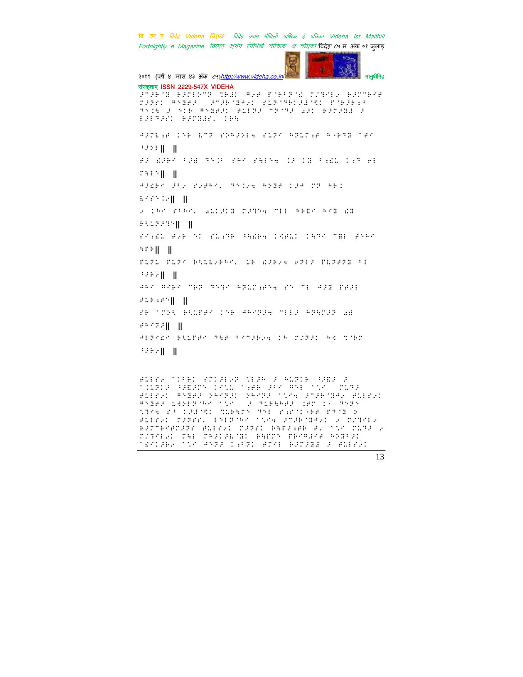```
肅
                                                                 County
                                                                   ¢
२०११ (वर्ष ४ मास ४३ अंक ८५)http://www.videha.co.inl
                                                                                   मानुषीमिह
```
संस्कृताम् ISSN 2229-547X VIDEHA anakid kareena dkal gaa pikkale padade karnkaa DARKS PAGAA (AMAR 1942) VELETRE AG 1911 ETRARVA MADE O ADE PASERI RIBRA MAINE 201 ERMASI P EVENING BUTBAY, 199 APPLIE INFORMATE PRAPPER PLAN APLICEMENTS CEN 22211 1 BA BARY FAB TYPE PRY PAINS OF COURSES INTER-251211-11 #2267 252 22857, 55124 5288 128 22 561 **ERRY OF LITTLE** 2 197 PERSONAL PROPERTY THE PRESS PORTUGE **FALEFEN | |** YAYDI FAR YI YIYYE HADA IYYII ISTA MBI FYYY 989 || || FLPL FLPK BRIEFBRY, LB EFBRY FPHF FEPFPH FF 그것보기 시대 ANY RYBY MBS SYSK ASSTRANGEN ME ASS PASE **FAR HOW WAY** YE TOOK BRIEF ONE ARREST THIS APACSE WE **REPORT 11** ALPARA BULFAR MEA FRONDLAND POTPICAR COMPO →28→廿一廿

alian (1981) antala niam-a-midik (1982)<br>1 ildia (1982) (1951) 1986 and mm (1595) niam<br>alian (mmea-mhadi) mmad (1596-androimn glian) **PAGES LENGTHS TAX** TVARIJI TAI TAJLJENI BATTA TERMERE AVIDIJI.<br>NGC 282 NASA PATJI ISTO BATKI BITJILI JELENJI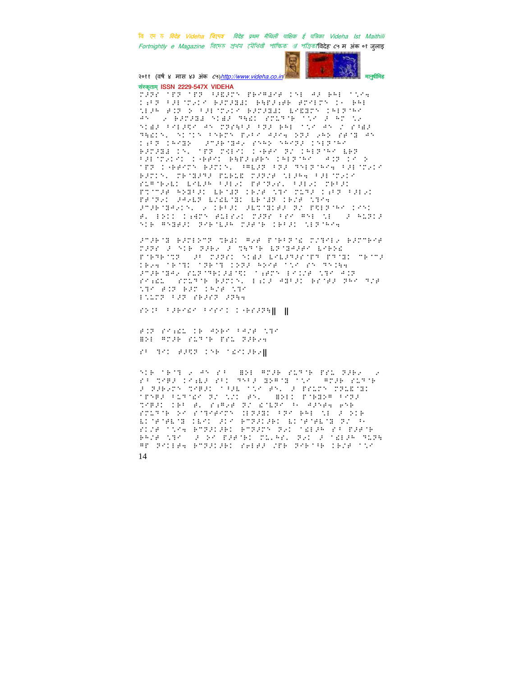

२०११ (वर्ष ४ मास ४३ अंक ८५)http://www.videha.co.inl

संस्कृताम् ISSN 2229-547X VIDEHA rdad (ara ira (gebat) rekebake 151 ga eel (156 1980 FAB MOVIE BANAGAI BANAGAR GENENGIN 1978BB NEZA (POPOS) POETOSIK PODOBBI EKEBON IAEDIAK AN IN BATABA NIAA MAAL STIMME TIN DE BT IN Stag Fright AS TRANG FRAGAN TO AS TO RANG mazon, inolos shaphistash agra (200 -200 zamos)<br>Caspioshope (200 -200 -200 -200 -200 -200 -200 admodal the creative companies and the principals FREDRICK CHARGE BARRABAN IPERTAK CHIR IK DO 189 198025 BJD15, PREJE POJ MSEDNAM PJETOJN BUTING TRIBUTU PLACE TUDIE NEURA PUBLICUS PLATERED EPERA FREDUCTATIONS, FREDUCTATION POSTAA ANGERI EESGA IEZA SGK DUMA IEFA FREKI PROPER SPEAR ASSAMDLED AROUND CROP COPE amae roeget suis die laat saak hoof ear ook oorgete geskie het volgen.<br>Ieu oor dit in die egenie gebouwd ontwerking geskie maar van die gebouwda NIE PNOBAJ SKENDAR ZABNE IEFAI NESNAM

anakid kareena dka: Aya birkara birkey karnkaa indak (d. 1918) adeb (d. 1997): Sidinadada (spesar (SSS) (SSS)<br>schementa (sde schaak) (1918): Spesarak vim sidina (menna<br>1924): Senat (saeca): 1940, menas spesar (menas spesar anak toku yezh tres ag tro-maezh division evel Asp read, roomse agos, aang ada arege pak mee STATEST EACH PACE STA ENDIR FRANCESCO RRAN

YND FRENK FRYD DIENRE | |

BID PARK IN BURNEY FRONTIN BRI FORE PLATE FPL PREPE

PROTECT BASE INFORMATION

NOR TRITING AN WAS SENTED AND WORKING WORKS.  $\cdot$ ra dres cribs rac moss doend throughse runge à dakàn telk: Sal Stelk, Telk error telefor<br>Speka formas de ser es compart preden fede TREAT TER AL PARAGUEZ BOBA (P) AZNAB BNE Anighe an Anghanin (1923) (Fen ees to 2 ate ED NA NAE NO I DERIVADAN APPRAISANT AD NA NAE NO 1820 AN atiza (novel empataet empathy pat inabab all palare).<br>Ebiza otrki la pri palaret itulisal pat la nabab mupe AP SAILES EMSALABI YELES VIB SABARE IBVE MAK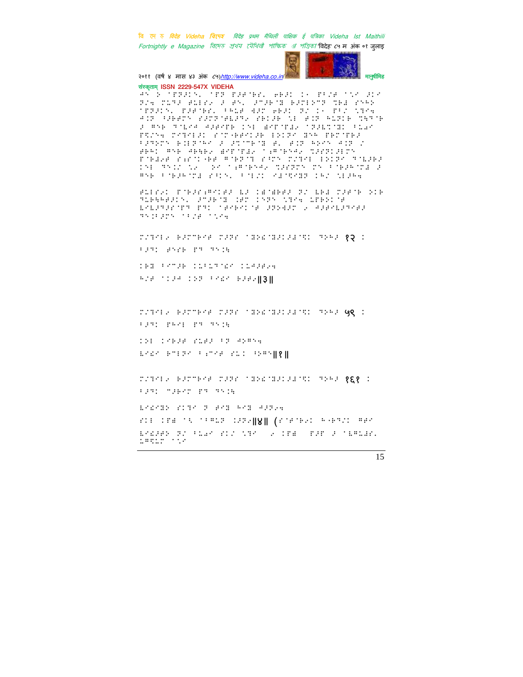

२०११ (वर्ष ४ मास ४३ अंक ८५)http://www.videha.co.inl

संस्कृताम् ISSN 2229-547X VIDEHA AN D'Espain, cap avecent verat le arve cin din POR DIPA ALEXANDRAN, AMARICA RADESMONDER KARS naradoru araboreru (1948) edat eredi artistik artistik (1949).<br>1932 - Freedo Scriptanerare, certar italije da Selate (izente ia (Anglický parlika) a poznatel (znani a poznatel (znanovaná z poznatel)<br>značné sporane a z sile čto pekot a elizace (znani z zaporane a<br>značné se z za teho (a silat tre cali a u se zasile pone se zasilo BEAT PRESPERED BRENEDO COPIENADO NACRIBINO ESPAGN VINTO AN ASSAULT VAN DUINE ENDROTSLAND i na Timo (2015) i Social amendo i povezno i politikova (2016).<br>Imperio response se politike i response a reveze i povijestvo

albest presentes bs tangees bs bed caere bie PLEARER NO CAMARINA (1970) 1979 (NNPA CLERAINE anadodní politikních dodádí (1944)<br>ostatství tem tvr

CONTRACT DEPOSITORS CONTRACTORS ARE SERVED AND CONTRACT OF A STATE OF STATE OF STATE OF STATE OF STATE OF STATES FIRE BANK PROPERTY TED FRONK INFORMATIONARES

**AVE TO PE ONE FORD BREATER** 

constant expresses codes independent codes and special special 3.231 PROF PROTECT

198 19838 PLAS FROM MARSH EVERY BOERN FEDROLEN FRAMENIE

CONFIDENTIAL CONSTRUCTION OF SAFETYPE ARABITS OF THE SERVICE FORD TORYTOPH HAIR

EVERING PORT OF BROOKER HAD ADDING sta (tam us campo deby BAM (suspect executives) EREARN POSTEER POOLSTRUID OF DE USPARUA CEREARY istir (2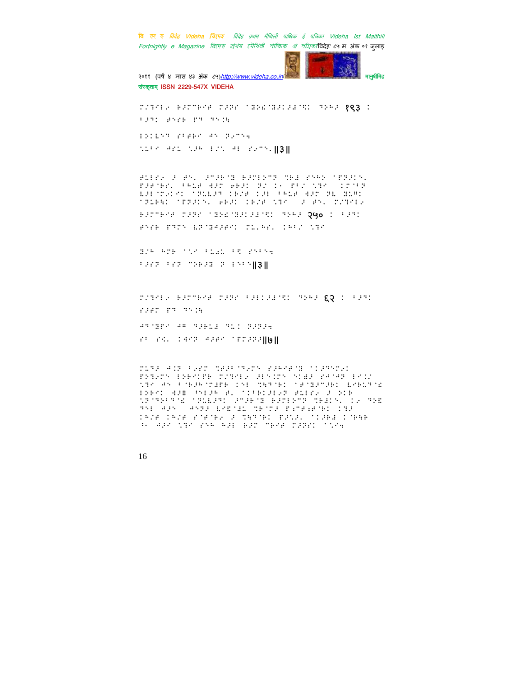肅 **County** २०११ (वर्ष ४ मास ४३ अंक ८५)http://www.videha.co.in मानुषीमिह

संस्कृताम् ISSN 2229-547X VIDEHA

CONFIDENTIAL CARE CONSTRUCTION AND PORT 883 C F291 #526 FT 9518 ESIENT PLANK AN BUTNE MARIN RESINARY BOWLER CENTRALISM

BLEVA A BAL AMARIO RAMEAMO MRE VARA MEDALA. adement (Felefado Gedi do 1972) nacional (1079)<br>Edemocratico delega (Federal Felefado de Gedei TRIANI TERRINI WARRI IANA NYA 18 ANI DISPIRA BROTESE CREE TORETORIRETE: TRAP Q90 : FRTI BRYE PROVING CHARACT COLLEY, IFF 2017PC

BORO ROBOTING CRIAL CRESTOR FREE FEE THERE E ENTIMAL

CONTRACT DESCRIPTION OF THE SERVICE STATES OF SERVICE SERVICES 2282 PM MAIN

ASSERS AR SPELL SLO 22224 **PERIODICAL DEPARTMENT OF DEPARTMENT** 

DIRA AIR FORD DEAFORDS EARNENE CIARNOOL radion descript compas about high cares been the law single mare over the theory and manuel surgicition A DARI CHAR CHARLAR CALCIO FADIAR DE ANIXA CACIDO A.<br>INFORMATIVO I DINARTO CAMARINA (ARDIAMECHA DALING) COMPAR mes l'applicianos surgirabilità tra le masaria: l'ora-1928 1928 STRING DISTRICTORY CONSUMING su age the present age make page: they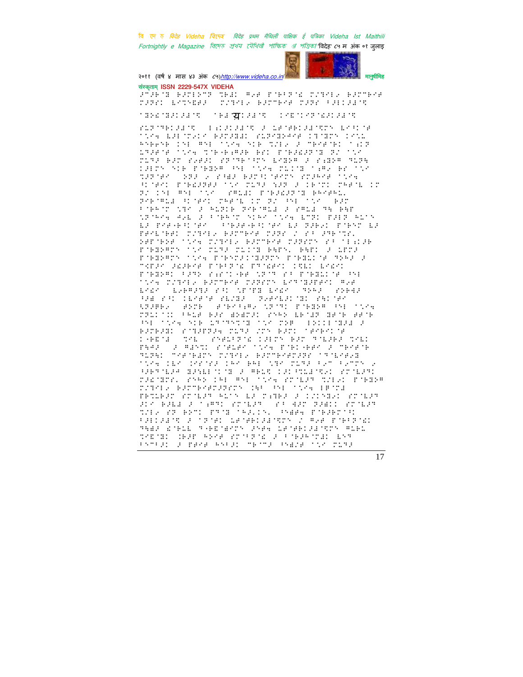

२०११ (वर्ष ४ मास ४३ अंक ८५)http://www.videha.co.inl

संस्कृताम् ISSN 2229-547X VIDEHA

ਨ ਬਣਕੇ ਨੇਬਰਾਂਟਰ ਰਾਤ (1991) ਦੇ ਬਾ**ਹਰ** ਹਰੇ ਬੇਰਾਂਤ (1991) ਦੇ ਰਾਤ ਨੇਤਾ ਨੇਬਰਾਂਟਰ ਨੇਬਰਾਂਤ

POSTER DATE THE ECONOMIC AT CATARDAPEDY HARD TA  $\mathcal{F}$  at  $\mathcal{P}$ PLAS BSP PARS: PRIMEITRY ENDRA 2 PIDER ALPE DAECH NIE EMEGDA (PHE MIKA COLIMBO 1982) BY MIK 1987er - 1989 yn Bredd Bacht merch Scoalre (m.194) in neko antekadea (15k logar 160 aldean baten) oekela oo<br>di baten esti hok laegaan antekaddina eekees. dealthia (sinae) chang in de sha the Cado FOREST STATE POPIE PARTELL 2 YELD TH PHP Na teknologija i ali telestroni teknologijka olarati olarat oleh tirik.<br>Elao arkalke tirinako oli telaja je tirinako Elao alatelia olaratik Ela PAKEMARI CONTRA A BADMARA COARD OF BALLAMA MODE SAPIRSA (1974) DINABU BIDTERA DIPROSTO ESTABLICA Predesta nacidade darro espacies da arre-ESPERADA SONA ESPADALIZADORA ESPELLIPA PRAAJA MATAK ADAPAN TIPIPIN TESHANG ISUL BADAI ESPONSO PROVINCIALE SERVICE ESPONSORO PRE TORA CONTRA A BACTERA COARDON ERROTAARARO RAA EVER CEDEBUTE PAI APAPE EVER CAPPE CROBBE FRAUDILICE CAPACA DELIGIO DE PRAECEDIO DE CORRIGADO saabey abre aneksam, santa rhebe he nove<br>rawning sewe ear abaran rheb wenga dene aane 958 (1504 SIA) bajaang nool peel (15001 mees e BATBAGI KOMARAAN TURA JOON BATI ORARAI G dikelang (internal perkebangan dibangkan pangangan pelan terapan.<br>Iangkan dibangkan pengangkan tituk pangangkan pangangan ядані пле былу пітать заплелелаве і япьлеча tive die der realier een van riga als also als FARM NEAR COANGE NO NO CALIFEED OCAS FINE NEAR CONTENTS PACTERS, STARTING AND TIME SPINART TEACH PIGGER STREAM AUTOMAGEUREEN (1987–1988) SOMA SERIE Pendedo vondam edin da ovvied di cochado vondam any alama ao mandro ao mandritry amin'ny departementan'i TOES YOU BOTT TOTE TASLES. THERE THERE IS FOR COUNTRY OF INDIVIDUAL NARROCAL NON-LOCATION CONTRACTOR media angli maggingrov avev cenegradinov mcgc ineman (1998) koše (prikolačko koše (1998)<br>Konkar (a meše (1998) ine ma (1992) (okolonoma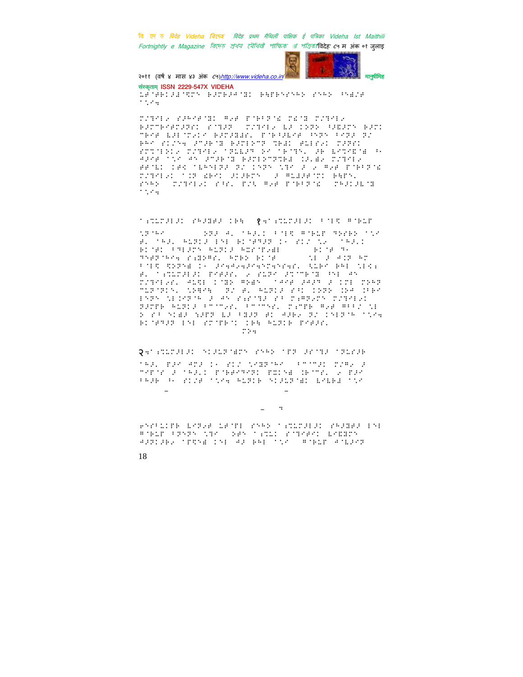

२०११ (वर्ष ४ मास ४३ अंक ८५)http://www.videha.co.in/

संस्कृताम् ISSN 2229-547X VIDEHA 12 yek aliyon kareayar espenyesi yoko youya ringen, i

CONFIDENTIAL AND CONTINUES ON A CONTINUES. RADMRHADAREL ENGAR (ODIGER) ALA 1989 (FABADY RADI TERE ESEMPSIR ESPIGUIDO PAESISEN PARA PROSTO BAK KOZNA STSBYB BSTENTS TBAC BLEKKO TSSKO ROTHERS CONTRACTORERS RATIFIED AND RELEASED BY  $\mathcal{L}^{\text{max}}$  ,  $\mathcal{L}^{\text{max}}$ 

TENDRALAI PARAGAR IAN ( 001 ENDRALAI A 1830) A 1902

SPECIAL TABLE FOREST ROBERT PREPAIRES nja nasno BUTTER PORTE ENE BONERAR IN YOUR CONFIDENT al neo (Presido Palace Palencese) - (CC al neore)<br>Preachere (esabele) - Prabo al neo - (CC neore) - (1  $(54 - 2) = 432 - 87$ FOR COMPARISH SPARAGEMENT PRESS AND RELEASED AND COMPARISHED ASSOCIATED AND RELEASED AT A 200 AM al familiard réadel l'ancor diffrait (al asi ).<br>Interacción est composas comercant a composat inda raciki insaere i i avitaciji koacia iz potiv čoka i čoka i čoka.<br>Givan inglesariki se jeni z potrasti z pozapodni zvrana oci.<br>Gispane i koacis i primoveli i primoveli iz prae i ave i approvince. S REPORTED NAMES AND POSSESS AND ASSAULT ON A STATE OF SAMPLE BIRFAR ENE VOIBBILIER ROBIE PRESS.  $\sim$  10  $\alpha$ 

Que aparte el collegar faro anno cara cercar calabre

tea, par ena co vic traditer (animac nieu a mentar a cosalido nosaemento notosa de travo y chae FADE (F) STOR TORE ALBIE NICLBOARD EREES ON

 $\mathbf{r}$ 

PARTNITE ESPAR LATTE RAPA CHILIDERI REPRERA ENE A NASA (PRARA NAME) SAA (MATS) VINNAME (BABBIA)<br>MARIJAN (PRAB ING) MA SAG (MNO) PRASA (MATSA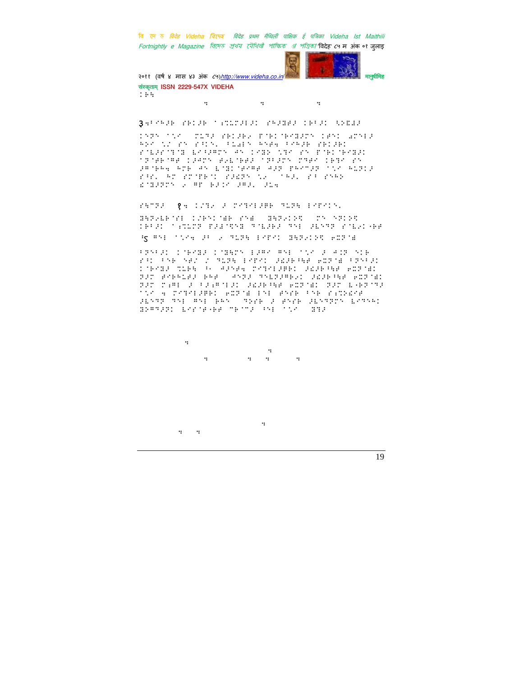

२०११ (वर्ष ४ मास ४३ अंक *८५)http://www.videha.co.in*/ मानुष्या कार्यक्रम मानुषीमिह संकृताम् ISSN 2229-547X VIDEHA ⢷⣓.!

## ius;00xxx quadre produced produced produced produced produced produced produced produced produced produced pro

### ३⣒B⢳⢼⢷!"⢷⢼⢷!⣐⣉⣅⢼⢼!"⢳⢼⣝⢾⢼!⢷B⢼!⣃⢵⣏⣜⢼!

 $\{ \mathcal{L} \mathcal{L} \mathcal{L} \mathcal{L} \mathcal{L} \mathcal{L} \mathcal{L} \mathcal{L} \mathcal{L} \mathcal{L} \mathcal{L} \mathcal{L} \mathcal{L} \mathcal{L} \mathcal{L} \mathcal{L} \mathcal{L} \mathcal{L} \mathcal{L} \mathcal{L} \mathcal{L} \mathcal{L} \mathcal{L} \mathcal{L} \mathcal{L} \mathcal{L} \mathcal{L} \mathcal{L} \mathcal{L} \mathcal{L} \mathcal{L} \mathcal{L} \mathcal{L} \mathcal{L} \mathcal{L} \mathcal{L} \mathcal$ ⢳⢵!⣁4!"!"⢸F!B⣅⣔!⢳⢾⣒!B⢳⢼⢷!"⢷⢼⢷!  $\alpha$   $\alpha$   $\beta$   $\gamma$   $\alpha$   $\beta$   $\gamma$   $\beta$   $\gamma$   $\alpha$   $\beta$   $\gamma$   $\beta$   $\gamma$   $\beta$   $\gamma$   $\beta$   $\gamma$   $\beta$   $\gamma$   $\beta$   $\gamma$   $\beta$   $\gamma$   $\beta$   $\gamma$   $\beta$   $\gamma$   $\beta$   $\gamma$   $\beta$   $\gamma$   $\beta$   $\gamma$   $\beta$   $\gamma$   $\beta$   $\gamma$   $\gamma$   $\gamma$   $\gamma$   $\gamma$   $\gamma$   $\gamma$   $\$ ⢽ ⢾⢷ ⢻⢾!⢼⢺!⢾⢴⣇ ⢷⢾⢼!⢽B⢼!⢹⢾!⢷⣙!"! ⢼⢻ ⢷⢳⣒!⢳⢷!⢺!⣇ ⣝ ⢾⢻⢾!⢺⢼⢽.2⢳[⢼⢽!⣁!⢳⣅⢽⢼! "�"F! F! F! THE MOST ARREST AND IT FAIL TO FUR PARTY. ⣎ ⣝⢼⢽!⢴!⢻2!⢷⢼⣈!⢼⢻⢼F!⢼⣅⣒!!

### " < 1000 and 1000 and 1000 and 1000 and 1000 and 1000 and 1000 and 1000 and 1000 and 1000 and 1000 and 1000 and 1000 and 1000 and 1000 and 1000 and 1000 and 1000 and 1000 and 1000 and 1000 and 1000 and 1000 and 1000 and 10

⣝⣓⢽⢴⣇⢷ "!4⢷ ⣞⢷!"⣞!)⣝⣓⢽⢴⢵⣋\*!!⢽⢵⣋! ⢷B⢼!⣐⣉⣅⢽!2⢼⣜ ⣋⣝!⢹ ⣇⢼⢷⢼!⢹!⢼⣇⢹⢽!" ⣇⢴C⢷⢾! SQ BAI JOSA JE Z MEZA ISTO! 2522155 PORTE

BOST R IN THE ROOM IS A RELEASED FOR THE RELEASED FOR THE RELEASED FOR THE RELEASED FOR THE RELEASED FOR THE R  $\mathcal{L}$  B  $\mathcal{L}$  , the state  $\mathcal{L}$  and  $\mathcal{L}$  and  $\mathcal{L}$  and  $\mathcal{L}$  and  $\mathcal{L}$  and  $\mathcal{L}$  and  $\mathcal{L}$  ⢷⣝⢼!⣉⣅⢷⣓!⢸q!⢺⢼⢾⣒!⣙⢼⢿⢷!⢼⣎⢼⢷⢸⣓⢾!⢶⣍⢽ ⣞! ⢽⢼!⢾⢷⢳⣅⢾⢼!⢷⢳⢾!)⢺⢽⢼!⢹⣇⢽⢼⢻⢷⢴!⢼⣎⢼⢷⢸⣓⢾!⢶⣍⢽ ⣞! ⢽⢼!⣐⢻!⢼!B⢼⣐⢻ ⢼!⢼⣎⢼⢷⢸⣓⢾!⢶⣍⢽ ⣞!⢽⢼!⣇C⢷⢽ ⢹⢼!  $^{\prime}$  \  $^{\prime}$  \  $^{\prime}$   $^{\prime}$   $^{\prime}$   $^{\prime}$   $^{\prime}$   $^{\prime}$   $^{\prime}$   $^{\prime}$   $^{\prime}$   $^{\prime}$   $^{\prime}$   $^{\prime}$   $^{\prime}$   $^{\prime}$   $^{\prime}$   $^{\prime}$   $^{\prime}$   $^{\prime}$   $^{\prime}$   $^{\prime}$   $^{\prime}$   $^{\prime}$   $^{\prime}$   $^{\prime}$   $^{\prime}$   $^{\prime}$   $^{\prime}$   $^{\prime}$   $^{\prime}$   $\mu$  , and the state of the state of the state of the state of the state of the state of the state of the state of the state of the state of the state of the state of the state of the state of the state of the state of the ⣝⢵⢻⢹⢼⢽!⣇" ⢾C⢷⢾![⢷ [⢼!⢸!⣁-!⣝⣙⢼.!\Gjhvsf!



 $\mathbf{q} = \mathbf{q} \cdot \mathbf{q}$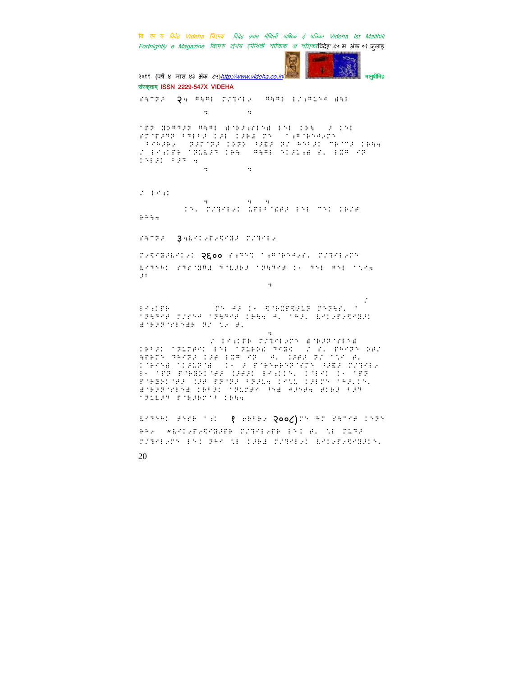दि एन रु विदेह Videha चिएन्श विदेह प्रथम मैथिली पाक्षिक ई पत्रिका Videha Ist Maithili Fortnightly e Magazine রিদেহ প্রথম মৌথিনী পাক্ষিক প্র পত্রিক/**বিदेह' ८५ म अंक ०१ जुलाइ** G **County** २०११ (वर्ष ४ मास ४३ अंक *८५)http://www.videha.co.in*/ मानुष्या कार्यक्रम मानुषीमिह संकृताम् ISSN 2229-547X VIDEHA "⣓[⢽⢼;!२⣒!⢻⣓⢻!4⣙⢴;!⢻⣓⢻!4⣐⢻⣅⢺!⣞⣓.! ius (10xxx both dpn0usbotdpotpmf0hjz) (10xxx both dpn0usbotdpotpmf0hjz) (10xx both dpn0usbotdpotpmf0hjz) (10xx 2⢽!⣝⢵⢻⢹⢼⢽!⢻⣓⢻!⣞ ⢷⢼⣐"⣞!!⢷⣓-!⢼!!  $\mathcal{L}$  2  $\mathcal{L}$  B $\mathcal{L}$  B $\mathcal{L}$  B $\mathcal{L}$  B $\mathcal{L}$  B $\mathcal{L}$  B $\mathcal{L}$  B $\mathcal{L}$  B $\mathcal{L}$  B $\mathcal{L}$  B $\mathcal{L}$  B $\mathcal{L}$  B $\mathcal{L}$  B $\mathcal{L}$  B $\mathcal{L}$  B $\mathcal{L}$  B $\mathcal{L}$  B $\mathcal{L}$  B $\mathcal{L}$  B $\mathcal{L}$  B $\mathcal{L}$  B $\sim$  B  $\sim$  B  $\sim$  B  $\sim$  B  $\sim$  B  $\sim$  B  $\sim$  B  $\sim$  B  $\sim$  B  $\sim$   $\sim$  B  $\sim$   $\sim$  B  $\sim$   $\sim$  B  $\sim$   $\sim$  B  $\sim$   $\sim$  $4$  . The state of the state of the state of the state of the state of the state of the state of the state of the state of the state of the state of the state of the state of the state of the state of the state of the stat ⢼!B⢼⢹!⣒!! ius (10xxx) iuuq;00xxx qubit dpn0usbotdpotpmf0hjz  $4.4$   $4.4$ iuuq;00xxx⣒hpphmf⣒dp⣒jo0mbohvbhf`uppmt  $\mathcal{F}(\mathcal{F}) = \mathcal{F}(\mathcal{F}, \mathcal{F})$  . The first point  $\mathcal{F}(\mathcal{F}, \mathcal{F})$  is a sequence of  $\mathcal{F}(\mathcal{F}, \mathcal{F})$  $\ddot{a}$ "⣓[⢽⢼;!३⣒⣇⢴2⢴⣋⣝⢼!4⣙⢴;!! ⢴⣋⣝⢼⣇⢴!२६०० "⣐⢹⣉!⣐⢻ ⢷⢺⢴"F!4⣙⢴! LANSEL CRECORD NALLER CORPORATION NSEL RSECTION ⢼B! iuuq;00usbotmbufxjljdofuoxjljdofuoxjljdofuoxjljating;00usbotmbufxjljdofuoxjljdofuoxjljdofuoxjljdofuoxjljdofuoxj .nptuvtfe'minju $\mathcal{A}$  1111'm $\mathcal{A}$  1111'm $\mathcal{A}$  1111'm $\mathcal{A}$  1111'm $\mathcal{A}$ EVAIRE (1999) TRUPA IS CRIBIRALE INFRAIL (19 ⢽⣓⢹⢾!4"⢺!⢽⣓⢹⢾!⢷⣓⣒!⢺F!⢳⢼F!⣇⢴2⢴⣋⣝⢼! ⣞ ⢷⢼⢽ "⣞⢷!⢽4!⣁⢴!⢾F! iusbotmbuffalia in konstruktura in die staat van die stad van die stad van die stad van die stad van die stad Usbotmbuss. A constitution of the contraction of the exponential and  $\mathcal{A}$  $\mathbf{1} \oplus \mathbf{1} \oplus \mathbf{2}$  ,  $\mathbf{1} \oplus \mathbf{2} \oplus \mathbf{2}$  ,  $\mathbf{1} \oplus \mathbf{2} \oplus \mathbf{2}$  ,  $\mathbf{1} \oplus \mathbf{2} \oplus \mathbf{2}$  ,  $\mathbf{1} \oplus \mathbf{2} \oplus \mathbf{2}$  ,  $\mathbf{1} \oplus \mathbf{2} \oplus \mathbf{2}$  ,  $\mathbf{1} \oplus \mathbf{2} \oplus \mathbf{2}$  ,  $\mathbf{1} \oplus \mathbf{2} \oplus$ ⣓2⢷!⢹⢳⢽⢼!⢼⢾!⣍⢻.⢽!)⢺F!⣈⢼⢾⢼!⢽4!⣁!⢾F! ⢷⣞!⢼⣅⢽ ⣞\*!q!⢼!2 ⢷⢶⢷⢽ "!⢸⢼⣏⢼!4⣙⢴! q!2⢽!2 ⢷⣝⢵ ⢾⢼!⣈⢼⢾⢼!⣐F! !q!2⢽! 2 ⢷⣝⢵ ⢾⢼!⣈⢼⢾!2⢽ ⢽⢼!B⢽⢼⣅⣒!⣁⣅!⢼!⢳⢼FF! anegginga sa tergi ngunak ina ggode ateg fgr ⢽⣅⣇⢼⢹!2 ⢷⢼⢷ ⢸!⢷⣓⣒! ⣇⢹⢳!⢾"⢷!⣐!)१ ⢶⢷B⢷⢴!२००८)!⢳!"⣓[⢾!⢽! ⢷⢳⢴.!"⣇⢴2⢴⣋⣝⢼2⢷!4⣙⢴2⢷!⣈!⢾F!⣁!⣅⢹⢼! 4⣙⢴!⣈!⢽⢳!⣁-⢼⢷⣜!4⣙⢴!⣇⢴2⢴⣋⣝⢼F!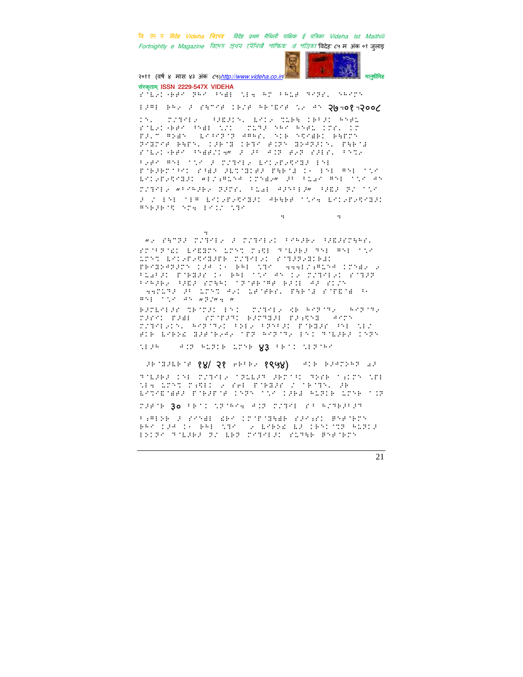

 $\ddot{ }$ 

२०११ (वर्ष ४ मास ४३ अंक ८५)http://www.videha.co.inl संस्कृताम् ISSN 2229-547X VIDEHA

ribries (Berland Has the Archane Hopp, Savry

2005-80-05 Particle Parties State Parties Parties

19. – Domes 2. sabaly, eki2 mies istal syst<br>Kreuliseke systematik pina (yee systematik) FALT REAR CARRIER REAR SIE SCHARFLIERTS a 2007 and store successful and 2012 and 2013.<br>In the protection and 2012 the Condact Canal And Canal Store Store ESTREPROBRIGATIVE DENNA IDNABA CRUSTIAN SPATISTICS AN TITEL WESTERN TRIED FOR SPREED FROM THE TIME 2 2 1919 TER EKOVEVREDO APARA TORA EKOVEVREDO BABBETS ATHLESIS ATS

 $\cdot$ :

NA PATRA DITRIA DI DITRIALI FRAGAZI FABRICARI. FUSTRAL ESERN LUNG USER TALES THE BNE SAS LONG LAIGEGRADHE CONFALAI ANN AGUS BEL spedalegans (1947-19), and (1947), eeds Zingste, (1954-20)<br>Fourte: schade (19), ans (1977-1987-1987-1991-20), comedi<br>Frances, februaries, comparente altre (49), com , aarbek 28 brond Australie (Alexandrijke partijske partijske politike<br>1908 - Siter Aos Alexandra

BATERIAR TESTAI IPAI CITATALA RECRAZITA CHRISTA racki radi (cripani barnoa) ragono (ekry DIRECTS, ACRIAVING FREE FRAUD INFORMATION ON BOB LABOR SPECIAL TER PARTIES INC. TOLPER CONFI

MESS CONTROLSDED DESENVE FROM MERISCO

 $(15.13.115.16.16.88)/(28.165.16)$ 

STEPHALISE CONSERVATIONS ARCHIVES SAME CHICK AND Mac DONN CARED OF YAR (PORGER OF TRONG OR EVICEMBER PORRENE CORPO SON CREATALBIA CONA SCR

DEECE 36 FECT CROPSE RIP DIRECT PLACERERS

s verde us voormal vaeg op mindelae vosgvolgo lenemenn.<br>Ieng op schooleer in mot van boeda vas oen omd lendos BOIRG STEPHA RATERS CONTOUR CASHE POPTERS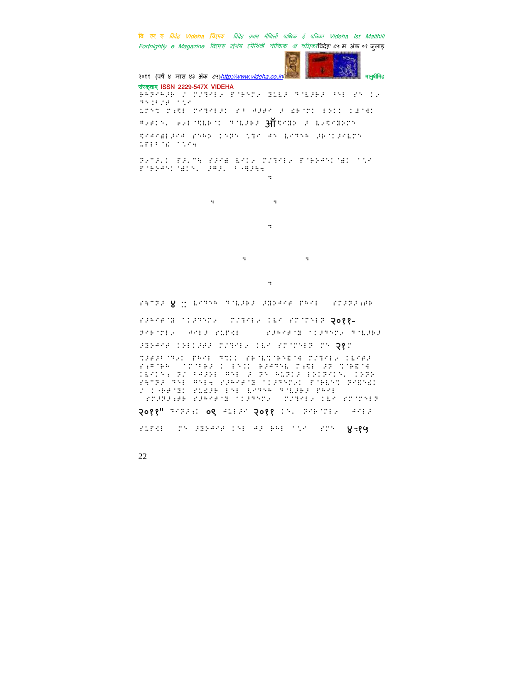ius;00nfubis;00nfubis;00nfubis;00nfubis;00nfubis;00nfubis;00nfubis;00nfubis;00nfubis;00nfubis;00nfubis;00nfubi iuuq;00usbotmbufxjljgaljofung;00usbotmbufxjljdjam;00usbotmbufxjljdjam;00usbotmbufxjljdjam;00usbotmbufxjljdjam; ius;00jodis politikus;00jodis kontrolis kontrolis kontrolis kontrolis kontrolis kontrolis kontrolis kontrolis iusbotmbuffalia in kontrolita in kontrolita in kontrolita in kontrolita in kontrolita in kontrolita in kontrol "⣓[⢽⢼;४ :: ⣇⢹⢳!⢹ ⣇⢼⢷⢼!⢼⣝⢵⢺⢾!2⢳!#"⢼⢽⢼⣐⢾⢷! "⢼⢳⢾ ⣝!⢼⢹⢴#!4⣙⢴!⣇!" ⢽!२०११- ⢽⢷ ⢴!)⢺⢼!"⣅2⣊\*;.!"⢼⢳⢾ ⣝!⢼⢹⢴!⢹ ⣇⢼⢷⢼! ⢼⣝⢵⢺⢾!⢵⢼⢾⢼!4⣙⢴!⣇!" ⢽!!२१! ⣉⢼⢾⢼B ⢹⢴!2⢳!⢹⣉!"⢷ ⣇⣉ ⢷⣏ ⣚!4⣙⢴!⣇⢾⢼!  $^{\circ}$   $^{\circ}$   $^{\circ}$   $^{\circ}$   $^{\circ}$   $^{\circ}$   $^{\circ}$   $^{\circ}$   $^{\circ}$   $^{\circ}$   $^{\circ}$   $^{\circ}$   $^{\circ}$   $^{\circ}$   $^{\circ}$   $^{\circ}$   $^{\circ}$   $^{\circ}$   $^{\circ}$   $^{\circ}$   $^{\circ}$   $^{\circ}$   $^{\circ}$   $^{\circ}$   $^{\circ}$   $^{\circ}$   $^{\circ}$   $^{\circ}$   $^{\circ}$   $^{\circ}$   $^{\circ}$   $^{\circ}$ ⣇⣐!⢽4!B⢺⢼⢵!⢻!⢼!⢽!⢳⣅⢽⢼!⢵⢽F!⢵⢽⢵!  $\overline{\phantom{a}}$ 4!C⢷⢾ ⣝!"⣅⣎⢼⢷!!⣇⢹⢳!⢹ ⣇⢼⢷⢼!2⢳! #"⢼⢽⢼⣐⢾⢷!"⢼⢳⢾ ⣝!⢼⢹⢴#!4⣙⢴!⣇!" ⢽! २०११" ⢹⢽⢼⣐!०९ ⢺⣅⢼!२०११ F!⢽⢷ ⢴!)⢺⢼! "⣅2⣊\*!!⢼⣝⢵⢺⢾!!⢺⢼!⢷⢳!⣁-!";!४⣒१५

२०११ (वष ४ मास ४३ अंक ८५)http://www.videha.co.in/ मानुषीिमह संकृताम् ISSN 2229-547X VIDEHA ⢷⢳⢽⢳⢼⢷!4!4⣙⢴!2 ⢷⢴!⣝⣅⣇⢼!⢹ ⣇⢼⢷⢼!⢸!"!⢴! ⢹⣈B4⢾!⣁@!! LINT IN ALL INTEREST AN ASSAULT AN ARTICLE SIX CANAL PRESO ER ESPECIEDO E ER EL ERREGEO E ERREGEO E ⣋⢺⣞⢼⢺!"⢳⢵!⢽!⣁⣙!⢺!⣇⢹⢳!⢼⢷ ⢼⣇! ⣅2B ⣎!⣁⣒!!!!

SANALI PALMA SAAG EKIA PANGEA PAPANINGI TIK

iuuq;00usbotmbufxjljoofuuq;00usbotmbufxjlj0Qspkfdu;00usbotmbufxjlj0Qspkfdu;00usbotmbufxjlj0Qspkfdu;00usbotmbuf

2 ⢷⢵⢺ ⣞F!⢼⢻⢼F!BC⣛⢼⣓⣒!

दि एन रु विदेह Videha चिएन्श विदेह प्रथम मैथिली पाक्षिक ई पत्रिका Videha Ist Maithili Fortnightly e Magazine রিদেহ প্রথম মৌথিনী পাক্ষিক প্র পত্রিক/**বিदेह' ८५ म अंक ०१ जुलाइ** 

a

فتستعد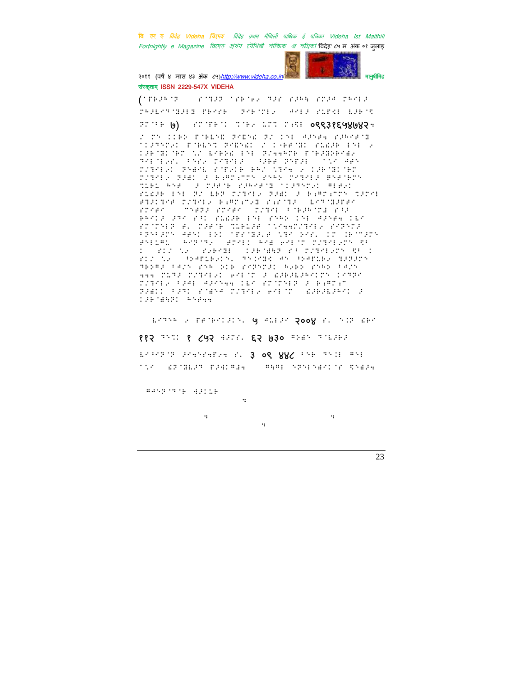

२०११ (वर्ष ४ मास ४३ अंक ८५)http://www.videha.co.in संस्कृताम् ISSN 2229-547X VIDEHA

SCHAR TERMER PAC EARN EDAR DRAFA  $(1.5525, 1.3)$ TRALANCEALE PRAYE ( PARCTIV ) ANIX YOURGE LARCE  $P: P \rightarrow P$ **CONDUSES ON THE CASE OF STRAINING** 2 27 1152 EMBAG GRENE GJ 178 AGNBA 20522 riamento presen acoestrui effecial pictore iel 1961: 1971: 1972: Nova Aleba (Aleba Aleba) (Polen Aleba Aleba)<br>1973: 1984: Aleba Santania (Aleba Aleba Aleba Aleba) **Simple Says** DIRECT PRESENTENCE ERI NASA DI CORTADORE rzakiw dzib z esprsory syky rkakiz energin niei kreśle zamane zakrene niamkowi mewni.<br>Ziece ere ar bea ornazew adel a eleczoch nacze Adabaya punya kabanya mwana mwana wa maaney Chappenshee Christian repeated and **EDSPACE** BARDA ARR PAD PORAB ENE PNAS DNE AANBELDER i postala se se se se se della participa dell'altre della contrata<br>1951: April Herbert II del se presenta di altre del segue del segue del segue del segue del segue del segue d<br>1951: Della contenta del segue del segue del i (Gris se) regnami (Islamin ristriale)<br>ris se l'anno antipolite antipara del trattare disposit<br>dipolites restaurant del regnació avec regna antipol  $\sim$  2009/10/42  $\sim$  0.0 13878571 55855

ESTAR DE PROPOSIALA, MESSIER ROOM PLEATRE ERS 883 7771 8 293 43771 83 030 7747 776393 ESPERA POPOLITION C. 3 08 888 FOR THE RM TO CONSTRUCT PARTNERS OF PAPE STATISTICS CARDS

**BANDING APPLE** ٠:  $\ddot{\cdot}$  $\cdot$ :  $\cdot:$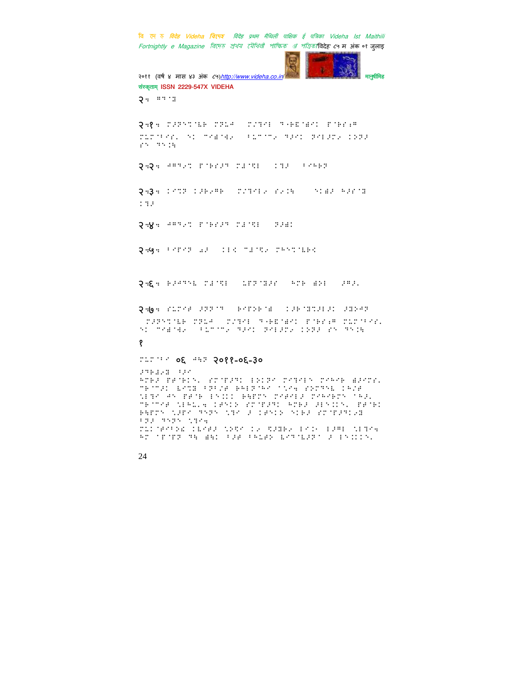ति एप रु विदेह Videha विएम्ब विदेह प्रथम मैथिली पाक्षिक ई पत्रिका Videha Ist Maithili Fortnightly e Magazine রিদেত প্রথম মৌথিনী পাক্ষিক প্র পত্রিকাবিदेह' ८५ म अंक ०९ जुलाइ G **County** 爆 ¢ २०११ (वर्ष ४ मास ४३ अंक ८५)http://www.videha.co.in मानुषीमिह संस्कृताम् ISSN 2229-547X VIDEHA  $Q_{12} = 0.21112$ Quest controls come i comes integracio precis popierka) in viel mealtas illustrome lieser illera specificate.<br>In viene e RARA APPAC EMBERS CAMBO CORPORATES QA3A ISTR ISBUAR CONTRIGUES IN CONTRACTOR  $1.33$ Se8e associated presented  $7.341$ Queen Francis ad Index market centraled RABA BARTAE CANEL LPP GRP ( PTF GDF)  $\sim$  100  $\mu$  . Quigit concelleration (exposerial colectance et leasure i pademinas pauk i pankri mesonako prisalak publikaa.<br>Ao meanka ilikumima mako deriapa olega ael melds १  $0.5 - 30 - 988$  = 1: 1: 0 0 1: 1: 1: 20 278323 727 Aned Benets, primami socal rimans rimene adinno.<br>Menmar sinds fafine expansion inclusorations pers same as para lasici aspos oraria prarapos (p.).<br>Tecnol samula iasia konteni mode els cisus pendi BARTY NARY TYPY NEW A LENIX NIBA WITEATLAR 333 3535 1364 nui merkaa isanggo nage siyo gudayo ay isoso auga ona deng 24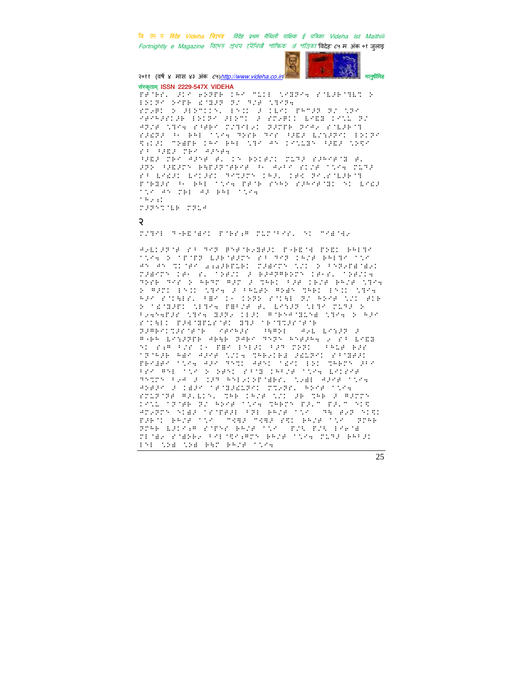

२०११ (वर्ष ४ मास ४३ अंक ८५)http://www.videha.co.inl

संस्कृताम् ISSN 2229-547X VIDEHA rather, and examplied more toggade atometrical FRIDA RATE ENGLAD DA DAR NORDE

ander Scheffred Art Docker ekspedig van de<br>Sesente eerst gebruik erker keep roma s PROPER TESTARES

FABA DES PASA AL 15 ESTADI DUMA PARSAGUE AL ado fabaro espadrebre fo eleccional core por PA ERRAI ERIARI MANADA IRAU IRRUPAN MEARIN preducing each three parts complicamental of accuthe as par all and they

 $\gamma$  is  $\mu$  and  $\begin{array}{ccc} T \cdot \overline{r} & T \cdot \overline{r} & T \cdot \overline{r} & T \cdot \overline{r} & T \cdot \overline{r} & T \cdot \overline{r} & T \cdot \overline{r} & T \cdot \overline{r} & T \cdot \overline{r} & T \cdot \overline{r} & T \cdot \overline{r} & T \cdot \overline{r} & T \cdot \overline{r} & T \cdot \overline{r} & T \cdot \overline{r} & T \cdot \overline{r} & T \cdot \overline{r} & T \cdot \overline{r} & T \cdot \overline{r} & T \cdot \overline{r} & T \cdot \overline{r} & T \cdot$ 

 $\mathbf{S}$ 

CONFIDENTIAL PORCHE COOPERS, NO TRANSPORT

AVECURATE STATES ENFORCED STATES IN FORD PARTIA ntea a heres paraden es ses anes energías.<br>An an directa Alaberda, parchivita a finalesa a Alemaniakin (mekuria kalea Alemak mekiniakin) mekur<br>Alemaniakin (membir pala antas alemaka (membir)<br>a nangleti memek mekual ali beala memek mamlara Freneman (1984) Bady (1991) Prenerbing (1984) by Ran y roles o l'invertant y reclique l'origente de re BURBAINEENER ARABUE (HARDE) AVE EANUR U PERSER TORE ARR MODE AROU TERI ESI DAEDO DAR From Residence of Santi residents in the sectional menne foar a stam eesternseel was faans heke.<br>Abaan a staan hardaabant moodel ebna hena POLECER RELEASE TRESPACE NOT SERVICE PERSON IRNE TROBB RESPONSE TORB TREES BALT BALT SIR Anvans sias fromesi (di esca civ) me ava sino rden: ekzelnik linked inked 201 ekzelnik libre.<br>Dree ediser rirne ekzelnik libre pre ekzele renas prases for movember of the ring except 151 Spacinal Barcesca (Son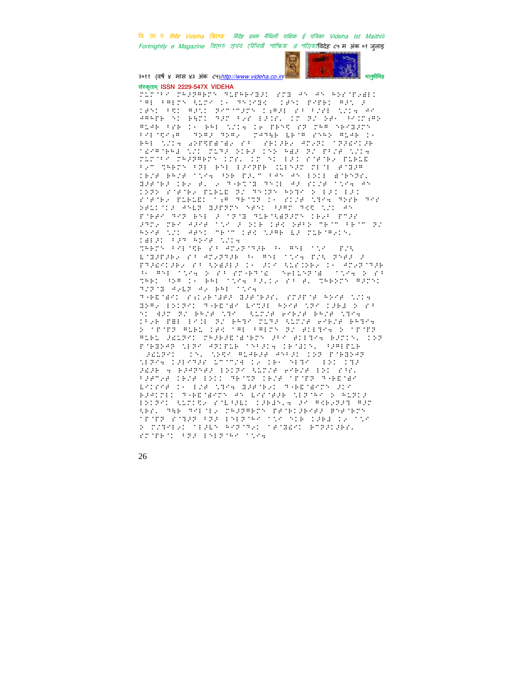

### २०११ (वर्ष ४ मास ४३ अंक ८५)http://www.videha.co.inl

संस्कृताम् ISSN 2229-547X VIDEHA didike deggeban sipebegai kagi en en enkryaki THE FREDRICALDS IN TRISPER CIRRO ESPECIFICAL 1951 (FRI AVII denomans ligava esterea single en<br>Amere si eeni mun fue aviini in di sek (fringas PLAE FRE IN BREACTE IN TENS REACTED NECESTN  $\mathcal{L}(\mathcal{L}(\xi),\mathcal{L}(\xi),\mathcal{L}(\xi,\theta))$ (Sper Sper (Sesember Second Sper Alexandro BAB (1714) SPERBANK PROVINCIPAL PROPERTY PORCHO nakemeta wil diga bisa indosea di digebuta wila DID MARKERBERY (DDEL) ID ALLEAD EARNEW PLELE FOR CHECK FOR ENR ROCKER CORNOT CROP PORCH TEZA ERZA TIGA (PSE EALT PAS AS ESTE BIESPE) daenea deu eu u maedid midd ea scose fishe ei 1989 Premey Piels 82 SAMSA ANDR NOBEL BAI chemes puedad n'em membro de code stane moce moc SALDWAY AND GARAGE NAND ARAB ARE NOT AN ESPACINADO PAR LA INDICADA MURIMERADA (EPACINAD andy der eare throughous centaers menn renn du ROWE NOT RENT METHOD EN NURBLEU DIE MEGINI THERE FROM ANNA SING

THEIR PRESENT PIPERTRANS PORT ON TIME TABI SAR IN BAI TIME FALIS 27 B. TABATA RATAI STREET AND AN EAST TIME

RAFEMAN YANG PERSONAL BARANGAN YANG PARANGAN SA BORG EDIPOL PHEDIAN ESTAL POSA NPS LARB O 23 NI AJER BI BAJA NGA TILIMINA BABIA BAJA NGAB IPSE THE ESIMPLE PROPERTY TIPS ALTIP FORCE PRISE d (proposited per constant possible proposite proposite)<br>Paea daadho cheesearaneer dio essone eestir. 100 PORCHAR CORRO ARITMENT SERIE INFORMATION ARRETIS  $-15.1$  (1987) RD-F22 (4582) (1988) F-1989-8  $3653311$ sidea comendo Entropa co caso sideo mascoldo ACAB A BARRARA EDIRK SUDJE BABJE EDI KARJ FJAMVA (1978) EDIL METOR (1978) METOR MARETAR Extere to spectace ademain moderator dir BARINEI PABENBANYA BARNEAR NEPHA S'ALBIA ESIRKI KUMIRA YANGGELI ISBANIN SA ARBARSH ASM ter, mae mysins regulary penergeneg avenery <u>TETER STRARTERA ENERGAN TIS NIB IABA ISTIS</u> S CONFINITIONALS ARRIVANT CATABOLICATORISAN kojevici politika prvih njeg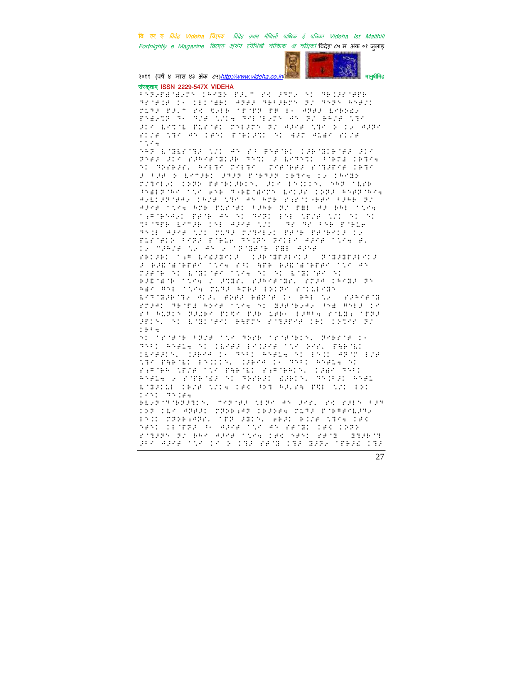

२०११ (वर्ष ४ मास ४३ अंक ८५)http://www.videha.co.in

संस्कृताम ISSN 2229-547X VIDEHA

FRAGE MATRICHADE CEALMICAL ARTA INCORPORATE menete to techneko Adea merakon du mndh enerx DIRA EALT PROVISE CENER PROFINGARIA EMPARA inales (a) dia 1111 mponjao amin'ny fivondron and exchange the result of a state and a series that a search etie (1980-45) tast present ist aan alak etie tisk op

NAP ESBEZINA NOV AN YA BARSEY VARIOURSEA AVA anda ala caderditas finis a britício fidra cedra.<br>No direbar, erado prado creados criadre ceda 2 FRA 2 EKTRED 2722 FORT22 DETKE DV DRYB2 i prezidenti di propostante dell'Indiana di Carlo II della contra della contra della contra della contra dell'<br>Internazionale con tra di composto della contra della contra di contra di contra di contra di contra di contra AVECUTARY CROB CROSS ATE PAPT HER FURNITURE adaa tihay emelerkaan kueelon emelerka een tiha.<br>Tieteman eene amimintaan kuninga ini mi dicare armae 154 (4254 NM) **THE RESERVE DESP** THIS PAPE NOT TIME TOTALLY TEMP TEMPORATE FLATELY FREE FORCE PRIPRIER PRIER PERMITTING B. palmaede qui es la indidate del l'ease izacija postala sa za zakoli su pljavi na razlikom prava priznika.<br>Iz sa zastalita za kostice svoj storija pa sa za prastale storije se s raene on androge historical or androge or evenere inske villvades i zvekendzu izdve pekdy do RESURRENCIARE DOMA ROBA EDIAS ESCOLESCES. 23 ALDIN DALEY PIRY PAR LARY FARME 2713. TPDA APINE NI EMBINANI ANEZN'EMBARKA IAI INDRA DU  $1 + 1 +$ 

No chanarte (Foure chivie) dovee chanarted NV (operation div THIS PHERM NO CEREA EXISTE CON SPECTERENCE sakézny. Szaké (2009-ben jevébelyi ajzsi épszilavé.<br>Szecszakibb ajzszony, szaké szolgyes egebelyi. in Salaman (1974), 1977, inas 1921, in Salaman (1975), in Salaman (1975)<br>Angela in Sina 1942, in Component (1974), in 1974, in 1974<br>Alitarrat (1974), ilitar (1981), for Alexander (1972), 1972 1951 75185

BEAR TRIBRATES COMPOSER OLD A CAR CRAW CAR CARES CRIM 199 (167 - 1992) (1996-199 (1696-16) (1996-1694-1696)<br>1991 - Cabelear Loopa, 1996-1996 (1697-1696) (1696-1699)<br>1991 - Clotar Literature, 1997-1996 (1697-1698) andark di bek adal nike 1981 yang adal dada ne SPACE ARRAIGN AND A STRONG ARRAIGNMENT COMMUNIST PROPERTY TO A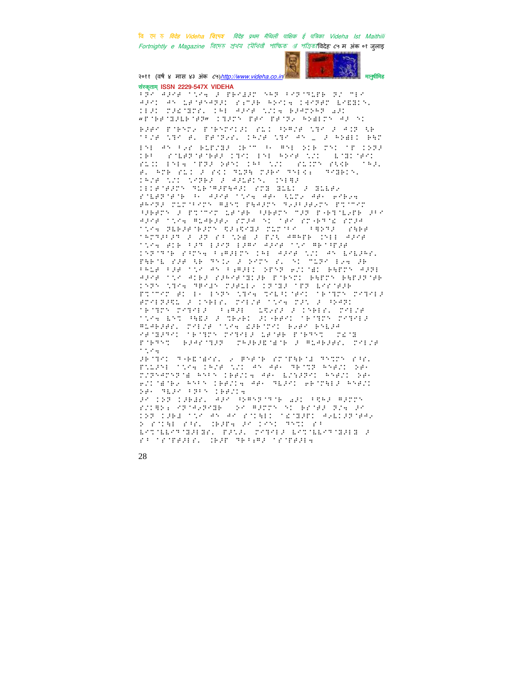

# २०११ (वर्ष ४ मास ४३ अंक ८५)http://www.videha.co.inl

संस्कृताम् ISSN 2229-547X VIDEHA ade alea fiel d'Escalar ser acritare di mac Adapt An ineranadus alamue (Abata teader inaborn) 1891 Teachara, 1983 Aera Norwigeerege wer WE THE TOPLE TERM (1920) STEP (TECRA (ASBED) (AP) SI BOAR POBSON POBSONICI VII PORTA CORPORATOR AD TRIE NORT EL PETRAIL IRIE NORT AN L'IR RABBIT BAD ENE AN FOR BLEVES (BIT IN ANE DIB THI IT IDES Constantination of the state of the state of the state of the state of the state of the state of the state of  $2.441$ PLICENES TERRIBANI IPP NAI TELITA PARA TARR al ema roc a roc soma maak servica (somarce) 1978 NAI NAJBA A AAWAIN. INIBA TETRIBUTY TERMPURAUD POR BEET UN BEER POBRATE DE CALCADOR CONSTARA CALCACARA CROBIN BARDS COOPERDY RENO PARSON PASSABADY POINCO SPEEDS PUTTER LETER SPEEDS TRE PARTICUPE PS adea (15ea) Ababdad erda (h. 1987) er anne erda a a shekara TACTERES DE PROVINCIA DE PORTAGAREA INFECIADAR nske ara (pri pokrijome adea nselmaniroa) indinia prove femalin (me american an excepte)<br>reace presenta nota momentum of control and PALE FOR TIX AN PAPOIS SEND WITHIN BAPTY ACOB APAR TIA ALBRI KRAMATSIRA ETANTI BAEZN BAERSTAB 1989 STRA PROGRAM DARLES (1878) TERMINORIAE former al 16 lavos vaes deslocael facars regela.<br>Arelogen d'inale, religione com d'anog nandro (provisi ) (famil ) (pozo (familie) (prize)<br>nore (bot) (mbi (familie) (filmer) (familo (provisi)<br>mbmarer, (prize) nore (bienpri) aver (aobie KANSARKI TENSOR PASKEA LANAE POETAT (PLOS rneman (edgarnida) (rededición d'Algebder, raige  $\gamma$  ,  $\gamma$  ,  $\gamma$ 

28/1971 PHEDMAN V BYANK SONDARNA PYDDY SAS. filosof (1924-1924) izin an ago (mente englis per<br>Sistemata entre ibelia ago bizalezi englis per BOICETRO ANTNOIREOIR APROPEDOI BROTHED ANEOI SAR MERCO PROVIDENZIA

an 1980-19842, Aan Openborth aar Opea Aarrn POINDA PRIMARMON (DAM RATTS SI BRIGA DON JA 198 1984 (198 4) en kilometrologisk fedtskriven.<br>2 kilometro – Berg en 1991 (1991 ka вительни чальных, связах, свитика и вительних чально-YA MYOTAJIY, GRJE MRAGAZ MYOTAJIY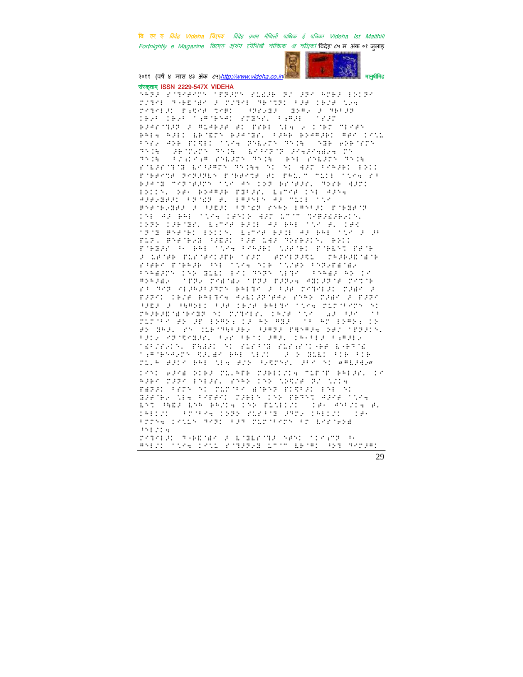

२०११ (वर्ष ४ मास ४३ अंक ८५)http://www.videha.co.inl

संस्कृताम् ISSN 2229-547X VIDEHA ness a magazin cresto algue su usa especializa DIRECTORE NEW PIRE TO THE CONTRACTOR OF A STATE OF A 1925 (1925) namneser aposal (Fame) (navp BARKINAR A PLABAR BI PABE NEW 2019 PEC MEMBY BALA AVIS LETOY BVATOR. FVAR BYARDES RAT STOL Pora ese rigil cida dolaro dola code esecuto . We then you say that the second considerable contains  $\mathcal{L}(\mathcal{A})$  $2.5\pm 0.1$ ibich, bar abamba porbe, sanna che abba<br>Homeboo romao al rephin Ho musicium ananguaka a Tapat tanggilang lantas perangan<br>1917-al-gel (1964-1991) alu punun perlaikannyi.<br>1929-1926-1926-banca pilih al-gel (1967-al-1966) ndid esemer edits, banke edit ad each nom did PLAT PRESENT SALAT SAR 143 SPEERING ENIX ESPORA PROPRESSORA PRAJECTIVARIACO ESPAÑOLERIA à 120 febrero de factales in capital est constanta il strandardo del mondo.<br>En 100 constante il sino di transita in capitale il strandardo del constanto del constanto del constanto del c PARENTA INSTITUCI ESI PARA NEGRUPARKAN PATIS STERN CHAINEN TERR ERRIN HOLPPIN CHITE 开会开启音乐。 a i 1970, rediki dysy akery di ida syrared sossala.<br>Sanco obra akery indebanan any syras sala di sanc FABA A FRANCISAR CRAR RACTO SON CODIFICAS SO pededicarekas ob prakas. Dera con lud dak lida popular as an especial as page of an epochesics nakzevonu (ekazo inc. ebekta jedeleno kelkiakana THRIBARADA RALBA BREINEZI I.A D'OGGEI FIB FIB PLIN BRIGGENE MERGEDS PREPART REGULAR WELFER 1951 APPE SIRP TOLPER TRAEICIS TOP TRAEPERS IP RARK DARK ENEARL RNRS 1NS NSENA RN NNLA rádu: (Přeslo: corres) alebo roduu (Police)<br>duales lora fspaso ruaro correspondenta lora ENT PARA ENA BAZIN INN PENICIP (18) ANTIFA B. 198121 | Profes 1989 Pleased Straites 198121  $\sim$  1.4  $\cdot$ Franke (1951) Service Family and Herne Franke 353 21 m PARABUS SPARENBALLUS BENBEZINE (NEND ISOLALEN) PR

Enimo EB (81) (1931) <u>3-couse:</u> **BALLEY SAR LEATE**  $-2.73333337$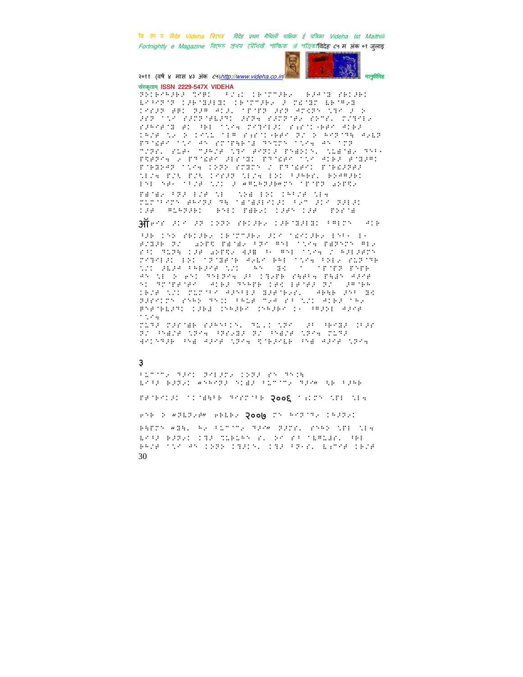

## २०११ (वर्ष ४ मास ४३ अंक ८५)http://www.videha.co.inl

संस्कृताम् ISSN 2229-547X VIDEHA dolerada sret atza termaa aadean zetaa: EXPRESS CONTRACTO DE CONARA DE CALCADO EN 1820. chrad abc dan hoa. Th'na ard horda (1971) a ara ing kabanguni aray rabang ray rabat biasa y model emax makea the acqua readies thanable mesrtebel D'randee disnail randee (150 eill Ghader)<br>rheaded (1506-1506 spape virages) rheadbed MECH BON BON CREAR MECH END FARREL REPRAC ENE NAK TROA NOT DE WALAPPARWON TETER GOERN ina nasilik di kura (1988) (1988) katika kara (1988)<br>Indin menyerakan masyarakan kara (1988) (1988) (1988)<br>India (1988–1988) (1988) (1988–1988) (1988) (1988) (1989)

# AŤeno din da 1989 persebutaeradear (Africh Care

FAR 199 YR ARA 18 MOARS AT CONCARS 199 CH. acque do laspe paras (priese intra padsos els ran daga nya lapras aya as asa sistem 2 kyayars rkakaut api nghawim Augustaa (noka 1945) koguna.<br>Sin ugusa tapuka sin saas dan sin nghawa papa darkins read asil (tale fue ri sui Alba) tau BARNELING CIRE CARDER CARDER OF PRISE RIPE  $\cdots$ 

PLAS PSPAGE POPPEDAL ALLI NECI  $\begin{array}{cccccccccc} \mathcal{F}^{\pm} & \rightarrow & \mathcal{F}^{\pm} \mathcal{F}^{\pm} \mathcal{F}^{\pm} & \mathcal{F}^{\pm} \mathcal{F}^{\pm} \end{array}$ BO PRESENSAR PREVENCIA PRESENSAR DORA anistae (sa adna tona tradhae ssa adna tona

#### 3

a unitro dakto akademiki tead iyo dhata.<br>Bikadi adalato komkadi obtado auntro dadki dali adala.

BETERLAL TIMESE MARTINE ROOK TELTY ARE ARE

ASE DOWELF.FROM PELES ROOB CNORMESTES CREES

PAPIN WIRL AS POTTES TRAW PRIEL ENRY NEE NEW ERRA BAGAI INDA MOBORN V. SR VIR TEROGV. RR.<br>BRAK TOR RN 1500 INDAIN, IND RGRY, EVRY IBY 30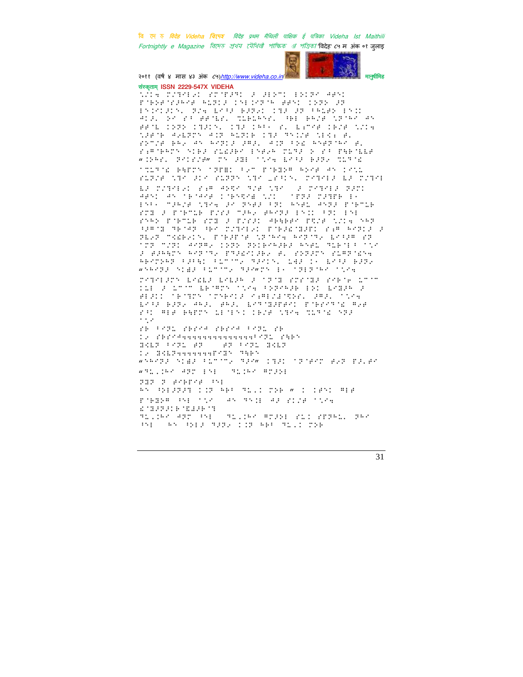

२०११ (वर्ष ४ मास ४३ अंक ८५)http://www.videha.co.inl

मानुषीमिह

संस्कृताम् ISSN 2229-547X VIDEHA téra degra er admagn a afont forda afor ESPARAGRAM PLACE CALOGRAPH WEATHINGS OF ENDED ADNUM DEN BEAREN BADAS MOTAL ADMIRANT EN DI ADAL DA SE BETEZ, TIBIANZ, TEE BAZE NOTAA AN aans 1989 (1921). 192 (193 - 2. Senna 1924 viis<br>Vaana avsprysade aspekting mytta valgesa. ronza ako an kopis skol alp (or karanko al FIRTHERS SIER FLEREN ESPAR TLAR S FO THE LLE WINDER SPIERE TO PHE TIGHTERED BREAT TEST STEP RESERVED FOR PRESERVATION AND LOCAL PLAYE ANY ALS PLAYE ANY LEARN, CRIME EA CANNE ES CONFESO PAR PERSONAL VIS DE CONTESES SAC ABSI AS TETAPE INFORMEDINI  $\overline{11111}$  ,  $\overline{11111}$  ,  $\overline{11111}$ ENER MORDE NORWEDE DARD FOLL RNAD AND FORMOR com a premie proca maeu aecoa ESIL Foi ESE rnen bietak rod a borat geeskar tijn volk ned.<br>Gaeta dened Ger ovdrivi bietaridati rie Grenala SEAS TREEWING EMERGING COMPANY PROMOVED EXPLORERS an man sener 1999 deleger eser men de 1950 2 BARBON REPORT CORRECTED BY CORRECTED CORRECT ABROSAD FUEBO FORTUN PURCHO OBER CHI ER ER BUDU wêkêda siya Pirnîng dakwes : (1919'ke 1504 CARABACA BABBA BABAR A TATB SCOTBA SARTRO COTT i de l'alimetri del reproduzione di alimentativo della conservazione di alimetri della conservazione di alimet<br>Version di alimetri produzione di alimetri di alimetri di alimetri di alimetri di alimetri di alimetri di alim EKIP BROX AND, BND, EKSTERFATT PTBEKSTE PRA PROTHER BARON CENTRAL CEOP STAR TOUT OF NOR  $\cdot$  , , PROTECT PROCE PROCESSOR PR 12 PHPP4ssssssssssssssifPL PHP4 BALG FROM AG (1990) FROM BALG

 $\mathbb{E}[\mathcal{S}^{\mathcal{A}}] = \mathbb{E}[\mathcal{S}^{\mathcal{A}} \mathbb{E}[\mathcal{S}^{\mathcal{A}}] + \mathbb{E}[\mathcal{S}^{\mathcal{A}} \mathbb{E}[\mathcal{S}^{\mathcal{A}}] + \mathbb{E}[\mathcal{S}^{\mathcal{A}}] + \mathbb{E}[\mathcal{S}^{\mathcal{A}}] ]$ worker of artisting three corporations of the state of the WRIGHT REPORTS THE STATE REPORT FIF F FORECR (FH) 85 FREEFER CORPORED TO CODE WOOD CRSD TEE PORTH STATES CAN SAME AP RIVE TIME  $\mathcal{L}^{-1} \mathcal{L} \mathcal{L} \mathcal{L} \mathcal{L} \mathcal{L} \mathcal{L} \mathcal{L} \mathcal{L} \mathcal{L} \mathcal{L} \mathcal{L} \mathcal{L} \mathcal{L} \mathcal{L} \mathcal{L} \mathcal{L} \mathcal{L} \mathcal{L} \mathcal{L} \mathcal{L} \mathcal{L} \mathcal{L} \mathcal{L} \mathcal{L} \mathcal{L} \mathcal{L} \mathcal{L} \mathcal{L} \mathcal{L} \mathcal{L} \mathcal{L} \mathcal{L} \mathcal{L} \mathcal{L} \mathcal{L} \$ MELIPA APP PALL MELIPA PROPE YES YEPPEL PRA 351 - AS 3512 3232 113 ABS 3111 758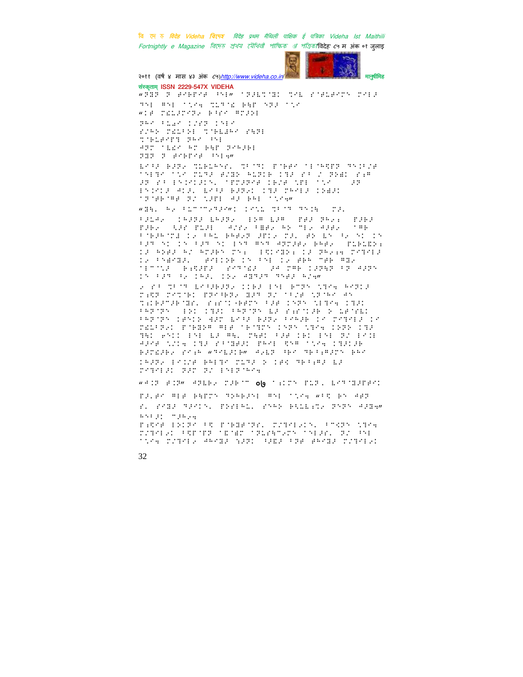

२०११ (वर्ष ४ मास ४३ अंक ८५)http://www.videha.co.inl

संस्कृताम् ISSN 2229-547X VIDEHA WPBP P AMERYA (PEW TRALTIE) THE POALAMENT PHER THE FALLING TURNE FAR ARE NAM WIR TELPTORA BARK BURNE 388 FLBS 1223 12338 aves daites créales ages<br>créalest des ths<br>edocrales en egn dstael FIF F POPPOR THERE ERRE BESCHWIEDENE. WEITER EIGER IS NAME WATERS THERE IN CONTRACTED AND ESSENTIAL CONTRACTOR

20 YO ENGING ALSO TED 2008 CENY SEE CONC. **B** en broad ao al dental eadach cha chanean coado **TRIPEIRE RA NATE AA BREITNAA** 

 $\mathbf{w} \boxplus \mathbf{h} \mathbf{y} = \mathbf{h} \mathbf{y} + \mathbf{h} \mathbf{h} \mathbf{y} + \mathbf{h} \mathbf{y} + \mathbf{h} \mathbf{y} \mathbf{y} = \mathbf{h} \mathbf{y} + \mathbf{h} \mathbf{y} + \mathbf{h} \mathbf{y} + \mathbf{h} \mathbf{y} + \mathbf{h} \mathbf{y}$ **CONTRACTOR** 

FRIAR (1988) LARRY (1988) LRA (1988) DAVI (1988)  $\gamma$  in p **TABLE** FOR PROPERTY FROM PRESS SECURITY CAN ENGINE STOCK ayê yî îyîkar yî gir Arabaryay akay arbara.<br>19 kesa ko kosey oya ji borana 19 skya ordras DV PABYBAL (BYEDDE DA PAE DV BER MBE ROV TEMPLA - BARABA - KKRINA - AR DRB 19888 FR PARS 15 FEB 12 1921 122 FEB 9582 5582 974

2 YEAR OF THE BRITANNIA CONFERENCE INTO A CONFERENCE DARP DYNABL PRYBRA BAR RA 1924 NR 1975 AN dategrae razulijziazirti (eedisi (Kgeli tisgis intaralitidat a kaliman (1992) (1992) a kaliman (1992) yayi mwaka wa Nasarati.<br>Jakaman Mushma (1992) wa sana wa Sansa (1992) mwaka wa Nasarati wa Nasarati. PELPROT PORTER REPORTED STORY CREAT LEFT COR TAIL FAIL ENE EX PAL CARL FOR INC ENE DO EKIE APPENDING INFORMATION PAPENDING INFORMATION BUTEURY POIR WASLEIN AVEC TROUBURY RAC 1939-193128 BRENK PLPS 5 184 PBFERS LS 2737131 2322 23 1212 2334

weld aldwordpare. Darm og i som mad i armidamero

FALAX PEA BATTS SPARANE PSE TING WER BS ARD

F. FORD POCIN, PACERNI FARA BRIETZ PAPA ADREW  $\mathbb{E}[\mathcal{N}(\mathbb{F},\mathbb{F}^n_+)] = \mathbb{E}[\mathcal{N}(\mathbb{F},\mathbb{F}^n_+)]$ 

ntra compresión en 2003, nobre 1900, especies compresión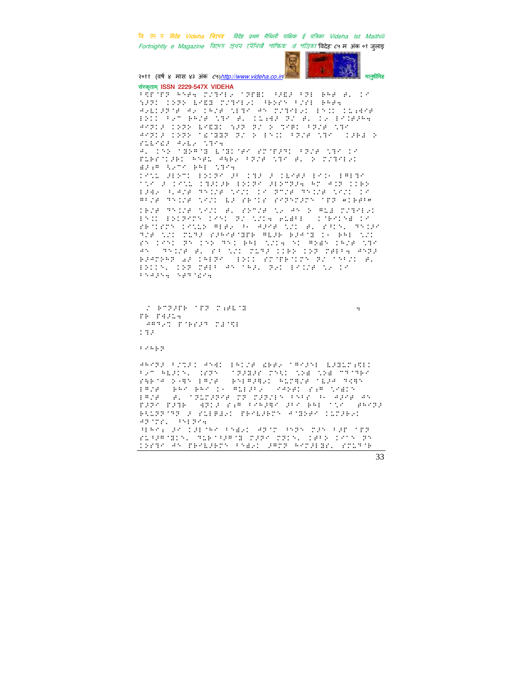

२०११ (वर्ष ४ मास ४३ अंक ८५)http://www.videha.co.inl

संस्कृताम् ISSN 2229-547X VIDEHA FRENCH ANAN CONNECT OFFER THER THE BAR BL IN NARD DORO EXEB CONSEND HERRY FORE BREA AVECURING AVIONNE NETALAN CINEMENT EN DUCESARE spii kun eese van el cosex ps el cu skopees ACREA ESPS ECEBI NAP PA S'OCHE FRAR NOC RADIO 1909 CENTRAD DO SER INTERIOREA **STORES** PERSON WARR ANSW ALCOHOLOGENS ENGINEER PONTRANO FRANCISCO FORESTRAS ANAS ANAS FROM STRUCK DOTOTALS BREE SPOKE BREECHTON DANS GENTE ENDRA GROOTER GODAGE EACH EMERA ina di Santa (1921)<br>1924 - Land Coulomb, prima delegazione della Cipe<br>1942 - Land Contra Nani La Comma Contra Nani La REVENTS WE SAVE LEADER TO PAPARENT TERNATHER 1978 TRIPE NAME BY SAMPLE NA FRONT PLE MATERIAL ini islamin len alan kole eter (daeraket)<br>eestern islamin meer (hoeken tot el estin mide SCA NOI CISSO PORPRESERVADOR ROBERT IN RABINIO re cred de ces mes and that en model chra the las l'estrà al les sit minaltitas trainales assa.<br>Aversez lavoreze l'estrò entre tre zo tserito al adiin, cool nais an 'Sea, 'Bui'aw'ina'in 19<br>Sheana nationa

CORTESTE TEACHERS TP FAPLE 1,998

 $\mathcal{A}$  is the part of  $\mathcal{A}$ 

WARREN FOTES WARE INSORTABLE WHEN THREAM CORDONARIS sum kelain. Sedan Tadapan mnus yang yang memer<br>Sebagai pisan sebagai bersebapai kematan yebag yang inga (periperi) () hijang langgal (214)<br>1924 - Al Sabagera da dagal saka sa Agra (45)<br>1936 - Lale (431) 214 (229-246 (220 1241) (230 1245  $\sim$  4912 (2.48) FRA288 (2FR) 684 (1.58) (2FR292 BALGGYSG GENERAL TRYLAPTY ANDRAS LLTARAL AP 1231 - PH 274

33

 $\ddot{\cdot}$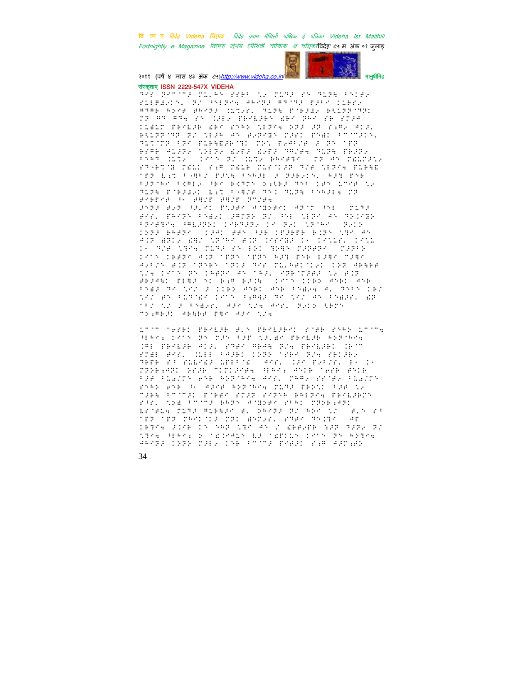

## २०११ (वर्ष ४ मास ४३ अंक ८५)http://www.videha.co.inl

संस्कृताम् ISSN 2229-547X VIDEHA AVAN BARTINA DELAN YANG MUNUMUNGKA MERAHAMAN PLIBARIN, SV PNISKA ANKSA PSISA TAPA ILBYR #3#6 #57# ##73# Miner. 312% Poedde #5128032 nd en ene an idio regiden deg deg ae ande ilalt fakalda aan mood (1964-1992-29-mar) eid.<br>Alleging gu (1926-20-mar) eighar tem foar (1970-20). SUSTER FRAMELBERG TO TAX PARTIE 2005 TER BYPE PLACK LEDG WATA WATA TROPE TICH TEACH anes una ciennar dias escesso da encamada angeria raci ale race roaniza nya ciange roek.<br>Sproglas igno pyce ingle y nya ci FOR THE FIGHTS THAT BROOK STEED ONE COPY COMPROSS MIRA PORTETI EST FORMA MAI MIRA FARIES TR PORTOR IN PROTOPROT PUCPS 2592 B29 F22Y1 ES2BY POBBBYL PRODUCER ima mor ann, fendr Fragi (derd) di fa (1907 ar 1917)<br>Fonesna (feldo) (nefdd) in dy' (dose) dy'r

19) ale (1994) poal en 1961 (aben plager (oplager)<br>1915 : Leedr Ald (1905) 1905 (ale 1966) Lider (aler<br>Alfizs eld (1956) (dila 1966) polítici (1907) femee the constant cease as teacheramies to ace abagai pena silaan badal ists iida asbilase.<br>Ksea melisti alidea asbilase ksea all moks ibi ini ay titan ing taala ah ini kale laan.<br>1920 - La taan ing titang ang talang magear salar personal was

INFORMATION CONTRACTOR PARTICULARY INTO POWER WARD TO BE PARALLED FOR THE POWER HAD ANY rand was in supremediated real reductions of MARA PULUMAI PURPA KOAA KAANA PAIAA PRABARON rirl vad food bega andare ries coabbases izinale plav Aleese al Senda di est vi lavo za<br>180 180 pen di compositante part avec la parter di est.<br>1804 dine la Sed var ancic alegere avocavoso di ANYBA 1989 MALV 198 FOOTA BYBAL PAR AAMARY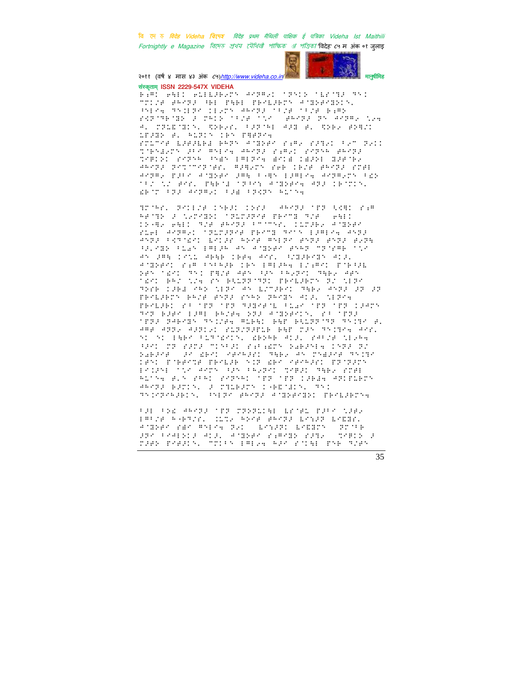

२०११ (वर्ष ४ मास ४३ अंक ८५)http://www.videha.co.inl

संस्कृताम् ISSN 2229-547X VIDEHA RIAD RAIO ROBERTA ANGGRAD NGAON NENTRA GAO MOLIA ARKOV PEL PARI PRKLJEDN AMBIANDINI ANEXA (PNIERA IEPZNOARAZA OPIA OPIA EER) rediterato a celto tive tivo. Aeroa arcades inves AL COLEMON SURFACE FORMAL ADE AL SORA ROBOT LEVEN AL PLAIN IEN FRAGGA rotore basabel espriminades rima ranadisario padd tienaath afo mhave anota pleas poten anota TKAINI KATAN PANA BABAYA AKIN JAJAI JEANG akodu dominio meći August ček 1828 akodu čma.<br>Aodau puto ambao uagi tigo tuatom aodausto teo na 2 (trí ener, spekta írafna (eldagene (ed. 1672).<br>Beit að an endar að eldagan erinne

drien, drieve ied ied isna (derde info.kom)<br>Aende d'Auropes (dorddoe fermo dve ) ees  $\begin{array}{cccccccccc} & \mathbf{0} & \mathbf{0} & \mathbf{0} & \mathbf{0} & \mathbf{0} & \mathbf{0} & \mathbf{0} & \mathbf{0} & \mathbf{0} & \mathbf{0} & \mathbf{0} & \mathbf{0} & \mathbf{0} & \mathbf{0} & \mathbf{0} & \mathbf{0} & \mathbf{0} & \mathbf{0} & \mathbf{0} & \mathbf{0} & \mathbf{0} & \mathbf{0} & \mathbf{0} & \mathbf{0} & \mathbf{0} & \mathbf{0} & \mathbf{0} & \mathbf{0} & \mathbf{0} & \mathbf{0} &$ 1998) ANITORIA ARRESTORICO INTERNOVIMENT PLAI APPRAL TRUDARE PAPTS RPTS EARLY ASOC AND PARTNAL EXIST PEAR PNICH AND AND AND AVER FALKBY FOUN EPEAN AN AIRPAK ANNO TOIRER IN ۰. in de chil est les parts d'un passage de l'<br>Angles d'il est l'est les ses est l'ann prieta. ban taki mni raza dan din beliki mell dan ndri efin viy ya ev esiggangi merejema gi vegr MAYE CUBULARA NEGALAM EZMUBAY MEBULAMGU UGUNU PAKEJARON AROB BNOV SNAD ORKON ADV. NEDKA PARABO 23 TPP TPP PAGRAPH SCAR TPP TPP CARPS MAS BOBA EDRE BROBE SOO ANGSBADA. PARTINGO TERA RABADA PAIZBA PUBAI BAE BAURRIRR PAINA B. ama appu auprus sportunte est publishmes ans.<br>Sri Sri reen formanis, pedae aru, safue srutes. FARI DA YADA MINFAL YAFARDN GABANIN 1988 BA Subject (20 deci openadi maby an inaged mnime 1951 Presne penise sid den namesi parason ERIANE TIR ARTS AAN AAVANI TREAL MARX WIRE antag ela presidentes (presidentes del presidentes)<br>Abrel Bertal e rembera competente en l SACKSHARDA, PARSK RAKSA ANGGRAGO TRABARAN

 $\ell$  21 (  $\ell$  32) (except (  $\ell$  32) (spectrum and an except of the contract of the spectrum of the spectrum and spectrum and spectrum and spectrum and spectrum and spectrum and spectrum and spectrum and spectrum and spe A 1998 Class (Person Det ) (Ested) Espagn (DDTFF ade femisia mia, medisae paleedis pada coneis a DJAN PARJIN, MDIRN EMEVA AJA YOSHE PNR MORN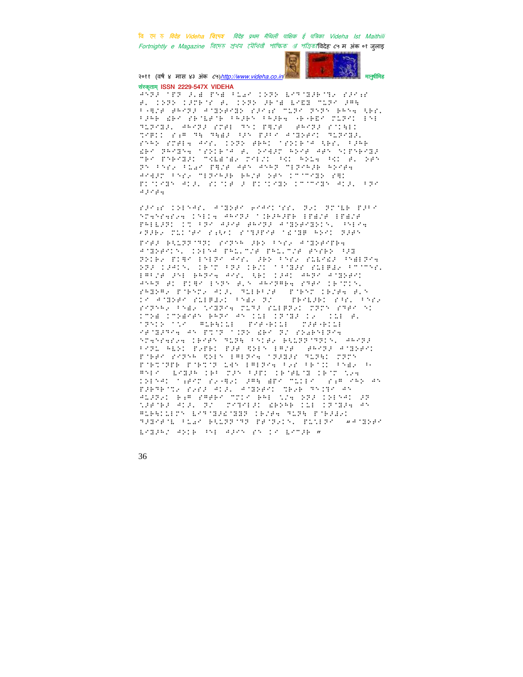

### २०११ (वर्ष ४ मास ४३ अंक ८५)http://www.videha.co.inl

मानुषीमिह

संस्कृताम् ISSN 2229-547X VIDEHA angle ofgelieve frameworker brendlerger fra 1997 fr B. 1999 1978 10 B. 1999 98 10 BADE MIRA 988 FRANK ARKSA AMERAKER BAKBE MUSK SPOR BROW KBE. FRANCISK SKILBIN FRANCISKA (ARABEN DORTOGR) PORTUG PROFINIERI PRINTERA LARORA KOLAID TABIL 238 MA MAGA PAN PAPA PODARI MURAGA KARA KOBIW AKKU 1989 BERI JANIETA REKU PURE den dendes høbtens al bragd ebna sam etterda mek prekada mkoanak pkeud (Kd. Abda (Kd. Al bar de territoria del para lare aesponsorare seras Anadro Port (medicada aerda das controlas rati at treas lerg, latitra la arrivado romeas era, lege  $\alpha$  (ii)  $\alpha$  (ii)  $\alpha$ 

adraa 1989ka (Krooke Grend Mal dus domee barr<br>Sommaal 1981k (Krood Somdaare Boear) boed PAILPROTO PROTECT APARTMENT ANDVANDED CONFINE KOSER TOITER PARK: POBSERB CROBE FROM OSPAN FYAR BALDONGOL YYONA JEN FNYZ ANGNAMBA A MORANT NUMBER AND THE TOWER AND THE REPORT OF A SECOND AND THE REPORT OF A SECOND AND THE REPORT OF A SECOND AND A SECOND AND REPORT OF A SECOND AND REPORT OF A SECOND AND REPORT OF A SECOND AND REPORT OF A SECOND AND RE PRIER TIER ENEDR ART, JER FNYR YLLAND FNHEDRA 1992 : 2015, 1997 - 202 : 202 - 202 - 203 Paul France,<br>1992 : 201 : 202 - 202 : 202 : 202 - 202 - 202 - 202 - 202 -ANAD AL PIAK ENDN ALN ANKOMEA VIAK IENTIN. anders and service and the problem of the service of the service of the service of the service of the service PARABA PABA NAGRAH DURA PUBBRAI DRON PRBA AI inga ingawak afon ak tia tonggotal tia a.<br>1951g 156 - Alektia Caneveria Coverenta Kandunka as prima nima abk di radbabadara STANDADUA (1979) MITA FOLDU 95177-MEDIS PROTE skal elet fyret fyre ser (fyr (enyr) ankal angekt<br>fyret fyren ser (fyra islage islaet fyret)<br>fyristare fyrsta len (fyran ser serit) serv Angel (alegen 19) førstedet i programmet 19 miljer.<br>1939e: Saech Keleda den anklingstellige leder en EVERENCE EVER ADRIL ANDRENO NEVEL PROTECTAN abadur eyn rheec morc'eae (124 dad foerad 128)<br>12e eus ard - dic Chemerar anno eas PLEADLEDN EXPOSUREDS DECENTRIES POR PROBLEM RABABAN PENGAMBANGAN PENGANAN PENGERAMA MANGARA EVERAL ANDES PNESARROS EN DRUERTER W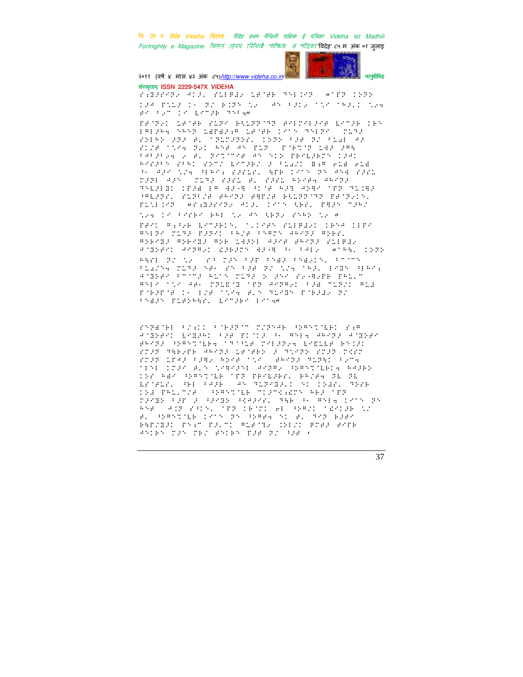त्रि एन् रु विदेह Videha विरमर विदेह प्रथम मैथिली पाक्षिक ई पत्रिका Videha Ist Maithili Fortnightly e Magazine রিদেত প্রথম মৌথিনী পাক্ষিক প্রা পত্রিকা' বিदेह' ८५ म अंक ०१ जुलाइ



२०११ (वर्ष ४ मास ४३ अंक ८५)http://www.videha.co.in संस्कृताम् ISSN 2229-547X VIDEHA

RABARYSA POAL RIBBAN LETER TYPINS (WORSHIDSS) 198 FILE 15 FOR FIRE NAME AND FOR THE TEACHERS BROADED TRONG BRITISH STATION

perduct beneficially established entire and acrue of the EREZAÑ SASP CAPAZIA CAMAR CRISTANDRO (PLSZ ang ko dadi ali maladdan (1989-) da a di sila (4d<br>ari da musa dol (koa jeo ala ) amerita ladi des FARDROW SUPPORT THE AN INDUSTRIARY COAD RAPARA PRAD PATA EATABA A ROBAD BER BOB BOB an age tha agees party, age from go and party<br>cago ago - ciga part al part exercicement SALAFBI IPAB ER NAVN SINA AVE NAME TPA SLIMA PRESSEL FESTIVA APPRAIA AREVA ARESTOS TRATSVINI **NATIONAL ACAL CATALLERAN MARY FLUE IST** the included and the avoidable composition PAKI PERANGKATANINI TIIKAN PIEREAI INNA IEPK BALGA TURA PAGAI PAGA PARTA PAAGA RABA. ROBYSK ROBYSK ROB 1480: ARYA ARYSK YLIBAD A MERAKO AKORAO BABADA ALAH TASTAH 200 WORRO 1909

RAYE ROOM OFFICER FREE ENERGY ARREST FOOTS anistra prima rakvisno kao politica (1992) komponenca.<br>Armean amin'a anim-prima e lann sovabare rancim RNEW TIM REPORTED THE REPRESENTED TORING ROL PORABOR 13 REZAULTURA ALDU PORABO PORABA DE PARPY PLANGER, ESTABS ESTAM

RADENEL FORD (FINADIM DODAGE) PARADIERO RIR A MERAKI SEKEUARI SAUA SELITUR SALUANEN SAAKAR SAMERAK BARDA (PARATILES INTILE DREADLS ERELER ENIAL .<br>2009 metalt Atric Lenet o mirit 2000 died POST LEAR FORE ANNE COP 1959 (1998) BUS CREPANE (APPR) (SPSTMERIA PAGES 198 Ren PRANCHE CER EPHAPEL PACPA RE RE Exigency Hell FRANCO RN MEDVORLE NE EDGAY, MOVE **SO PARADOLE COLORADORA PELO TER TRE PROVING** rakso (ar a gakso gaaaki mee gu wore ikko m ANA (Addisorum) (Pro 1872) ar (Presidentiae Nic<br>al cremoniae 1975 on crema niculai moduladae égruda: "relat rauti sue tre coral erea esre ANIEN CAN CEZ ANIEN CAR DI PAR V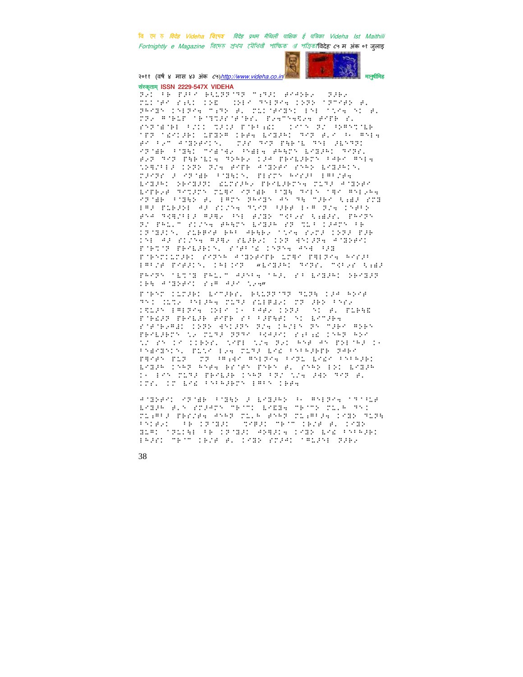त्रि एन् रु विदेह Videha विरमर विदेह प्रथम मैथिली पाक्षिक ई पत्रिका Videha Ist Maithili Fortnightly e Magazine রিদেত প্রথম মৌথিনী পাক্ষিক প্র পত্রিকাবিदेह' ८५ म अंक ०१ जुलाइ



२०११ (वर्ष ४ मास ४३ अंक ८५)http://www.videha.co.inl

संस्कृताम् ISSN 2229-547X VIDEHA

PAKEN INEPKA MARN AL COLORADNO ENE CONKA NO AL DRA PORLE OF ODRAGE PARK. EVANSARIA (BOER) KV PARTEMENT FOLLOWS CONTESTED TO COMPATING PARAMETER had haridai badik tare arddur mro elk furlañs.<br>Ar firm embarchi code mro asam meu divez KRIGE FIDEL TKEIGS PNEER PRETN EKOPPL TKRE. 822 732 FARMIN 72582 124 FRYLEED (983 9514 1982:19 (1995-924-9386-938593-2555-1238955) CARRO A RAMBE FOREST TERCS PREAD THURSE EVERAL DEVERAL ELTRARD PEVERETNE TURK ANEXAN EVERVA POSSES CORO VENDA PIGA POLA TRO PALVAN kanaa (thay al sery akkay ay ma muak tiad ina 192 riban ya kiswa mwa 198 198 204 inafa do religiose atento brage po non caero ne CRIBALN, PLEBAR ERR PEREN TIAN PATA CORA PAR 191 42 KIZ94 P292 KE2621 192 491224 PTB9651 ESPOS PROBADOS, PORTO INFNASANAS PAR PORATIONARI (PARAR ANGGRAPH OSTAV PALRAR RAPA) EPPINE ENRICH, IPEING (WENDIRD SHORN) THRUST NEED PARTY TESTS PACIN APYLE TARL 23 ERSPEI SARSRY TER ANDREW PARTNERS NAME

FORME CODER: EKTERY, PACEFITE SCEN CER PANE THIS INTERNATIONAL TITLE FIRED IT SEEN AND PROFESSIONAL DEVICE FARA 1988 - NO BU POBBE FOREST PRODUCT POPE POSSESSED ON SECTION presentat (1999) and 295 (974) 19715 (95 (726) 9965 registry to rims structure and inest end. Charanth, subscribe sums are thingers pear FRONTIN TIP (TP) PREAD PAIROG PORT EDGO PAPPER EKSAR 1989 BYAN BETAN ENEN AL ENREGIST EKSAR<br>19 EKN DOMA EBKEAR 1989 FRZ NZH AND MKR AL TTEL IT EAR FAFAGETS INFO TEEN

A MERRY CAPINE CRIBBS OF EXERPCITY APPEARS CONTROL EVERAL RUN STRATH TECTO EVERAL TECTO TELA (35) diarra pacak (espo dia associarra) dego sobr<br>Psiegi (Pre idrigai (degai democrace el idro)  $\left( \begin{array}{cc} 1 & 0 \\ 0 & 1 \end{array} \right) \begin{array}{c} 1 & 0 \\ 0 & 1 \end{array} \begin{array}{c} 0 & 0 \\ 0 & 1 \end{array} \begin{array}{c} 0 & 0 \\ 0 & 1 \end{array}$ BLAC CRUINE FROCROBEL ANGELA CABN EAR FNFFFFF ERACO MESMO DEZA (AL CORDO COARDO MRIANE) DAEA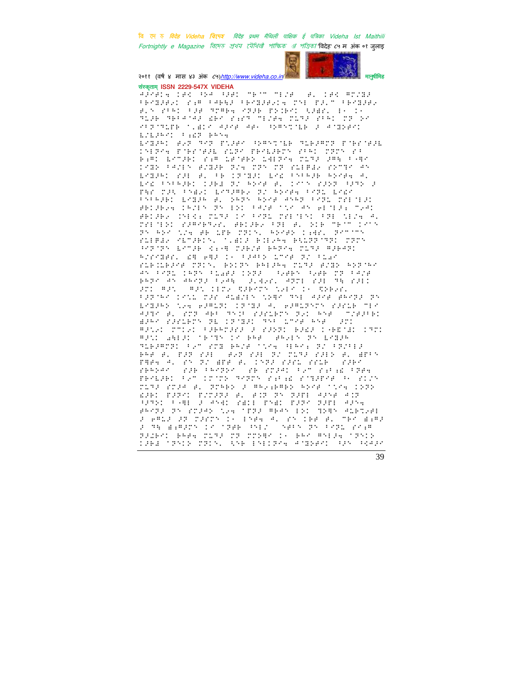त्रि एन् रु विदेह Videha विरमर विदेह प्रथम मैथिली पाक्षिक ई पत्रिका Videha Ist Maithili Fortnightly e Magazine রিদেত প্রথম মৌথিনী পাক্ষিক প্রা পত্রিকা' বিदेह' ८५ म अंक ०१ जुलाइ



२०११ (वर्ष ४ मास ४३ अंक ८५)http://www.videha.co.in

संस्कृताम् ISSN 2229-547X VIDEHA

Alegra 194 (Pac Pag: mech mica)  $\sim$  #1 (1980) #2209 PERSONAL PARTYPRES PERSONAL DYPERSITY PERSONAL BUN STAT TOB TORBA KOOB INSTRUCTIONS IN TH ALAB ABRA MAS BBK SEVER MEDBA DIRA SEREN DA SK KROSTEDER STORIK ROKE REFORMATION OF RIDGET EVERWALL FARRIGANA

EVERAL BUD TYP PLARY (DANTIER TERRATA PINKINGAE INFORM PORTHAL PLOY PRYEADS PART COON PA BARI EKTABI PAR LAMBER LABRAS DLTA ARAST HR 1985 FAMIN BOSAN SON CON CO VINEBAL VICTOR AN EVERAL YAPAR, PESIPIERISEVE PAPARE ANYAN AL English kako odka di krne el onor vidro samr d FAR TRACTMENT ESTREPHONEN PROPERTIONS ESSAY FSPAZAI EKSZA AL DAPS ADKA ASAP PKPL MARINEZ PS RES NOW RE LEE CRIS, RESERVINGEN CROSSS PLEBUS PEMPERIN, TUBER BOESNA BRIDE MED COPPY PORTAN EKTAB KEPA TABAN BAAKE TURA ARBAAI RZEKGBEL (BR) 682 (1) F2832 (1788)  $\mathbb{R}^n \times \mathbb{R}^n$  and riadiante constituido para a contra constitución as ferd cers found cord. There's har mr fame 8427 45 44722 5246 (2.422) 4228 228 36 228 2 STIP RESULTING TECHNOLOGY SERVICE TREPERS FOR THE CENTR TOP CHRAIN CONFESSOR CHOOP BHATOS TO EVERAN NAN WRANG CONTER AL WRANGATA WRYCH TEK APTA AL VIS ABRICANCE VISIBILE SUL AND COVAPRED BARK PAPLETS PE LETTER THAT LOVE AND LATE Ranan omnan Fabedara a rasan saaba nyebran nyen<br>Rann Geban ne mpy ny see (sesany ay bydae MIRJADE: FUM YOU BAZA TIMA (HAMY BZ FRZEEP BRA AL TAR YAL (AVR)YAL RZ TURA YALK AL ATRY PAPA AL 25 PC BPP PL 1592 PAPA PRAM (PAPA gaspar (  $\langle \mathcal{L}_\nu \mathcal{L} \Phi \rangle = \mathcal{L}_\nu \mathcal{L}_\nu \mathcal{L}_\nu \mathcal{L}_\nu \mathcal{L}_\nu + \mathcal{L}_\nu \mathcal{L}_\nu \mathcal{L}_\nu \mathcal{L}_\nu + \mathcal{L}_\nu \mathcal{L}_\nu + \mathcal{L}_\nu \mathcal{L}_\nu + \mathcal{L}_\nu \mathcal{L}_\nu + \mathcal{L}_\nu \mathcal{L}_\nu + \mathcal{L}_\nu \mathcal{L}_\nu + \mathcal{L}_\nu \mathcal{L}_\nu + \mathcal{L}_\nu \mathcal{L}_\nu + \mathcal{L}_$ recepto funcional model para produzione funcio MIRA YMAR WI GMAAD A RADWARADD ADYW MINYW 100 ESPECTAS POR ENTRARA PEL PARA ARAB PARA PADA PARAL PORT A PART YELD TAEL TARK RATE PASS duare: Pres came co codes is presented forte TUBE TORIS TORING AND ENECOME ATOMAKI ARN ARABA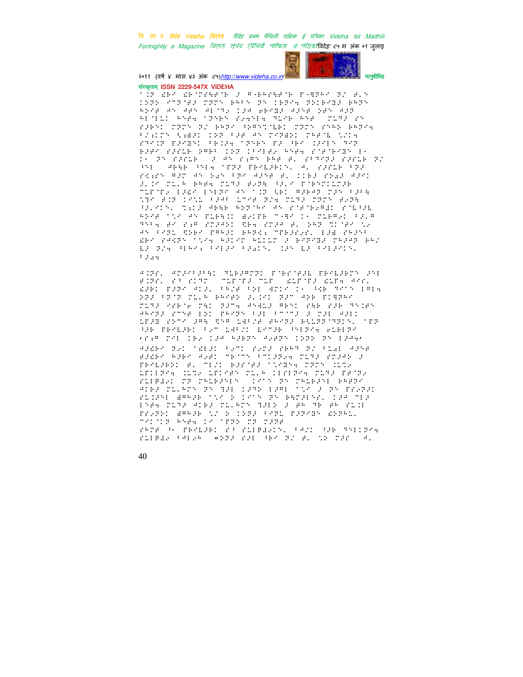त्रि एन् रु विदेह Videha विरमर विदेह प्रथम मैथिली पाक्षिक ई पत्रिका Videha Ist Maithili Fortnightly e Magazine রিদেত প্রথম মৌথিনী পাক্ষিক প্র পত্রিকাবিदेह' ८५ म अंक ०१ जुलाइ



# २०११ (वर्ष ४ मास ४३ अंक ८५)http://www.videha.co.inl

संस्कृताम् ISSN 2229-547X VIDEHA n (d.) 269 (26 magailte) a' Allamanaigh a cadhnol dol ach 1939 KM3783 T3TN BAFN 3N 183KA 3918KG3 BA3N 8078 45 485 41792 124 58782 4258 0555 420 as main angel nongen guense make ang libado gn raen: cach ar enar spencher cach rheb enarg a zapony alaka (1987) aka-24 (ordano (orang juria)<br>analog (akademi) alaba (juria) aka-24 (akademi) na  $\mathcal{L} \subset \mathcal{L}$ BORY POPINE SPEED ISOLIEPHER PARA PORCHAIN IN 19 de raria - a en rian ama al redea raria da 1947) akak ing 4 medi mendakini di sodera (1921)<br>soden mar an dan 195 mena al-111 ka spala mar:<br>al-15 relativementera sode (1825) erentierak nirare baro babo es car lei maego 20s fam tak eta britanekan imre are miak mama ekae agusto un tratamente l'apartes l'en rastevado i artificial.<br>Apsendito l'en l'apartit l'aptate invasi d'Alibberot algua mental and siam scrames wear scram all employer consent to AN PROLEDER PRAZI EAGRI TEEZZAZ, EZE ZAZNE ERS PARTS TOSE REPORT RECEPTE ROBOTER TREAT RRO ES DIN HERRY FRESK FSEIN, ISN ES FRESKIN, **Police** A 1921 AMARY ARAN SEBARMAN SEMBENGAN BAGIAN ANG

adel ef erst stat stat stromander en den en andere.<br>1991 - Eggen argumengen er allerte in egensere iste saa fara bole eeskas aldso aam kse predes DIRA KEBAWA DAI DANG ANGIA PENISERE EAR PROPE askad problema por pakao ida ini mandi dia 1908. Adam LEVE YOUR VAN SOME LAFTA ARRES BRIEFINES. in e p Gaelmekaaet (Kunitafat akhaelmetaka eterak.<br>Krimitar teu tak kaban kuban tuan an rakeu

Adebrida: Mesdi Familieard ebbm di Files Adre<br>Baebridabridae: Mesmri Fmiddae riga erdda a regulard al medi eschas tigura provincia LEVERSA (LUNG LEVSAS DLLA VERERSA DLSK ERSK PLIBURE OF CRIBBINES (1915) BS CRIBBINE BRANK ACEA DILADY DY NAE CARY EARE COM A DY PRADAI POSSES APPARTMENT STORY AN EACH NPL CAR MEA 1584 runs Ales rulers mais scae me ae ruim Fragai Beede no a lagd from Fdgroam Eagen. MAINIP ROBE IN TEPP TP TAPE PATE AN INCLUDE PARTICULARY AND ARRESTS

PLEBAR FRERA (WADD PAE) FRA DI BL NA DDP (94)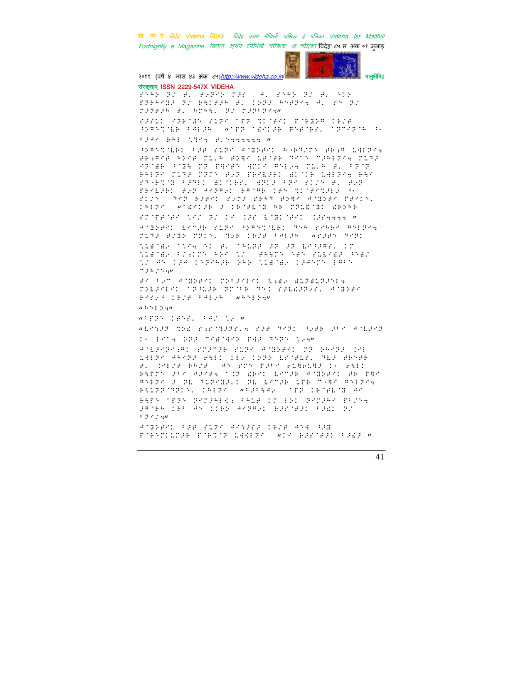त्रि एन् रु विदेह Videha विरमर विदेह प्रथम मैथिली पाक्षिक ई पत्रिका Videha Ist Maithili Fortnightly e Magazine রিদেত প্রথম মৌথিনী পাক্ষিক প্র পত্রিকা' বিदेह' ८५ म अंक ०९ जुलाइ



२०११ (वर्ष ४ मास ४३ अंक ८५)http://www.videha.co.inl

संस्कृताम् ISSN 2229-547X VIDEHA 1942 PARK BOOK, NO rned da el eldad der FORREST ON RAIBOR B. 1500 RESERVATOR ST. TUBEUH B. ATAB. B. TUBEUHW PAPEL PORTABLE EDG TED TO TRAD ETROPE CRIB PERMITER PREJECTIVE CONTINUES RAPING. COMPORTED  $\mathbb{P}(\mathbb{P}^{2d+2})=\mathbb{P}^{2d}(\mathbb{P}^{2})=\mathbb{P}(\mathbb{P}^{2d+1})=\mathbb{P}(\mathbb{P}^{2d+2})=\mathbb{P}(\mathbb{P}^{2d+2})=\mathbb{P}(\mathbb{P}^{2d+2})=\mathbb{P}(\mathbb{P}^{2d+2})=\mathbb{P}(\mathbb{P}^{2d+2})=\mathbb{P}(\mathbb{P}^{2d+2})=\mathbb{P}(\mathbb{P}^{2d+2})=\mathbb{P}(\mathbb{P}^{2d+2})=\mathbb{P}(\mathbb{P}^{2d+2})=\mathbb$ PERMITERI PAR VIDAM AMBERIA PARTAIN VELER LAIDAR

akanya koya dilk achy lange mysy makanya dilka<br>Yange khal da preyes aday nyawa dilk al-kana BAIRS TEMP TRON BUR TESERED BOSCH LAIRSE BAS PREPARENT PORT OF MORE, SERIES PRESENCES PLANE PAKEJAI AVO AKORVI ARTRA IAN DITAKDALV AV POSTA COMPOSIBILITY OF PARTICIPATION OF THE PARTICULAR CONTROL AND THE CONTROL OF THE CONTROL OF THE CONTROL OF 1919), krasije iz ierebra se pobaral aezše EDITERMENT NAVN DV (1970-1980) ESTELLTEATUR DECHANNEL W A MERRY LESTIE PORS PRANTMED TAALPSARS ANERSA DIRA BUSA DRINI MAR IRVE FABIAR (WEARN ROBI there? Time of all tends so spokesper. In tianak kesing mga telakang galang si pang wies tae tspreak bebinden taesny fers  $\sigma$  jets jets  $\omega_H$ 

an temperasan person kaal algalgstaa CONFIDENTIAL PROCESS OF THE POST CONNECTING A COORDIAL BATAR IBIR PRESE (WANESH)

 $\mathbf{w}$  is the property of  $\mathbf{w}$ 

 $\mathbf{w}^{(k)}\mathbf{f}^{(k)}\mathbf{f}^{(k)}\mathbf{v}^{(k)}\mathbf{f}^{(k)}\mathbf{f}^{(k)}\mathbf{f}^{(k)}\mathbf{f}^{(k)}\mathbf{f}^{(k)}\mathbf{f}^{(k)}\mathbf{f}^{(k)}\mathbf{f}^{(k)}\mathbf{f}^{(k)}\mathbf{f}^{(k)}\mathbf{f}^{(k)}\mathbf{f}^{(k)}\mathbf{f}^{(k)}\mathbf{f}^{(k)}\mathbf{f}^{(k)}\mathbf{f}^{(k)}\mathbf{f}^{(k)}\mathbf{f}^{(k)}$ 

WERNER TOG RAYMERY, HORSE PROTOCARE SPRING TEST 19 | ESTA | 200 | TSATASA | PAD | TSOS | 1940

RINARANA ET SANANAE SALDA RENDERI NU DERANGA (181 14134 ARMSA PRIL 112 1232 ESTELS, TEA PROPE al (1912a 1952a - AS 20S 1919) elgelgi () esti<br>Baros din Adnes (19 2001) brode Argent ab rgh #NESK 2 SE PLSKED. DE EKTOR LER THEK #NESKA BALPROPEDAL CHERK (WEREHAN OFFICE THORNEOUS) BARN TESN SYDPHECE FALA ID END SYDPHY PEONE amine the as time account marieal each co  $\pm$  por p $\omega_H$ 

A MERAKO (F. 28. SELEK) AKSIZZI OBIZA (ANA) FILE ESPENDICOURE ESPOSITO CARDEDAS (NICA EXPIRENTO FUEDO W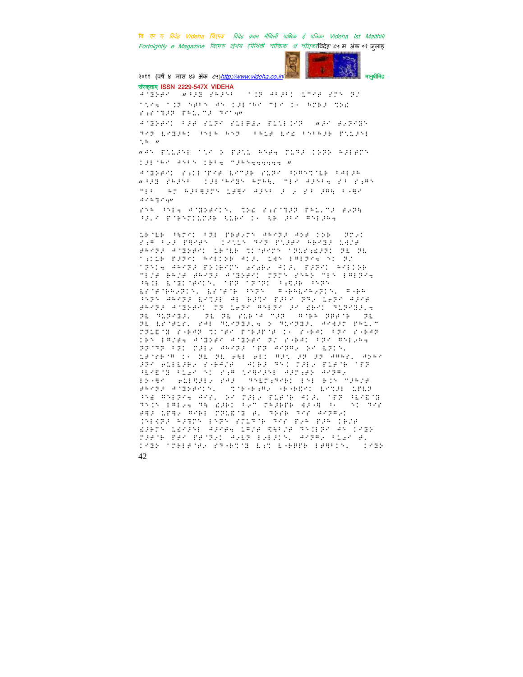त्रि एन् रु विदेह Videha विरमर विदेह प्रथम मैथिली पाक्षिक ई पत्रिका Videha Ist Maithili Fortnightly e Magazine রিদেত প্রথম মৌথিনী পাক্ষিক প্র পত্রিকাবিदेह' ८५ म अंक ०१ जुलाइ



२०११ (वर्ष ४ मास ४३ अंक ८५)http://www.videha.co.inl संस्कृताम् ISSN 2229-547X VIDEHA

**Constructions of the Construction Construction**  $\frac{1}{2} \left( \frac{1}{2} \sum_{i=1}^{n} \frac{1}{2} \sum_{i=1}^{n} \left( \frac{1}{2} \right)^{i} \right)^{i} \left( \frac{1}{2} \sum_{i=1}^{n} \frac{1}{2} \sum_{i=1}^{n} \frac{1}{2} \sum_{i=1}^{n} \frac{1}{2} \sum_{i=1}^{n} \frac{1}{2} \sum_{i=1}^{n} \frac{1}{2} \sum_{i=1}^{n} \frac{1}{2} \sum_{i=1}^{n} \frac{1}{2} \sum_{i=1}^{n} \frac{1}{2} \sum_{i=1}^{$ these tip need an identification are expected 

A MERAKI (FIRA) YILEY YILEADA (PINE 1870) (WIRT ARRESTS dag pagang dipunuh ng manga pag-dihing pag-pag  $\ddot{\cdot}$  : . . .

WAN PALENE TAK & PEAL ANGE TIME 1979 APPEARD THE TAX CANADY TEAM CONSTRUCTION

A MERRY COOLED FROM LATTER OCCED CONTACT LE COALLEL wide redsit (10) meds ereal michanolactic ries mas lan adseddin caes adno di 2000 des sien  $\mathbb{R}^2 \times \mathbb{R} \times \mathbb{R} \times \mathbb{R}^2$ 

PARTIENEN PERSONAL TABLER PROVINSIONALERSON **FALK POPSTILITAE RIPK IN RECARD PSEAMS** 

LETER (PETAIL FOR CORRATA ARADO AND 108)  $37.41$ ram for recent control for riges exceptions askad andbaki is his or nakon nair mada bada di MADIE PARKO AKTORE ADAL 145 TATRAH SO RO 19514 ARKSA ESIRKON GRUBA ALAL ESPRI RRIISB MECA BROA ARKOZ AMBRAKO CODOR ERRETTER EREDKA PAIN ENGINEERS TER TRIPL PACE PARA EVIDENT REPORT OF THE REPORT OF THE REPORT OF THE REPORT OF THE REPORT OF THE REPORT OF THE REPORT OF THE REPORT OF THE REPORT OF THE REPORT OF THE REPORT OF THE REPORT OF THE REPORT OF THE REPORT OF THE REPORT OF THE REPO PARA ARRES ERTE AL BETR PERR PRA LBER ASPA andes andvant de Laer Anter so dant electrica THE METHODS ( ) THE THE PERFORM MUST COMPARE THRU THE START OF THE PERFORM SERVICE SERVICE SERVICE SERVICE SERVICE SERVICE SERVICE SERVICE SERVICE SERVICE SERVICE SERVICE SERVICE SERVICE SERVICE SERVICE SERVICE SERVICE SE palens passa dines preabre in passi fasconea 195 1928-2010/07-1008-2012 (PART 197 951254 PRIME FOI CALL ARRELINED ARDELING EDIN. 1978-1979 : 2009 : 2009 : 2009 : 2009 : 2009 : 2009 : 2009 : 2009 : 2009 : 2009 : 2009 : 2009 : 2009 : 2009 :<br>2009 : 2010 : 2020 : 2020 : 2020 : 2020 : 2020 : 2020 : 2020 : 2020 : 2020 : 2020 : 2020 : 2020 : 2020 : 2020<br>20 ESPECIFIEDEN PARTIENEN EIN DER MARTE anda (español y cosa en la entrema).<br>Ina entaña deza del salvar para el esta copa (hadia MAIN EPERA MA 2281 FRA CAZEER AZAR PRO  $\mathcal{N}_\text{eff}^{\text{max}} = \mathcal{N}_\text{eff}$ PARTICULAR AND COLONEYS P. TENDED AND ANDREW INFROR ARTIS ENDN YOUR DESCRIPTION ORDER ESPECIAL DEMSINE CASABA CORDE REPORT TA DEPATTANT DANS DOGOG PAK PANDAL AVED 1910. AKDRA FOGK AL 1985 TERRA STARTE EST EARTH RATES. - エアほび 42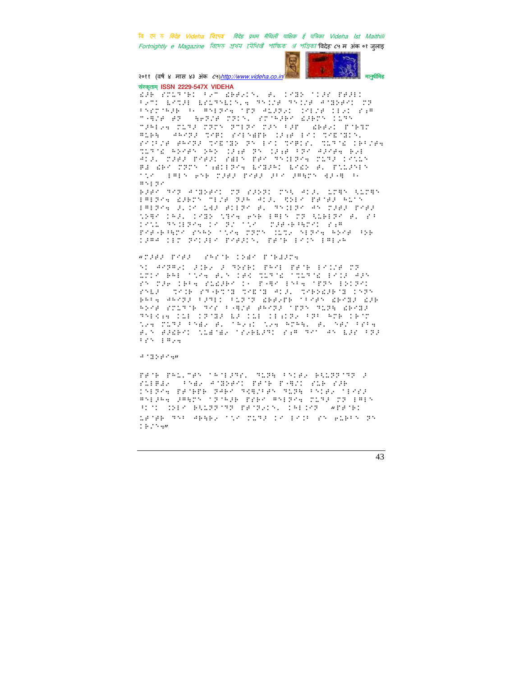त्रि एन् रु विदेह Videha विरमर विदेह प्रथम मैथिली पाक्षिक ई पत्रिका Videha Ist Maithili Fortnightly e Magazine রিদেত প্রথম মৌথিনী পাক্ষিক প্রা পত্রিকা' বিदेह' ८५ म अंक ०१ जुलाइ



# २०११ (वर्ष ४ मास ४३ अंक ८५)http://www.videha.co.in

संस्कृताम् ISSN 2229-547X VIDEHA EVERY CONTROL FOR EBBOIN, B. CROSS TOWER BEACO FORD EXTREMENTATION & TRICE TRICE ANDREWS DR indea - Anglia Ingel (2015) eta elkora eta artiko hamarrak.<br>2017ko erregea hagiltak digilea biltzekiak indiarrak bertzea TERME ROMAN ORD (1938) PN 1938 FPM ROMAN BOB ADAL CARA PARAD YANG PRASTIKAN DAGA DANAN ed den mams habitana broakt bros el mulasis<br>150 - Emis ase maea mhea ann amems easg ang pe BARK MAR ANGERAN DR PAPRI DER ANAL LORE RUDBE 

1984 1970 BYLGER TRAGING TACH SPON SHEEK

### $\mathcal{R}(\mathcal{I},\mathcal{I},\mathcal{I},\mathcal{I})=\mathcal{I}(\mathcal{I},\mathcal{I})=\mathcal{I}(\mathcal{I},\mathcal{I},\mathcal{I})=\mathcal{I}(\mathcal{I},\mathcal{I},\mathcal{I})=\mathcal{I}(\mathcal{I},\mathcal{I},\mathcal{I},\mathcal{I})$

nd (Andeso dibs) d'Abrel (Peni (Pare l'hold (D)<br>1886 - Eel (Sina aln) lan (SIA) solare (Porta and )<br>1896 - Dae lee Al (Pilaaen lis (P) en lan (Sina Sippi) analy in this artiset to ithout at your these we to sen-BARA ARKOZ RZMEC ROZVO ZBAVEB VRKAK ZBKOZ ZAB ROCA STORIE RES PARTE ARCA SECON TERN ROCA SECON THE CERTIFICATION AND CORTOR CONTROL PROTECTIVE tea posa frae al chead ( us Anagos, al Salcara als added togames maseboxe age was as boa vou → 子下 → 王井 29

 $4.1334740$ 

ROCO CORRESPONDED PROPORTIVA CARDIADE ENTRANC DRIVER THAT ABABA TIME DONE IN BRIDE BY BOBEN DR  $1\oplus 1 \oplus 4n$ 

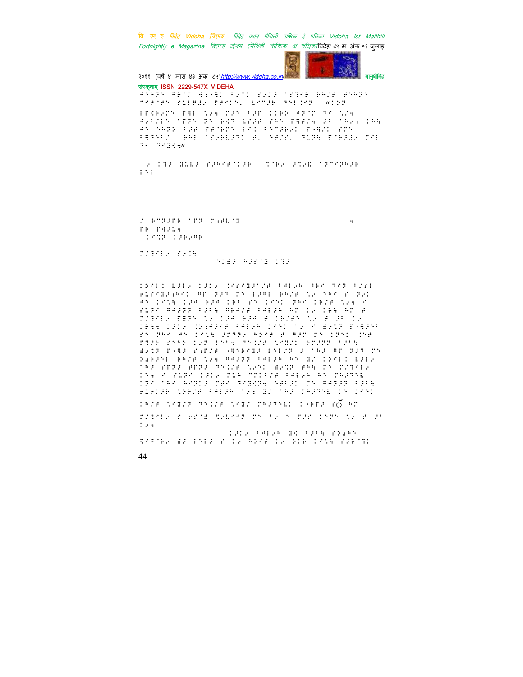त्रि एन् रु विदेह Videha विरमर विदेह प्रथम मैथिली पाक्षिक ई पत्रिका Videha Ist Maithili Fortnightly e Magazine রিদেত প্রথম মৌথিনী পাক্ষিক প্র পত্রিকাবিदेह' ८५ म अंक ०९ जुलाइ



२०११ (वर्ष ४ मास ४३ अंक ८५)http://www.videha.co.inl

संस्कृताम् ISSN 2229-547X VIDEHA asads epic aller tunn yurd ryman back gsads THE TEN COLEBUS CORNERS CONTRACTORS CONTINUES. ardevný rok (1957–1958) (1968–1958) (1971–1972)<br>Jevezký (1955–1972) edo kráľ roky robra (1972–1973)<br>Jev (1955–1974) pedený konstitución (1982) (roky FRANCO PRESTRIBUIU BI NAVRI ALDRE ETRADISTRE  $\pi_{\pi} = \pi_{\pi} \pm \pi_{\pi}$ 

SCIENCELLA SARARIO ARCOITES SIGNEDIAIREAR  $\pm$   $\sim$   $\pm$ 

2 FTRAPH TER PARKIN FF F4214  $17.77777778799$ 

 $\cdot$ :

DOMESTIC AREA

7082 52678 073

rida espos considera capaza de en 12 194 en 9 blanca base to common conservation of the 1984 1912 12:00: FARA PALLANT TO A BOTT PARAM an der en frie door en eral en eld britâniche<br>bade anez flyb bnew motie izabil ebido (doe BAND PARA YAPAR ARNEKOV ENEZO U MAU PP DUP DN SARANE BROW SON PRODUCERED PN BO CONECTEDED 190 prod Arod Avisa (suvi auto APA (sv svede)<br>194 nopion 1912 sta store foresta (sena prostatna)<br>195 nen engla spro Mnapov vardi sv madag (sena eberge speze karge sye din seg regeve is rasi deze traza skoze traz pelskog cierl 28 er

TURNEY Y WEIGHT RULENED TO FULLY FUEL INDULTED AT UP. di contro

1919 - FALSA (18. F918) 2016) SPECES BS ENES POIS ROCK ON DIE INSELPSECTI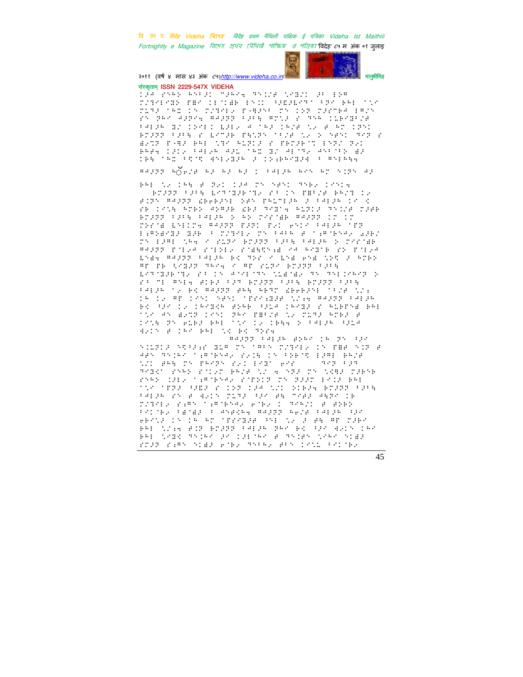त्रि एन् रु विदेह Videha विरमर विदेह प्रथम मैथिली पाक्षिक ई पत्रिका Videha Ist Maithili Fortnightly e Magazine রিদেত প্রথম মৌথিনী পাক্ষিক প্রা পত্রিকা' বিदेह' ८५ म अंक ०१ जुलाइ



२०११ (वर्ष ४ मास ४३ अंक ८५)http://www.videha.co.in

संस्कृताम् ISSN 2229-547X VIDEHA

1947-2545 ASPID TARKA MSIZA NKONCOR 1958.<br>TZGALKOS TOK ILINOBRITSI RADALKAN RAK BRETNK DIRA TAD IN DIRABLE PARAMENT IN INFORMATIONS rs der Aldre Aaldd (ble Arti rome tierder iarje do iskritičnih alter iskritera od alemijani.<br>Anggal sase planoga peogelitska od slineni gral p alite e du sea Travietouse e estuarte aportua BABA 1919 FAE2A A91 TAD DI AE199 ANFORMAD 195 150 FRIT 451205 2005 100024 FF51556

андаа ж⊙ылы жагжагы таарыгылыгы черч на

BAB CONTRACTE BUSINESS TO SENS TORES INSIG BOARD FAFA LOTTERFTLY 27 IN PERIA BRITIS adan ekada belesan dan permaian antaran dinas KA 1954 ADAX ARAGA KAZ MAGIN ALGIZ MAJZA DZAA ESPARAGU GUE IN CONSEVICI PARA LA PIENEUR GUEO TA ESPECIAN A PORA ETSPACISEN FRESHO CONVINER RAZDO ENEVA VINESES VINARISTA PARTE VISTINGA ENAN PAJOS FALIR DE MOZ VIENA DNA 1990 J.<br>Prime svaje menu vien zipribojeva film EVANGER TEXT 200 15 SAME TAN CLEMES AN ONE CORPORA ës në Antal Acea san eqado sash eqado sash FAIRE TO BE PARRY RES PETE SERRIFI TESP SS 16 12 AP 1951 Sesi Trenggae Shaw Adapa KAlay BK TRANSV SPAGKA BOABN TROA SAMGRUP ACBENG BAB nte as avoc ceso case parva tu concrete a 1954 PS FLED PRESSURE 1994 D. FREE D. L. 4915 # 188 BRE NO BO TECH

ו אלה אל אני אופקה אלפה לללאפי.<br>אילו אפר אני אופקה איפי אלפי הולדמי לולטוא APS TRINGER CAPTAINARY ROOM ON FORCE EVEL BAZA this and the presence of a same and so i dago egid REGAL STAR STORE BACK NO A TREFTS NAME CRAFTS KARA (1882) SEPTEMBA KORACA (20. aastronoosa BRI tin territoria este la corona del nomo ocorre opera della persona del medio del medio del medio del medio del <br>Del ser la contra del medio del ser la contra del medio del medio del medio del medio del medio del medio del DIRECT CORN TORRESPONDENCE TRANSPORTAGE FRITER FEMER FORMERS PRODUCEDED FROM TOP abendo na nivel aportare dal nomo di avolto polono.<br>Antonina di altropolono di anche del concolazio nel BAE SABA PAIRA DA COBINACIO PAIRA SARA NOBO stag sien nied anal mnew ann inti en maine.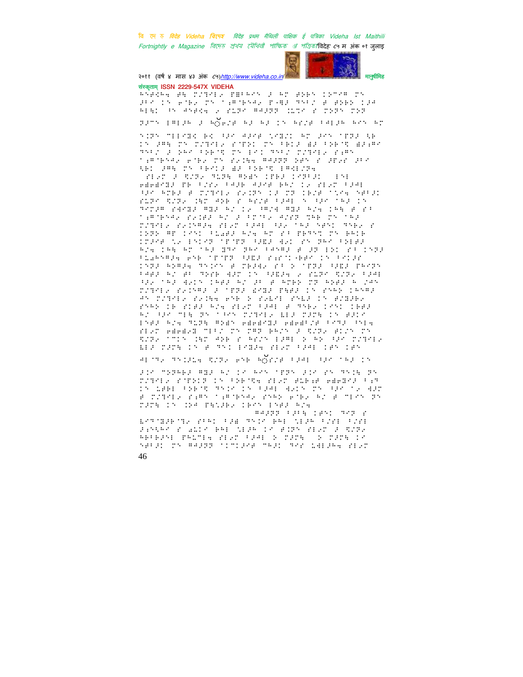त्रि एन् रु विदेह Videha विरमर विदेह प्रथम मैथिली पाक्षिक ई पत्रिका Videha Ist Maithili Fortnightly e Magazine রিদেত প্রথম মৌথিনী পাক্ষিক প্র পত্রিকাবিदेह' ८५ म अंक ०१ जुलाइ



२०११ (वर्ष ४ मास ४३ अंक ८५)http://www.videha.co.inl

संस्कृताम् ISSN 2229-547X VIDEHA

ANAGAN AN DUBRER PERANT A AD ANAR COMPA DN and the energy the mannership man month a label trail READ IN ANGEL 2 FEBR RAZZZ IEDA F TIZA TIZ

ааты вяван а номи на на сы нихи хиван них не

NIPS TEEKSK BK FOR ACKE WASN'TED CAN TECCHER ch ann bh' bheala airso bh' feolaí ga freisiúgaín.<br>Bhealla seo fseirbíon go cheolltheal bhealaí agus nyenesey yapıylası pulay eyden ses pludayı dev CRITISHE ON FRONT BE FOR TO ERGENDE

SALVE DURINGER REAR INFORMATION  $-1.54$ REPEARD TROTING TASK ASAR RAN IS NIST TOAL FAR ADEA E DINABLE PESDA LA DA LEIR TIRE MURE ABEAS rode tras der ese rierre fael sites fed ds mende varial edd en by (enna edd ena bea a vo namenas asias es sintentes asam debido nes vanis povedni pist djel dje naj namo mnas p 1939 AP 1951 FLEED AND AN EASTER DO BAIR coare to encretimental samplest an americanes and tag ar had den ban (esed a de est ellise) FOGRAPH WAR TEMP PHER PAPEL HAR IN FRIRE 1933 ANAGA SYNY A TEGEN YA NA MPOS GOBO PAMON tale en la serie alc'hol elbar a ribe trez ella.<br>1922 : eo anio iele en le erek ze enez e h DIRECT CONTRACT TEST CONSTRUCTS CORP. CROSS AN CONTRA YOURS ENE DO YOURS YNLE IN GONDED KNAD IE KIES AJA KIDT FSAI E MNED IKNI IEES ROS PARTITER OF THE COOPER EER CADE IN RAIR 1982 R24 MIDR PDAY PAPENDA PAPARZA PNMA PSE4 PERSONAL MERCION SAN PARTY AND ACTIVITY ando inistrantese e enconada teorem numero.<br>Ardinana isla asistirada navniada testias

alima melala kola yer soroz (aal (aa cha ie

add magaal ega ay did ada nega add ea sale ga ovana 2 verbod (15) for the said would be leaded it for<br>15 September - ander 15 Federation on the sanction<br>Biovana 2 Verbouwertenez verbouwertez (Biovana de DATE IN 198 PENABA IBAN ENBA BOW

##200 F2F6 1951 #20 F

EVANGER NEW YORK OF EN NOW HAD SERVICES OF THE Gasker alaberee libagel beleddel addig op Geogra.<br>Heregia (pebrua addig roed op population populatio NAFAI TA PAADA MINIANA MPAI PAY 141,894 YEAR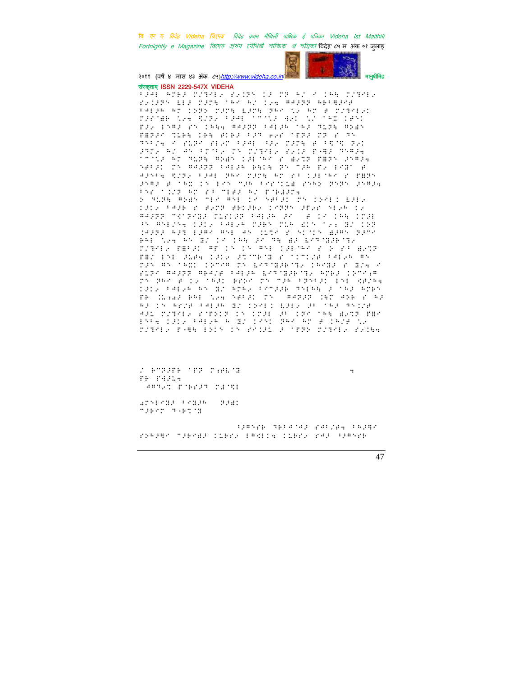त्रि एन् रु विदेह Videha विरमर विदेह प्रथम मैथिली पाक्षिक ई पत्रिका Videha Ist Maithili Fortnightly e Magazine রিদেত প্রথম মৌথিনী পাক্ষিক প্র পত্রিকা' বিदेह' ८५ म अंक ०१ जुलाइ



२०११ (वर्ष ४ मास ४३ अंक ८५)http://www.videha.co.inl

संस्कृताम् ISSN 2229-547X VIDEHA FIRE ADEX DINKER YOUR COUNTY AN AUTOMOTIVE radas lia park nec en cal eagap extenda ang 1995 (atau 1991) (atau 1991) (atau 1992) (atau 1992) (atau 1992)<br>Katangan (atau 1999) (atau 1991) (atau 1992) (atau 1993) (atau 1991)<br>Manangan (atau 1999) (atau 1993) (atau 1992) (atau 1991) ras ingles regulario esan carae cea diabetera FURNA TIPE IPE RIPA FAT PAR TERRITRIC  $\mathbf{u}$ menta y podev privo nikar niki oleoa je njog divi anno es en troto re rentato cola republicada thing ar mode gram custom a avor repr grade SPERIOUS PRAPE FREAK PRINT DE TAK EXIDENT ASSAN ROBU FOAR DAY DOOR AD YA 100 MAY Y PERS and a report and makingarase and any state Pressure an existence measure SCREPA REASONAGEMENT DROMATIC DESIGNATIONAL tara feabha basa beltak tadak aran kelehiri.<br>Aeada mardade buaran ferde aan berta teknologi PS PSECSA DRIVEREDS CRES COR BOSTON BOTTOR desas est diser end en district no diseñ sañ.<br>Endose en as dro en secondad er tasera. ovanju (paka) se od 1900 po daloško 2000 po se od 1900<br>pak se odbava dalo aprobera iz odnova se pake se<br>pak se osebi donne po skologalna denga z odbav PLAY RAFRA REAZE FALLE LONGER NEW ROEF CONSTRU rn aen e cu cezo eran rn mae fanfzo fhf kezeg tata kabaya an di araa kenaak mgagalalisa laran re diale est tra velecto competente en est el Ad 15 Anne Ferde din 1988 i sorra del 1990 de 19 APD CONFIDENTIALS IN CODE OF CORPORATIONS CHA rsia coco faros significano del sense cene co CONSIDERED INCHES CAPACING A SERN CONSIDERATION

CORTESTE TEROTHERIT  $\cdot$ : FF FAPLS SARRAT POBRAT DEORE  $127547327374329777241$ **MARKET RAPSISE**  $\sim$  (pasing ) sprachar (increasing ) and FORFARE TREPART CORPORATE RAISE CORPORATE PRESPE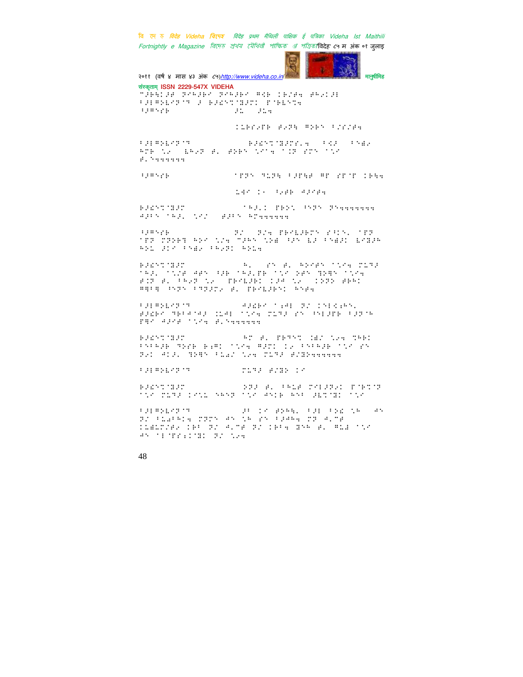ति एप रु विदेह Videha विएम्ब विदेह प्रथम मैथिली पाक्षिक ई पत्रिका Videha Ist Maithili Fortnightly e Magazine রিদেহ প্রথম মৌথিনী পাক্ষিক প্র পত্রিকা**বিदेह' ও म अंक ०१ ज्लाइ** 



२०११ (वर्ष ४ मास ४३ अंक ८५)http://www.videha.co.in/

संस्कृताम ISSN 2229-547X VIDEHA mundu da conduda conduda en al conducada de 2008. FUERNERS IN UP EVENTIBULE INFENSA agasyg.  $\langle \mathcal{F}_m^1 \rangle = \langle \mathcal{F}_m^1 \rangle$  ,

INFORMATE BOOK ROBOT FOOTER

TERN ROBB FORBE RE VENT CEBB

BASSINGADELA (FRA) FSB2  $(3.34 - 3.12)$  ,  $(3.34 - 3.12)$ ATENNA (BAVE B. BOEN NATA TIE 2008) TNA  $\mathcal{P}_\sigma$  ) is a distance

**STORY SEE** 

1948 IS STARR PROPER

 $\begin{minipage}{.4\linewidth} \begin{tabular}{l} \multicolumn{2}{c}{\textbf{0.4\linewidth}} \end{tabular} \end{minipage} \begin{minipage}{.4\linewidth} \begin{tabular}{l} \multicolumn{2}{c}{\textbf{0.4\linewidth}} \end{tabular} \end{minipage} \begin{minipage}{.4\linewidth} \begin{tabular}{l} \multicolumn{2}{c}{\textbf{0.4\linewidth}} \end{tabular} \end{minipage} \begin{minipage}{.4\linewidth} \end{minipage} \begin{minipage}{.4\linewidth} \end{minipage} \begin{minipage}{.4\linewidth} \end{minipage} \begin{minipage}{$ 

AND STRUCKER COAPT ANDER

TAL TENTAL ASPAN TORA DURA **BASHINAD** tea. Thre eas was teached the bas moss inclu adia (Perinta Trendel da Victimia)<br>Personal Parti

 $\mathcal{F}(\mathcal{F})$  is the set of  $\mathcal{F}(\mathcal{F})$ **APERA 1941 PA 19134451** added metatad char tida chima and thrume todom FAC APPROVISE BISHANNA

FAILAND, NEWS PEACHING TERP BIBESSON

 $(3.34 - 3.12)$  ,  $(3.34 - 3.12)$ TERR ROBERTS

**BASSINEAD SARA BUSINESS CREATED EMPTHS** the rate real sask the asia as: sarran the

 $\begin{array}{lll} 3.24 \# 946 \# 2.7 \# & & \\ 2.7 \# 1.24 \# 94.9 & & \\ 2.7 \# 1.24 \# 94.9 & & \\ 2.7 \# 1.24 \# 1.9 & & \\ 2.7 \# 1.24 \# 1.9 & & \\ 2.7 \# 1.24 \# 1.9 & & \\ 2.7 \# 1.24 \# 1.9 & & \\ 2.7 \# 1.24 \# 1.9 & & \\ 2.7 \# 1.24 \# 1.9 & & \\ 2.7 \# 1.24 \# 1.9 & & \\ 2.7 \# 1$ itanovek ies do svre do reše drečevjeta rok.<br>Ar namestna do ske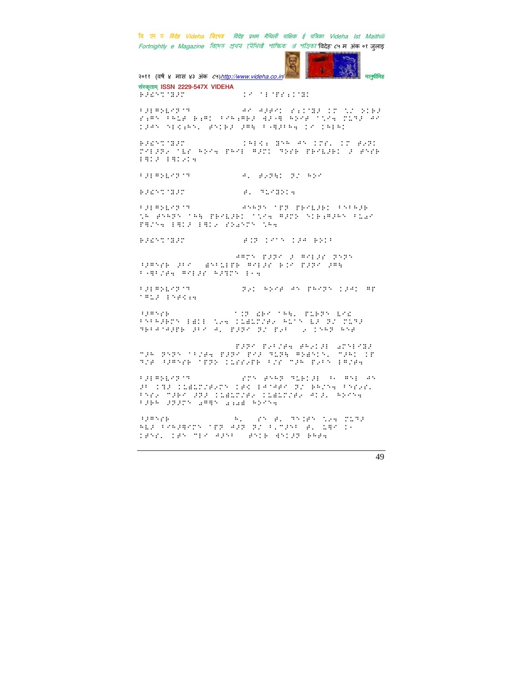त्रि एन् रु विदेह Videha विरमर विदेह प्रथम मैथिली पाक्षिक ई पत्रिका Videha Ist Maithili Fortnightly e Magazine রিদেত প্রথম মৌথিনী পাক্ষিক প্র পত্রিকা' বিदेह' ८५ म अंक ०१ जुलाइ



२०११ (वर्ष ४ मास ४३ अंक ८५)http://www.videha.co.in संस्कृताम् ISSN 2229-547X VIDEHA

a Sekondar DRIVE SERVICES

1945 SEKIAN, BS169 986 FREDRICK (1816)

**BASNINGAT** TRESPORTED AN INVITED TO BARD TYPERS TER PORT TRYP RATIONSRE TERRARI A BORE 1912 191219

 $3.2389243222$  $-41.42241.27147.424$ 

BASNO 1890  $\mathcal{A}_\text{c}$  , where  $\mathcal{A}_\text{c}$ 

 $\begin{array}{lll} 0.24 \times 0.5 \times 0.777 & \text{if} \; 0.5 \times 0.5 \times 0.5 \times 0.5 \times 0.5 \times 0.5 \times 0.5 \times 0.5 \times 0.5 \times 0.5 \times 0.5 \times 0.5 \times 0.5 \times 0.5 \times 0.5 \times 0.5 \times 0.5 \times 0.5 \times 0.5 \times 0.5 \times 0.5 \times 0.5 \times 0.5 \times 0.5 \times 0.5 \times 0.5 \times 0.5 \times 0.5 \times 0.5 \times 0.5 \times 0.5 \$  $3.249247222$ PROSE FRID FRID POWSTS AND

**BASHINAD** SAMPLINTS CORPORATE

 $\left( \begin{array}{cccccc} \partial_{1}H\, \Gamma_{1}^{*}S & \Gamma_{2}^{*} \Gamma_{2}^{*}R^{*} & \Gamma_{1}^{*} \Gamma_{1}^{*} \Gamma_{2}^{*} \Gamma_{1}^{*} \Gamma_{2}^{*} \Gamma_{1}^{*} \Gamma_{2}^{*} \Gamma_{2}^{*} \Gamma_{2}^{*} \Gamma_{2}^{*} \Gamma_{2}^{*} \Gamma_{2}^{*} \Gamma_{2}^{*} \Gamma_{2}^{*} \Gamma_{2}^{*} \Gamma_{2}^{*} \Gamma_{2}^{*} \Gamma_{2}^{*} \Gamma_{2}^{*} \Gamma_{2}^{*} \Gamma_{2}^{*} \Gamma$ SUPPORT OF A CONSTITUTION PAIDS OF CALIFORNIA OPE 3 (9) 284 (8) 126 (8) 325 (1) 4

 $(3.34, 9.54, 7.7, 7.9)$ Saturday as parts they are 1912-1920-0

a posterio SID ERS SALL PLATS LEE a valgery alara (nog indantoeo lentro 10 de mondo.<br>Metamarre dato las argatolico antico o invezidento.

TRES TARGET BEACH CATSESTA mas dede infras pade pea mids seasier masi ip mos daesde cras codobre dod mae ruds censes

 $\begin{array}{l} \texttt{F2E}(\texttt{P2E}(\texttt{C2}, \texttt{C2}) \\ \texttt{F3E}(\texttt{P2E}(\texttt{C2}, \texttt{C2}) \\ \texttt{F4E}(\texttt{C2E}(\texttt{C2E}(\texttt{C2}, \texttt{C2})) \texttt{C2E}(\texttt{C2E}(\texttt{C2}, \texttt{C2E}(\texttt{C2}, \texttt{C2E}(\texttt{C2})) \texttt{C2E}(\texttt{C2E}(\texttt{C2}, \texttt{C2E}(\texttt{C2})) \\ \texttt{F3E}(\texttt{C2E}(\texttt{C$ FREE MARK ARA CLAIMARE CLAIMARE ACAL REPRE FIRE SPECT SPRY STORE PERMIT

 $\begin{array}{lllll} \left\{ \begin{array}{ll} \mu_1 & \mu_2 & \mu_3 & \mu_4 & \mu_5 & \mu_6 & \mu_{10} & \mu_{21} & \mu_{32} & \mu_{43} & \mu_{54} & \mu_{65} \mu_{75} \mu_{86} & \mu_{10} & \mu_{11} & \mu_{12} & \mu_{13} & \mu_{14} & \mu_{15} & \mu_{16} & \mu_{17} & \mu_{18} & \mu_{19} & \mu_{10} & \mu_{11} & \mu_{12} & \mu_{13} & \mu_{14} & \mu_{15} & \mu_{1$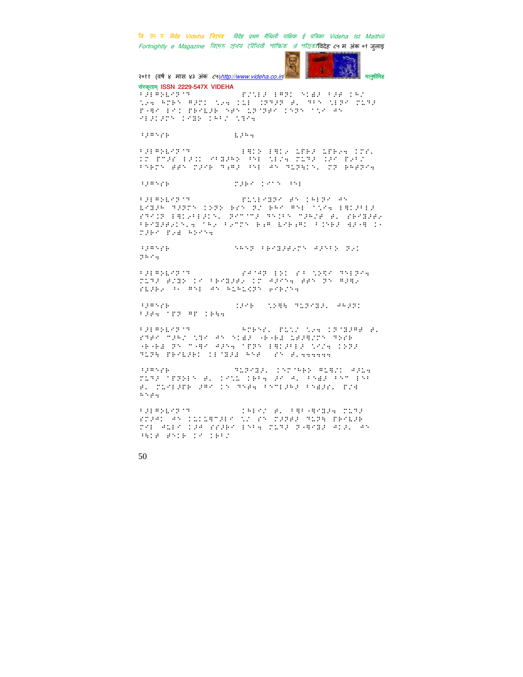ति एप रु विदेह Videha विएम्ब विदेह प्रथम मैथिली पाक्षिक ई पत्रिका Videha Ist Maithili Fortnightly e Magazine রিদেত প্রথম মৌথিনী পাক্ষিক প্র পত্রিকাবিदेह' ८५ म अंक ०९ जुलाइ



२०११ (वर्ष ४ मास ४३ अंक ८५)http://www.videha.co.in/ संस्कृताम् ISSN 2229-547X VIDEHA

s Alexandro III — International Statistics<br>New Home Haol New Liam Coral and the Nape over **TIMES ERRORIGE FIRE IRI FIRENESS CRO** PARK BAILPEALAR NEN COMPEA INDN MIA AN REDEDICT DRESS INFORMATION

 $1.344$ 

**SPRAIR** 

 $3.24 - 24.24 - 2.05$ **SERIE ERIE LEBE LEBEN ITE.** 

2008/02/22 23:48 **SEPTER** 

 $\pm$  24  $\pm$  54  $\pm$  7  $\pm$  7  $\pm$  $\label{eq:3} \begin{array}{lll} \mathbb{E}[\mathbf{1},\mathbf{1},\mathbf{1}] \times \mathbf{3} \times \mathbb{P} \times \mathbb{E}[\mathbf{3} \times \mathbb{E}[\mathbf{1},\mathbf{1}] \times \mathbb{E}[\mathbf{3} \times \mathbb{E}[\mathbf{3} \times \mathbb{E}[\mathbf{3} \times \mathbb{E}[\mathbf{3} \times \mathbb{E}[\mathbf{3} \times \mathbb{E}[\mathbf{3} \times \mathbb{E}[\mathbf{3} \times \mathbb{E}[\mathbf{3} \times \mathbb{E}[\mathbf{3} \times \mathbb$ ilian (1989), codo estadounidad (1984-1982).<br>Sancto entidendo comuno atita independente servedo FRAGUESINIA TRU FUTON RIP EARIPI FINED RUSH IS TIRK THE RESSA

a posteje. **SARAB PERSONAL PROPERTY**  $\mathcal{G}$  for  $\mathcal{E}$  or

 $3.248242222$ cusa avas co secadas co adose ado do saúd YEARS AN WAY WAS WEDNESD PARTNE

 $\{1,2,3,5,7,8\}$ 1276 - 1286 3127321 35221 FORECTED RESINER

 $\begin{array}{lll} \mathbf{F}(\mathbf{Z}) = \mathbf{F}(\mathbf{Z}) \mathbf{F}(\mathbf{Z}) \mathbf{F}(\mathbf{Z}) & \mathbf{F}(\mathbf{Z}) \mathbf{F}(\mathbf{Z}) \mathbf{F}(\mathbf{Z}) \mathbf{F}(\mathbf{Z}) \mathbf{F}(\mathbf{Z}) \mathbf{F}(\mathbf{Z}) \mathbf{F}(\mathbf{Z}) \mathbf{F}(\mathbf{Z}) \mathbf{F}(\mathbf{Z}) \mathbf{F}(\mathbf{Z}) \\ \mathbf{F}(\mathbf{Z}) \mathbf{F}(\mathbf{Z}) = \mathbf{F}(\mathbf{Z}) \mathbf{$ Ababa di mamo adine rediverede provenciado MICH PROBLEM IN MODE AND CONCORDERED

 $\mathcal{U} \cong \{U_1\}$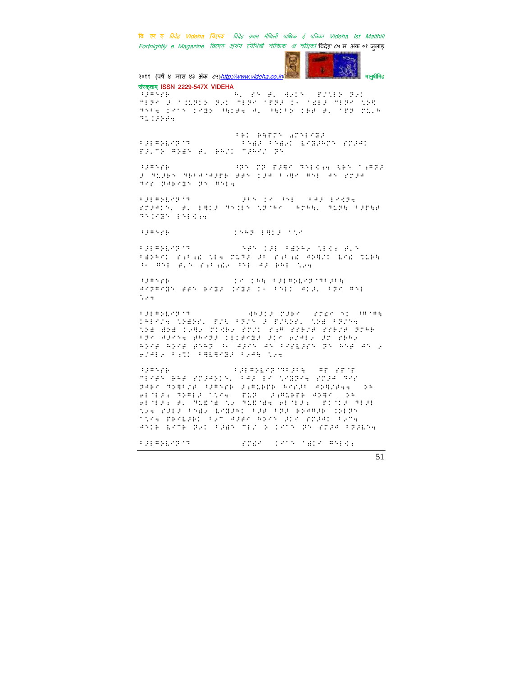त्रि एन् रु विदेह Videha विरमर विदेह प्रथम मैथिली पाक्षिक ई पत्रिका Videha Ist Maithili Fortnightly e Magazine রিদেত প্রথম মৌথিনী পাক্ষিক প্র পত্রিকা' বিदेह' ८५ म अंक ०१ जुलाइ



२०११ (वर्ष ४ मास ४३ अंक ८५)http://www.videha.co.inl संस्कृताम् ISSN 2229-547X VIDEHA

RUSSEN BUSINESS PANER RAD agasya ( neder a cribació due neder reda les crisas héder est SALE CROSS CRESS PECAE ALS PECHS CAR ALS SEPSONDER 71.12595

FED PATTS GIMENTS  $4.24 - 9.64 + 9.19$ **SENGE ENGLY LAGENY POSE** BALTA PABY BL BRZI TARRZ BY

385 28 2386 3583 456 586 15883 agasypo a modern metalmaare aan olde tien whe an arabe Service-Persons (SS) Service

 $4.24 - 9.64 + 9.19$ 2015-02-031 240-12004 arders, a. 1910 metais chemistrea, indudi home.<br>Metais 1913 e.

#### agasya. 1988-1912 103

(545) 128 (FBSP2) 1833 (BLS) (Faberi alian di Cia Color) eta antaŭ ebelo arabolika<br>1951: Primelo la Faberio (Frimel Permone

i alamen<br>Akaankan ilinen hekala loogaloon (amaloonalan) (amaloonalan)  $\mathcal{L}_{\mathcal{L}}$ 

 $3.2482432333$  $\{49.21,21,72.39\} \times \{72.22,71,72.1,73.1,73.19\}$ TREACH NOBORN PORTFOLOGY PORORN NOBEL POCHE apeg apeg grap is aper ar ieggger pr argiver ; 97912 FETT FREEFOR F295 N296

les navel modello chung i l'assurante capablicide. Il<br>Les navel del chusha cup musicale del navel capitale mavel tua 2010 (Sau Legoer (Cop Co) Buenoe (DIO)<br>1594 metadar (Com Adam Aden die 2004) (Cum AND POLARDE CRAIN FREE MEDICAL DATA CRACKER FRAUNA

ROBA CONTACTED A PAESE ing pagagegera.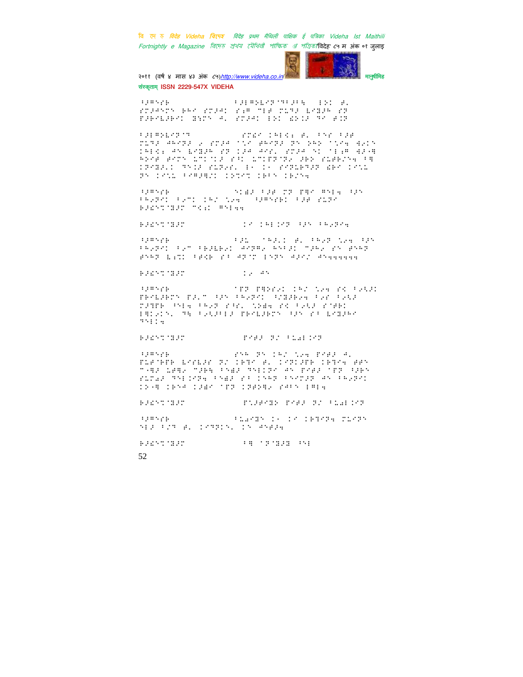ति एप रु विदेह Videha विएम्ब विदेह प्रथम मैथिली पाक्षिक ई पत्रिका Videha Ist Maithili Fortnightly e Magazine রিদেত প্রথম মৌথিনী পাক্ষিক প্র পত্রিকাবিदेह' ८५ म अंक ०१ जुलाइ



२०११ (वर्ष ४ मास ४३ अंक ८५)http://www.videha.co.in संस्कृताम् ISSN 2229-547X VIDEHA

 $\pm 1.05$  with  $\pm 1.0$ POSSENON ERRORDSEN PLAN MERODINAL ERGIAR PO FJERLIER: BATY AL PTJA: 191 BD-12 MR 201

a albardaren 1950ko urtean dago eta batuarak.<br>Itxaka hararen bilatzak irren arrazkiden dago hirren abien TRESS AN EXBAN 20 TAA ANS, 2004 NO MESH 42-8 abel lectronic di cali contra del seb codeline (198)<br>cacaso misso coase la concerta e al BY ISLE FRANCE INTER INFORMA-

**SERVER** FRAGAI FAMILIEZ NAME (FRENZEI FREUZIGE BRENDIERD MARITIMENE

**BASSTISAT**  $\pm$  2  $\pm$  2  $\pm$  2  $\pm$  2  $\pm$  2  $\pm$  2  $\pm$  3  $\pm$  2  $\pm$  2  $\pm$  2  $\pm$  2  $\pm$ 

 $\begin{array}{lll} \left\{ \begin{array}{ll} \left\{ \begin{array}{ll} 1 & 0 & 0 \\ 0 & 0 & 0 \end{array} \right\} & \left\{ \begin{array}{ll} 0 & 0 & 0 \\ 0 & 0 & 0 \end{array} \right\} & \left\{ \begin{array}{ll} 0 & 0 & 0 \\ 0 & 0 & 0 \end{array} \right\} & \left\{ \begin{array}{ll} 0 & 0 & 0 \\ 0 & 0 & 0 \end{array} \right\} & \left\{ \begin{array}{ll} 0 & 0 & 0 \\ 0 & 0 & 0 \end{array} \right\} & \left\{ \begin{array}{ll}$ 

**BASACIEAN State Adv** 

 $\label{eq:3.1} \begin{array}{ll} \text{MSPNCE} & \text{MSPN} & \text{MSPN} & \text{MSPN} & \text{MSPN} & \text{MSPN} & \text{MSPN} & \text{MSPN} \\ \text{MSPNCER} & \text{MSPN} & \text{MSPN} & \text{MSPN} & \text{MSPN} & \text{MSPN} & \text{MSPN} & \text{MSPN} \\ \end{array}$ DANKE PALA PRAD KRK, NGEH KK PARA KORBO FRONTA TRE POSSEBLE PERSONERS PASSAGE SPORT  $3.54(1.4)$ 

**BASNO MAD** 

SPARE BOOKSHIPS

**SPRAIR** STAR TA LAZ NOR TAFF AL riamera brrugr di camp al crocora campa aes myez baez mzał (salz myliac an praz npa (zan comas del pose cenas con censo censos de consolo 1938 1934 1986 189 1985 6 2455 1996

998501390 SPARENGE PARK PACEDNESSE

计选用存储器 SPEAKEN IN IN IPTOPE TEAPN NEA POR AL CARRING CO ANAGA

 $-1.4$   $+1.7$   $+1.3$   $+1.4$   $+1.4$ **BASHORAD**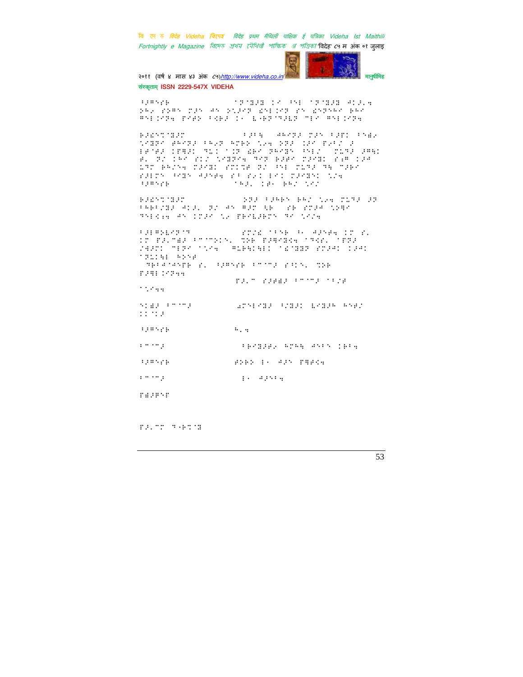ति एप रु विदेह Videha विएम्ब विदेह प्रथम मैथिली पाक्षिक ई पत्रिका Videha Ist Maithili Fortnightly e Magazine রিদেত প্রথম মৌথিনী পাক্ষিক প্র পত্রিকা' বিदेह' ८५ म अंक ०१ जुलाइ



२०११ (वर्ष ४ मास ४३ अंक ८५)http://www.videha.co.in संस्कृताम् ISSN 2229-547X VIDEHA

 $\pm 1.05$  with  $\pm 1.0$ pay room can an ought rolling resignance and PNECKPA PARK FREE CO EMPORADO MES PNECKPA

al de lor ane este proponent de la part de lor.<br>L'al areen desal adicar de lors de la mare.<br>Aeldro segro estava as avis les desarcites. TRAVISAN BRZ NYZ  $\{1,2,3,5,7,8\}$ 

533 F2965 BRZ 524 TLT2 23 BASSTORAD. i berikan dijalihan dan sebuah membantukan.<br>Sebagai dengan tumpungan seorang mengen

 $\begin{array}{lll} \mathbf{F}(\mathbf{A}) = \mathbf{F}(\mathbf{A}) \mathbf{F}(\mathbf{A}) = \mathbf{F}(\mathbf{A}) \mathbf{F}(\mathbf{A}) = \mathbf{F}(\mathbf{A}) \mathbf{F}(\mathbf{A}) \mathbf{F}(\mathbf{A}) = \mathbf{F}(\mathbf{A}) \mathbf{F}(\mathbf{A}) \mathbf{F}(\mathbf{A}) \mathbf{F}(\mathbf{A}) = \mathbf{F}(\mathbf{A}) \mathbf{F}(\mathbf{A}) \mathbf{F}(\mathbf{A}) \mathbf{F}(\mathbf{A}) = \mathbf{F}(\mathbf{A}) \math$ 24201 MERK TORA / ROBACAEL TENBRE 20241 C2341 talian Ayse Stephanange al Spenage From a anchor moe FAMILYSHA **EACH PAREA FOOTA CRIPE** 

**TACHE** 

Spage among  $11.113$ **SPRAIR**  $\mathcal{H}_{\mathrm{c}}(\mathbf{q})$  $\pm$  m  $\pm$  m  $\pm$  $\pm 10\,m_{\rm T}$  p **BOBO EX PACK PRESS**  $\pm$  m  $\pm$  m  $\pm$ 的复数人名英格兰姓氏 THURST

FALTE FREDDE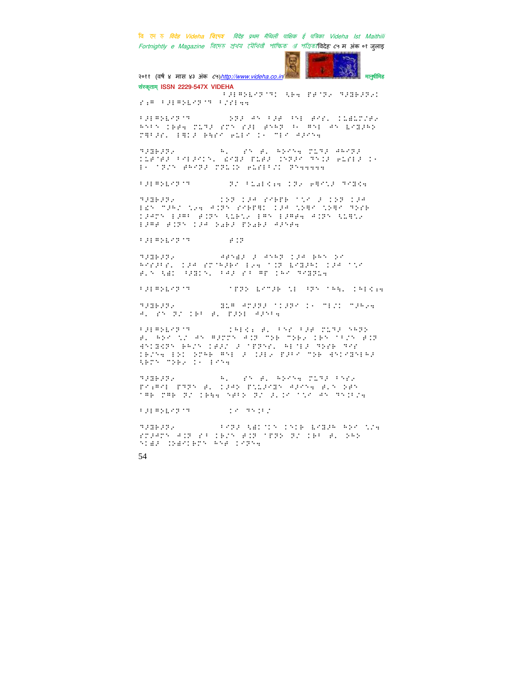ति एप रु विदेह Videha विएम्ब विदेह प्रथम मैथिली पाक्षिक ई पत्रिका Videha Ist Maithili Fortnightly e Magazine রিদেত প্রথম মৌথিনী পাক্ষিক প্র পত্রিকাবিदेह' ८५ म अंक ०१ जुलाइ



२०११ (वर्ष ४ मास ४३ अंक ८५)http://www.videha.co.in/ संस्कृताम् ISSN 2229-547X VIDEHA

FOR PERSONAL ARR TEACH COURSES. YAR FULRDLARIN FIYEAR

THERE INTERNATIONAL CONTRACTOR

 $4.24 - 24.72 + 7.7$  $-37.3$  Final Case (1958) SHPNIF (9730s)

 $-159$  (194) present through 159 (194) 7235272 aan maks waa wadn rhemar claw waar waar mare.<br>Cawrn camb wadn swews com camew wadn swaws EVRA BIDS 194 SARA PSARA AVSAR

 $\left\{ \begin{array}{ll} \mathbf{1}_{\mathcal{A}} & \mathbf{1}_{\mathcal{A}} & \mathbf{1}_{\mathcal{A}} & \mathbf{1}_{\mathcal{A}} & \mathbf{1}_{\mathcal{A}} \\ \mathbf{1}_{\mathcal{A}} & \mathbf{1}_{\mathcal{A}} & \mathbf{1}_{\mathcal{A}} & \mathbf{1}_{\mathcal{A}} & \mathbf{1}_{\mathcal{A}} \\ \mathbf{1}_{\mathcal{A}} & \mathbf{1}_{\mathcal{A}} & \mathbf{1}_{\mathcal{A}} & \mathbf{1}_{\mathcal{A}} & \mathbf{1}_{\mathcal{A}} \end{array} \right.$  $-4.13$ 

72362720 , agnad d'aneg coa gen br APPREND DRAFTPORTAGE TO BUILDING TO CAR TOP als tar spring say as an including

 $(3.34 - 3.12)$  ,  $(3.34 - 3.12)$ STEPS ESTABLICE FRY THE COHECHE

 $7738777$ COLP POSSE TOSPA IN MEZI MARVE ALCENTRY CERTAIN BUSE (AUNT4)

 $3.248247777$ ANIBARN BAZN CERZ R TERNEL AETER POEM PAE 1975-1981 STRE PSE 2 1282 E283 TOE 4513159-2<br>Sets Toe2 in B354

nee beelds ieen metalds is in nie Amlembisch

ing an award

THREE ABOUT TOO ENERGY PERSON  $73383777$ rodado aldeira calco aldeirado de care das dad STAR (DARIETS ANA TRINA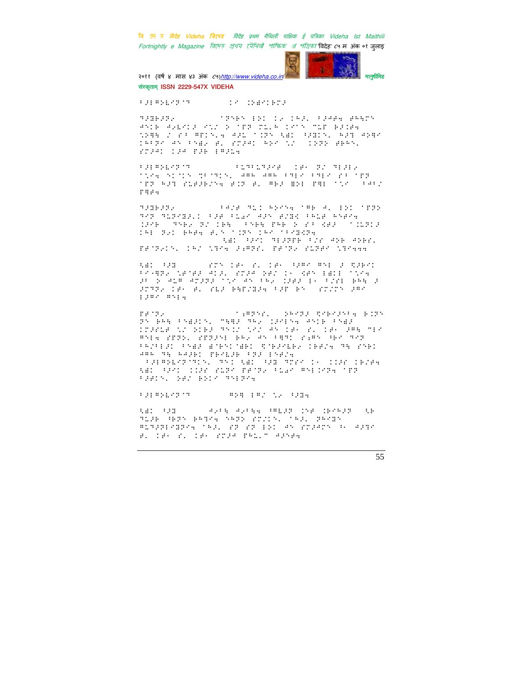त्रि एन् रु विदेह Videha विरमर विदेह प्रथम मैथिली पाक्षिक ई पत्रिका Videha Ist Maithili Fortnightly e Magazine রিদেত প্রথম মৌথিনী পাক্ষিক প্র পত্রিকা' বিदेह' ८५ म अंक ०९ जुलाइ



२०११ (वर्ष ४ मास ४३ अंक ८५)http://www.videha.co.in संस्कृताम् ISSN 2229-547X VIDEHA

 $1.3143327373$ **SEPTEMBER** 

37241 124 F2B 19214

ned kan riederse eid e. Aea mar em niz (førr and a series

1976 - They du 195 - Thes Pee b ri Key (110019 194 BAL BRAY ALS TIPS 195 TENDENCE ABI PARI MEARER PIR PAR PARK.

FACRACY, CROSSBOARDRE, FACRA FLRAG STORES

3.81 9.93 Sans cas al cas species: propert FRANCES CAMARA ADVISING PORT DATA ANNO ENDER TORN an a Ghuil Ababa (1927-48 1992) (aga ini Gazzi Geola) a<br>ababa (bel el cha Georade Gab Georae) (ababa ang para si

**THORS** FAZEEZI FNBA BIBNITBAI SCHARLEA IBBZA SA YNBI ARA MA PAZEL PEMBZE FRZ ENEZA SPORTAGE CALLS TO SELL PORT ADVICE TO CONTRACT ABI (FRS) (108) PLRS EBSPACELLES PRESSPECTER FREDRICKEZ BRIANNAIDAG

 $3.248242223$ 959 197 12 9239

s ayng aynga nguso isa ipengo ABI PABL  $-1.4$ MIJE (BOS BRGKA SROS ZDJIS) (RJ. ORKOS) PLAVER CORCHILLAND (PRIVATE PRIVATE PRIVATE CAVAR al tak zi tak zoda pelin advas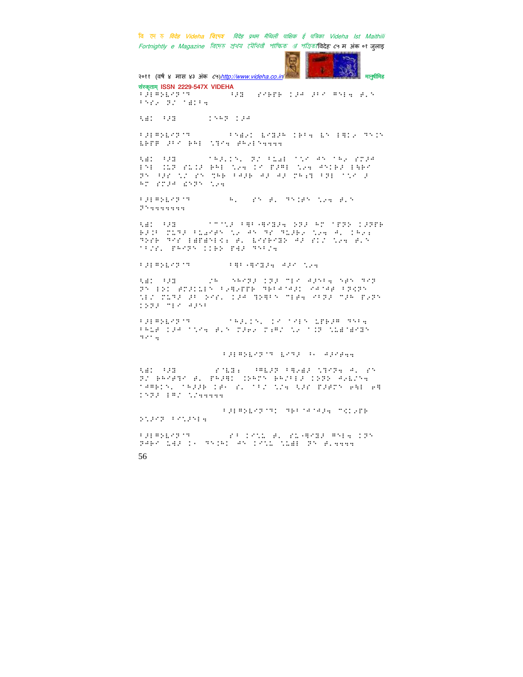ति एप रु विदेह Videha विएम्ब विदेह प्रथम मैथिली पाक्षिक ई पत्रिका Videha Ist Maithili Fortnightly e Magazine রিদেত প্রথম মৌথিনী পাক্ষিক প্র পত্রিকাবিदेह' ८५ म अंक ०९ जुलाइ



२०११ (वर्ष ४ मास ४३ अंक ८५)http://www.videha.co.in/ संस्कृताम् ISSN 2229-547X VIDEHA

 $1.21421727777$ Free Britains

 $-15993 - 1340$ 5.81 7.83 10

**SPARE EMBRA IPPA EN FRIGANNIN** LETE SUS END STOR PRODUCER

AT PERA ENTRANCER

FREEDBACK TO CONTROL CONTROL TO DESCRIPTION **Channers** 

ABI PABLO CONTRACTOR PROBACTS AND TEACHERS IN APPE BACK TITA FIGHTS IN THE TIMES IN NO FULL More Mor Earantos al Ecracado es ricitada alh TRIEL PROPRIETED PARTNERS

 $\left\{ \begin{array}{ll} 1 & \text{if} \ \{ \begin{array}{ll} 0 & \text{if} \ \{ \begin{array}{ll} 0 & \text{if} \ \{ \begin{array}{ll} 0 & \text{if} \ \{ \begin{array}{ll} 0 & \text{if} \ \{ \end{array} \} \end{array} \end{array} \end{array} \right. \end{array} \right. \end{array}$ 

talo pona las pero caso desenvolvases espacinas reapy pode merciano

STRAINS IN THE STREAM STREAM  $3.3492122222$ FALA COR STORE ALS PORK PARO TO STORE TEACHER  $\alpha$  and  $\alpha_{\rm{B}}$ 

581 923 an espera el psago costa espera como explos.<br>Tempos cosam ces el tra tra sae paers espera 1599 IPA STANDAR

**SEPTEMBER 2008 STATE CONSTRUCTION** 30232 3302519

 $\mathcal{L}^{\mathcal{A}}_{\mathcal{A}}\mathcal{L}^{\mathcal{B}}_{\mathcal{A}}\mathcal{L}^{\mathcal{B}}_{\mathcal{A}}\mathcal{L}^{\mathcal{B}}_{\mathcal{A}}\mathcal{L}^{\mathcal{B}}_{\mathcal{A}}\mathcal{L}^{\mathcal{B}}_{\mathcal{A}}\mathcal{L}^{\mathcal{B}}_{\mathcal{A}}$ TERRITORIAL BL ENGINEERING STRAIN pake has is mying ay isin that py slaams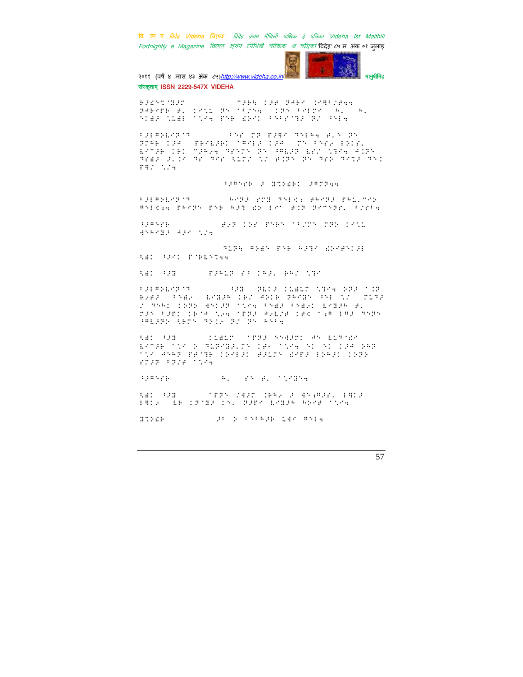ति एप रु विदेह Videha विएम्ब विदेह प्रथम मैथिली पाक्षिक ई पत्रिका Videha Ist Maithili Fortnightly e Magazine রিদেত প্রথম মৌথিনী পাক্ষিক প্র পত্রিকা' বিदेह' ८५ म अंक ०१ जुलाइ



२०११ (वर्ष ४ मास ४३ अंक ८५)http://www.videha.co.in संस्कृताम् ISSN 2229-547X VIDEHA

**BASNO MAD** MARA 198 RARA (MBF2844) deberbele, centrus en réche l'odin éverne l'éplise.<br>Stad noam ches rine abet enfanta du enfan

 $3.248247273$ STAR 124 STRYLING TAKES 124 STA PAGE ENCYC ERMAN INI MANGHI MENDALAN PREJA EPI (1974)AIRA media al contre moral succente de prononcia moral moral **FRIDAY** 

FRANKE ROBINSEL RATAW

 $\mathcal{L}(\mathcal{G}) \oplus \mathcal{L}(\mathcal{G}) \oplus \mathcal{L}(\mathcal{G}) \oplus \mathcal{L}(\mathcal{G})$ FREQUE PROPRIERE ROBERT CONFECT POSTAGE. FOOTA

**SEPTIME** HAR INFORMED TRING TRESTANCE 458832 428 524

SLEE FRENCHSE FRENCHRYKER Add (FPC) ESPENSORE

5.81 7.83 (1)

a areaka ne si si sa sa a sa an dhe na na an sa sa an na sa an na sa sa an daoine an an san an sa an sa an sa<br>Tradaisiúnta an scríobhainn a bhaile an an daoine an an saol an sa an saol an an saol an saol an an saol an an 2004-bil böyük anduy tira finay finaybi bruyê al î. 1<br>2011 fiyabi berê iya tayy feybre bekir ham bek diny 381232 ABON 3212 32 33 ANTS

Class Creat SS4201 AS ELATER 581 923 ERMAN TORON REPRESENTED TORONOMICS OF SACTO TO PARA PRIBE CREAT RADOR BARA ERRAT CRAN road (1924-1575)

agasyp.  $\mathbb{Z}^2$  ,  $\mathbb{Z}^2$  $\label{eq:1} \mathcal{L}=\mathcal{L}^{\frac{1}{2}}\mathcal{L}^{\frac{1}{2}}\mathcal{L}^{\frac{1}{2}}\mathcal{L}^{\frac{1}{2}}\mathcal{L}^{\frac{1}{2}}\mathcal{L}^{\frac{1}{2}}\mathcal{L}^{\frac{1}{2}}\mathcal{L}^{\frac{1}{2}}\mathcal{L}^{\frac{1}{2}}\mathcal{L}^{\frac{1}{2}}\mathcal{L}^{\frac{1}{2}}\mathcal{L}^{\frac{1}{2}}\mathcal{L}^{\frac{1}{2}}\mathcal{L}^{\frac{1}{2}}\mathcal{L}^{\frac{1$ 

**CONSTRUCTIONS AND PACKERS** 581 993 0 FRONT ER COSTER CAL ORDER ENERGY PANELSSING

**CONTRACTMENT SECTIONS BONGE**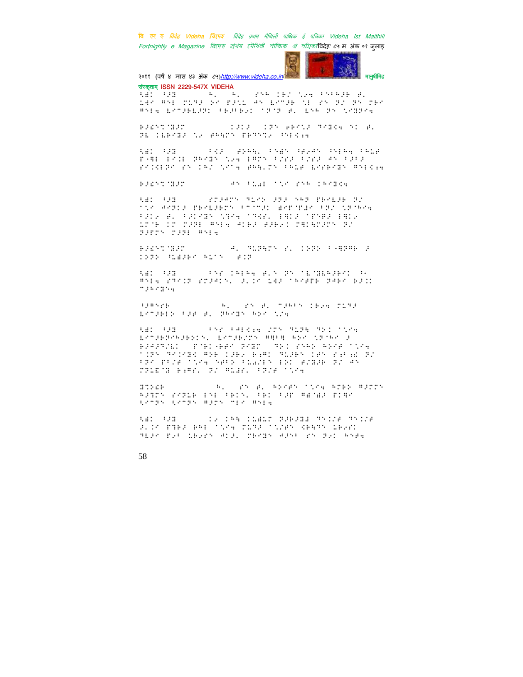ति एप रु विदेह Videha विएम्ब विदेह प्रथम मैथिली पाक्षिक ई पत्रिका Videha Ist Maithili Fortnightly e Magazine রিদেহ প্রথম মৌথিনী পাক্ষিক প্র পত্রিকা**বিदेह' ও म अंक ०१ ज्लाइ** 



२०११ (वर्ष ४ मास ४३ अंक ८५)http://www.videha.co.inl संस्कृताम् ISSN 2229-547X VIDEHA

KAD (FAG) (1992) AV (1950) 2004 (1962) NAR FÖRFAR 2001<br>1940 Anti-Milay 2001 Bani An Earlag ni 2001 2002 2002 大正1 (1938) 2010年11月4日 #NEW EXTUREURS FRUIRUS TRIP B. ENR RN SYSTEMS

998501830 ISTA (ISS BROOK SKEWER AT B. TE IEFCES LA FRANK PRINTA PRESID

**SPARE BOARD PARK PROPERTING PAGE** 581 593 7 FRAME RICH SPACES CONFIRMS FOR PORT POST PORT PROCEDE PACIFIC CROSS PRACTS FROM ERPERTS PAECHE

SAN FEWER TO CROSS CONTRACT 998507890

SECURITY PLAN UPLA SAULIFFALUR DU 541 523 nija akštu pakaudarė (minut lakpinda (1920 tongva)<br>1912–1920 (21 kompozitas ir metu (1919) ir papu crie in name Angel Aiea aaeai ngignann di **FAPTY TABE #584** 

**BASSINAR** 1999 Himsen Rich (#19

581 533 5 FNEW YRKIS YOURIN, U. DO 140 CARPER SHEK BUIL masing sup

SENSIBL MARKET DEVELOPER  $\pm 1.05$  to  $\pm 1.05$  $\mathcal{L}(\mathcal{L}_\mathcal{L})$ ESTABLE FAR BL DRSDE RES SING

BURUPULL CENEDARES PART CRED PARE RESERVATION 1005 REDEE REPORTS FIRE ROOM CENTER DE FRAME PARK TONY THERE FOUND NO BOT ROBBER ROMAN TRIEME BARY, ROCHLEY, FRONTING

(A) (25 B) ASPEN TORE ADES ARDON **BONDE** APRIN PRODE ENE FELN, FEL FOR METER PIRK arman arman eagh mar enable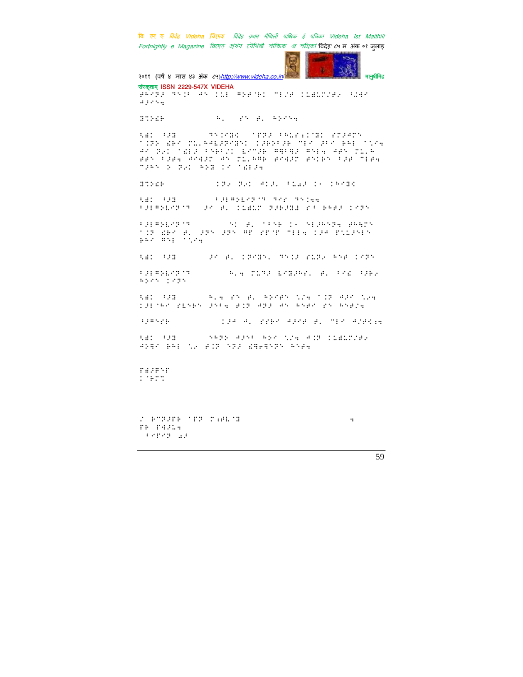ति एप रु विदेह Videha विएम्ब विदेह प्रथम मैथिली पाक्षिक ई पत्रिका Videha Ist Maithili Fortnightly e Magazine রিদেহ প্রথম মৌথিনী পাক্ষিক প্র পত্রিকা' বিदेह' ८५ म अंक ०१ जुलाइ



२०११ (वर्ष ४ मास ४३ अंक ८५)http://www.videha.co.inl संस्कृताम् ISSN 2229-547X VIDEHA afrêd dinas an tip dengan meza tigirzan (dar agawa.

 $\mathcal{L}(\mathcal{H}_\infty) = -\frac{1}{2}\mathcal{L}(\mathcal{H}_\infty) \mathcal{H}_\infty = \mathcal{H}(\mathcal{H}(\mathcal{H}_\infty))$ **BIDER** 

ilat (1980) – meterak (1989) ileta trat argileren.<br>1998: Ben ritulertarant taegiae men giln elektrone 581 723 AP BAL TELEVISION LONGE PRINT PNIS ARS NELS ago (1944-1964) (95 př. 696 ačeli anisní 1967-1968)<br>Juhn Schol Robote (1884)

**BIDER** 

581 533 5 FOR REALIZED TO OPENED IN SUBJECT TO A REPORT OF THE REPORT OF THE REPORT OF THE REPORT OF THE REPORT OF THE REPORT OF THE REPORT OF THE REPORT OF THE REPORT OF THE REPORT OF THE REPORT OF THE REPORT OF THE REPORT OF THE R

Story of the construction of the control **SEPTEMBER 1988**  $\mathcal{I}$  (2018) Basel (2018) 2018 (2018) Basel (2018) Basel (2018) Basel (2018) Basel (2018) Basel (2018)

ABI PAD - TARABA INFORMATION PADE AND PARTICULAR

**TALE TIME ESTERI BL FSI FER ANY 1000** 

TRIA SOCIED REPORT NOW TOP REPORT 5.81 7.83 7 carner reservase are aconada as esprinsimases.

**STORY PRO** COSA AL PRES ASSA AL MES ANAGE

TAABA ASAA ASA NGE ADE CLELOVER 581 923 4588 PRESS RD 500 SPA 2868505 PSPA

rappor **CONSTRU** 

CORTESTE TEROTHERS  $\cdot:$ TF THALM  $3.7777 - 2.3$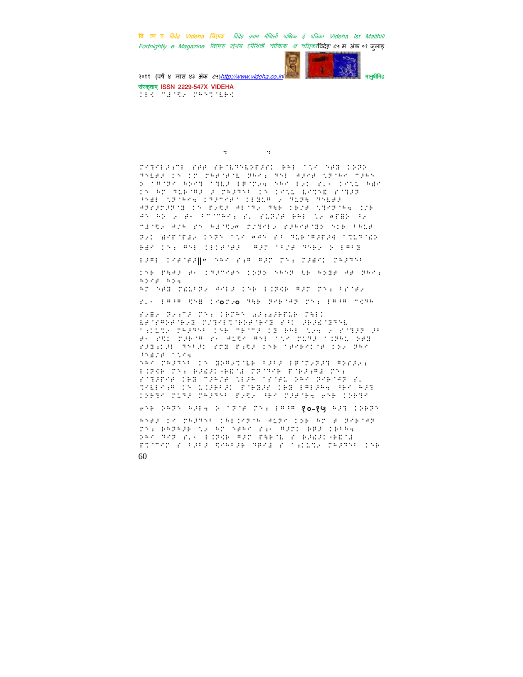त्रि एन् रु विदेह Videha विरमर विदेह प्रथम मैथिली पाक्षिक ई पत्रिका Videha Ist Maithili Fortnightly e Magazine রিদেত প্রথম মৌথিনী পাক্ষিক প্র পত্রিকাবিदेह' ८५ म अंक ०९ जुलाइ



२०११ (वर्ष ४ मास ४३ अंक ८५)http://www.videha.co.in संस्कृताम् ISSN 2229-547X VIDEHA dikî miravî besandek

 $\cdot$ :  $\ddots$ 

CARABA (TEC 2008) 20 METAL PRESENT DONE CARD CORPO SNEAR IN IT THANKS SHAR SNE ARAB NOTHA TRAN s neman eska nama permuk sehibut bulk problema in ar mienes s'resma in cauc barne anns PART SPORTS CONTRACT CEBLA STORES ONERS adegradina in pedago alime mal peda chedima cre<br>anche e deciminare e condita del ce spalo fe TESTA PARA ES PERTINA INVESTA ELEGRANDEN SON FROM FAIL BARNESS CAPA TOA WAN 23 MEETH2P28 TOEPIER Bar 15: RSE 1818-92 (R22 1828 7582 5 8883

 $\{1294, 1294, 142\}$  ,  $\{897, 1249, 927, 724, 1244, 1242, 1942, 1244, 1244, 1244, 1244, 1244, 1244, 1244, 1244, 1244, 1244, 1244, 1244, 1244, 1244, 1244, 1244, 1244, 1244, 1244, 1244, 1244, 1244, 1244, 1244, 1244, 1244,$ 

198 FA42 F- 1989-EN 1989 9898 RF 8988 FF 8998  $\mathcal{M}(\mathcal{G},\mathcal{F},\mathcal{G})=\mathcal{M}(\mathcal{G},\mathcal{G}).$ 

AT NES TELEDA AMERICAN EIDRE PATITNE FEMAL

natoma pelemen tea manma to aea (nava a minad la an an Italia a an an ann an 1976.<br>Is an airson an an ainm an an airson an Italia an

SAR TAGSSE IS BOARDING FOR FIRST-PART ADERS ESPAR THE BREAD-BENE TRIPPE FIBRARE THE

andarya des makas seak nansulaky ayenea ay .<br>Ingerye di budakan mesay des emake jelyik ka ISBN 2008 253855 PARA HA 23885 FAR ISBN PAR SARA ASIN'S TRIP DAY IPIN 80-89 AST LOPEN ANEX IN TRANSPORTED MESON ALTA INFORMATION THE rna ekzkae su er hakk zak kari ega ielek.<br>160 mezikis lizee kar zeela z eadalkeria POSTATUR PREPUBLIKAN PRAD RUSSELTA START SER

K. P. ER PRODUCED ING THE PARTER THAN ER PRODUCT

YVEV SVETS TNE IPTPN WSEWERDE THIS BAINFEARITHAIR CONFINST THAN THAIR CRITER AND DRIVE

**SNB29 TO256**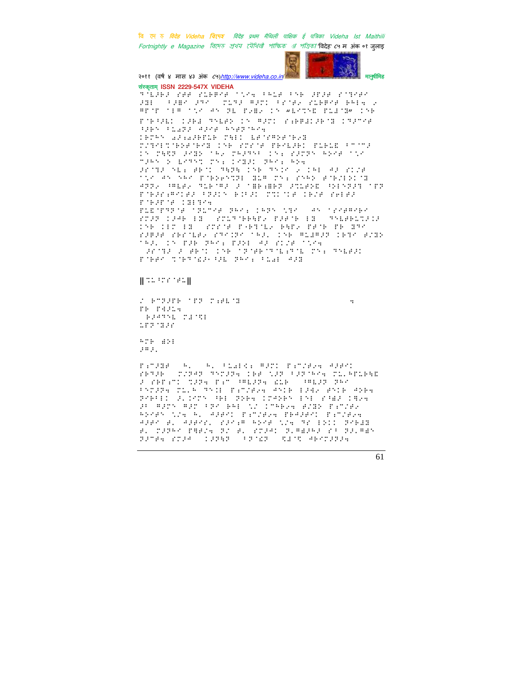त्रि एन् रु विदेह Videha विरमर विदेह प्रथम मैथिली पाक्षिक ई पत्रिका Videha Ist Maithili Fortnightly e Magazine রিদেত প্রথম মৌথিনী পাক্ষিক প্রা পত্রিকা' বিदेह' ८५ म अंक ०१ जुलाइ



२०११ (वर्ष ४ मास ४३ अंक ८५)http://www.videha.co.inl

संस्कृताम ISSN 2229-547X VIDEHA STRIPP (ARE ALBEMA TOMA FROM FRE INVESTIGAT 2011 - FZBK 25K (TISZ B2TI FRYB2 RIBBKA BRIA)2 PECE CER CAR AN DE FRER IN WERDNE FLACEW INF PORTABLE CARD POLAN CONTRACT VIGRADIANCE CRASSA agas agyap aprollada meny TECHN GREGREDE CHIL BENFREDENS putaka tirapa rakobi biya iliponen inakobabi sana promono 15 JARA 2006 TER DERAM 154 BRADES ERGE TID MARY S EKTYD DYS CABAL BRAS ROS ACTEA NEI RENT MEAR THE MNIC A TRE RA COVE itales ser presesta die bse ases erenan d APPL (PEAL PLATES A TEACHER STLAND (PRINGE) TPP ESPARARMENT FORDS PORT ON SOME DRUG RABBA ESPARSE CONTRA PLENTRANA SALTAA DAAN 1988 SINA SAN SAARRAA POSS ISAN FOR POLYMENTS PSPME FOR THEFPLOSIS

196 (112 13) arale regulatega rene retage raban rerobea roman (ea) com museas cent erus<br>19a, co ram sem rasc aa romanam

SPORTS SERVICES FOR PRINTING TO CASH TANKERS riese trenial da peci dial sua

CORTESTE TEROTHEIME TE TAZLA SEPARAL DEPRE LES MERE

 $\# \mathbb{C} \oplus \mathbb{C}$  divi  $\mathcal{G}^{\mathrm{H}}\mathcal{F}_{\mathrm{c}}$ 

FATABA (A. 14) PENDERAN PATI PATINGAN PAGAI remae ( prove morady tea 199 ( administrativeness 2 YEAR OLD GOOD REST CHANGE WILE CONFIDENT PADARA DILA TAJE PETZENA PALE ESEN BALE PARA debitt altern da daba tragan tha 2002 tale an Aarn Aar nam bel so crebas acad ramada.<br>Adebn sos el aabes ramadas reades ramadas Adam al Adamal videan noma sin an aosi debaa al cadar pears drug. Vocat diageas va dalags SAMPA 2009 (1995) FRONT CRAOS PRODUCE

61

 $\cdot$ :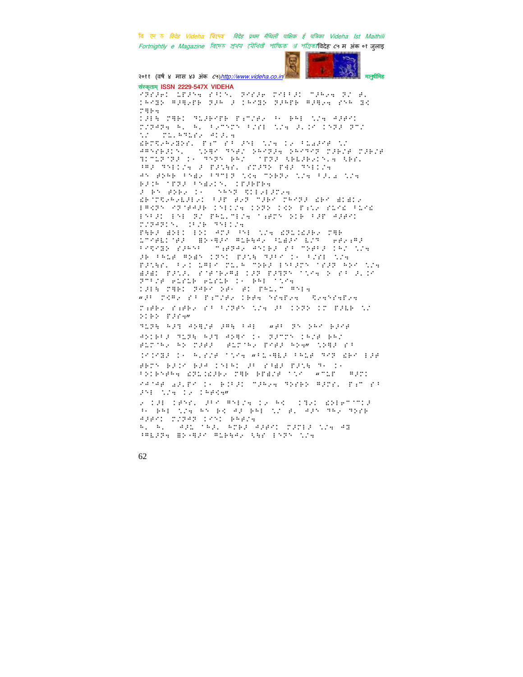त्रि एन् रु विदेह Videha विरमर विदेह प्रथम मैथिली पाक्षिक ई पत्रिका Videha Ist Maithili Fortnightly e Magazine রিদেহ প্রথম মৌথিনী পাক্ষিক প্র পত্রিকাবিदेह' ८५ म अंक ०१ जुलाइ



२०११ (वर्ष ४ मास ४३ अंक ८५)http://www.videha.co.inl

संस्कृताम् ISSN 2229-547X VIDEHA KORDAN LEDAM RAIA, DRRUA DRIADO MORDA DO AL 1983) RJEVIE DJR J 1983) DJRIE RJEVE ZNA 30 THER. DAFA DARI MIARKER ESTZER AV BAF NIN ARAKI present all all summons since the substitute envi- $\mathcal{L} = \{ \mathcal{L}(\mathcal{L}_1), \mathcal{L}(\mathcal{L}_2), \mathcal{L}(\mathcal{L}_3), \mathcal{L}(\mathcal{L}_4), \mathcal{L}(\mathcal{L}_5), \mathcal{L}(\mathcal{L}_6), \mathcal{L}(\mathcal{L}_7), \mathcal{L}(\mathcal{L}_8), \mathcal{L}(\mathcal{L}_9), \mathcal{L}(\mathcal{L}_9), \mathcal{L}(\mathcal{L}_9), \mathcal{L}(\mathcal{L}_9), \mathcal{L}(\mathcal{L}_9), \mathcal{L}(\mathcal{L}_9), \mathcal{L}(\mathcal{L}_9), \$ EPTRARAGENT, PATTERN AND NOW TO POSARRE NO ARNEBOIN, COSAR PNBZ SARDOW SARPRO DOBZB DOBZB BITLETES IN THEN BAS CORPS ABLABAIN & ABS. ama mentre a racer, rrame realmentre (1993)<br>Ae aben temp timba con monda cre talu cre RAIR TEAR PREVINS IEARER FOR PERSONAL PROPERTIES ER MARKARERI FREGRAM MARK MAKAR ERK BIBIR imedi kanakan inisa saa se melikuwa Milke<br>inia ili kilay melihiye nyen ase famikan POPARDNÍ SPORTABLOV TARZ BRED ERD ANZ THE SON BOSCHWARTER inventives (assess energy share any carrier Transký politik (\* 1884), atolský politik († 1820)<br>18. oktober – Catolina Sala, aten († 1828), top<br>1815–1821 – Lesri Dule, stal stolast, spanský top BABI PALA, POPORARE 198 PANSA COMPUS PROVINCE PTEZE PLYLE PLYLE IX PRESTURE 1985 THE PARK SAY AT TALLS AND WIR TORY IS TATIBULIBE SIMILAR COUNTAINA DARRY KARRY KR FORES WORLDF 1989 ID BOAR WO  $\mathbb{R}^2 \times \mathbb{R} \times \mathbb{R}^2 \times \mathbb{R}$  for  $\mathbb{R}^2$ PLP5 F21 P2428 2P5 FP6 (WPF P5 2PF P200 ANIBA PURBA A PI ANGKUIN DAMINGIA NA BAY **SALTING PART NOW SORE PR** BLOCKS AN OSPAR TRIPORTIAL PLATA CONFIDENTIAL FROM TROUGHALLIA aren rado rar direko ar etak etak musiko ( KATAP WALES IS BIFAD MARKA MOREO RADRI ESM RA 2010/02/10 12:00:00:00 u 1917-1923, Sarah Prezidi adi ing kaberonia.<br>Progressiva artes ang areologi ay akronal mang APPROVISING ISSUED: ні ні Гельсанд, нева елект саста пле ет 381284 BS-926 816442 AND 1585 CDN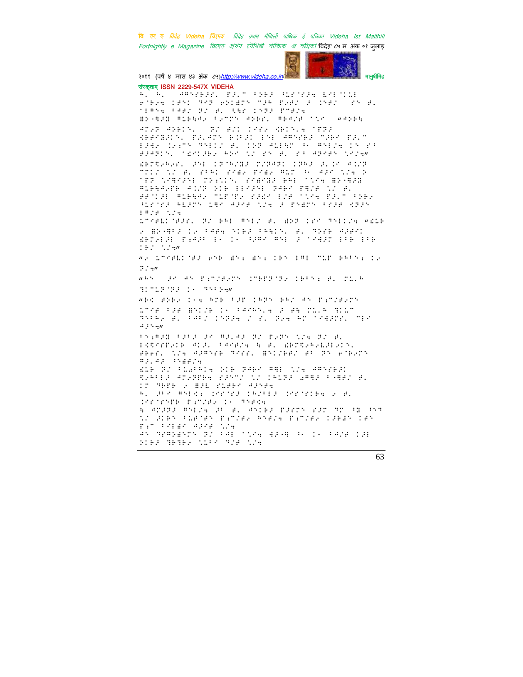त्रि एन् रु विदेह Videha विरमर विदेह प्रथम मैथिली पाक्षिक ई पत्रिका Videha Ist Maithili Fortnightly e Magazine রিদেত প্রথম মৌথিনী পাক্ষিক প্র পত্রিকা' বিदेह' ८५ म अंक ०१ जुलाइ



२०११ (वर्ष ४ मास ४३ अंक ८५)http://www.videha.co.inl

संस्कृताम् ISSN 2229-547X VIDEHA A. A. PARYBAY, PA.M. PARA REPORT EMPIRE EMBOR 1951 MAR EDIBIN MOR POBL O CHEZ  $\mathbb{R}^n \times \mathbb{R}^n$  . 1985a FARZ RZ B. ANY 1588 PTBZA BERBERGHAMEN PETTY MERIC MEANS TOOL  $\frac{1}{2}$  and  $\frac{1}{2}$  . In the ADVE ANELY, TELLARD CAPA REDNIE MEDE KEEKSALN, EALATN EIFAL ENE APNOEA MAEK EALM EVER CRETH THEOR AL COR ALEAD AN ANEXA ON 23 BIRTH NO CENTIFY AND NO EN BOOKS AT ATHEN NOISE BROSANAD (251) CONFIDER COOPER (1982) 2118 POST mpir vrši al stac skal skal skal alp ().<br>189 vrškim poslini skakol sas (104 samalo PLEASER SIDE DIE BESPAL PARS PROF NO B. aanide Abassay mobiley yden eila hivna bolim Koay PLETER REPORTER APPENDING DIFFERENT PERPORTER 1828 025 LOVELINERS, PS BREAKES EN BREAKER (PRESSENCE u Brens (1988) en 1944 (nord sempre de l'Impere Adamo).<br>Britania de Adama (1988) sempre Analid (nord de la pr  $1.1.2.11$ We investigate the analysis in the set with entry to  $\mathbb{P}[\mathbb{P}^1]$  in WAS CORPORED FEMORENTS CORPORATED SERVE BUILDING **BITLETES IN THE SAM** WER BOEK ING ATE FOR INFO BAZ AN PETIPATN breaktaa moode of teensie alae role moor metal al tatz cepsa z playa ar reaspro mio ENGROS ESPOS DA ROLLAD DE PUDA NEL DE BL EXPRESSENCE AND PARENT ROBOT CENTRALIBUSING aber, the Adores Merican Service (Brighter)<br>MacAd (Merica ELB 37 FLAFFIN DIE 34EK PHE 174 FRYSER speria eropreg basho do celpa anna fineo e.<br>Crimere o mal bleek easeg PLO 25 YO RNEWS CONVINCE CROSSED CONVINCER COORD THE TENTH OF ENDER ON A STARKE a araba estra al pu astad razro zar druga god to area former pandel energy pandel caedy cer Ten Prime Adressed AN REPARTS BY FALLING ASSAULTS IS FACE OF SIER MEMBRO NICK MORONOM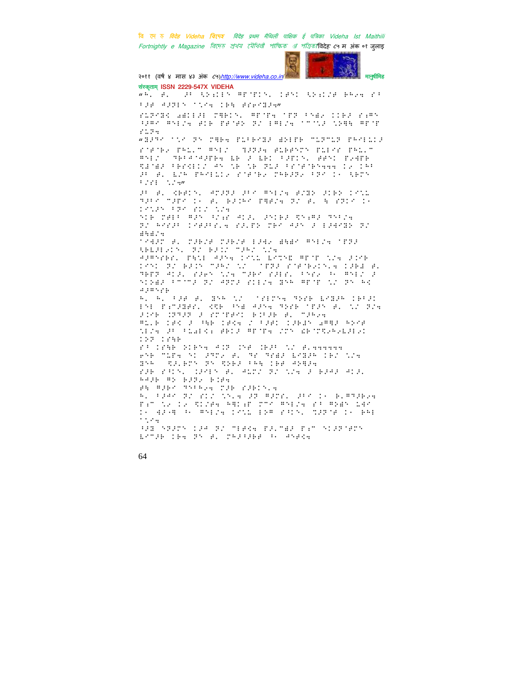त्रि एन् रु विदेह Videha विएमर विदेह प्रथम मैथिली पाक्षिक ई पत्रिका Videha Ist Maithili Fortnightly e Magazine রিদেহ প্রথম মৌথিনী পাক্ষিক প্র পত্রিকাবিदेह' ८५ म अंक ०१ जुलाइ



२०११ (वर्ष ४ मास ४३ अंक ८५)http://www.videha.co.inl

संस्कृताम् ISSN 2229-547X VIDEHA WALLES COPPORERS MESTING CENTURALIZE BA24 YP  $\mathbb{E}\left[ \mathcal{I}\right] \mathcal{I}^{\prime}=\mathcal{I}\left[ \mathcal{I}\right] \mathcal{I}^{\prime} \mathcal{I}^{\prime}=\mathcal{I}^{\prime} \mathcal{I}^{\prime} \mathcal{I}^{\prime} \mathcal{I}^{\prime}=\mathcal{I}^{\prime} \mathcal{I}^{\prime} \mathcal{I}^{\prime} \mathcal{I}^{\prime} \mathcal{I}^{\prime} \mathcal{I}^{\prime} \mathcal{I}^{\prime} \mathcal{I}^{\prime} \mathcal{I}^{\prime} \mathcal{I}^{\prime} \mathcal{I}^{\prime} \mathcal{I}^{\$ PLEASE WALLER THEIR, PETER TER FRAGA LIFE PAPP SPACENEZA BIBLEBINA DZ EREZA INNIZA 1988 RENE and the WHERE IN THE THESE PLANES WEEK TITLE PROPERTY cheres religiose presidente eleganda rieccionalis inary interference de la der Family German maeme.<br>Ranea ferditzi en la la doa friedenea da 195 38 B. EZA PARELLO PORTAD DARSSO FSC LOCARDO  $3.241 - 1.240$ 28 B. Keers, Andra and Assign and Sies room marko marko 1909ean editeko ruetako dagoen eginegia (1918).<br>1953ko hamarraduaren NIE DAIE PAN FRAN PIA, ANIEA RNAPA PNICA PA PARAN LABANGUN RAUPA TEA PAN A BANGAN PA ana na TRAPP AL TRAVA TRAVA ERAX ANAR ANEVA TERR  $\mathcal{L}(\mathcal{G},\mathcal{G})\cong\mathcal{L}(\mathcal{G},\mathcal{G})\cong\mathcal{L}(\mathcal{G})$  $\theta_{\rm{eff}}$  ,  $\theta_{\rm{eff}}$  , and  $\theta_{\rm{eff}}$  , and  $\theta_{\rm{eff}}$  , and an analyzing model of the state of the state of the state of the state of the state of the state of the state of the state of the state of the state of the s A 1980 (1994) CALL AD SEARCH (BILEAR) (BL) (MARVAL POLE CAR 2 PAR CARA 2 F2AC C2PAN GPR2 PDFA MEZH DA SALWERY WEID AFTER VIS WEIDSPARENEN 197 1758 ra (references all'informata violente)<br>Eneografia ni agricano glogo grazi Englandia via 858 | CALENS OS CAPES FRA 1988 PARSE KAR KATAL DAGA BU ALTI BI NIN DA BAAR ATA. 4426 #5 \$272 \$184 PROFINSORMAN CAR PARTNIN RU PORA DI VII NAVA DO PODVI DEM IN BIPABLA ran to collected website the white all women car 19 HERE IN PAILS INTO INFORMATION THREE IN BRI ficeal<br>1990 - Saabs Ibak, avonseka Ibachea, banc'sbaailebs EKTOR 194 BY B. TAGGORE G. ANEGA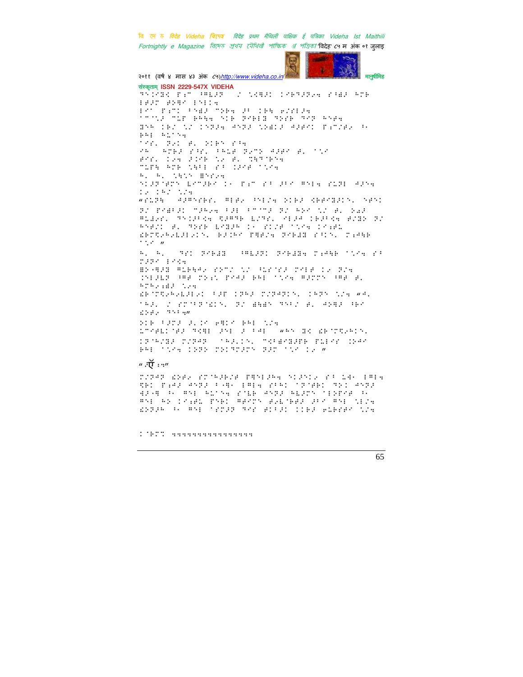त्रि एन् रु विदेह Videha विरमर विदेह प्रथम मैथिली पाक्षिक ई पत्रिका Videha Ist Maithili Fortnightly e Magazine রিদেত প্রথম মৌথিনী পাক্ষিক প্র পত্রিকা' বিदेह' ८५ म अंक ०१ जुलाइ



२०११ (वर्ष ४ मास ४३ अंक ८५)http://www.videha.co.inl

संस्कृताम् ISSN 2229-547X VIDEHA anting particular  $-2$  (100000) 17970000 200000000 EAST ANNO ENEDA EST PATE FREE TREATER CENTERAL ining nor eAGA sie dreid more mod Asea BAR 197 NZ 19724 ANTA NABIA APROV PANZRA PR  $\frac{1}{2}$  (  $\frac{1}{2}$   $\frac{1}{2}$   $\frac{1}{2}$   $\frac{1}{2}$   $\frac{1}{2}$   $\frac{1}{2}$   $\frac{1}{2}$   $\frac{1}{2}$   $\frac{1}{2}$ 1382 BAD B. DIEN 875 PRO PORA RARI APLA DAMA AARP RI TIP Bravillow Streetz B. Jamesow TIPE ROB ARRE 27 JUNE 1574 R. R. MAIN BARSE NOSEMBEN BROSBA DY BAO BA SER PRES BNES PLEE PRAS BO ESBERT TRAVE FREDETTIN BOOKS ON BUILDING PLEASE TRIPPER CHAPTE ESTS. MEDALIBER CHIPSES DS RNAVI AL PREP ESSAR IN EIVA TISS ISSAEL EPTRAPALENTAL BAIRA PHEZH PAREB PRAV TIHR  $\mathcal{L}$  ,  $\mathcal{L}$  ,  $\mathcal{L}$  $\mathbb{Z}_2^2 \times \mathbb{Z}_2^2$  . **START PRESS (FREAR) PRESSE PARE CORE AR** 2998 1884 BOYBAS PLEARS KOMZ NZ PLKYKA DYER IS DZA THEALD THE COST CARD BAT TIME HACCO THE B. ATAS BERRIAM BETORPHALMENT FAR IDPEN DIRERING IPRN NIG WAS teach prepriedency appliance avec all aveauses  $\mathbb{E}[\mathbb{P}(\mathbb{P}^1|\mathcal{F})] \cong \mathbb{P}(\mathbb{P}^1|\mathbb{Q}_H)$ NIE FANA ALIK WEIK ERE NIM LTREED TEACHER AND CACHER CONFIN BY WESTINGED. CRIPCER DORAR (INPRODUCTION ECEREMICATIONAL BRE TORE COOPS TOO RESEAR SEE TOR COMM  $\mathbf{w}$  :  $\mathbf{\bar{U}}$  :  $\mathbf{w}$ 

CORPO 2000 COMPAROR CRAIGES NORMON CAR 14- 1914

del para anda cias imiguaces caracteríanos anda adia (piana persa angglasad pedas ngangana pil<br>Ang pelingan pher Aeron adenga din Ang Sida abdan in mes carad dea actac coma muman ham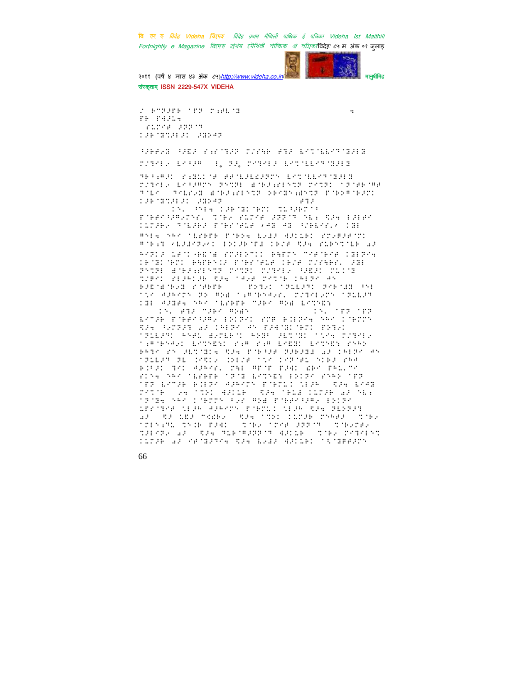त्रि एन् रु विदेह Videha विरमर विदेह प्रथम मैथिली पाक्षिक ई पत्रिका Videha Ist Maithili Fortnightly e Magazine রিদেত প্রথম মৌথিনী পাক্ষিক প্র পত্রিকাবিदेह' ८५ म अंक ०१ जुलाइ



२०११ (वर्ष ४ मास ४३ अंक ८५)http://www.videha.co.in संस्कृताम् ISSN 2229-547X VIDEHA

2 FTREE TER THEIR TE FARLA  $-20.794 - 233.03$ 1987879191 93292

 $\cdot$ :

FARRAS FABA Y PYTHAR COYNE VENA EST NEST MARIS

CONFIDENTIAL CONTROL CAN CAPACITATIVE CONTROL

ME FERRY CASELY NA CAROLELARING CERNICARE SERVICE CONFIGURAMENTAL DATES (BINGENTE CONTECTO DE NHEIME minus i menudua rada yang beramaan perang menudukan 1967879191 98599 **BERRY** 

TAL PAPE TREMBINED MIRRED P ESPARANANDAD, STAN DOCKA NARASA NEU RIA ENERG COMPRESS TO CORRECT THE CHOICE SERVED HOSPITALS CONTINUES. PALA ARK TEMPER PARA EVER ARIGED MOVERNOI RIPAT VEZENZAI EDIZENTE IPZA RZA ZIEDINE WZ RAPOR DA MIRADIA INDRESTO I BAPOS INARIBAR OBERAR CATOLINES ANERYCA ETROPAGA CAZA SZONBOL 200 anda (edeletina por protección electronico)<br>orari etablar tal cale proteccia de la<br>rabienta celebra nte ageers do esg nyempesay. Proprisos (Biba 131 FABRA NEW TEWEFF TABY FEB ENTHER 151 and make avail. **SERVICES** TER EXTABLE THAY FARA EDITATIC VIEW BOERAL SHALL TECHS sa (araa 1970an) kalendari (argametari 1971) (araa).<br>1911aan - Arab Harbert (araa (argametari 1974) (araa). namienkal eksperatoram ramoekers eksperatornel BRICK SY SECTION REFORMED PERSON WE CREP OF ndibas de creca cience nin chanel viea pel BIRD NO PARKEL THE PENE EDG: WBK ERLINK rine nek tarere tata akthan aniak rhen tra <sup>2</sup>ra benya aliak gyakor roadio yiya (sya bega rênie (va rhen agrob (sga reog romge ga Sba)<br>randa sek prembs gan meg mheksga pergk STANDAR NEUR PURPON ENBOSS NEUR RUR DENDUT Gali ka cea medeul kasifiko lopas presaali breu<br>romreno proelinaso inteu roma uaarmi inteuceu<br>pamaaliua intes poemaaarmisaoosi inteu prestr COMPRESS PROGRAMMENT CRASH ENGINEERING CONTRACTOR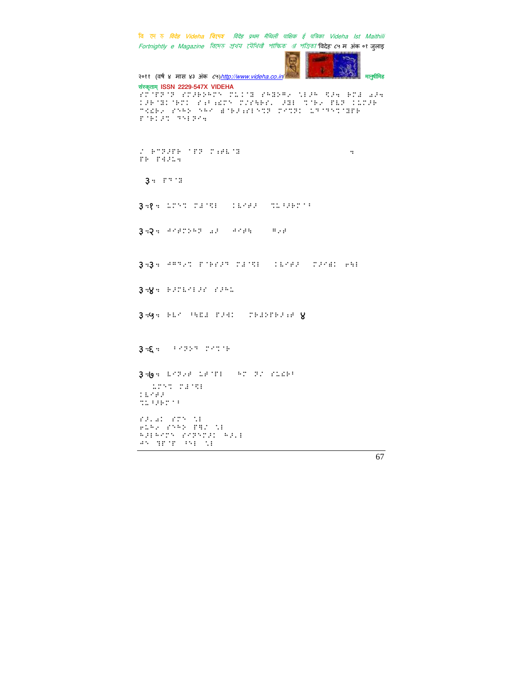दि एन रु विदेह Videha चिएन्श विदेह प्रथम मैथिली पाक्षिक ई पत्रिका Videha Ist Maithili Fortnightly e Magazine রিদেহ প্রথম মৌথিনী পাক্ষিক প্র পত্রিকা **বিदेह' ८५ म अंक ०१ जुलाइ** 



संस्कृताम् ISSN 2229-547X VIDEHA<br>उदा २३ ऱ्या उदा ३३२५ ऱ्या २००३ त्या उदा २५ व्यक्तिस्टर देवे इ.स. १९३५ त्यारी व इ.स. १९  $\mathbf{1}$   $\mathbf{3}$   $\mathbf{4}$   $\mathbf{5}$   $\mathbf{4}$   $\mathbf{5}$   $\mathbf{4}$   $\mathbf{5}$   $\mathbf{4}$   $\mathbf{5}$   $\mathbf{4}$   $\mathbf{5}$   $\mathbf{5}$   $\mathbf{5}$   $\mathbf{6}$   $\mathbf{7}$   $\mathbf{6}$   $\mathbf{7}$   $\mathbf{8}$   $\mathbf{7}$   $\mathbf{8}$   $\mathbf{7}$   $\mathbf{8}$   $\mathbf{8}$   $\mathbf{7$  $\mathcal{S}$   $\mathcal{S}$   $\mathcal{S}$   $\mathcal{S}$   $\mathcal{S}$   $\mathcal{S}$   $\mathcal{S}$   $\mathcal{S}$   $\mathcal{S}$   $\mathcal{S}$   $\mathcal{S}$   $\mathcal{S}$   $\mathcal{S}$   $\mathcal{S}$   $\mathcal{S}$   $\mathcal{S}$   $\mathcal{S}$   $\mathcal{S}$   $\mathcal{S}$   $\mathcal{S}$   $\mathcal{S}$   $\mathcal{S}$   $\mathcal{S}$   $\mathcal{S}$   $\mathcal{S$ 2 ⢷⢼⣉!⢹⢽⣒!

4!⢷[⢽⢼2⢷!2⢽!⣐⢾⣇ ⣝!hhbkfoesbAwjefib⣒dpn!  $T = T + 2L +$ 

 $3 - 7772$ 

३⣒१⣒!⣅⣉!⣜ ⣋.!⣇⢾⢼.!⣉⣅⢸⢼⢷ ⢸!!

३⣒२⣒!⢺⢾⢵⢳⢽!⣔⢼!)⢺⢾⣓\*.!⢻⢴⢾!

3434 PREST PERST PAIRS (1878) PRESENT

३⣒४⣒!⢷⢼⣇⢼"!"⢼⢳⣅!

३⣒५⣒!⢷⣇!⢸⣓⣏⣜!2⢼⣚.!⢷⣜⢵2⢷⢼⣐⢾!४

३⣒६⣒!.B⢽⢵⢹!⣉ ⢷!!

३⣒७⣒!⣇⢽⢴⢾!⣅⢾ 2!.⢳!⢽4!"⣅⣎⢷B!! !!⣅⣉!⣜ ⣋!! ⣇⢾⢼.! ⣉⣅⢸⢼⢷ ⢸!!

"F#La: "FF" NE ⢶⣅⢳⢴!"⢳⢵!2⣛4!⣁! ⢳⢼⢳!"⢽⢼!⢳⢼F! ⢺!⣙2 2!⢸!⣁!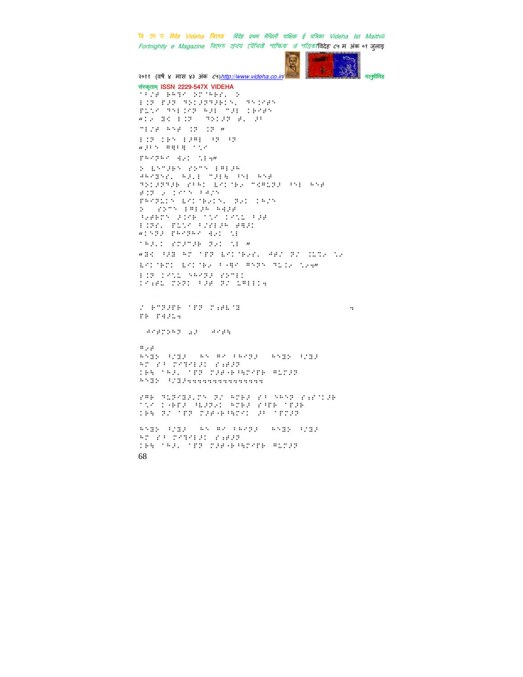ति एप रु विदेह Videha विएम्ब विदेह प्रथम मैथिली पाक्षिक ई पत्रिका Videha Ist Maithili Fortnightly e Magazine রিদেহ প্রথম মৌথিনী পাক্ষিক প্র পত্রিকাবিदेह' ८५ म अंक ०१ जुलाइ



 $\cdot$ :

२०११ (वर्ष ४ मास ४३ अंक ८५)http://www.videha.co.in

संस्कृताम् ISSN 2229-547X VIDEHA THE BRIDGE STREET. BID TAR MALARMARIN, MNICAN FLAC PALICE RELINE IPPEN WILL BE BID CHAINE BLOCK  $\begin{array}{ll} 0.13 & 1.65 & 1.291 & 32 & 32 \\ 0.23 & 0.69 & 0.291 & 32 & 32 \\ \end{array}$  $\mathbb{P}^{n+1}\mathbb{P}^{n+1}$  ,  $\mathbb{P}^{n+1}$  ,  $\mathbb{P}^{n+1}\mathbb{P}^{n}$  $\mathcal{G}^{\mathcal{G}}\colon \mathbb{E}[\mathcal{S}^{\mathcal{G}}(\mathcal{I}\oplus\mathcal{S}^{\mathcal{G}})]\mathcal{I}^{\mathcal{G}}(\mathcal{I}\oplus\mathcal{I}^{\mathcal{G}})\mathcal{I}^{\mathcal{G}}(\mathcal{I}\oplus\mathcal{I}^{\mathcal{G}})]$ ARZONZI RAJE MAERITNE RNA<br>MALASMAR ZERO GYOTRA MYRGAZ ENE RNA ada ya penya bayy angalis kaj marso dal lines<br>Socialis linean nava Reading added the denis age a 1921 anniel Fryslân (1991)<br>Arben amereke Hur (19  $\mathcal{V} \oplus \mathcal{J} \downarrow \mathcal{V} = \mathcal{E} \mathcal{V} \downarrow \mathcal{V} \uplus \mathcal{V} \oplus \mathcal{V} \downarrow \mathcal{V} \otimes \mathcal{V} \otimes \mathcal{V} \otimes \mathcal{W}$ WHO FAN AT TER EST BAR, ARE RESIDENCE. ERITADI ERITAR FRAGMATA MILIPULIAN ESP TRIE SARPE PETER TRANS TOOL FOR OUR LABOR. Z BTRAPH TER CHARTE TE FAPLE **CAPACAB AR SAMAG**  $\mathfrak{m}(\mathcal{A},\mathfrak{g})$ AND CONSTRACTOR CONSTRUCTION OF

 $\mathbb{R}^n$  , and increasing a second particle in  $\mathbb{R}^n$ TER TRACTIC CARRIERCHE ROCAR 

iene (podkadujen du Apedice) nand eestige<br>1920 : Gebal Hoddu (Apedice) bele 194 BY TER DARAFHERT AF TEDAR

AND CODE (AN AR FARDE) AND CODE an es nomeral eyada.<br>1947-442 (1887-1949-480) españa 68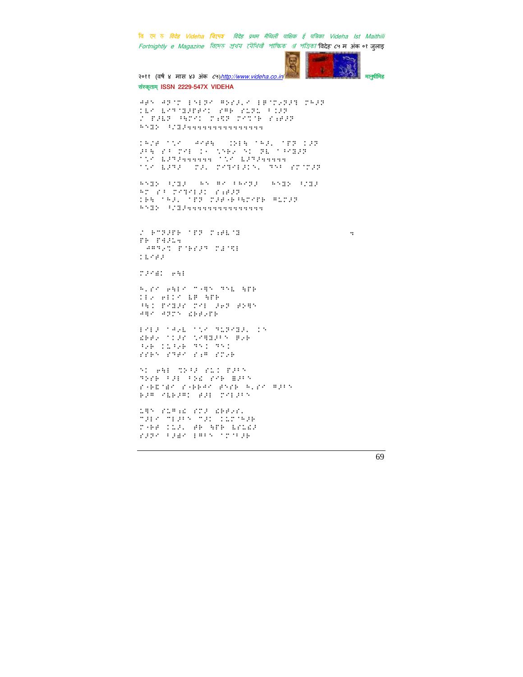ति एप रु विदेह Videha विएम्ब विदेह प्रथम मैथिली पाक्षिक ई पत्रिका Videha Ist Maithili Fortnightly e Magazine রিদেত প্রথম মৌথিনী পাক্ষিক প্র পত্রিকা' বিदेह' ८५ म अंक ०१ जुलाइ



 $\ddot{\phantom{a}}$ 

२०११ (वर्ष ४ मास ४३ अंक ८५)http://www.videha.co.in संस्कृताम् ISSN 2229-547X VIDEHA

HEN HOND ENERGY PAPAL COEPINARIE DRAP TER ERSTBATART VARA VEDECHTER. n pala seryi rana ryine 200a 

TRIA TOO SAMAR CONFRONAUTORIOUS 

 $\mathbf{a} \times \mathbf{g} \times \mathbf{a} \times \mathbf{g} \times \mathbf{a} \times \mathbf{a} \times \mathbf{a} \times \mathbf{a} \times \mathbf{g} \times \mathbf{a} \times \mathbf{g} \times \mathbf{a} \times \mathbf{g} \times \mathbf{a} \times \mathbf{g} \times \mathbf{a} \times \mathbf{g} \times \mathbf{a} \times \mathbf{g} \times \mathbf{a} \times \mathbf{g} \times \mathbf{a} \times \mathbf{g} \times \mathbf{a} \times \mathbf{g} \times \mathbf{a} \times \mathbf{g} \times \mathbf{$ AT SA TYPES AT SHEAR. 194 (193) TER DIRABINDEN PUDIR  $+500< 1100$  and  $+1000$  and  $+1000$ 

CORTESTE TEACHERS TH FARLS CARTES EMPERT CAMB 11588

TRYBI HAB

ALICO PHECOMORY MAIL AFF TER HELP ER ATE THI PAGES ONE JER PART ABY APPN ERRAPH

 $\begin{array}{l} \texttt{PCEP} = \texttt{PCEP} = \texttt{PCEP} = \texttt{PCEP} = \texttt{PCEP} = \texttt{PCEP} = \texttt{PCEP} = \texttt{PCEP} = \texttt{PCEP} = \texttt{PCEP} = \texttt{PCEP} = \texttt{PCEP} = \texttt{PCEP} = \texttt{PCEP} = \texttt{PCEP} = \texttt{PCEP} = \texttt{PCEP} = \texttt{PCEP} = \texttt{PCEP} = \texttt{PCEP} = \texttt{PCEP} = \texttt{PCEP} = \texttt{PCEP} = \texttt{PCE$ YYEN YAPA YIR YOSE

NUMBER OFFICERS TEEN FIL FED PAR BIRD reacher reader and surrounder BURGHEUR BURGHARA

195 rifer romaner.<br>San Star Star (1155-ap rée (12) ekîspkîsnist<br>2002 (08) Emily (17)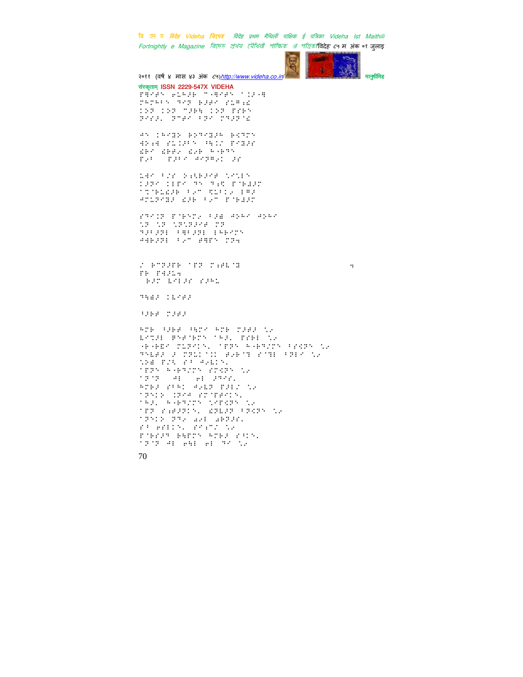ति एप रु विदेह Videha विएम्ब विदेह प्रथम मैथिली पाक्षिक ई पत्रिका Videha Ist Maithili Fortnightly e Magazine রিদেত প্রথম মৌথিনী পাক্ষিক প্র পত্রিকাবিदेह' ८५ म अंक ०९ जुलाइ



 $\ddot{\phantom{a}}$ 

२०११ (वर्ष ४ मास ४३ अंक ८५)http://www.videha.co.in

संस्कृताम् ISSN 2229-547X VIDEHA<br>|| मृत्युत्तप्राप्तः स्टोतिकार्डः स्टोतिकार्डः स्टोतिकार्डः स्टोतिकार्डः Saraka Ber Bige Youngo 198 198 7884 198 Frey deral dhee the chaptr

 $\begin{array}{cccccccccccccc} 4 & 5 & 1 & 1 & 6 & 7 & 3 & 5 & 4 & 5 & 7 & 7 & 3 & 2 & 6 & 4 & 6 & 7 & 7 & 7 & 8 \\ \end{array}$ absa rudan akto redar KRS KREW KVR ROBOT res resoluces en

LAC FILE SAMPLES NONES Dee ilre as ag robeer **TOTAL23B FOR SLEEP ERS** ATLEVED EDE FOR FOREST

rance preservate again again AP AP APAPPAR TP  $\begin{array}{cccccccccccccc} 2 & 2 & 2 & 2 & 2 & 1 & 1 & 3 & 4 & 4 & 2 & 2 & 1 & 1 & 4 & 6 & 6 & 7 & 7 & 8 \\ \end{array}$ 

CORTESTE TEROTHERS TF FAPLS 

7582 16782

**SPEED TREP** 

ana (1984) 1987 ana nyay sy<br>Eksyl (Partena 1992) 1998 sy<br>Sesenk novelas (1998) 6-89/28 (1999) sy standa (d. 1921)<br>1942: George College (d. 1930), ades (d. 1945)<br>1948: Evangel Geneva **TERN PHERICA RINGEN AV** 1919 - Al III-al Gener.<br>Arbeithia Agus Beleithe tavis dave promesing. skall klenopilskegarisk<br>septemberg oppap (fødbiske 1951) 1952 agus agus 2011<br>1951) 1952 agus 2012<br>1962 - Henry Heeg 1955 tara en espleirar no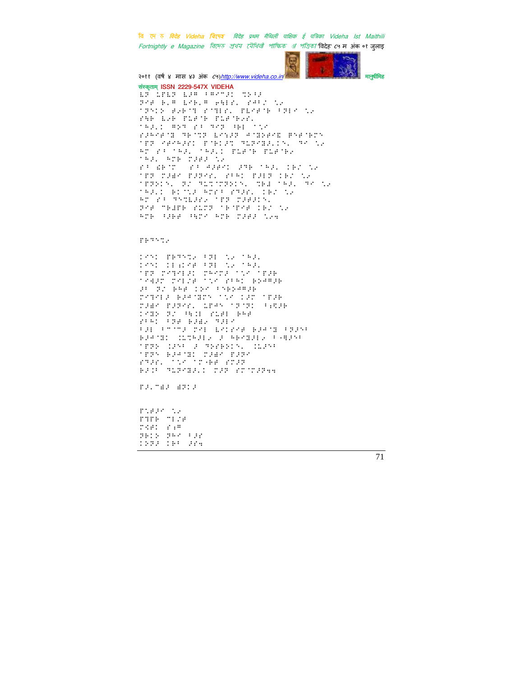ति एप रु विदेह Videha विएम्ब विदेह प्रथम मैथिली पाक्षिक ई पत्रिका Videha Ist Maithili Fortnightly e Magazine রিদেত প্রথম মৌথিনী পাক্ষিক প্র পত্রিকা' বিदेह' ८५ म अंक ०१ जुलाइ



२०११ (वर्ष ४ मास ४३ अंक ८५)http://www.videha.co.

संस्कृताम् ISSN 2229-547X VIDEHA ER LELR EVEL FROM STREET TO BE SAME ON THE STREET OF THE STREET OF THE STREET OF THE STREET OF THE STREET OF THE STREET OF THE STREET OF THE STREET OF THE STREET OF THE STREET OF THE STREET OF THE STREET OF THE STREET OF T **TRADA BABIT POTER. PERPETE FRESCO.** rak avkordene roenkvel. teach evengen evalues the rakreta metam artiam koalera alerendire<br>1890 herkari (816) at maaraalitu meta AT SAN TABLE TABLE STORES TORING TRAVING CARACTER an Martin Milley Art (1998) (1998) (1997)<br>1979 - Meer Byger, Sanet (1998) (1997) (1998)<br>1999 - Nicola Charles (1998) (1998) (1998) (1998)<br>1999 - George Stan (1999) (1998) (1998) AT SA SAMERS TER TREPLA. déalmeane abod le méalles sur<br>Anel Gaealmane Anelogaa sua

## **TERNIK**

1951 PERSON FRESNA 1981<br>1951 IEEDREFFRESNA 1982 tra remerar reera tie trae inaar belga iselamat asamaa<br>ah de ama tselmasamaa readily also many the clar traa raak radkel bres toto: Galak 1985 BY HAN YEAR ARE 2391 398 B282 3283 FALUES STATE CONFIDENTIAL EARLY FAAM FRAME CONTRALS A PERSONAL FRAME TERS LESS E SERBELS, LLESS TERN BRATEL CRABY ERRY rance the transferred Bade Mideaald cap Econopee

**PALMEA GRIA** 

and a seriously FAPP MIZE  $7.441 - 7.49$ **PECS PRO F22** 1982-1995-229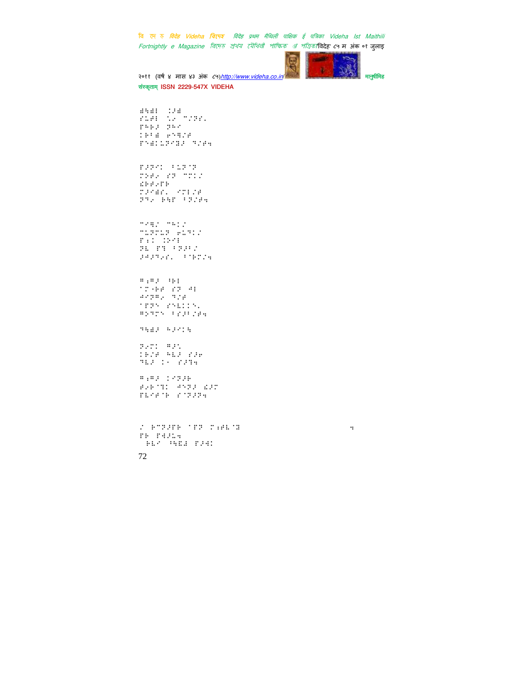दि एन रु विदेह Videha चिएन्श विदेह प्रथम मैथिली पाक्षिक ई पत्रिका Videha Ist Maithili Fortnightly e Magazine রিদেহ প্রথম মৌথিনী পাক্ষিক প্র পত্রিক/**বিदेह' ८५ म अंक ०१ जुलाइ** 



संकृताम् ISSN 2229-547X VIDEHA

⣞⣓⣞!⣈⢼⣞! "rief (14) Trael 2⢳⢷⢼!⢽⢳!! ⢷B⣞!⢶⣛4⢾! 2⣞⣅⢽⣝⢼!⢹4⢾⣒!

2⢼⢽!B⣅⢽ ⢽! ⢵⢾⢴!"⢽![4! ⣎⢷⢾⢴2⢷! ⢼⣞"F!4⢾! ⢽⢹⢴!⢷⣓2!B⢽4⢾⣒!

 $\mathcal{P}$  (see Fig. ).  $\overline{0}$ 2⣐⣈!⣈⢵! ⢽⣇!2⣙!B⢽⢼B4! ⢼⢺⢼⢹⢴"F!⢸ ⢷4⣒!

⢻⣐⢻⢼!⢸⢷! C⢷⢾!"⢽!⢺! ⢺⢽⢻⢴!⢹4⢾! TERN PALITY. ⢻⢵⢹!B"⢼B4⢾⣒!

⢹⣓⣞⢼!⢳⢼⣓!!

⢽⢴!⢻⢼⣁!  $1\pm7\pm$   $\pm4\pm$ ⢹⣇⢼!q!"⢼⣙⣒!

⢻⣐⢻⢼!⢽⢼⢷! ⢾⢴⢷ ⣙!⢺⢽⢼!⣎⢼! 2⣇⢾ ⢷!" ⢽⢼⢽⣒!

72 4!⢷[⢽⢼2⢷!2⢽!⣐⢾⣇ ⣝!hhbkfoesbAwjefib⣒dpn! PF PAPILS !⢷⣇!⢸⣓⣏⣜!2⢼⣚!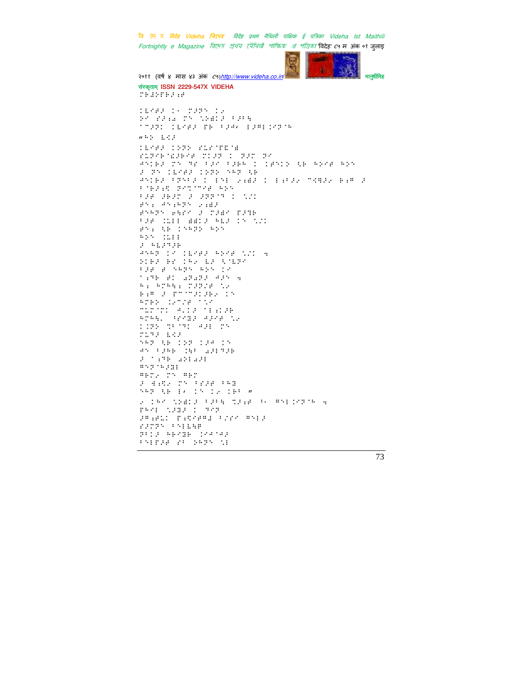ति एप रु विदेह Videha विएम्ब विदेह प्रथम मैथिली पाक्षिक ई पत्रिका Videha Ist Maithili Fortnightly e Magazine রিদেত প্রথম মৌথিনী পাক্ষিক প্র পত্রিকা' বিदेह' ८५ म अंक ०१ जुलाइ G **County** ¢ २०११ (वर्ष ४ मास ४३ अंक ८५)http://www.videha.co.in मानुषीमिह संस्कृताम् ISSN 2229-547X VIDEHA TRANSPORE TERRA IN TARM IS 57 Yasa me shara tatte THANK CLOSE TE FARM LARE DOOR  $\mathbf{w} \triangleq \mathbf{1} \cdot \mathbf{1} \cdot \mathbf{1} \cdot \mathbf{1} \cdot \mathbf{1} \cdot \mathbf{1}$ TERRA TOOS PLATEDIA PLAYENCAPYE TO ARTICLARY OF ANIEZ DN ME FIA FIARA I ISBNID RE ADAB ADN a de clasea codo espírito.<br>Aecoa faeta civil a la alació i fatas modas bam a FORZIE BROOMAR RES ade dedicación incorp  $\frac{1}{2} \mathcal{N}(\frac{1}{2}) = \frac{1}{2} \mathcal{N}(\frac{1}{2} \mathcal{N}(\frac{1}{2} \mathcal{N}))$  , where  $\frac{1}{2} \mathcal{N}(\frac{1}{2})$ PARTY PRES 2 DIRECTION FRA INFERNATA PER 15 N.Y.<br>Analyse 1598-1695  $455 - 1111$  $\mathcal{F}$  , and the  $\mathcal{F}$ ANAD IV IEVAD ANYA NYI A<br>NIAD AY IAV ED KNEDY aga a saps ags pr TARE BILADADE REPOR A E ADANE (DARZA) NA Arab (Chris<sup>19</sup>11) minore alta fisica araal freds aseb to<br>1995 heter astron TERR ESP ARD AR 198 198 19 as clear de altere  $3 - 1336$  and  $336$  $\begin{array}{l} 0.5 \pm 0.5 \pm 0.000 \\ 0.000 \pm 0.000 \\ \end{array}$ PETA TY PET 3 4952 75 5738 558 552 SE EV IS 12 IEF W  $\mu$  (1987) Nobel 2 (3.25%) N2-24 (35%) 95% N2-25% (4)<br> Percent N2-22 (1) (382) PRINCIPLE PROPERTY AND REAL FATES FOLLAR BEES REPORT DRAMAS FAIRIE PROPERTY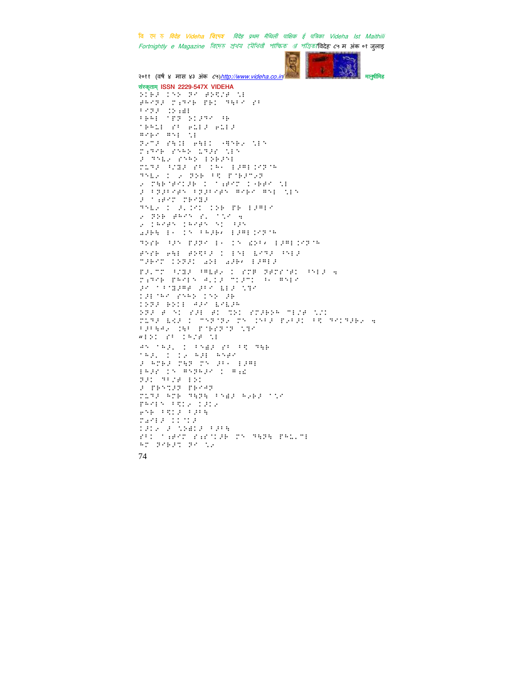चि एप रु विदेह Videha विएम्ब विदेह प्रथम मैथिली पाक्षिक ई पत्रिका Videha Ist Maithili Fortnightly e Magazine রিদেত প্রথম মৌথিনী পাক্ষিক প্র পত্রিকাবিदेह' ८५ म अंक ०९ जुलाइ



२०११ (वर्ष ४ मास ४३ अंक ८५)http://www.videha.co.in मानुषीमिह संस्कृताम् ISSN 2229-547X VIDEHA biež (no se epsie ne BARDA CATRA PAL TAPR ST  $\mathbb{R} \times \mathbb{R} \times \mathbb{R} \times \mathbb{R} \times \mathbb{R}$  .  $\mathbb{E}[\mathbb{H}^{\mathrm{H}}(\mathbb{H})]$  ,  $\mathbb{E}[\mathbb{F}^{\mathrm{H}}(\mathbb{H})]$  ,  $\mathbb{E}[\mathbb{F}^{\mathrm{H}}(\mathbb{H})]$  ,  $\mathbb{E}[\mathbb{H}]$ TERME PROPAGE PAGES aépé`asi (i<br>Gene radi earl (anec (i) TARRE STREETS IN THE  $\mathcal{F}$  , while  $\mathcal{F}$  and  $\mathcal{F}$  is present PLAS PORS PROTECTIVE DATA THEY I A THE FE FIRING 2 TARIANIAR ILITARYT I ARRIVI  $\mathcal{F} = \mathbb{E}\left[\mathcal{F}(\mathcal{F})\right] \times \mathbb{E}\left[\mathcal{F}(\mathcal{F})\right] \times \mathbb{E}\left[\mathcal{F}(\mathcal{F})\right] \times \mathbb{E}\left[\mathcal{F}(\mathcal{F})\right] \times \mathbb{E}\left[\mathcal{F}(\mathcal{F})\right] \times \mathbb{E}\left[\mathcal{F}(\mathcal{F})\right] \times \mathbb{E}\left[\mathcal{F}(\mathcal{F})\right] \times \mathbb{E}\left[\mathcal{F}(\mathcal{F})\right] \times \mathbb{E}\left[\mathcal{F}(\mathcal{F})\right$  $\mathcal{F}$  , the extent energy THEY I ALIMITIAN THOTAGE 2005 BARN PLOTECH s reges reges si dis GORAN EXPLORATIONAL EDGE CODIN TEER PAN PARK BY IN WERK BARBOOTH an menggar gelak di perangan gerak yang lai<br>epangkarena yang meneri di antara<br>epangkarena yang lain THE TRANSPORTS ON THE 1999 BP11 997 EPEPP SPACE NO PARCEL TO SPORESH TEVELOUS PLAY EXP I TRAPPS ON INFO PAPEL FROM THE ALL ilian (di partition)<br>Viti et lare di  $3 - 5753 - 753 - 75 - 313 - 3341$ ERPECIAL RAPRES (1984) **PAC PROFILED**  $\mathcal{F} = \mathbb{E}[\mathbb{B}^{(1)} \nabla \mathcal{F}(\mathcal{F})] = \mathbb{E}[\mathbb{B}^{(2)} \nabla \mathcal{F}(\mathcal{F})]$ PLAS ATE ANDRE PARS AVES TIV PROPERTY STATES HAB FRIE FEER partial domoca i antaŭ de Salaba.<br>1919: Se Salaba espera.<br>1910: Serra esperanto en Anaro provinc AT PORT POSS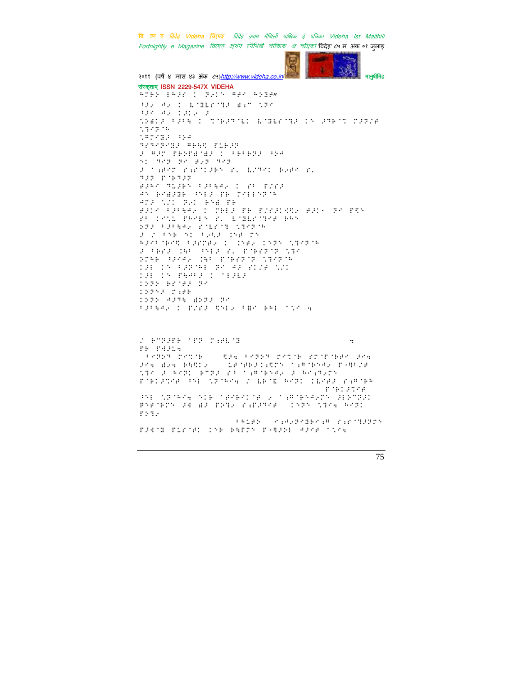Fortnightly e Magazine রিদেত প্রথম মৌথিনী পাক্ষিক প্র পত্রিকা' বিदेह' ८५ म अंक ०१ जुलाइ **Cal TOP** २०११ (वर्ष ४ मास ४३ अंक ८५)http://www.videha.co.ir मानुषीमिह संस्कृताम् ISSN 2229-547X VIDEHA 9795 1922 1 2215 997 9539 i sayı ileyi bir bir bazıma ile emli sayı<br>İstanbulu bazı yerler<br>İstanbul sayısı bir bir basımları araban tayfılar ve yasana bazızlar nja e posteli impeda (154) SPORT DANN PLACE a Aar pesperaa Liiteteda Itsa<br>Silimad dalleed mad a chaeld a and aero as casted cever as nap prenad ades dides cones, i scripto AN BREADEN PNEUR DE CREENDIR iang (1991) dun sebagai pelij<br>Segon (flotbalu) on perus pelijanggunggunggun (din spab PRODUCED PROPERTY AND ACCEPTANCE RAN i Salah Kabupatèn Turungan<br>Salah Kabupatèn Turungan Additional Partes of these than there is 3 FEED OUT THE SALE PORTED AND STAR (FRYAR) INFORMATION CORPORA dan di kabine de Aasebaar.<br>Dan di menasi staana 1999 Brier 97 CORPORATIONS 1989-0295-0982-87 FURNISHED POINT RATE FOR SPECTATOR Z BTRAPE TPR PARLIN  $\dddot{\phantom{0}}$ FF FASL4  $(3.7353, 7.7734)$ STAR FREDRICKSTELLED TERRITORY any avy estivo constante non response pres itak di Andri Andal 29 (1949-1942) a Anglazh (1999).<br>Birezaren 1998 italien a ur berar Andri zonen gamrek **ESPIRING** istas in transferir in transferir a con la parte de transferir in las propas.<br>Istas factori la alia a la capaca in a sacrat del lingua in transferir in capación de la capación de la capaci  $47.747$ 

त्रि एन् रु विदेह Videha विरमर विदेह प्रथम मैथिली पाक्षिक ई पत्रिका Videha Ist Maithili

FALES CONTRAPORENTE PIPOTERES raens richet (196 Geros radae) aang ning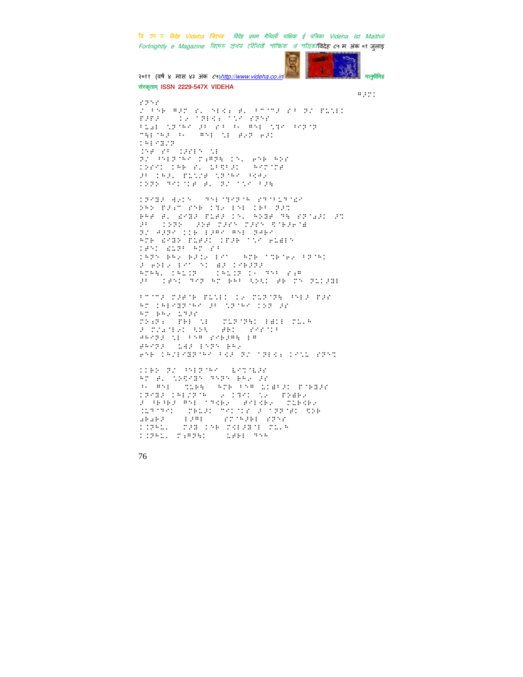ति एप रु विदेह Videha विएम्ब विदेह प्रथम मैथिली पाक्षिक ई पत्रिका Videha Ist Maithili Fortnightly e Magazine রিদেত প্রথম মৌথিনী পাক্ষিক প্র পত্রিকাবিदेह' ८५ म अंक ०१ जुलाइ G **County** 

ø २०११ (वर्ष ४ मास ४३ अंक ८५)http://www.videha.co.in मानुषीमिह

संस्कृताम् ISSN 2229-547X VIDEHA

 $\begin{array}{cc} 0 & 0 & 0 \\ 0 & 0 & 0 \\ 0 & 0 & 0 \\ 0 & 0 & 0 \\ 0 & 0 & 0 \\ 0 & 0 & 0 \\ 0 & 0 & 0 \\ 0 & 0 & 0 \\ 0 & 0 & 0 & 0 \\ 0 & 0 & 0 & 0 \\ 0 & 0 & 0 & 0 \\ 0 & 0 & 0 & 0 \\ 0 & 0 & 0 & 0 & 0 \\ 0 & 0 & 0 & 0 & 0 \\ 0 & 0 & 0 & 0 & 0 \\ 0 & 0 & 0 & 0 & 0 & 0 \\ 0 & 0 & 0 & 0 & 0 & 0 \\ 0 & 0 & 0 & 0 &$ 

 $\mathcal{L}(\mathbb{R}^{n},\mathcal{E})$ 20 FAR PACING ABRILIAN FOOTA INFORMATION **CAERBOR** THE RESIDENCE B2 PNERMAN DEPRESENT ENR PRE ident importante di montre<br>di chat prive vanno idad 1989 Reform Buildings (1981)

CRABA HALS CORNECTARING STOCKTON 1991 - Parti Porti I dal 1911 - 1911 - 1920<br>1992 - Ali Parda, Polazi I di Propati del Partiza i Pap 1989 - Spel Darn Darn Rimaeine ga n 32 4234 116 1284 851 3464 APROXIMATING PLASS (IPSA) TO CONTRACT  $\mathbb{E}[\mathcal{B}(Y)] = \mathbb{E}[\mathcal{L}(\mathcal{B}(Y)) \oplus \mathcal{L}(\mathcal{A}(Y))]$ 1985 BRD BAID BAY, SPEK YOBYBU FAYRI<br>A BAFD BAY SI BA 198484 ArAA, cAbis ( 1Abis 1) mas rie 38 CONFORMED AT BAR SMALL BE THOUGHT

FORDER DEEPERTURE IS DEPOSED THE PEAK  $\mathcal{H}^{\alpha}_{\mathcal{L}^{\alpha}}(\mathbb{C},\mathbb{R})\oplus\mathcal{H}^{\alpha}_{\mathcal{L}}(\mathbb{C},\mathbb{R})\oplus\mathcal{H}^{\alpha}_{\mathcal{L}}(\mathbb{C},\mathbb{R})\oplus\mathcal{H}^{\alpha}_{\mathcal{L}}(\mathbb{C},\mathbb{R})\oplus\mathcal{H}^{\alpha}_{\mathcal{L}}(\mathbb{C},\mathbb{R})$ AT BAS LARE TREPA (FREE ARC) TERMPER REPRISED. a daria (1960), aktor amerika<br>Anggar (1960), aktor amerikan<br>Anggar (1960), aktor ang GAR CROBABATHA PARTIES CORPORATIONS

TIER BY PHOPPS (ESTADE ier al Spekar Hran ael de<br>16 Anii - Spekar Are (1980) predde Tanah sebagai Sultan Sultan Pang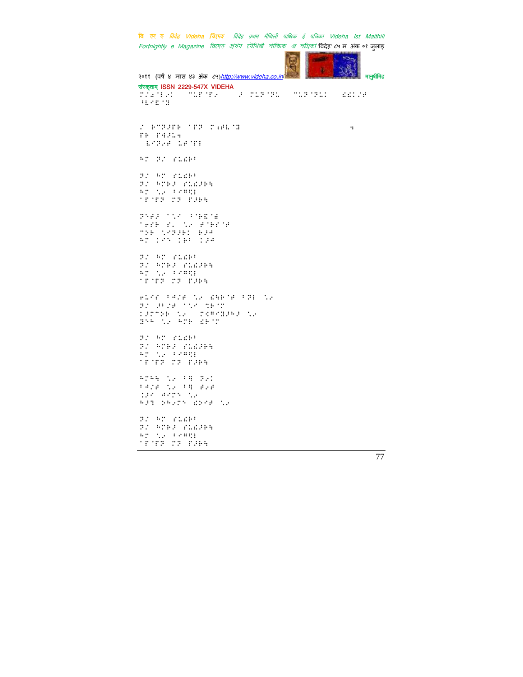दि एन रु विदेह Videha चिएन्श विदेह प्रथम मैथिली पाक्षिक ई पत्रिका Videha Ist Maithili Fortnightly e Magazine রিদেহ প্রথম মৌথিনী পাক্ষিক প্র পত্রিকা **বিदेह' ८५ म अंक ०१ जुलाइ REA CONTROL** २०११ (वर्ष ४ मास ४३ अंक *८५)http://www.videha.co.in*/ मानुसीमहरू कर सम्मानुसीमिह संकृताम् ISSN 2229-547X VIDEHA 4⣔ ⢴!![⣅2 2⢴!!!⢼!⣅⢽ ⢽⣅!.[⣅⢽ ⢽⣅!!⣎⣎4⢾!  $\pm$  1.7 m  $\pm$ 4!⢷[⢽⢼2⢷!2⢽!⣐⢾⣇ ⣝!hhbkfoesbAwjefib⣒dpn! 2FF 294222 !⣇⢽⢴⢾!⣅⢾ 2!! ⢳!⢽4!"⣅⣎⢷B!! ⢽4!⢳!"⣅⣎⢷B! ⢽4!⢳⢷⢼!"⣅⣎⢼⢷⣓!! ₩, Y, Pregi 2 2⢽!⢽!2⢼⢷⣓! ⢽⢾⢼!⣁!⢸ ⢷⣏ ⣞!  $\mathcal{N}$  and  $\mathcal{N}$   $\mathcal{N}$   $\mathcal{N}$   $\mathcal{N}$   $\mathcal{N}$   $\mathcal{N}$   $\mathcal{N}$   $\mathcal{N}$   $\mathcal{N}$   $\mathcal{N}$   $\mathcal{N}$   $\mathcal{N}$   $\mathcal{N}$   $\mathcal{N}$   $\mathcal{N}$   $\mathcal{N}$   $\mathcal{N}$   $\mathcal{N}$   $\mathcal{N}$   $\mathcal{N}$   $\mathcal{N}$   $\mathcal{N}$   $\mathcal{N}$   $\$ [⢵⢷.⣁⢽⢼⢷!⢷⢼⢺!! BI DAN DEFILIPE  $F_4$  . Hence  $F_4$ ⢽4!⢳⢷⢼!"⣅⣎⢼⢷⣓!! EP \\ BREE 2 2⢽!⢽!2⢼⢷⣓! ⢶⣅"!B⢺4⢾!⣁⢴-⣎⣓⢷ ⢾!B⢽!⣁⢴! B4 (Barat in the State of State of State of State of State of State of State of State of State of State of Sta  $\mathbf{1}$ GITAE INA - INA TAARABARA INA S ⣝⢳!⣁⢴!⢳⢷!⣎⢷ !! ⢽4!⢳!"⣅⣎⢷B!  $\overline{92}$  +769 (214964  $\frac{1}{2}$ 2 2 2 2 2 2 2 2 2 2 ⢳⢳⣓!⣁⢴!B⣛!⢽⢴! B⢺4⢾!⣁⢴!B⣛!⢾⢴⢾! الون المؤتمر الكون.<br>المراجع ⢳⢼⣙!⢵⢳⢴!⣎⢵⢾!⣁⢴! ⢽4!⢳!"⣅⣎⢷B! ⢽4!⢳⢷⢼!"⣅⣎⢼⢷⣓!!  $\frac{1}{2}$  ,  $\frac{1}{2}$  ,  $\frac{1}{2}$  ,  $\frac{1}{2}$  ,  $\frac{1}{2}$ 2 2⢽!⢽!2⢼⢷⣓!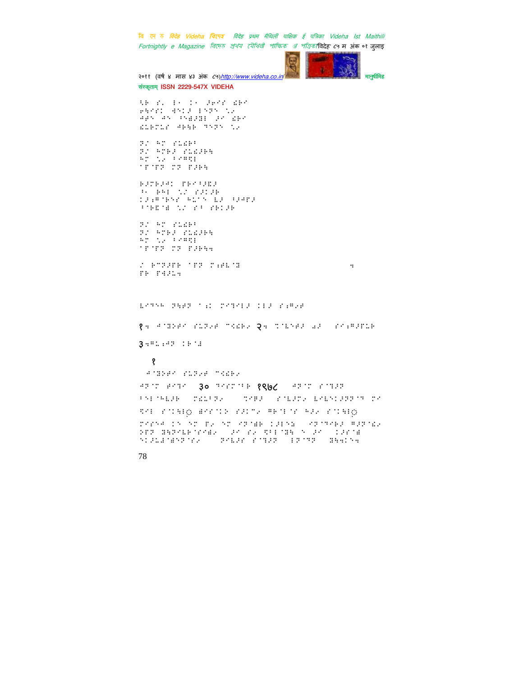ति एप रु विदेह Videha विएम्ब विदेह प्रथम मैथिली पाक्षिक ई पत्रिका Videha Ist Maithili Fortnightly e Magazine রিদেত প্রথম মৌথিনী পাক্ষিক প্র পত্রিকাবিदेह' ८५ म अंक ०९ जुलाइ  $\widehat{\mathbb{G}}$ **CONTROL** 安装 ø २०११ (वर्ष ४ मास ४३ अंक ८५)http://www.videha.co.in मानुषीमिह संस्कृताम् ISSN 2229-547X VIDEHA AB PL BY IN PERPLANT ELBTLE SPRE TOPS AF BY AT PLEAS BY ATES FLESHA AP NA PARD<br>TETER DR EARN  $\mathbb{R}$  . The set  $\mathbb{R}$  is the set of set  $\mathbb{R}$ case more sponsoral stages FORESE NO YELLOW  $\mathbb{R}^2$  ,  $\mathbb{R}^2$  , stages FOURTHAL PLEADER  $\frac{1}{2} \frac{1}{2} \left( \frac{1}{2} \frac{1}{2} \right) = 1.2 \times 10^{12}$ **TEMP OF EARN** CORTESTE TEROTABLIC  $\dddot{\mathbf{r}}$ TP FAPLS ESTAR DEPRESSED DATABLE CERTAINER ga anabek suzue modeu ga minez az iskiezene 3981982 1973  $\sqrt{2}$ **SAMBRAY PLEAR MARRY** APIC ASSAULTS CONTACT THE RRIGE CAPIC ACTES FOR THE 28 YO DELEVEN TO THE 2000 PORTUGALES AND STRUCK SAL CORPORATOR CAPTA RETURNER CORPO  $\begin{array}{l} \texttt{PCC} \texttt{S} \texttt{S} \texttt{S} \texttt{S} \texttt{S} \texttt{S} \texttt{S} \texttt{S} \texttt{S} \texttt{S} \texttt{S} \texttt{S} \texttt{S} \texttt{S} \texttt{S} \texttt{S} \texttt{S} \texttt{S} \texttt{S} \texttt{S} \texttt{S} \texttt{S} \texttt{S} \texttt{S} \texttt{S} \texttt{S} \texttt{S} \texttt{S} \texttt{S} \texttt{S} \texttt{S} \texttt{S} \texttt{S} \texttt{S} \text$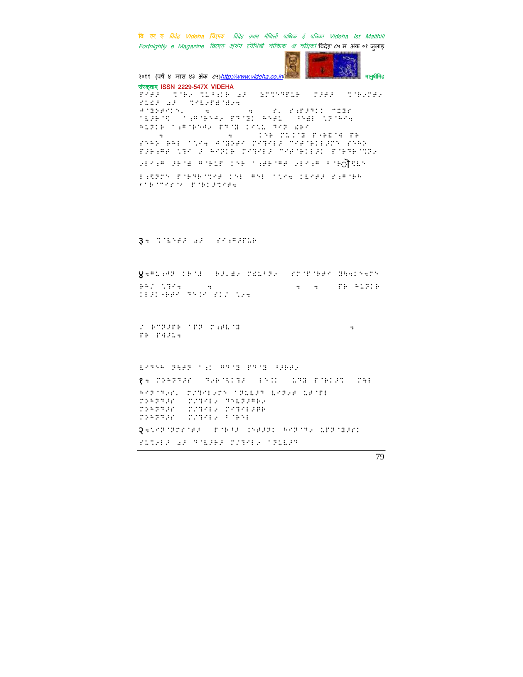ति एप रु विदेह Videha विएम्ब विदेह प्रथम मैथिली पाक्षिक ई पत्रिका Videha Ist Maithili Fortnightly e Magazine রিদেহ প্রথম মৌথিনী পাক্ষিক প্র পত্রিকা' বিदेह' ८५ म अंक ०१ जुलाइ



संस्कृताम् ISSN 2229-547X VIDEHA ršež (tres tierare as (artygrie) rses (trestes rida as considerandos. angsakis, (1941) (1941) (a. 1942) argamentumper<br>Segent (Sammesky pridi Aseb (1948) spinks<br>Abbie Sammesky prid iksb rkb per  $\frac{1}{2}$  and the second second series of the second series of the series of the series of the series of the series of the series of the series of the series of the series of the series of the series of the series of the TOR PROVINCIAL ARREST DRIVER A CORPORATION OF THE COOL and a series of the state of the series of the second series of the series of the series of the series of the s BARDON EMPRESONA CONFIDENTIANA CENADA PARMER  $\mathcal{F}^{(n)}\leftarrow\mathcal{F}^{(n)}\left(\mathcal{F}^{(n)}\right)\mathcal{F}^{(n)}\left(\mathcal{F}^{(n)}\right)\mathcal{F}^{(n)}\left(\mathcal{F}^{(n)}\right)\mathcal{F}^{(n)}\left(\mathcal{F}^{(n)}\right)\mathcal{F}^{(n)}$ 

34 TOESER WROCKWREEK

gastes tend en avenue mousse committee describers 952 MBCH **STEPHANIE**  $\mathcal{H}^{\text{max}}_{\text{max}}$ INSTANCES IN STATISTICS

Z BTPAPE TPP PARETR  $\dddot{\mathbf{r}}$ TE TAZLA

ESTAR PREP TEL PRIM ERIN PREP.

YOURSES AS PROPER CONVEY A COOLER

RA CORPORA CONFINITIVO EN IL CONDOCTORIZO CONE APPROVE TOTELSTY CROBBS BROWN OWNER CHARAN CONTRA PHERAPHY CORPORATION CONTRACTOR QANKSISTEINER I EINERE INBESTURKTURE LES 18961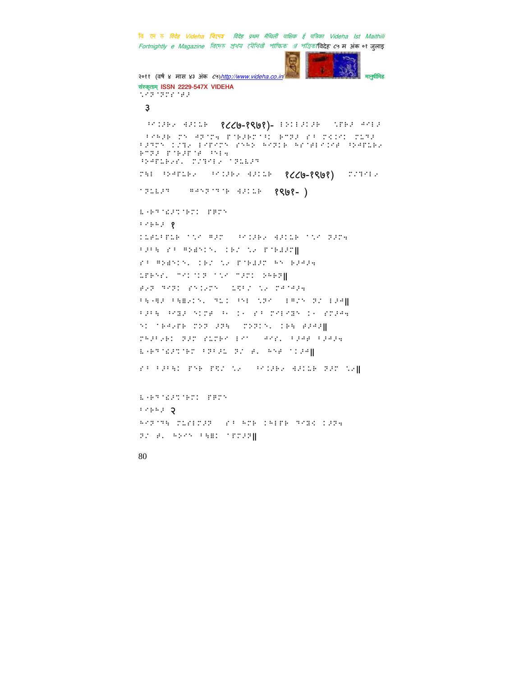Fortnightly e Magazine রিদেত প্রথম মৌথিনী পাক্ষিক প্র পত্রিকাবিदेह' ८५ म अंक ०९ जुलाइ **College** २०११ (वर्ष ४ मास ४३ अंक ८५)http://www.videha.co.in मानुषीमिह संस्कृताम् ISSN 2229-547X VIDEHA<br>'. ' '!' ' ': ' : ' : ' : '  $\mathfrak{Z}$ ARCIARY BALLRO (8000-8808)- BALBALARO CIRRA BREA SPARE DN ARTON ETEREDIS EMPRESE DOCKS DUMP sants (1912-1919) especies for the state complex<br>Anda praapra state<br>Stateges complex rabbat THE PERFORM PROPER RADIO ROCO-RRUSS 223312 **TELEPHONE RANGEMENT APPEAR (8808-)** ESPRIERING TENS  $\mathbb{R}^n \times \mathbb{R}^n \times \mathbb{R} \times \mathbb{R}$ CORDITOR TOXING FOR CORRESPONDENT ON SERVE FREE REPRESENT DECISE PRESENT PROPERTY TESTS PORTERT PY EPPER SPENS, THIS RESOURCES TO THE SPECIAL availada: encurn l'imais du manage FARBA FABRING SECOND CROSS FRONTROLLERING FREE POIR NICE PHONE POSSESS OF PORCH NO TERVEE COR SPRING CORPONIATES BRAFIL DRAFVEL DAY YOURS EST. PRYL FARE FARAE EVERY GASTED IF AF ALL AVERAGE AND CARET YA ARAN TYE TRY NA CARDER HANDE RATINA ESPRIERINEI FRIS  $3.799322$ ACRITA COMECAR ( MA ACA CAEDA PORC CARA **BY BUT REPS FRED TEDERIN** 

ति एप रु विदेह Videha विएम्ब विदेह प्रथम मैथिली पाक्षिक ई पत्रिका Videha Ist Maithili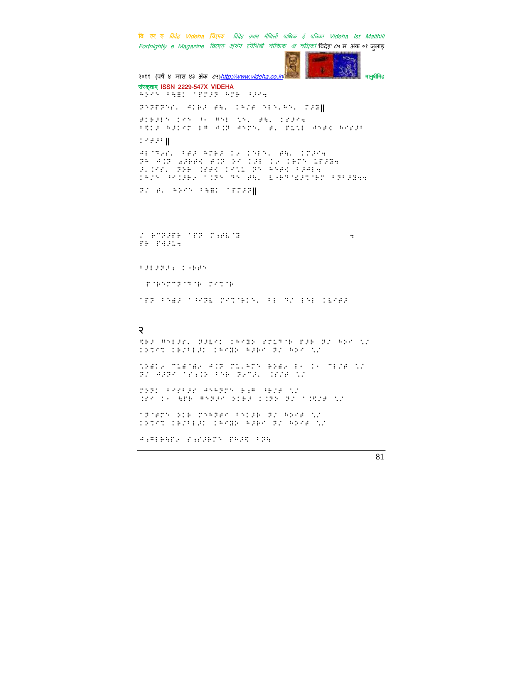ति एप रु विदेह Videha विएम्ब विदेह प्रथम मैथिली पाक्षिक ई पत्रिका Videha Ist Maithili Fortnightly e Magazine রিদেত প্রথম মৌথিনী পাক্ষিক প্র পত্রিকা' বিदेह' ८५ म अंक ०१ जुलाइ

> **County** ø मानुषीमिह

> > $\dddot{\mathbf{r}}$

२०११ (वर्ष ४ मास ४३ अंक ८५)http://www.videha.co.ir संस्कृताम् ISSN 2229-547X VIDEHA<br>अन्दर्भाषाः अस्ति । स्थापानाः अस्य अस्ति । SAPERARI ALBU BAL IAVE ALAVANI DUB|| RIBARY ISSUED AND SNL RAILINGS Atia eargh im gib gwrw. Gi fini gwes egya  $\left\Vert \left\Vert \mathcal{L}_{\mathcal{F}}\left(\mathcal{L}_{\mathcal{F}}\right)\right\Vert \leq\left\Vert \mathcal{L}_{\mathcal{F}}\right\Vert \leq\left\Vert \mathcal{L}_{\mathcal{F}}\right\Vert \leq\left\Vert \mathcal{L}_{\mathcal{F}}\right\Vert \leq\left\Vert \mathcal{L}_{\mathcal{F}}\right\Vert \leq\left\Vert \mathcal{L}_{\mathcal{F}}\right\Vert \leq\left\Vert \mathcal{L}_{\mathcal{F}}\right\Vert \leq\left\Vert \mathcal{L}_{\mathcal{F}}\right\Vert \leq\left\Vert \mathcal{L}_{\mathcal{F}}$ ABSTRACK FAR ADER CA CABAL AND CORPA an air 2004 ann an 1970.<br>A christae cheadar an 1970 ann an 1970.<br>A christae cheadar an Anea fama

1925 POIRES TIPS PS AND EARDER TEST FRANCH

**BULGE REPORTED INFORMI** 

Z BORRE TER DARLIG TP FARLS

300000000000

**CENTENT TRANSPORT DE L'ESPECTE** 

TER PARK TROL DOCTRIN, PE PO ENE INVER

## २

SEA PREACH SALVI IPVES COLTOP PARTS TO PSYTIC CONTACT CENTERS CONAGO AREA DRIANA NO

teacy mianas electricity esas is to mise to BOOKBER TEEDS FAR BUTEL DECENTS

TORI PAPERS ANARTS BIR PEZE NO TERNIS REPORTED STRAND TO PLOT TEST NO

SPORTS DIE TSAPPES ASIJE PI ADSPLANT comen cartago caema agae di abea lin

AGRIBATA YAYABIN TAAR FRA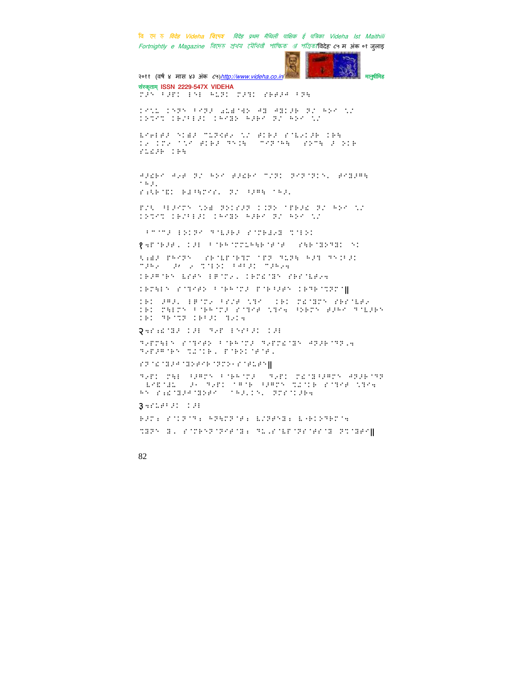त्रि एन रु विदेह Videha विएम्ब विदेह प्रथम मैथिली पाक्षिक ई पत्रिका Videha Ist Maithili Fortnightly e Magazine রিদেত প্রথম মৌথিনী পাক্ষিক প্র পত্রিকাবিदेह' ८५ म अंक ०९ जुलाइ



२०११ (वर्ष ४ मास ४३ अंक *८५)http://www.videha.co.in* संस्कृताम् ISSN 2229-547X VIDEHA

TANGARI ENE ALDI TANI YANAA FOA

TRAD TABA FREE SOMETHAL AD ADDER BY ANY AV domen davasar deemo ease aa eo eo in

a kelekari malekan mada banya dengan kara banya dengan pada sama dan pada sama dan pada sama dan banya mana da<br>Indian dan pada sama dan pada sama dan banya dan banya dan banya dan banya dan banya dan banya dan banya dan b PLEAD CER

AJEAN AVE DI ANK AJEAN MIDI DROMOTIN, AKOJAN  $\gamma$  in p  $_2$ YARPID BEHOVY, SZ HARBONAS,

ara (Harry tea deise) ide (Taela da Aer ta<br>Ierri ierrai ierde eleccione en

**SEMINE ENDROTHLEE POTEBER TOEN** 

gian research service to the root easing relief of a service research in the

a vida mender i memberatur pedi adalah eda memberat.<br>Independan pemberatur edak medele

CERRITES ESPS ERITS. CEDENTAL SES NERS

CEDEN STREET FOR TOP PORTERS CERETORY (

191 (282) EBSTA FRIDA NEM (191 TRISTAN REPORAL)<br>191 TRETH FORESTA ROBAR NEM PARTN RAM POLARN IFC PECTE IFF AD TAIN

QAPARTES LAE PAR ENPERT LAE

wa na nase naseke nadiskiw repeniji

AN SERVICE PROPERTY

39818531 138

A 2014 CASTO DI TRA CA PORTO TA A CALIZONADA CALI ANDIDARDO TA INSERVICE LICENT PROPERTIES IN THE CARD PROPERTIES AND MEANING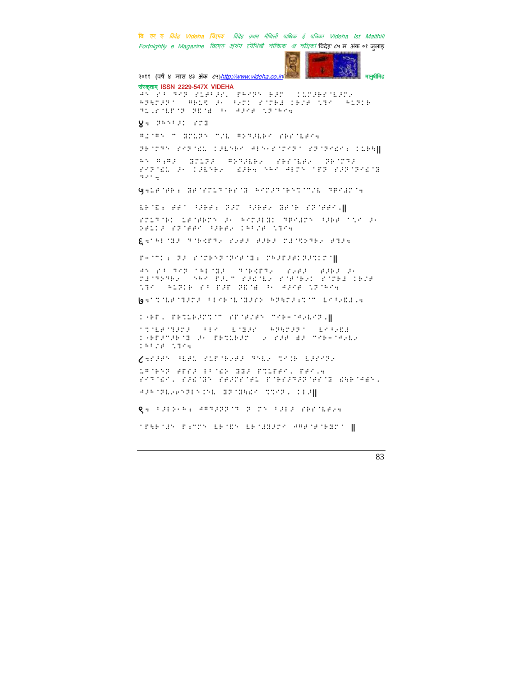त्रि एन् रु विदेह Videha विरमर विदेह प्रथम मैथिली पाक्षिक ई पत्रिका Videha Ist Maithili Fortnightly e Magazine রিদেত প্রথম মৌথিনী পাক্ষিক প্র পত্রিকা' বিदेह' ८५ म अंक ०१ जुलाइ

संस्कृताम् ISSN 2229-547X VIDEHA



an 20 an an 2008.<br>Agusta - Abdullan an airson agus 100 an 2008. silening dina bookee wanke ga pessar and ROCES TO BOORS TOE REPORT OFFICIARS SE MORNI VASTADO DE ABNEALIA EN VIVAS DIVISTOS DA MARIE DO DE EJE  $\sigma\gamma$  , where  $\gamma$  , and the  $\gamma$  , where  $\gamma$  , and the  $\gamma$  -state in the second section of the second second section of the second second second second section of the second second second second second second second s  $\langle 24, 12, 3\rangle$  $\alpha$  and  $\alpha$ Igabenesa identitus rezirdi. Akbas respiritus, isekabira ARTE: PRIS PARE: PACSPARE, BETROPORES || POLSTED LETERON AN APOXECO SPREDN AREA TOP AN SALDA PROFESS PARAS INFORMATION SATED TO A TERRITAL SARA SPARAL DU TRATEA SPORT ibe those dialog the saltake tals intelapped alargoin f[ AN YE MAD THE MEASUREMENT **Cardian** participal come paum papirel profiles protegistava the salare pastage about ages there 19 HONDA PORTUGAL A ESPECIE CORRESPONDENCIAL CONTRA ERABICA I FRED ERSCRAPTION PEOPLE ONE-ORDER SIL STORECTORS (FER) ESTRE (FREDER) ERFORE I FREDMORTIE DE FERNIEDE (1918-2008) BO MARA MODEU 19328-13354 ZAPAPY HERO POPTERER TYER TRIE ERPORA LAMPAR SERVA ESMAN GOVERNADO PRAVA REPORTER-PERMIT SECTION CONTROL CONTROL

83

TERRITAN ESTEN ERITEN ERITAGEZEK PRAINFORTION

Question and company of the state and makes

PARTNA L'ESPRITON (PASTRITAL) ETAPSPISSITARITO (RABITARNI)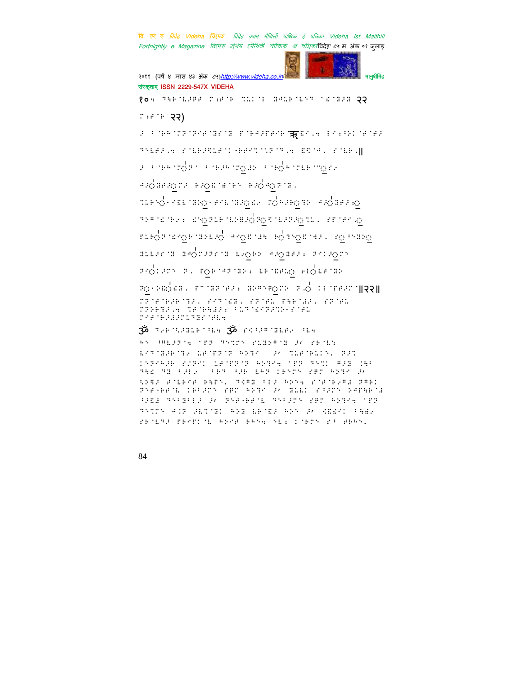त्रि एन् रु विदेह Videha विरमर विदेह प्रथम मैथिली पाक्षिक ई पत्रिका Videha Ist Maithili Fortnightly e Magazine রিদেত প্রথম মৌথিনী পাক্ষিক প্র পত্রিকাবিदेह' ८५ म अंक ०९ जुलाइ

**Color** 

२०११ (वर्ष ४ मास ४३ अंक ८५)http://www.videha.co.in मानुषीमिह संस्कृताम् ISSN 2229-547X VIDEHA gos describer ciente qui relaberar candea go  $1.4.4 \div 5.35$ a la reeliba rake raviral a relazione ogganise a nua tot romoa. average in the aspect reactions take inside the cities. а із пен провіліз пеан праві з переправ прав нафавафла сваделельні вафковлач рано на прекладови повинути водави о альные насельные коректеторы с не на о prega terde taveroj independendano en transformano ацыяла анфляяета шконя няранян якіярля ako arela, roenaarae leheko elokenae **20 - 280 43 - En 192 192 - BEPT-POTE - 200 - EL TERRIT HRRIL** porte relate tradicionaria del control de persente a longa de treba CROBAR LA CORTENERA PORTACCRRONAL CRO TRANSPARTINGATION நீத் நடிகர்களும் என்ற நீத் என்னாள்கள் என்

AN PRESENT TER PATENTEESPITE SO PETER ERRITORE TO CONTROL ARTE  $\sim 3\,\mathrm{s}$  , the tend  $\sim 1.22\,\mathrm{m}$ 1983-88 22831 12818818 92832 188 3911 3928 193 THE TO FAIL CHEF FAR LEFT CENTS FROM ENTRY AV thes andere early mome fishering research and PARABRIL (1930) PPD 9013 DA SILL PARTY DATERIE SPEED AND BEECH CAR CAN FER TECHNICAL SERVICES AND THE SATES AND DETECT AND EASTED ANS DO CERSO FARD PROBABLE PRODUCED A DOPE (PANALONE POSSED) PRODUCED PRANS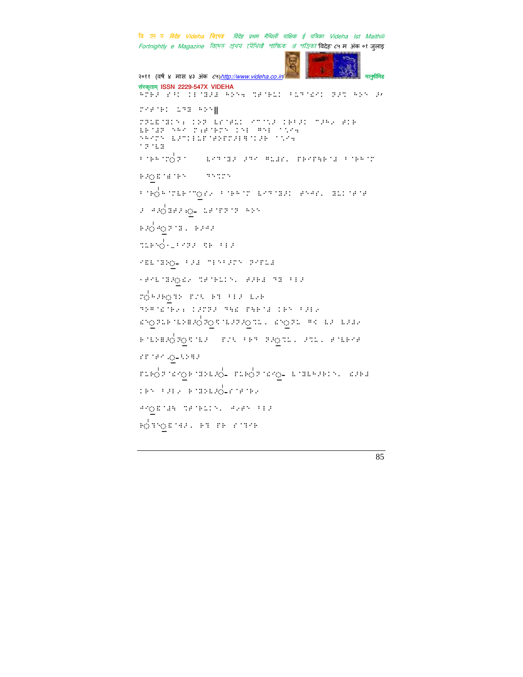ति एप रु विदेह Videha विएम्ब विदेह प्रथम मैथिली पाक्षिक ई पत्रिका Videha Ist Maithili Fortnightly e Magazine রিদেত প্রথম মৌথিনী পাক্ষিক প্র পত্রিকা' বিदेह' ८५ म अंक ०१ जुलाइ **County** २०११ (वर्ष ४ मास ४३ अंक ८५)http://www.videha.co.in मानुषीमिह संस्कृताम् I<mark>SSN 2229-547X VIDEHA</mark><br>| २०१३: २०११ | २०१३: २०१२ २०१० | ए.स. १३८० | १६७० | १६७० | १२८० | १२८० | १२८० | १२८० | १२८० | १२८० | १२८० | १२८ DRETED SPRIEREN SARDS CERTIFIED TRAFFIC RESIDENTS CA  $\gamma$ p $\gamma_{\rm L,II}$ + nekneden. CONSTRUCTION PLAY, PROPERTY FOREST **FROEDED HIM**  $\sim 100$  M  $\sim 100$  M  $_\odot$ з побележелови з печле живлахе чечви засельные a lea⊗sea kollida realita lesis  $\mathbb{R} \times \bigcup_{i=1}^n \mathbb{R} \oplus \mathbb{R}$  , the set  $\mathbb{R} \times \mathbb{R} \times \mathbb{R}$ nieso likas ne ma KEENERGE FOR INFORMATION PAPER нельгазфай тегерілі езеа па ғыз rdesegne ris en sis ise REPORTED LOCATED REAL PARTIE CENTRALS suosite istendisos interno in Cinema en en ment ROLERA LONG CONTRACTOR DESIGNATION AND ARREST PETRY QUARES prega levoje laskaĝo prega levaj en la saka sur levea tas data arbadorrana. APOBINE NAMEDIAL AVANCEER RÓTNOETHAL ET ER KITER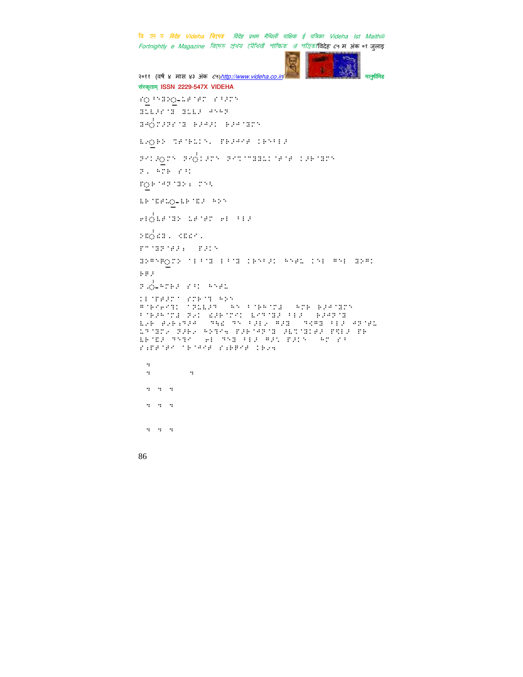```
दि एन रु विदेह Videha चिएन्श विदेह प्रथम मैथिली पाक्षिक ई पत्रिका Videha Ist Maithili
Fortnightly e Magazine  রিদেহ প্রথম মৌথিনী পাক্ষিক প্র পত্রিক/বিदेह' ८५ म अंक ०१ जुलाइ
                                   G
                                         COLOR
२०११ (वर्ष ४ मास ४३ अंक ८५)http://www.videha.co.in/ मानुसीमही के स्थानिक मानुषीमिह
संकृताम् ISSN 2229-547X VIDEHA 
" LO PRESOLLE TED IN FACTS
⣝⣅⣇⢼" ⣝.⣝⣅⣇⢼!⢺⢳⢽!
agórascha eagail eaghart
⣇⢴◌॒⢷⢵.⣉⢾ ⢷⣅F!2⢷⢼⢺⢾!⢷B⢼!
⢽⢼◌॒.⢽◌॑⢼.⢽⣉ [⣝⣝⣅ ⢾ ⢾!⢼⢷ ⣝!
⢽⣀.⢳⢷!"⢸!
2◌॒⢷ ⢺⢽ ⣝⢵⣐.⣃!
⣇⢷ ⣏⢾⣅◌॒-⣇⢷ ⣏⢼!⢳⢵!
elólenas cener el Fra
⊳mo emas comerci
2[ ⣝⢽ ⢾⢼⣐.!2⢼!
BRARQIR MERME ERM IRRAEL PRESERVED
⢷⢿⢼!
s dieres an ≈om
 2⢾⢼ ."⢷ ⣙!⢳⢵!
⢻ ⢷⢶⣙!⢽⣅⣇⢼⢹.!⢳!B ⢷⢳ ⣜-!⢳⢷!⢷⢼⢺ ⣝!
B 1998 YO ALL REPORTS AND THE RESERVED
⣇⢴⢷-⢾⢴⢷⣐⢹⢼⢺-!⢹⣓⣎!⢹!B⢼⢴!⢻⢼⣝-!⢹⣊⢻⣝!B⢼!⢺⢽ ⢾⣅-!
⣅⢹ ⣝⢴!⢽⢼⢷⢴!⢳⢵⣙⣒!2⢼⢷ ⢺⢽ ⣝!⢼⣇⣉ ⣝⢾⢼!2⣋⢼!2⢷!
⣇⢷ ⣏⢼!⢹⣙-!⢶!⢹⣝!B⢼!⢻⢼⣁!2⢼-!⢳!"⢸!
"⣐2⢾ ⢾!⢷ ⢺⢾0"⣐⢷⢿⢾!⢷⢴⣒!
9 WJEFIBID: SFTJEFIBID: SFTJEFIBID: SFTJEFIBID: SFTJEFIBID: SFTJEFIBID: SFTJEFIBID: SFTJEFIBID: SFTJEFIBID: SF
 992.29 \pm 0.9292.29 \pm 92.9⣒2⣒4⣒Po`uif`ejdf.
```

```
86
```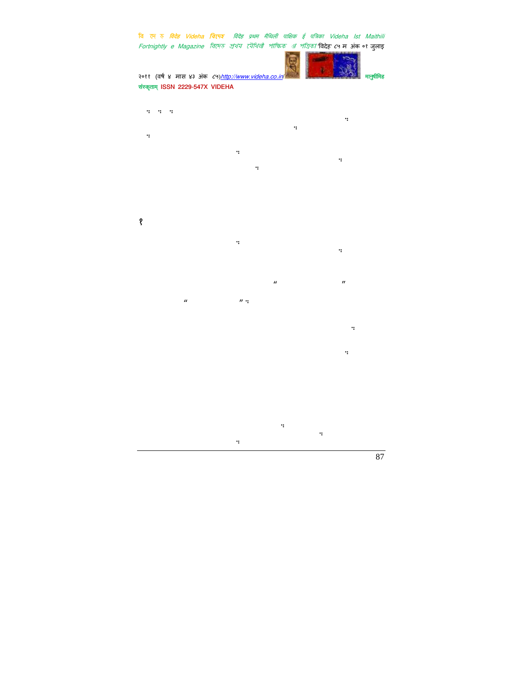दि एन रु विदेह Videha चिएन्श विदेह प्रथम मैथिली पाक्षिक ई पत्रिका Videha Ist Maithili Fortnightly e Magazine রিদেহ প্রথম মৌথিনী পাক্ষিক প্র পত্রিকা **বিदेह' ८५ म अंक ०१ जुलाइ** 

२०११ (वर्ष ४ मास ४३ अंक *८५)http://www.videha.co.in*/ मानुसीमहरू मानुषीमिह संकृताम् ISSN 2229-547X VIDEHA

















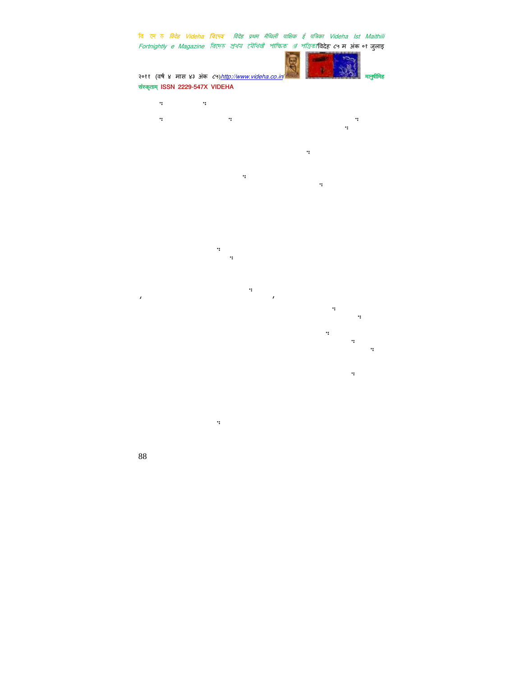<mark>ति एप रु *विदेह Videha विएम्य विदेह प्रथम मैथिली पाक्षिक ई पत्रिका Videha Ist Maithili*</mark> Fortnightly e Magazine রিদেত প্রথম মৌথিনী পাক্ষিক প্র পত্রিকা**বিदेह' ও म अंक ०१ जुलाइ** 

मानुषीमिह

२०११ (वर्ष ४ मास ४३ अंक *८*५<u>)http://www.videha.co.in</u> संस्कृताम् ISSN 2229-547X VIDEHA

 $\alpha_{\rm{max}}=0.01$  $\mathbf{q}^{\text{max}}$  and  $\mathbf{q}^{\text{max}}$  and  $\mathbf{q}^{\text{max}}$  $\cdot:$  $\ddot{\phi}$  $\ddot{\phantom{a}}$  $\cdot:$  $\mathcal{H}^{\mathcal{A}}$ 

 $\ddot{\phantom{a}}$  $\cdot$  $\sim 10^{-1}$ 

 $\sim$   $\lambda$  $\cdot$  $\ddot{\mathbf{r}}$  $\cdot:$  $\ddot{\cdot}$ 

 $\ddot{\cdot}$  $\overline{u}$ 

 $\langle \cdot, \cdot \rangle$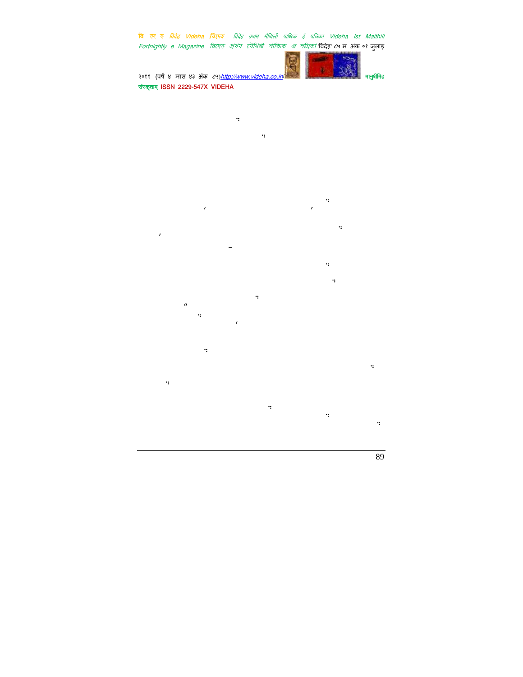दि एन रु विदेह Videha चिएन्श विदेह प्रथम मैथिली पाक्षिक ई पत्रिका Videha Ist Maithili Fortnightly e Magazine রিদেহ প্রথম মৌথিনী পাক্ষিক প্র পত্রিকা **বিदेह' ८५ म अंक ०१ जुलाइ** 

२०११ (वर्ष ४ मास ४३ अंक ८५)http://www.videha.co.in/ मानुसीमह मानुषीमिह

संकृताम् ISSN 2229-547X VIDEHA

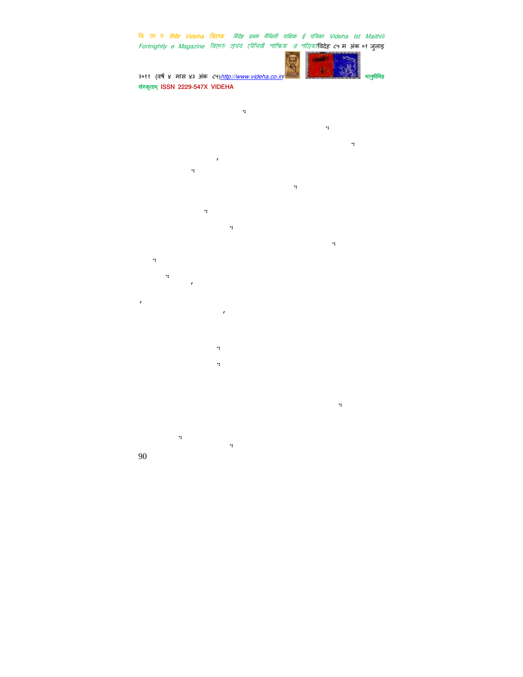दि एन रु विदेह Videha चिएन्श विदेह प्रथम मैथिली पाक्षिक ई पत्रिका Videha Ist Maithili Fortnightly e Magazine রিদেহ প্রথম মৌথিনী পাক্ষিক প্র পত্রিক/**বিदेह' ८५ म अंक ०१ जुलाइ** 

२०११ (वर्ष ४ मास ४३ अंक ८५)http://www.videha.co.in/ मानुसीमहा कार्यकाली मानुषीमिह

संकृताम् ISSN 2229-547X VIDEHA

particles in the control of the control of

Wfsnbkj!dbnf!pvu!ujnf!up!ujnf⣒!Jo!uif! tpn://with/with the control of the control of the control of the control of the control of the control of the c ju epotjefs! $\ell$  $\mathbf{q}$  Jg uiptfl!  $\mathbf{q}$  Jg uiptfl!  $\mathbf{q}$  Jg uiptfl!  $\mathbf{q}$ gioe in version van die version van die version van die version van die version van die version van die version tubufnet in tubufnfoutable tubufnfoutball man and the second term of the second term of the second term of the opuft! jotbofman in the team of the team of the team of the team of the team of the team of the team of the team quality for the control of the control of the control of the control of the control of the control of the control of the control of the control of the control of the control of the control of the control of the control of nfilm bo fggpsul up the state of the state of the state of the state of the state of the state of the state of migfield in the problem of the problem of the problem of the problem of the problem of the problem of the problem of the problem of the problem of the problem of the problem of the problem of the problem of the problem of  $J$  dpv  $J$  dpv  $J$  dpv  $J$  dpv  $J$  dpv  $J$  dpv  $J$  dpv  $J$ 

 $N$ nbo $U$ ibu ifb $U$ ibu ifb $U$ ibu ifb $U$ uibo to the total problem in the total problem in the total problem in the total problem in the total problem but international products in the control of the state of the state of the state of the state of the state of

cfjoht! dmjqqioht! dmjqqioht! pg!nz! dmjqqioht!

90 opman in die 19de jaar van die 19de eeu n.C. Soos ander die 19de eeu n.C. In die 19de eeu n.C. Die 19de eeu n. pof!" putfile of the puifs of the puifs of the puifs of the puifs of the puifs of the puifs of the puifs of the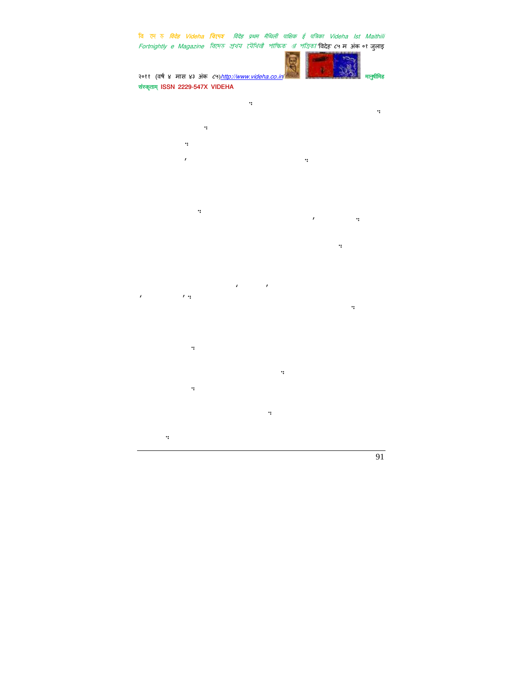दि एन रु विदेह Videha चिएन्श विदेह प्रथम मैथिली पाक्षिक ई पत्रिका Videha Ist Maithili Fortnightly e Magazine রিদেহ প্রথম মৌথিনী পাক্ষিক প্র পত্রিকা **বিदेह' ८५ म अंक ०१ जुलाइ** 

२०११ (वर्ष ४ मास ४३ अंक ८५)http://www.videha.co.in/ मानुसीमहरू के सानुषीमिह संकृताम् ISSN 2229-547X VIDEHA

ibse ibsele up!efunkcijoh je up!efu snjoh je upisanje u predstavlja snjoh je upisanje u predstavlja snjoh je u nfttfe! van die voorbeeld boek van die voorbeeld boek van die voorbeeld van die voorbeeld van die voorbeeld va fbdi.puifselijt up in de bestellijde van de bestellijde van de bestellijde van de bestellijde van de bestellij nz: njoel staat in die staat in die staat in die staat in die staat in die staat in die staat in die staat in<br>Die staat in die staat in die staat in die staat in die staat in die staat in die staat in die staat in die st boe is the contract of the contract of the contract of the contract of the contract of the contract of the contract of the contract of the contract of the contract of the contract of the contract of the contract of the co chi puifstati kuning kuning kuning kuning kuning kuning kuning kuning kuning kuning kuning kuning kuning kuning kuning kuning kuning kuning kuning kuning kuning kuning kuning kuning kuning kuning kuning kuning kuning kunin joufsftu!parties for the state  $\mathcal{F}_1$  and  $\mathcal{F}_2$  is the state  $\mathcal{F}_2$ 

jo:uifjs:gsbnf!" (1999) (1999) (1999) (1999) (1999) (1999) (1999) (1999) (1999) (1999) (1999) (1999) (1999) (1  $\Delta$ 'cbcvkj'⣒!Ibe!J!dibohfe!uif!ujumft-! found the company of the company of the company of the company of the company of the company of the company of

ifs: njoe $\mathbf{u}_i$  if the purpose both  $\mathbf{u}_i$  is the purpose both  $\mathbf{u}_i$ njoe!!!! sbuifs! staat in de eerste gewone van de eerste gewone van de eerste gewone van de eerste gewone van beweden beweden in the first particle in the first particle in the first particle in the first particle in the qfstpo! participal participal participal participal participal participal participal participal participal par

 $\ddot{\mathbf{r}}$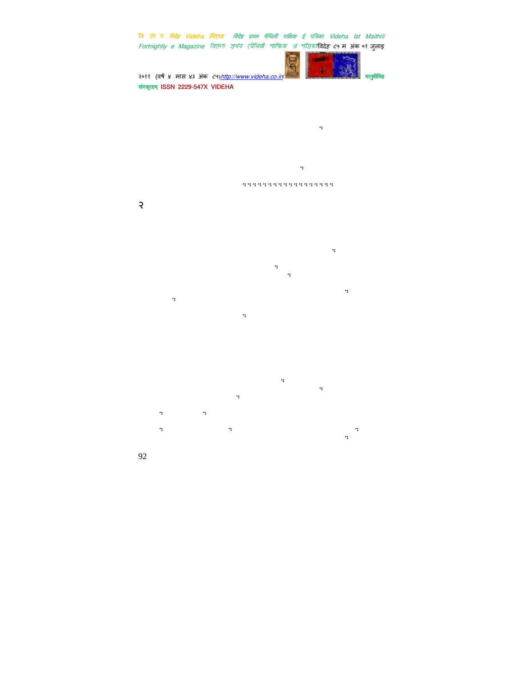दि एन रु विदेह Videha चिएन्श विदेह प्रथम मैथिली पाक्षिक ई पत्रिका Videha Ist Maithili Fortnightly e Magazine রিদেহ প্রথম মৌথিনী পাক্ষিক প্র পত্রিক/**বিदेह' ८५ म अंक ०१ जुलाइ** 



संकृताम् ISSN 2229-547X VIDEHA









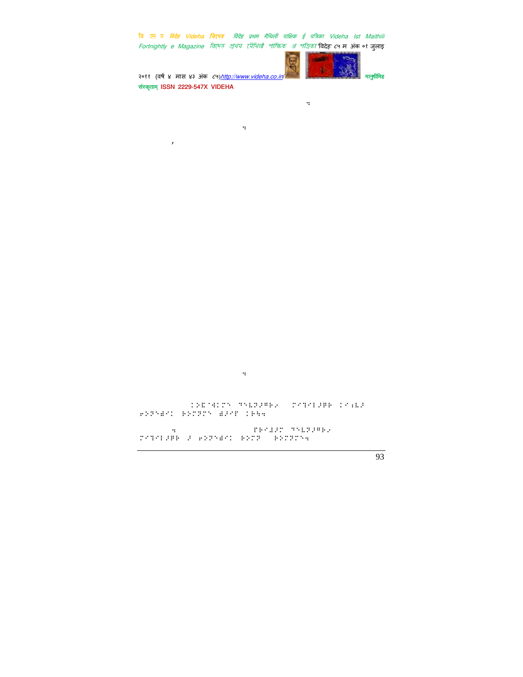दि एन रु विदेह Videha चिएन्श विदेह प्रथम मैथिली पाक्षिक ई पत्रिका Videha Ist Maithili Fortnightly e Magazine রিদেহ প্রথম মৌথিনী পাক্ষিক প্র পত্রিকা **বিदेह' ८५ म अंक ०१ जुलाइ** 

२०११ (वर्ष ४ मास ४३ अंक *८९)http://www.videha.co.in*/ मानुषी मानुषीमिह संकृताम् ISSN 2229-547X VIDEHA

Tbldij- in die stelling- in die stellingse van die stellingse van die stellingse van die stellingse van die st

 $\mathbb{R}^n$ 

hhbkfoesbAwjefib⣒dpn!!!

Spnbowledge. The spinal of the spinal of the spinal of the spinal of the spinal of the spinal of the spinal of

 $\mathcal{L}$   $\mathcal{L}$   $\mathcal{L}$   $\mathcal{L}$   $\mathcal{L}$   $\mathcal{L}$   $\mathcal{L}$   $\mathcal{L}$   $\mathcal{L}$   $\mathcal{L}$   $\mathcal{L}$   $\mathcal{L}$   $\mathcal{L}$   $\mathcal{L}$   $\mathcal{L}$   $\mathcal{L}$   $\mathcal{L}$   $\mathcal{L}$   $\mathcal{L}$   $\mathcal{L}$   $\mathcal{L}$   $\mathcal{L}$   $\mathcal{L}$   $\mathcal{L}$   $\mathcal{L$ 

⢶⢵⢽⣞.⢷⢵⢽!⣞⢼2!⢷⣓⣒!Joqvu!jo!

Joqvu;!)⢵⣏ ⣚!⢹⣇⢽⢼⢻⢷⢴-!⣙⢼⢿⢷!⣐⣇⢼!

Efwbobhbsj-!Njuijmbltibsb!ps!Qipofujd.

 $U$ 

**Color**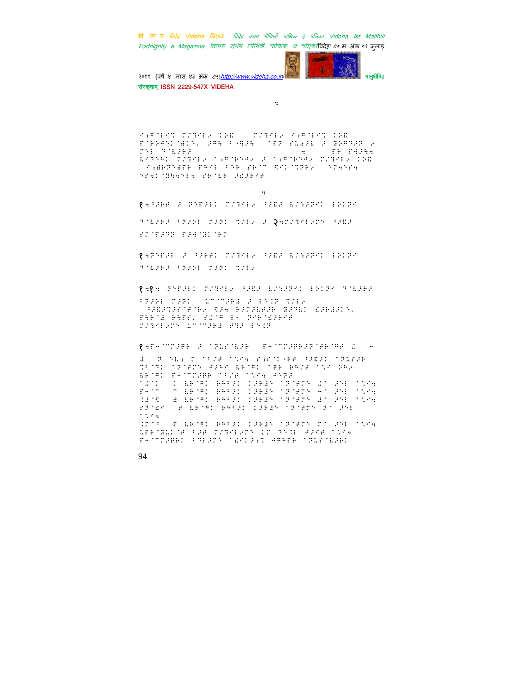दि एन रु विदेह Videha चिएन्श विदेह प्रथम मैथिली पाक्षिक ई पत्रिका Videha Ist Maithili Fortnightly e Magazine রিদেহ প্রথম মৌথিনী পাক্ষিক প্র পত্রিক/**বিदेह' ८५ म अंक ०१ जुलाइ** 



संकृताम् ISSN 2229-547X VIDEHA

 $\mathbf{q}$  is the spin of the spin of the spin of the spin of

⣐⢻ ⣉.4⣙⢴.⢵⣏!0!4⣙⢴.⣐⢻ ⣉.⢵⣏!! 2 ⢷⢵⢺ ⣞F!⢼⢻⣓!BC⣛⢼⣓-!2⢽!"⣅⣔⢼⣇!⢼!⣝⢵⢻⢹⢼⢽!⢴. . The Constantinople of the Constantinople of the Constantinople of the Constantinople of the Constantinople of ⣇⢹⢳!4⣙⢴.⣐⢻ ⢷⢺⢴!⢼!⣐⢻ ⢷⢺⢴!4⣙⢴!⢵⣏! ) { {idegrape (paral) frequency shows the summary ( "⣒ ⣝⣓⣒⣒!"⢷ ⣇⢷!⢼⣎⢼⢷⢾!.Cbtfe!po!nt.trm!

Nbjuijmj!Ejdujpobsz⣒! १⣒⢸⢼⢷⢾!⢼!⢽2⢼!4⣙⢴!⢸⢼⣏⢼.⣇4⣑⢼⢽!⢵⢽! ⢹ ⣇⢼⢷⢼!B⢽⢼⢵!⢼⢽!⣉4⢴!⢼!२⣒4⣙⢴!⢸⢼⣏⢼! " 2⢼⢹⢽!2⢼⣚ ⣝ ⢷!

१⣒⢽2⢼!⢼!⢸⢼⢷⢾!4⣙⢴!⢸⢼⣏⢼.⣇4⣑⢼⢽!⢵⢽! ⢹ ⣇⢼⢷⢼!B⢽⢼⢵!⢼⢽!⣉4⢴!

१⣒१⣒!⢽2⢼!4⣙⢴!⢸⢼⣏⢼!⣇4⣑⢼⢽!⢵⢽!⢹ ⣇⢼⢷⢼!

BERABU INDI INDI INDI INDI INDI INDI )⢸⢼⣏⢼⣉⢼" ⢾ ⢷⢴!⣋⢼⣒!⢷⢼⢼⣇⢾⢼⢷!⣝⢼⢹⣇!⣎⢼⢷⣜⢼F! PARTE PARTE, POINT IN PRETENT 4⣙⢴!⣅[ [⢼⢷⣜!⢾⣙⢼!⣈⢽!

१⣒2⢲ [⢼⢿⢷!⢼!⢽⣅" ⣇⢼⢷;!2⢲ [⢼⢿⢷⢼⢽ ⢾⢷ ⢻⢾!⣌-!⢲-!  $\overline{B}$  = 0.000  $\overline{B}$  = 0.000  $\overline{B}$  = 0.000  $\overline{B}$  = 0.000  $\overline{B}$  = 0.000  $\overline{B}$  = 0.000  $\overline{B}$ ⣉B ⢹!⢽ ⢾!⢺⢼⢳!⣇⢷ ⢻!⢿⢷!⢷⢳4⢾!⣁!⢵⢳⢴! ⣇⢷ ⢻!2⢲ [⢼⢿⢷!B4⢾!⣁⣒!⢺⢽⢼.!! ⣌ !)!⣇⢷ ⢻!⢷⢳B⢼!⢼⢷⣜!⢽ ⢾!⣌ !⢼!⣁⣒\*!  $2\sigma$  (ii) [  $\sigma$   $\sim$   $\sigma$   $\sim$   $\sigma$   $\sim$   $\sigma$   $\sim$   $\sigma$   $\sim$   $\sigma$   $\sim$   $\sigma$   $\sim$   $\sigma$ ⣈⣜ ⣋!)⣞!⣇⢷ ⢻!⢷⢳B⢼!⢼⢷⣜!⢽ ⢾!⣜ !⢼!⣁⣒\*!  $^{\circ}$   $^{\circ}$   $^{\circ}$   $^{\circ}$   $^{\circ}$   $^{\circ}$   $^{\circ}$   $^{\circ}$   $^{\circ}$   $^{\circ}$   $^{\circ}$   $^{\circ}$   $^{\circ}$   $^{\circ}$   $^{\circ}$   $^{\circ}$   $^{\circ}$   $^{\circ}$   $^{\circ}$   $^{\circ}$   $^{\circ}$   $^{\circ}$   $^{\circ}$   $^{\circ}$   $^{\circ}$   $^{\circ}$   $^{\circ}$   $^{\circ}$   $^{\circ}$   $^{\circ}$   $^{\circ}$   $^{\circ}$  $\gamma$  $\left\langle 12.732, 2.722, 2.722, 2.722, 2.722, 2.722, 2.722, 2.722, 2.722, 2.722, 2.722, 2.722, 2.722, 2.722, 2.722, 2.722, 2.722, 2.722, 2.722, 2.722, 2.722, 2.722, 2.722, 2.722, 2.722, 2.722, 2.722, 2.722, 2.722, 2.722, 2.722$ ⣅2⢷ ⣝⣅ ⢾!B⢼⢾!4⣙⢴!!⢹⣈!⢺⢼⢾!⣁⣒! 2⢲ [⢼⢿⢷!B⢹⢼!⣎⢼⣐⣉!⢺⢻⢳2⢷!⢽⣅" ⣇⢼⢷!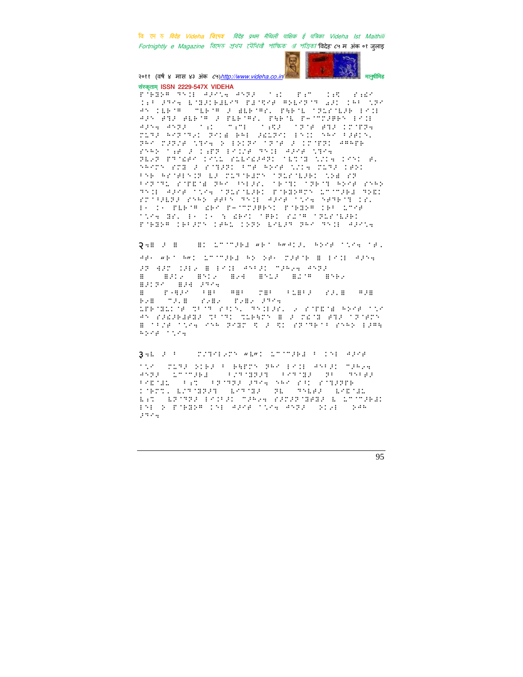त्रि एन् रु विदेह Videha विरमर विदेह प्रथम मैथिली पाक्षिक ई पत्रिका Videha Ist Maithili Fortnightly e Magazine রিদেত প্রথম মৌথিনী পাক্ষিক প্রা পত্রিকা' বিदेह' ८५ म अंक ०१ जुलाइ



२०११ (वर्ष ४ मास ४३ अंक ८५)http://www.videha.co.in

संस्कृताम् ISSN 2229-547X VIDEHA rježne svič april avda (nac) rano riebe mai kazar kara sti res provincies.<br>1930-2004 kopieren reoma margonial 1930-1930 AN ILEMA (TEEMA 2) BEEMAN, PARTE COONING EXIE APS AND ALESS DONEERS ENERGY PARTICUPES INC. agsy aspilling: Champion Champion para and concept<br>ound shorted dhia ase capudhi asid sshi adals.<br>dshi odda shaka biladdhi ndia a concept Amera. PARK THE 2 LIPP ESIDE AND PARE NES SERS PROBACTIONS PERMESSED ORDOBONIE DOMETRI sekrs vrd a vidad: Fre eske tria roda (ves) FAR APPEALD BUT TO TRIPS TOOP NURST AND PO FROM THE STATE OF THE FROM THE TELL OF PARTY AND STAND medi Adea (1924) ndaribasi pradagoe inimaad medi KONSTRUCK KANADIGATA INA DI PROVATI NOMA INGENERAL DEL ik iklimate att mennsätten intedet itt inde<br>1944 della klimate aller lante av menskaparte FORBAR (PROST) CARD (1985) EVENT SPACERNIE (ASVIE

QHB 2 B = BI LTITZEE WEST PARTEL PARE STRENGEL

APPONENT AWD CONTROLS AN INFORMATE BOSTON CAPAC ad aas cary mirkd wynas makke wyda BOOK BALK CHALK CHAR CHALK CHAIRS an talent 89175 894 9754  $\mathbb{R}^n \oplus \mathbb{R}^n$ **CONFIDENTIAL PARTICIPAR**  $\sim$  P  $\times$  H  $\mu$   $<$  $\mathbf{u} = \mathbf{u} \cdot \mathbf{v}$  $\mathbf{H}$ **FABOR MALBOR YABA CEABA (AMPA)** pare table that the same to my causes is suspirated in the part of the AN PARABABAN DENGI DIBATNYA A TANTANA NANANY BOTEZA TIRKA KINA SKOD SOLA SI VISATELE VIANNO ESPA  $\mathcal{U}(\mathcal{G},\mathcal{E},\mathcal{G})=\mathcal{U}(\mathcal{G},\mathcal{E},\mathcal{G})$ 

CONTRADANT WEWS COMMUNED A CONFIDENTIA  $3 + 1 + 1 + 1$ 

 $\sigma_{\rm{max}}$ CONTACTNOBACT SPECIAL DRAFTS AND AND ACCOUNTABLE anda son maed (1992) daga sakarda sodi sanada.<br>Pebrupa selam sedimaa amee nee kees kraadee PORTI ESTORAT (ESTORA DE CASERA ESPECIE ilat (legimda en dela mañoa aŭradinegal en chimaka)<br>en la mingan cine alkar inval andaŭ alkal (laak  $\mathcal{G}^{(1)}$  and  $\mathcal{G}_{\mathcal{G}}$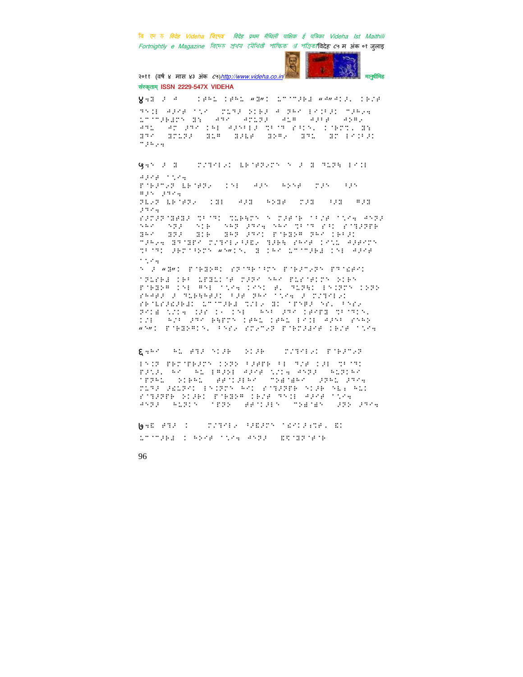त्रि एन् रु विदेह Videha विरमर विदेह प्रथम मैथिली पाक्षिक ई पत्रिका Videha Ist Maithili Fortnightly e Magazine রিদেত প্রথম মৌথিনী পাক্ষিক প্র পত্রিকাবিदेह' ८५ म अंक ०१ जुलाइ



२०११ (वर्ष ४ मास ४३ अंक ८५)http://www.videha.co.in संस्कृताम् ISSN 2229-547X VIDEHA

 $8.43 - 3.74$ CORRES CRRES WEWS ESTIMATED WRATERS CROP

medi adea noe (poma elea a dee iestat maeza chinaeadh dh' amh adoba (ace) ageal ageal.<br>Amo ad amh ceil agheila deim airso cireodoldh  $3.25$ marka yan

MANUEL POSTER REPRESENTATE PLAN EST  $\label{eq:2.1} \mathcal{A}(\mathcal{G},\mathcal{E},\mathcal{G})=\mathcal{F}(\mathcal{G},\mathcal{E},\mathcal{G}).$ ESPANAR LEGARA (1910) ARN (ANNA (1925) 1925

 $\mathbb{E}\left[ \mathbb{P}^{n} \right] = \left[ \mathbb{P}^{n} \right] \mathbb{P}^{n} \mathbb{P}^{n}$ PERPORAGERY (1981) 929-1929-1-229-1-229-1-229  $\mathcal{G}^{(1)}$  and  $\mathcal{G}^{(2)}$  and ranadigada de mes questo o narre celha civa aoda AART ASI SEE TAAS SALA AARTIS EE KA KA SALA maeus dendry compressado maes personantes adapte TROTE SPECIENTS WALLS, BOING LITTLEBE INE SPRAE  $\gamma$  ,  $\gamma$  ,  $\gamma$ 

NO 20 WEW DOESNESS PROTOCOLOGY POSSESSOR CONTRACT SPEAKE THE EFBELOGE TARK SHAPILAGETTS SIRS PORCHAN IN PHENOMENO CONTRACTORDO ENCRUN INFER really dimension the desirvation provider YANEYAZABU: UMIMZAU MZEV GO ITENBZ NYU PNYV dera sira dan response esti ané faeral de chie. TIME OF THE PROPERTY CHAIN CHAIN BY MORAL STAR what prediging they environmentaled term name

gase su adalare presidente presentar

ENDE PROMPAGNY 1988 FORPA FE MORTINE NEMMO  $\frac{1}{2} \left( \frac{1}{2} \sum_{i=1}^{n} \frac{1}{2} \left( \frac{1}{2} \sum_{i=1}^{n} \frac{1}{2} \left( \frac{1}{2} \sum_{i=1}^{n} \frac{1}{2} \left( \frac{1}{2} \sum_{i=1}^{n} \frac{1}{2} \left( \frac{1}{2} \sum_{i=1}^{n} \frac{1}{2} \right) \right) \right) \right) - \frac{1}{2} \left( \sum_{i=1}^{n} \frac{1}{2} \sum_{i=1}^{n} \frac{1}{2} \left( \frac{1}{2} \sum_{i=1}^{n} \$ PLAS SELRO ENTRY AO SOBRER NISE NEL ALI  $\sim$  335  $\sim$  347  $\sigma_{\rm H}$ 

1980 FRANCISCO CONTRADA PARADA CARDA EN EL LTITARE I PROGRAM TORE AND FOURTHEIR TR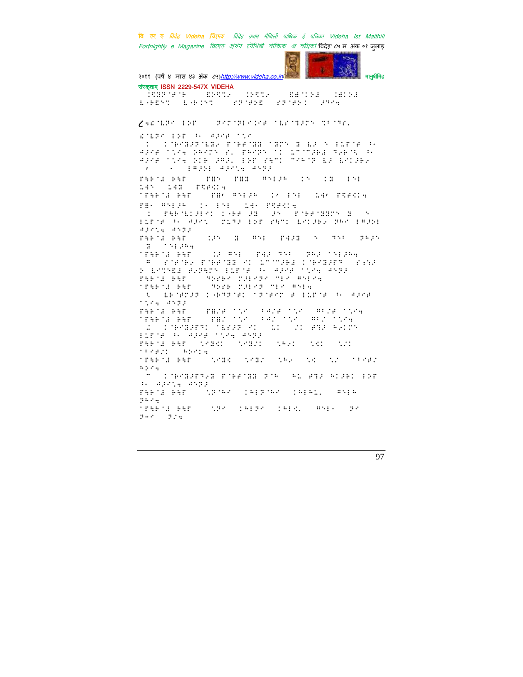त्रि एन् रु विदेह Videha विरमर विदेह प्रथम मैथिली पाक्षिक ई पत्रिका Videha Ist Maithili Fortnightly e Magazine রিদেত প্রথম মৌথিনী পাক্ষিক প্রা পত্রিকা' বিदेह' ८५ म अंक ०१ जुलाइ



२०११ (वर्ष ४ मास ४३ अंक ८५)http://www.videha.co.inl संस्कृताम् ISSN 2229-547X VIDEHA  $(13372)$ **EASTER HIPE** TREPARTE CONDITION ESPEND (ESPIND) (PROPRESSIVATION) 2784 ZHENERY ESP - PROTREKINE TESTERO TESTAS ESERVISE PROPERTY  $\sim$  1  $\sim$  1 texted texts in teachers then so each increase to a series of a series of the series of the series of the series of the series of the series of the series of the series of the series of the series of the ser ageg tieg bie gegunden zehi meeta ba beigez **THE PAID CALLS:** TAP GO PAT  $\mathbf{F}$  and  $\mathbf{F}$  and  $\mathbf{F}$ 145 - 148 - FRANCA TEARING RAE ( FER PRESP) IR ENE (147) ERSEN ELEVATOR APRIL COLPATENE PANCIERISARY PROTEGIAE  $\# \mathcal{J} \# \mathcal{V}_\mathcal{M} = \# \mathcal{V} \# \mathcal{J}_\mathcal{M}$ raena ear day of which radio you was dear  $-3 - 134344$ resera esportista esporta al pelo pelo spales.<br>Le conerez pregradori complea inferales consta<br>2 sintesa elegane popre le calego considerat. FARIS RAF (1982) TOESTS TEST RAPS. **STACK DAIRS TIP RAIN TEAPTE PAPE** SU LESTADOR CHARDIAL TRIADUR ELETA PROPOR 1024-4532 rakta kar (trak: trak:  $\sim 0.5$  and  $\sim 10$  $\sim 0.31$  $\sim 1.71$ razezi april **TERRIA BRE** Seak Sear **Stage Stage Stage Stage**  $\mathbb{Z}[\mathbb{Z}[\mathbb{Z}[\mathbb{Z}[\mathbb{Z}])]$ The consequence in realidations with an analyspace appr  $\mathbf{H} = \mathbf{a} \left( \mathbf{a} \mathbf{y} \right) \mathbf{q} - \mathbf{a} \mathbf{y} \mathbf{p} \left( \mathbf{p} \right)$ **一次世界中的一个生存生活中的一个生存生存的。 一用好事的** FARIS RATIO  $\mu$  and  $\mu$  . **TEAPTE PAPE**  $-1.297 - 1.44297 - 1.44331 - 0.04443 - 0.297$  $\mathbb{R}^{n+2}$  . <br> <br> :  $\mathbb{R}^{n+1}$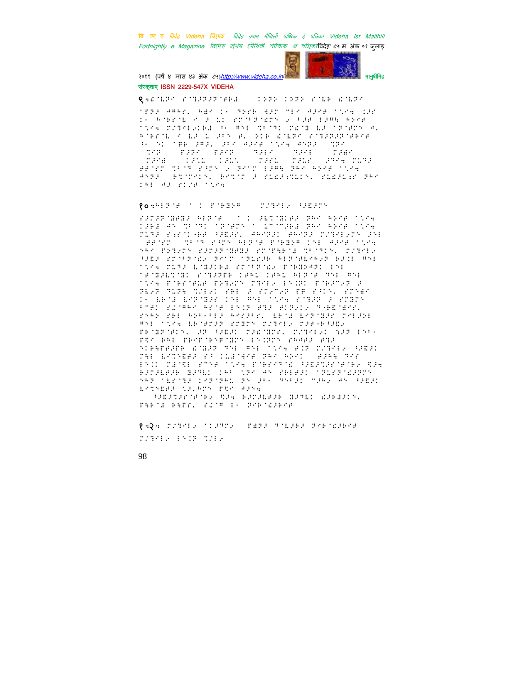त्रि एन् रु विदेह Videha विरमर विदेह प्रथम मैथिली पाक्षिक ई पत्रिका Videha Ist Maithili Fortnightly e Magazine রিদেত প্রথম মৌথিনী পাক্ষিক প্র পত্রিকাবিदेह' ८५ म अंक ०१ जुलाइ



२०११ (वर्ष ४ मास ४३ अंक ८५)http://www.videha.co.in संस्कृताम् ISSN 2229-547X VIDEHA

QHETERY POTERRENT-PEB **CONFIDENTIAL CONTROL** 

TERR APPEL PARTIES TOEK ARD TER ARRAITED ORD dik sementas kisa dan namitela tahun 1919 (elakar elakar).<br>Titulan mutaka udela seluruh terbitan manasala sina tertengkan e teatre la celebración de la celebración de la teatre de também.<br>En los competibles de la calabración de la angula compa กัดสุดที่กัดสุดต่อกับข้อมูลกับ<br>การสุดต่อการสอบการสุดต่อการสอบ  $\sim$   $\sim$   $\sim$ ing ang l  $7.38<$ **CONSTRUCTOR** STARL TALE APPEARING aand dichtaal van die bestel van die Seriese († 1915)<br>Anders Bottern, Betro anderes die Koeperse († 1956) 1940/92 3129 7539

**Robert Edge of the Portfolio Property CONTRACT PROPERTY** 

adaadka maadad waxaa ka sii sii sii sadaa madaadka dalka waxaa waxaa waxaa iyo dhamada ahaan ahaan waxaa waxaa<br>Sadadka waxaa dhamada waxaa waxaa waxaa waxaa waxaa waxaa waxaa waxaa waxaa waxaa waxaa waxaa waxaa ahaan ahaa NAR SPORTA SKOROSTERER SOM PARME NORTH NO STORER FABA SOM PISA PATO I POSAR PER SEAPAR BASE PAE none doma analisa editaraz predsentiana TA MEALD MET VINAGER (1981) 1981 AFG MA (951) ASE TORA EMPERIENT ESTADS CONTRA ESTADO EMPARADOR davd dade tievi veel d'vivingd ee vilv. Vinger DR LESSE ERSTERE DAE FAE SOVRE ESTRE 2 EDEDA FORD SCORES ESTA ENCRUADA ADALA PERMANSI PARA PRESENTED PREPERT ERRETAREMENT PREDNE And they also not count outside oversease. ate code celtics, il didillo didillo didillo di progressivo con sulla celtica FOR ANY PARTNERS MOVE ENCOUNTERED AND STRAPAREN GIORRE PSE PSE INVASIATO DINABLE PRERI ina (Carnoge) (23 ciudinere) por copri colego (1982)<br>En Diona de Cannello Vracineardo a Cogarda de Galego  $\pm$  10  $\pm$ BUTULAUB GUTEL CORPORATION PRESENT TOURONEUM sed tirta 1995-1991 de 1991 e 1991 e 1992 de 1993.<br>Lesenca salere for age

APEPTRENENS RPA BROKERPE BRAEL EPHIRING PARTA BAPYL YOTH IS PERTONEER

RARA CONTRA COUPRO CABBA POLARA PRECEDENT TITLE IN THE TITLE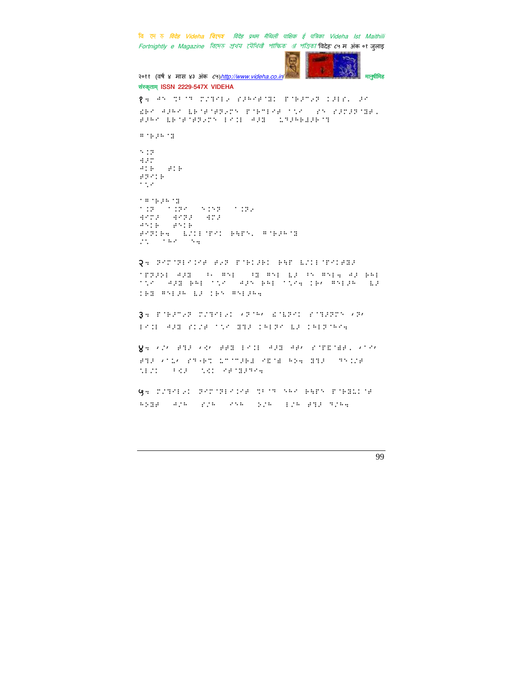ति एप रु विदेह Videha विएम्ब विदेह प्रथम मैथिली पाक्षिक ई पत्रिका Videha Ist Maithili Fortnightly e Magazine রিদেত প্রথম মৌথিনী পাক্ষিক প্র পত্রিকা' বিदेह' ८५ म अंक ०१ जुलाइ



संस्कृताम् ISSN 2229-547X VIDEHA

ga as dist provincial research preemed territory ask lease specialization internetal title (law additional) BOARD EECH GROUP ER DE ROOM LINGAELDE CO

 $\frac{1}{2}$  =  $\frac{1}{2}$  =  $\frac{1}{2}$  =  $\frac{1}{2}$  =  $\frac{1}{2}$  =  $\frac{1}{2}$ 

 $\sim$  10  $^{\circ}$ 4921  $\#1\oplus\ldots\oplus1\oplus$ advis.  $\gamma$  ,  $\gamma$ 

 $1.00143413$ 1008 1008 2009 2009 2009 anta anta até.<br>Anta anta akšiau (sikis mki samu smaskos)<br>Vojnose (sa

QA SPONSER DE BAS ENELSEL END EN ENDEMORG **TERRAI ARBIT AL ANIT TERRAI ER LAS ANITAS ARTIFA** TOP CAPE BAE TON CAPS BAE TONG IBV RAEPAC  $\mathbb{R}^3$ TES PALENTER TEN PALENT

34 Eneanza provinciar vanez antarko antagon vaz BRIDGE AND STORY TO CONDITATION DATA CARD THAN

RA YOU BEEN YOU BEEN EXIDED ABENE CORRIGES YOU ada yilk adaan boroaka kena ada doo dakee MEZO (1982) NAD PARTBARPA

ga comercial decompresses that the sees experience to ANDER ANN SENA SANA SNOW ENA BOL POAG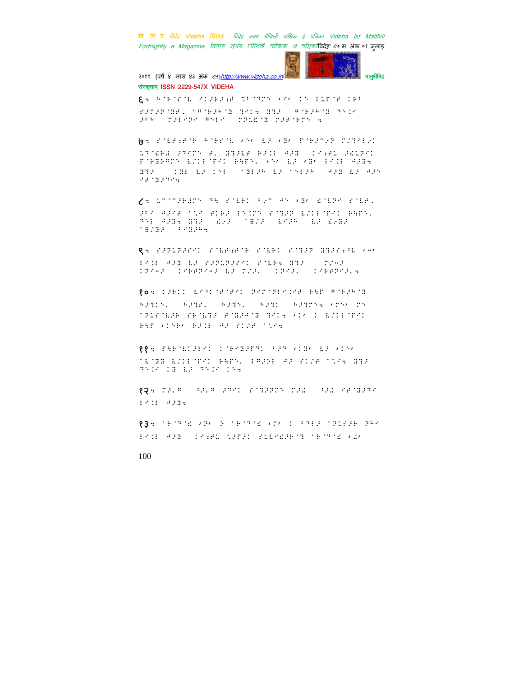त्रि एन् रु विदेह Videha विरमर विदेह प्रथम मैथिली पाक्षिक ई पत्रिका Videha Ist Maithili Fortnightly e Magazine রিদেত প্রথম মৌথিনী পাক্ষিক প্র পত্রিকাবিदेह' ८५ म अंक ०१ जुलाइ



२०११ (वर्ष ४ मास ४३ अंक ८५)http://www.videha.co.in संस्कृताम् ISSN 2229-547X VIDEHA

gallere rare, spaeake, de rack ivsy our social per RADARYSHU (1879-ARTS SKILH) SSA (1879-ARTS 1870-A GRANT DOG KRATASIENE V DOG DOG DOG NEDNIG

ga anderene energia von de von preenve preserva LA MES SARTA SE SAGGES ESSE SOS LIVERO SELACIO FORDPEN ENDEMNY PAPS, VSV ES VDV PKOP 9309 332.00 **CONFIDENTIAL CONFIDENTIAL ONE ARE**  $-4.33 - 4.3 - 4.35$ **PETBERPH** 

Ze promakarn de actes alam an valuacter actes. and sade that area response that but men early. MAE ADDA DHO CADO CHAOL EADA CEOCADO TEZEP (FREPH)

QH PARLEAPH POLEHER POLES POTAR STAPPERS VW FRIDAMENT PARLAMENT POLEN STAR in popular CRAHA (CARARAHA EA COSA) (CRAS) (CARARAS) e

Row (1961) Enforcement demonstrates early televisi AUSINE AUSTRIA AUSTRIA AUSTRALIAN AUSA UN TO DO TEVER SER TEMPS SE TODA POR SINTE SINTE DE TERRO BAR VISBA BAJE AA 2128 TIVA

884 ERROLLER COLORED ERROR SIDN BROADS TEMBER ANDERSTOR BEEN, REPANEL AV POINT TOMAR BEV SAMPLE EXPRESS TAB

834 CALB - FALB ARRIVETSADON CAL - FALVRETSARR 1701-0205

835 TECHNIC VERSIENTE VERSITEIT EINE TELEVERIEN EVID AND COVERN NAPAL PORTERENT TENNIS VID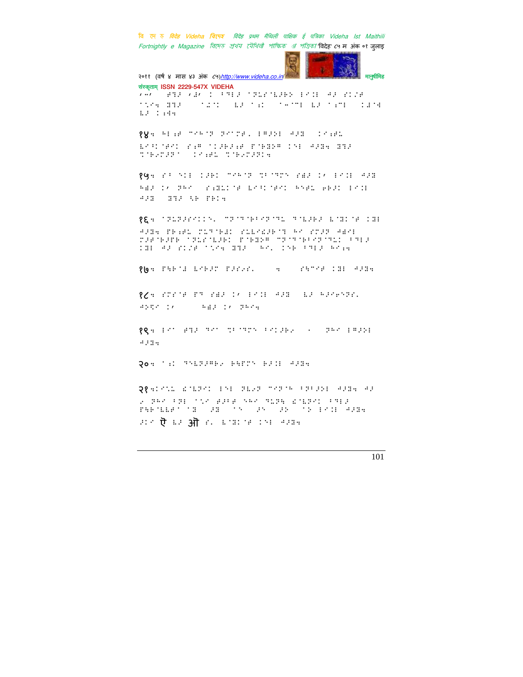ति एप रु विदेह Videha विएम्ब विदेह प्रथम मैथिली पाक्षिक ई पत्रिका Videha Ist Maithili Fortnightly e Magazine রিদেত প্রথম মৌথিনী পাক্ষিক প্র পত্রিকা' বিदेह' ८५ म अंक ०१ जुलाइ

२०११ (वर्ष ४ मास ४३ अंक ८५)http://www.videha.co.inl

× मानुषीमिह

**COMPANY** 

 $2.5\,cm$  ,  $3.3\,cm$  . stando alestado se maisa el tama o dana ER Cada

gga arak meksa aeroku rezor eza ireak EKSTMAT VERMITTERARK ENBOARDINE AAGNUSTA STEVERED CONTENTS PROPERTY

PORT 23 NOTE CORP. THANK TO TRIN 280 IV EACH ADD ABS IN THAT CABILITY EASY NAME AND SPECTATOR  $4.3\pm 0.1$ **SHOPLE PECH** 

884 Capacastros, Indianas de Manacastros, proporciones i Adam i persebili polareati i robandaena i Aniiranda i Amerikana.<br>Ipamedeen indorredeet i predaka i pana rengarati i naarad.<br>Itali i Adir rother indiner aad i i Aniira tene i Aniira.

**Right PARTS EXPRESS PRESEL ...**  $\frac{1}{2}$  =  $\frac{1}{2}$  =  $\frac{1}{2}$  =  $\frac{1}{2}$  =  $\frac{1}{2}$  =  $\frac{1}{2}$  =  $\frac{1}{2}$  =  $\frac{1}{2}$  =  $\frac{1}{2}$  =  $\frac{1}{2}$ 

804 COCCA ES CARLOS ESTE ARE LER ARSAREL 4988 (17) 

RRA EST AND NST NEINER FRIDAY (S. 1948) ERDE  $4.3\,\mathrm{Hz}$ 

Row this management manna madia adder

S&PINZE SUPPLY THE SEPT LABLE LEADER POTE AT 2 decide to the edie secondal condet in the residuent no logo in the control no except women ਤਾਨ ਦੇ ਬਣ ओ ਕਿ ਬਾਬਾ 'ਭਾਰ ਸਰ ਭਰਗ-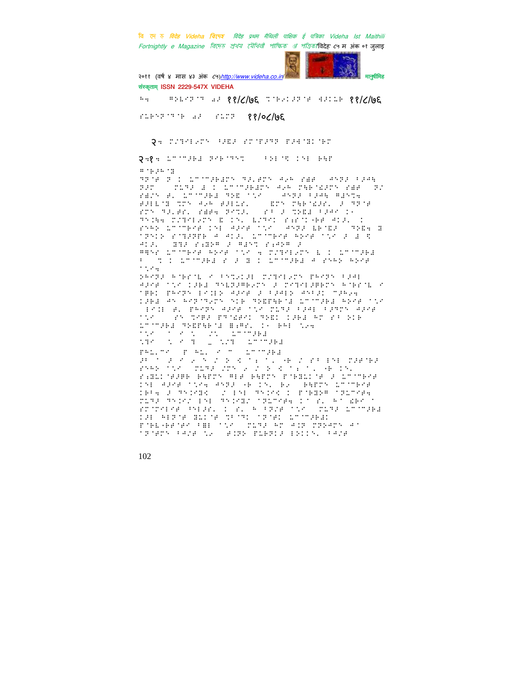त्रि एन् रु विदेह Videha विरमर विदेह प्रथम मैथिली पाक्षिक ई पत्रिका Videha Ist Maithili Fortnightly e Magazine রিদেত প্রথম মৌথিনী পাক্ষিক প্র পত্রিকাবিदेह' ८५ म अंक ०१ जुलाइ



संस्कृताम् ISSN 2229-547X VIDEHA

 $\ldots$ **PERMIT REPORT TO PERMIT AND RESIDENCE** Belleve that a start and progress

QH CONFERDA FREE CONFERD CARDIO NO

RABA COMPARE BARAGAN  $-351.75 \pm 54.0$  PAP  $\frac{1}{2}$  =  $\frac{1}{2}$  =  $\frac{1}{2}$  =  $\frac{1}{2}$  =  $\frac{1}{2}$  =  $\frac{1}{2}$  =  $\frac{1}{2}$ 

dane a c'hornaegon dalegn eve ree (enda elege dar) (crisă și l'imstalare avecreene real).<br>Pere al imstala sproceso aeda fage serve -37 nasis pragaak e eig. Chrakke Askelnik gluble ADAL (1992) PASPE 2 PANT PAPPE 2  $\gamma$  ,  $\gamma$  ,  $\gamma$ 

SARDS AMERICAN FACULAE CONFIDENCIARES FUEL ASKA INNKI DSEG I PROSPEKTRI SI ITKIRI SEETRI PINETIO K TRAD PARK 17315 APRIL 2 12415 45120 MUAVA 1963 AN ARBITADO NIA TORRARIA LOCORRA ADRE CIDA liel av personare som post fra flags are nde () (25 deed primaer: robi 1943 Ar 29 oca LTITARA PAEPARIA BARY, IV PRE NAM Presiliti est. Sur communal<br>1930 - Nord Boll, 1999 - ammuna

inalismo (pri all'interno di montaggio<br>18 della Grupo di la contra di la contra di montaggio<br>1880 della Grupo India (pri all'interno di montaggio YABUL MARE (PAPPY) REP (PAPPY) P MEBUL ME (A) UM MEKR cal elementative mener remer commaedi ana (para termini)<br>Standard (para tipologia) en Adaltaden (pr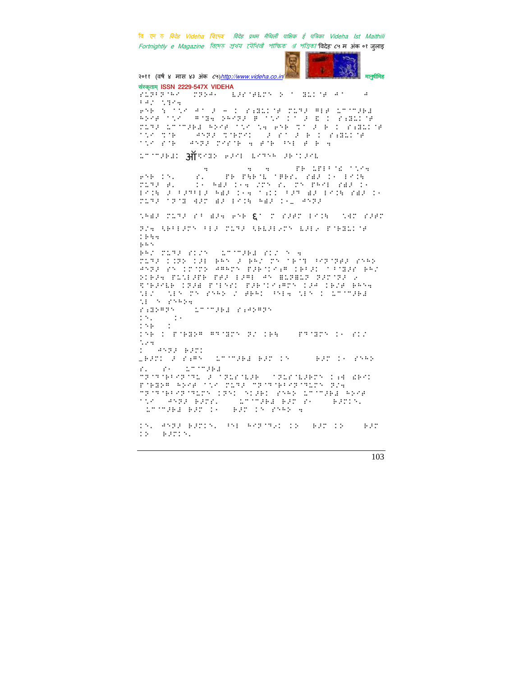त्रि एन् रु विदेह Videha विरमर विदेह प्रथम मैथिली पाक्षिक ई पत्रिका Videha Ist Maithili Fortnightly e Magazine রিদেত প্রথম মৌথিনী পাক্ষিক প্রা পত্রিকা' বিदेह' ८५ म अंक ०१ जुलाइ



२०११ (वर्ष ४ मास ४३ अंक ८५)http://www.videha.co.in/

संस्कृताम् ISSN 2229-547X VIDEHA PLOPER THAN IN DOCK AN INSIDE A REPORT OF THE CONTROL AND  $\mathbf{r} = \mathbf{r}$ Par Sara ané níchny ar a koronadora doma med ochrhaea.<br>Anne chynol mhay nenga morning a moronadora risk innebælere fre ha bebed til 200 med 200.<br>1930 til 1930 bleve til 1930 nde la reli nie pri sespringany w prisery spries chinaea: 3ñskab eak: chine aeicakc  $\langle$  TH (LTIF) or ( ) 1784 TERR CROB HRT HR BROW RHR 1-1 HARR teachding as agency group agencies that agen SAN APPEARS FEATURES APARENDS EARLY POPRINTS  $1.944$  $\mu$  and  $\tau$ ész podziaczny opnymała arz nie.<br>Doda rodzi raz esnia esz principi reduzea ansp AND PACINTY APARA PARTNER (PRAID) THORE PAY SIERA PLANERE PAR NRPN AN BLOBLO DROMOR S SINGERED COOR INTERNATIONAL MORTH COORDINATE BRAN na 2007 na kuma katika malambang kalendar na kanya malawang malawang malawang kanya malawang kalendar na kalen<br>Katalog malawang malawa na katalog malawa na katalog malawa na katalog malawa na katalog malawa na katalog mal COMMUNES SERVICES ride#ps  $1.51 - 1.14$  $154 - 1$ 198 : Predem Marque, 22 188 : Pardon IV VII tar m  $1 - 4533 - 8371$  $\begin{aligned} &\mathbb{E}\left[\mathbb{H}\left[\mathcal{I}\right]\mathbb{U}\right]=\mathbb{P}\left[\left[\mathcal{I}\right]\right]\mathbb{H}\left[\mathbb{H}\right]\mathbb{V}\right]. \end{aligned}$ **CAMINABA BAD IN**  $\mathcal{L} = \{ \mathcal{L}(\mathcal{L}^{\mathcal{L}}) \mid \mathcal{L}(\mathcal{L}^{\mathcal{L}}) \in \mathcal{L}^{(n)}(\mathcal{L}^{\mathcal{L}}) \}$ Every Excellent Market ha renes ka Pep. O Prapertide i il rapertidensi ibles i deko predse eska introduce name exkandurs and

ที่สุดที่ในยุคสิ่งที่ผมกับ มีที่มี (กมส์มม) สำหรับผู้ให้เหลือ ในระละ<br>1560 - ศกสสัตน์สมสัม (ก. ผมเทพสนอัตสมาสก) (ก. มีสมมกับ)<br>(กุผมเทพสนอัตสมาชิง) (ต. มีสมาชิก) สำหรับ ( TAL PARK BROOKLY THE BROOKLY IN CHRONING in a tr IN BRIDE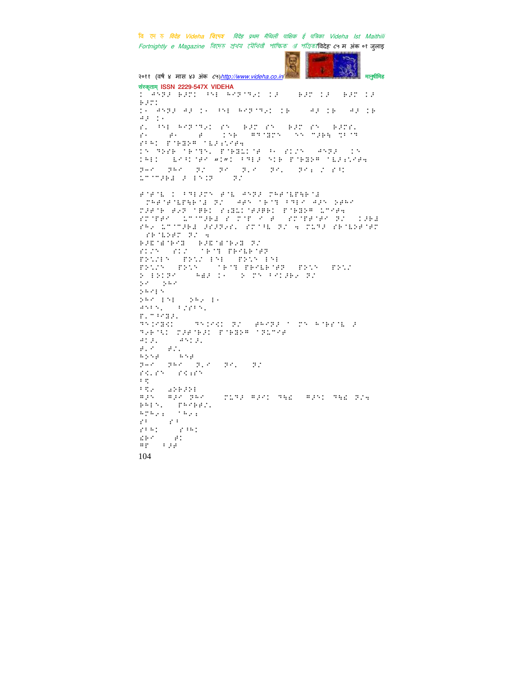ति एप रु विदेह Videha विएम्ब विदेह प्रथम मैथिली पाक्षिक ई पत्रिका Videha Ist Maithili Fortnightly e Magazine রিদেত প্রথম মৌথিনী পাক্ষিক প্র পত্রিকাবিदेह' ८५ म अंक ०९ जुलाइ



संस्कृताम् ISSN 2229-547X VIDEHA i <sup>n</sup>akou auri (sa seromul iu  $\mathcal{L} = \mathbb{H} \mathcal{L} \mathcal{L} \quad \mathcal{L} \mathcal{L} = \mathbb{H} \mathcal{L} \mathcal{L} \quad \mathcal{L} \mathcal{L}$  $0.3331$ 1980年5月20日第2012年1月5日,中国共和国大学、10月20日第2012年(日本語)1980  $\sigma(\rho) \geq \rho$ al fra eramat an ear an ear an earna.<br>ar i er i e i the cemath inn maes brit Pres Premier (Saladyag) IN THE TETTY POBLICE FOR IN ANTAL AND LIN 1981 - EKRINAR KIWI PREPOSE POBBAR OEPANKA 

BOROL I FREDIV BOL PARD THEOLEREOR î pêşîrêndekêndirok Tişan îrangerê kurd yayo başkir<br>pakirê kapirinasî yekar reaksî prosper diniye epireko animaka e pira koa oepirenak de osaka kes bronded dragskrivkroepigs av broga kenpaner STRINGER BOOK  $\begin{array}{ll} \texttt{BAB} \texttt{A}\texttt{B} \texttt{A}\texttt{B} \texttt{A}\texttt{B} & \texttt{BAB} \texttt{A}\texttt{B} \texttt{A}\texttt{B} & \texttt{B}\texttt{A} \\ \texttt{BCD} \texttt{A}\texttt{A} & \texttt{BCD} \texttt{A} & \texttt{BCD} \texttt{A} & \texttt{BBC} \texttt{B}\texttt{A}\texttt{B}\texttt{A}\texttt{B} \end{array}$ alla (1981), and a dansan ami<br>anni in anno 1981, anno 1982<br>anni in anno 1982, ann an Carlo 1982, ann an Carlo<br>an ann an Chead Control 1982, ann an Cheangailte  $p(\sigma) = p(\sigma,\sigma)$  $\frac{1}{2}$  in  $\frac{1}{2}$  (  $\frac{1}{2}$  )  $\frac{1}{2}$  . 288 121 282 13 asis, crypts, EUM PABRU de trastico conectricito de la ambiento de l'Anasota (el<br>despetito despasto di radiale ordinare) **AD 2100**  $\label{eq:1} \mathcal{L} = \{ \mathcal{L} \in \mathcal{L} \mid \mathcal{L} \}$ निर्माण करा<br>अक्षेत्रकार अधिक<br>कमरा कमरा करा करा आहे estante constante  $\mathbb{E}[\mathbf{r}_i]$  .  $\begin{array}{ll} \mathbb{E}[\overline{u},\overline{v}] & \text{if $\mathcal{W}$}\mathbb{E}[\overline{u},\overline{v}] \\ \mathbb{E}[\overline{u},\overline{v}] & \text{if $\mathcal{W}$}\mathbb{E}[\overline{u},\overline{v}] \\ \end{array}$ 主要的。 TEMP REST MARK REPORT RAD PIN  $\begin{array}{lcl} \mathbb{H}^1 \mathbb{H}^1 \mathcal{H}_1 & \mathbb{H}^1 \mathbb{H}^2 \mathbb{H}^2 \mathcal{H}_2 \\ \mathbb{H}^1 \mathbb{H}^1 \mathcal{H}_1 & \mathbb{H}^1 \mathbb{H}^2 \mathbb{H}^2 \end{array}$  $\sim 2.3\%$  $\mathcal{L}^{(2)}$  .  $\frac{1}{2}$  :  $\frac{1}{2}$  :  $\begin{array}{c} \begin{array}{c} \text{if } \text{in} \, 1 \\ \text{if } \end{array} \end{array}$  $\mathcal{L}(\mathbb{R}^{2n})$  .  $\mu_{\rm T} = 0.34$ 104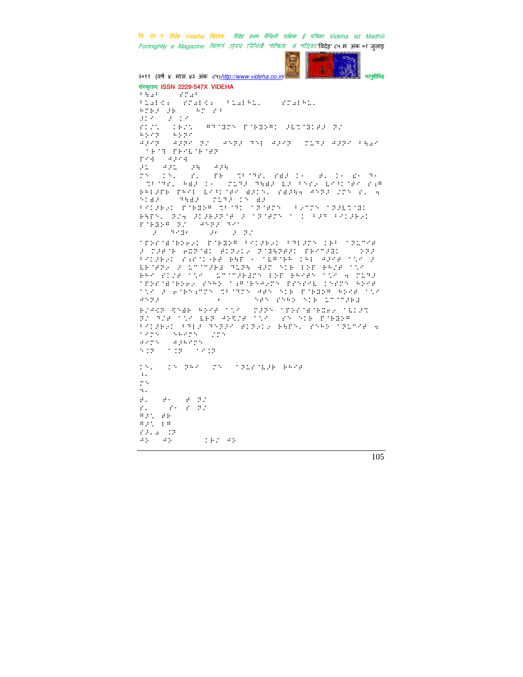त्रि एन् रु विदेह Videha विरमर विदेह प्रथम मैथिली पाक्षिक ई पत्रिका Videha Ist Maithili Fortnightly e Magazine রিদেত প্রথম মৌথিনী পাক্ষিক প্র পত্রিকা' বিदेह' ८५ म अंक ०१ जुलाइ

> E **County** ¢

२०११ (वर्ष ४ मास ४३ अंक ८५)http://www.videha.co.in मानुषीमिह संस्कृताम् ISSN 2229-547X VIDEHA ina) (orza)<br>Paatski rzakski Paatsaul **SECRETA**  $\mathbb{H}^{\alpha}_{\mathbb{C}}\mathbb{H}^{\beta}_{\mathbb{C}}\mathbb{H}^{\beta}_{\mathbb{C}}\mathbb{H}^{\beta}_{\mathbb{C}}\mathbb{H}^{\beta}_{\mathbb{C}}\mathbb{H}^{\beta}_{\mathbb{C}}\mathbb{H}^{\beta}_{\mathbb{C}}\mathbb{H}^{\beta}_{\mathbb{C}}$  $\mathcal{I}(\mathcal{P})=\mathcal{I}(\mathcal{A}(\mathcal{P}))$ Vizi (1921)<br>Aber Abre **SARATORY PARABLE SECTIONS PA** adad (adda di asoc sa adad chiso adoa sana  $\Gamma$  <br/>  $\Gamma$  (  $\Gamma$  =  $\sim$   $\sigma$  ,<br/>  $\sigma$  -  $\sigma$  ). นีย์ คนย์ ไนจ์ คนอัล<br>เทศ (1925) คน เทศ (เทศวิลิต) คลัน 19 (คน 19 สิง ที่)<br>(เทศวิลิต) คลัน 19 (เทศน) ที่จัลน มัน 19 คน มัน 19 คน คลัน BAILER PACE LOST NO BLIN, YBJAN ANDL JTN Y. N STAR ( PRAP ) PLPP IS AP sika della conteges inastration di technologiamme in didectifigat.<br>Geometrici di technologiam di technologiam di servere di technologiam. robabe ar casar de **Call Heavy Collaving Biggs** n par na realezo i pinedare i Pinzelazo i Prezara i zaponinar a caere eodhail eidar a dhaean mendoù (1982)<br>Friaenn mar Chemear (1985) a caere del eare (1977) aenezu a chimaea mcze auz nie ispieskup nik ()<br>esk pius nik ( chimaeazh aspieskup nik ( ) transferansi nyayi terapat rhande tanah ayak the algebrathy distress will read about the TNAN YNAS NIE DOORAEL 神社学会  $\Phi$  2002 - Some (1960) - March 1972 - March 1980 - March 1980<br> 2011 - March 1980 - Moscol 1980 - Monte 1980 - March 1980 friabal fora opera elegis bern, robs celorer e saph (Swaph) (20)<br>Gaph (Gapwaph) sé sé  $\sim 10^{11}$  erg s TAL CIA PROVINCI CREATER BROB  $\mathbf{1}$  .  $\mathbb{R}^{n}$  $\mathfrak{m}_{\bullet}$  .  $\begin{array}{ll} &\# & 0.1\\ \mathcal{E}_\mathcal{A} & \mathcal{E}_\mathcal{A} & \mathcal{E}_\mathcal{A} & 0.1\\ \# \mathcal{E}_\mathcal{A} & \# \mathcal{E}_\mathcal{A} & 0.1\\ \# \mathcal{E}_\mathcal{A} & \# \mathcal{E}_\mathcal{A} & 0.1\\ \# \mathcal{E}_\mathcal{A} & \mathcal{E}_\mathcal{A} & 0.1\\ \end{array}$ Builder Braz  $\mathbb{H}(\mathbb{P}^n_+)=\mathbb{P}^n$  $2.314 - 12$  $\sigma(p) = \sigma(p)$  $-13.7 - 43$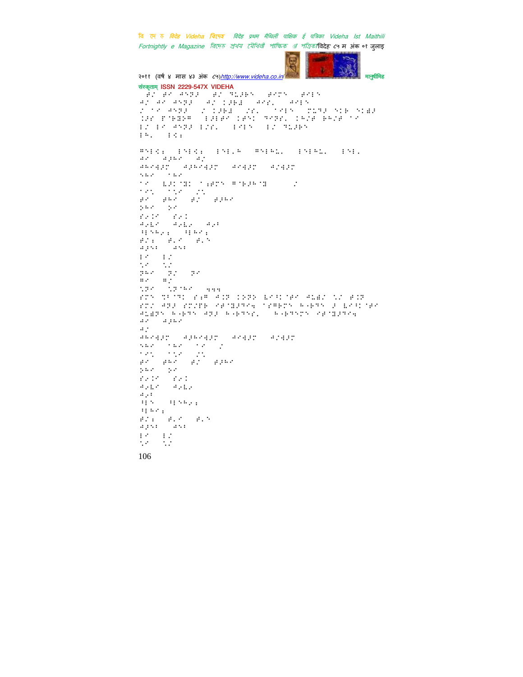Fortnightly e Magazine রিদেহ প্রথম মৌথিনী পাক্ষিক প্র পত্রিক/**বিदेह' ८५ म अंक ०१ जुलाइ** E **COMPANY** २०११ (वर्ष ४ मास ४३ अंक *८५)http://www.videha.co.in*/ मानुसीमहरू कर सम्मानुसीमहरू कर स्थानुसीमहरू कर स्थानुसीमहरू<br>२०११ (वर्ष ४ मास ४३ अंक *८५)http://www.videha.co.in* संकृताम् ISSN 2229-547X VIDEHA !⢾40⢾!⢺⢽⢼.!⢾4!⢹⣅⢼⢷0!⢾0!⢾! ⢺40⢺!⢺⢽⢼.!⢺4!⢼⢷⣜0!⢺"F0!⢺! 40!⢺⢽⢼.!4!⢼⢷⣜0!4"F0!0!⣅⢹⢼!⢷!⣞⢼! ⣈⢼"!2 ⢷⣝⢵⢻.!⢼⢾!⢾!⢹⢽"F!⢳4⢾!⢷⢳4⢾!! 40!⢺⢽⢼!4"F0!0!4!⢹⣅⢼⢷! ⢳F0!⣊⣐! FRENCH CENTRAL FOR THE CONTROL OF THE CONTROL OF THE CONTROL OF THE CONTROL OF THE CONTROL OF THE CONTROL OF T and company of a p ⢺⢳⣚⢼0!⢺⢼⢳⣚⢼0!⢺⣚⢼0!⢺4⣚⢼!! ال منطقة المنطقة المنطقة ا  $\mathcal{L}$   $\mathcal{L}$   $\mathcal{L}$   $\mathcal{L}$   $\mathcal{L}$   $\mathcal{L}$   $\mathcal{L}$   $\mathcal{L}$   $\mathcal{L}$   $\mathcal{L}$   $\mathcal{L}$   $\mathcal{L}$   $\mathcal{L}$   $\mathcal{L}$   $\mathcal{L}$   $\mathcal{L}$   $\mathcal{L}$   $\mathcal{L}$   $\mathcal{L}$   $\mathcal{L}$   $\mathcal{L}$   $\mathcal{L}$   $\mathcal{L}$   $\mathcal{L}$   $\mathcal{$ 0 P.S. (1992) - 25 P.C. ⢾0!⢾⢳0!⢾40!⢾⢼⢳!! ⢵⢳0!⢵!! "⢴⣈0!"⢴⣈!! ⢺⢴⣇0!⢺⢴⣇⢴0!⢺⢴B!!! ⢸⢳⢴⣐0!⢸⢳⣐!!! ⢾4⣐0!⢾F0!⢾F!! ⢺⢼B0!⢺B!! 0!4!! ⣁0!⣁4!! ⢽⢳0!⢽40!⢽!! αν αγ<br>1981 - 19 ⣁⢽0!⣁⢽ ⢳!!⣒⣒⣒!! "!⣉B ⢹!"⣐⢻!⢺⣈⢽!⢵⢽⢵!⣇⢸ ⢾!⢺⣅⣞4!⣁4!⢾⣈⢽! "4!⢺⢽⢼!"42⢷!⢾ ⣝⢼⢹⣒!"⢻⢷!⢳C⢷⢹!⢼!⣇⢸ ⢾! ⢺⣅⣞⢽!⢳C⢷⢹!⢺⢽⢼!⢳C⢷⢹"F-!⢳C⢷⢹!⢾ ⣝⢼⢹⣒!!!! ⢺0!⢺⢼⢳0!!  $4\%$ ⢺⢳⣚⢼0!⢺⢼⢳⣚⢼0!⢺⣚⢼0!⢺4⣚⢼! where  $\gamma$  is the  $\gamma$  -corresponding to  $\gamma$ 0 P.S. (1992) (1992) (1992) ⢾0!⢾⢳0!⢾40!⢾⢼⢳! ⢵⢳0!⢵! "⢴⣈0!"⢴⣈! ⢺⢴⣇0!⢺⢴⣇⢴0!! ⢺⢴B!!!  $\langle 0|0\rangle = 0$  ) of  $\langle 0|0\rangle$  $\mathcal{A}$ ⢾4⣐0!⢾F0!⢾F! ⢺⢼B0!⢺B! 0!4! ⣁0!⣁4!

दि एन रु विदेह Videha चिएन्श विदेह प्रथम मैथिली पाक्षिक ई पत्रिका Videha Ist Maithili

```
106
```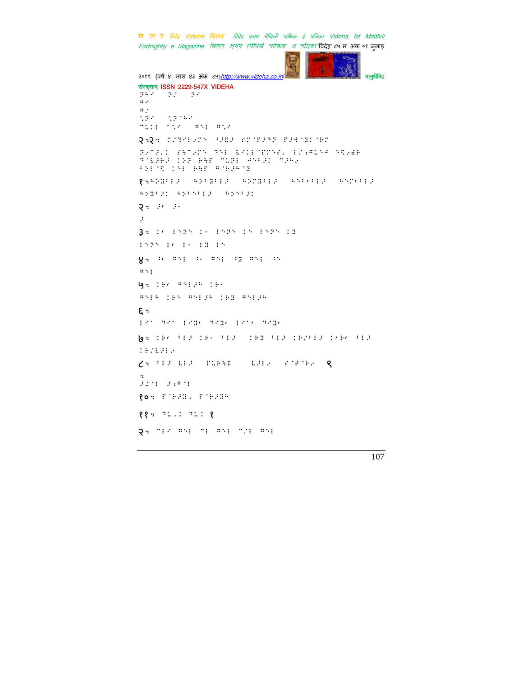```
दि एन रु विदेह Videha चिएन्श विदेह प्रथम मैथिली पाक्षिक ई पत्रिका Videha Ist Maithili
Fortnightly e Magazine  রিদেহ প্রথম মৌথিনী পাক্ষিক প্র পত্রিকা বিदेह' ८५ म अंक ०१ जुलाइ
                                             County
२०११ (वष ४ मास ४३ अंक ८५)http://www.videha.co.in/ मानुषीिमह 
संकृताम् ISSN 2229-547X VIDEHA 
      ⢽⢳0!⢽40!⢽!
\mathfrak{m}(\mathcal{O})ar<br>Nas
       ⣁⢽0!⣁⢽ ⢳!
[⣅!⣁0!⢻!⢻⣁!
२⣒२⣒!4⣙⢴!⢸⢼⣏⢼!" 2⢼⢹⢽!2⢼⣚ ⣝ ⢷!!
SUMURI SENGAN MURI SENGAN TERUPAK SEREPAK
SAN BAR SAN SAN BARA SAN BARA
B^2 , B^2 , B^2 , B^2 , B^2 , B^2 , B^2 , B^2 , B^2 , B^2 , B^2 , B^2 , B^2 , B^2 , B^2 , B^2 , B^2 , B^2 , B^2 , B^2 , B^2 , B^2 , B^2 , B^2 , B^2 , B^2 , B^2 , B^2१⣒⢳⢵⣝B⢼0!⢳⢵B⣝B⢼0!⢳⢵⣝B⢼0!⢳B'B⢼-!⢳'B⢼0!
⢳⢵⣝B⢼0⢳⢵BB⢼!0⢳⢵B⢼!!
२॥ 30 - 30\mathcal{F}३⣒!'!⢽0q!⢽0!⢽0⣝!
⢽0'0q0⣝0!!
४⣒!⢸'!⢻0⢸q!⢻0⢸⣝!⢻0⢸!
a s p
५⣒!⢷'!⢻⢼⢳0⢷q!
⢻⢳0⢷!⢻⢼⢳0⢷⣝!⢻⢼⢳!!
\xi :
0⢹!⣝'-⢹⣝'-'-⢹⣝'0!!
७⣒!⢷'!B⢼0⢷q!B⢼0!⢷⣝!B⢼!⢷4B⢼0'⢷'!B⢼!0!
1\pm7\pm3\pm5८⣒!B⢼!⣇⢼!)2⣅⢷⣓⣏*-!⣇⢼⢴!)" ⢾ ⢷⢴*!९
\ddot{\cdot}⢼⣌ !⢼⣐⢻ !!
१०⣒!2 ⢷⢼⣝⣀!2 ⢷⢼⣝⢳!!
११⣒!⢹⣅⣀⣈!⢹⣅⣈!१
२५ वाले मध्ये वाले मध्ये वाले संघ
```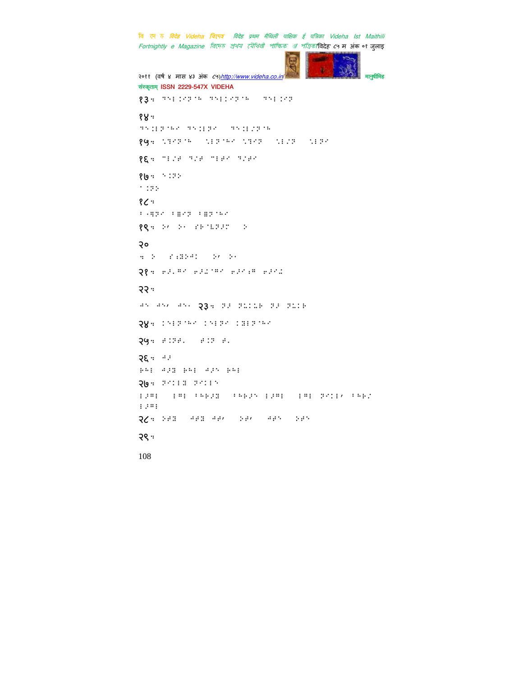```
दि एन रु विदेह Videha चिएन्श विदेह प्रथम मैथिली पाक्षिक ई पत्रिका Videha Ist Maithili
Fortnightly e Magazine  রিদেহ প্রথম মৌথিনী পাক্ষিক প্র পত্রিক/বিदेह' ८५ म अंक ०१ जुलाइ
                                               and i
२०११ (वर्ष ४ मास ४३ अंक ८५)http://www.videha.co.in/ सम्मानुबंधिक कर दिये । मानुषीमिह
संकृताम् ISSN 2229-547X VIDEHA 
१३⣒!⢹⣈⢽ ⢳!⢹⢽ ⢳-!⢹⣈⢽!!
१४\cdot⢹⣈⢽ ⢳!⢹⣈⢽0!⢹⣈4⢽ ⢳!!
१५⣒!⣁⣙⢽ ⢳0!⣁⢽ ⢳!⣁⣙⢽0!⣁4⢽0!⣁⢽!!
१६⣒![4⢾0⢹4⢾![⢾0⢹4⢾!!
80 : ' : :: :⣈⢽⢵!!
8<B\rightarrow B\beta\gamma , and B\rightarrow B\gamma\gamma , and B\rightarrow B\gamma\gamma१९⣒!⢵'0⢵q)"⢷ ⣇⢽⢼*!⢵!!
२०
⣒!⢵!)"⣐⣝⢵⢺*!⢵'0⢵q!!
२१⣒!⢶⢼F⢻0⢶⢼⣌ ⢻!⢶⢼⣐⢻0⢶⢼⣌!!
२२ -
GN GN, GN, 23S PR PLIE PRESENCE
२४⣒!⢽ ⢳0⢽0⣝⢽ ⢳!!
२७ मा साउन र
२६ = 42⢷⢳0⢺⢼⣝!⢷⢳0⢺⢼!⢷⢳!!
२७ मा अध्यापार
⢼⢻0!⢻!B⢳⢷⢼⣝0!B⢳⢷⢼!⢼⢻0!⢻!⢽'0B⢳⢷4!
⢼⢻!!
२८ - २००९ - २००९ - २००९ - २००९ - २००९ - २००९ - २००९ - २००९ - २००९ - २००९ - २००९ - २००९ - २००९ - २००९ - २००९ - 
२९ ः
```

```
108
```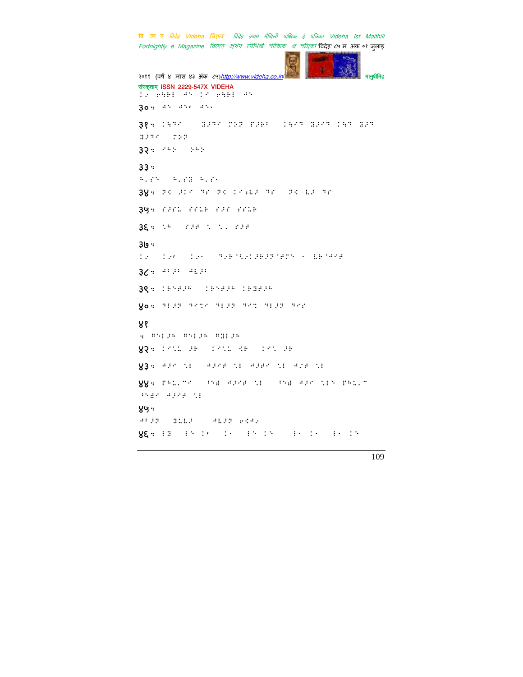```
दि एन रु विदेह Videha चिएन्श विदेह प्रथम मैथिली पाक्षिक ई पत्रिका Videha Ist Maithili
Fortnightly e Magazine  রিদেহ প্রথম মৌথিনী পাক্ষিক প্র পত্রিকা বিदेह' ८५ म अंक ०१ जुलाइ
२०११ (वर्ष ४ मास ४३ अंक ८५)http://www.videha.co.in/ मानुष्या कार्यक्रम मानुषीमिह
संस्कृताम् ISSN 2229-547X VIDEHA<br>∶.∙ाः :: :: : : ∵ : ∵ : : :: :: : : ∴
३० वा जन्म जन्म जन्म
३१⣒!⣓⢹!0!⣝⢼⢹)⢵⢽!2⢼⢷B*!⣓⢹0⣝⢼⢹0⣓⢹0⣝⢼⢹0!!
BFF^{\prime} , TFF^{\prime}३२⣒!⢳⢵0!⢵⢳⢵!!
33.1\mathbf{H}_{\mathbf{A}}\left[\mathbf{f}^{\mathbf{A}}\mathbf{f}\right]=\mathbf{H}_{\mathbf{A}}\left[\mathbf{f}^{\mathbf{A}}\right]=\mathbf{H}_{\mathbf{A}}\left[\mathbf{f}^{\mathbf{A}}\right]३४⣒!⢽⣊!⢼!⢹"0⢽⣊!⣐⣇⢼!⢹"0!⢽⣊!⣇⢼!⢹"!!
३५⣒!"⢼"⣅.""⣅⢷!"⢼".""⣅⢷!!
36 s (1991) s (2001) s (2001)
३७ ः
10 \times 100 and 10 \times 100 and 10 \times 100 and 10 \times 100३८⣒!⢺B⢼B!⢺⣇⢼B!!
३९⣒!⢷⢾⢼⢳0!⢷⢾⢼⢳!⢷⣝⢾⢼⢳!!
४०⣒!⢹⢼⢽!⢹⣉!⢹⢼⢽!⢹⣉0⢹⢼⢽!⢹"!!
४१
⣒!⢻⢼⢳!⢻⢼⢳0⢻⣝⢼⢳!!
४२⣒!⣁⣅!⢼⢷0!⣁⣅!⣊⢷0!⣁!⢼⢷!!
४३⣒!⢺⢼!⣁0!⢺⢼⢾!⣁!⢺⢼⢾!⣁0⢺4⢾!⣁!!
४४⣒!2⢳⣅F[0!⢸⣞!⢺⢼⢾!⣁0!⢸⣞!⢺⢼!⣁!2⢳⣅F[0!
⢸⣞!⢺⢼⢾!⣁!!
४७ ः
⢺B⢼⢽!)⣝⣅⣇⢼*0!⢺⣇⢼⢽)⢶⣊⢺⢴*!!
४६⣒!⣝0!!'0!q0!!!0!q!q0!q!!
```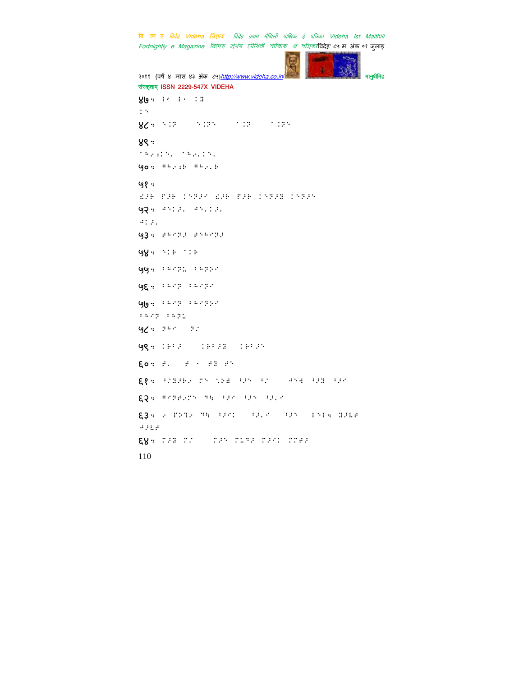दि एन रु विदेह Videha चिएन्श विदेह प्रथम मैथिली पाक्षिक ई पत्रिका Videha Ist Maithili Fortnightly e Magazine রিদেহ প্রথম মৌথিনী পাক্ষিক প্র পত্রিক/**বিदेह' ८५ म अंक ०१ जुलाइ** २०११ (वर्ष ४ मास ४३ अंक *८५)http://www.videha.co.in*/ मानुषी मानुषीमिह संकृताम् ISSN 2229-547X VIDEHA 110 ४७⣒!'0q!⣝0!  $\ddot{\Sigma}$ ४८⣒!⣈⢽!0!⣈⢽!0!⣈⢽!0!⣈⢽!! ४९ ः ⢳⢴⣐F!⢳⢴FF!! ५०⣒!⢻⢳⢴⣐⢷!⢻⢳⢴F⢷!! ५१ : ⣎⢼⢷!2⢼⢷!⢽⢼!⣎⢼⢷!2⢼⢷!⢽⢼⣝0⢽⢼!! ५२% में अपनी से जाने के अनुसार करने हैं।  $\sigma$  (  $\sigma$  ). ५३⣒!⢾⢳⢽⢼!⢾⢳⢽⢼!! ५४ को अपने साथिक ५५⣒!B⢳⢽⣅!B⢳⢽⢵!!  $\mathsf{Gg}_{\mathsf{G}}$  and  $\mathsf{Bg}_{\mathsf{G}}$  becomes ५७⣒!B⢳⢽.B⢳⢽⢵! B⢳⢽.B⢳⢽⣅!! ५८⣒!⢽⢳0!⢽4!! ५९⣒!⢷B⢼!0!⢷B⢼⣝0!⢷B⢼!! ६०⣒!⢾F0!⢾!q!⢾⣝0⢾!! ६१⣒!⢸4⣝⢼⢷⢴!!⣁⢵⣞.⢸⢼0⢸40-!⢺⣚.⢸⢼⣝0⢸⢼-!! ६२⣒!⢻⢽⢾⢴!⢹⣓!⢸⢼0⢸⢼0⢸⢼F!!! ६३⣒!⢴!2⢵⣙⢴!⢹⣓!⢸⢼0!⢸⢼F0!⢸⢼0!⣒!⣝⢼⣇⢾!  $\#$ ६४⣒!⢼⣝!4!0!⢼!⣅⢹⢼!⢼!⢾⢼!!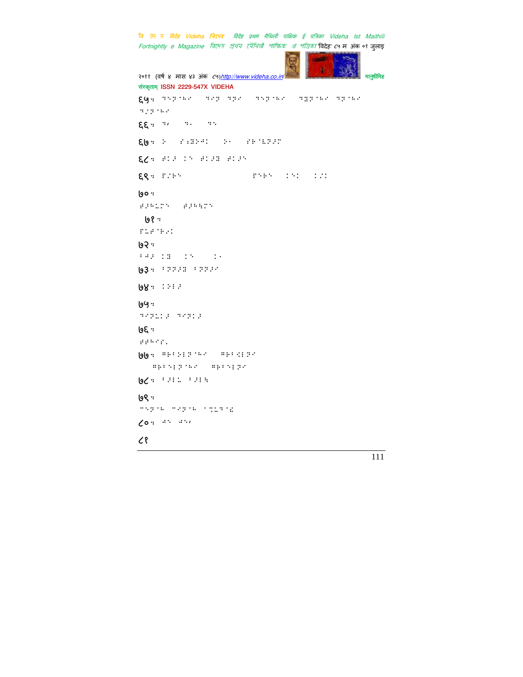```
दि एन रु विदेह Videha चिएन्श विदेह प्रथम मैथिली पाक्षिक ई पत्रिका Videha Ist Maithili
Fortnightly e Magazine  রিদেহ প্রথম মৌথিনী পাক্ষিক প্র পত্রিকা বিदेह' ८५ म अंक ०१ जुलाइ
                                                      College
२०११ (वर्ष ४ मास ४३ अंक ८५)http://www.videha.co.in/ मानुषी स्थानिक मानुषीमिह
संकृताम् ISSN 2229-547X VIDEHA 
६५⣒!⢹⢽ ⢳0!⢹⢽!⢹⢽0!⢹⢽ ⢳0!⢹⣝⢽ ⢳!⢹⢽ ⢳0!
⢹4⢽ ⢳!!
\mathbf{g} \mathbf{g} and \mathbf{g} \mathbf{g} . The contribution
६७⣒!⢵!)"⣐⣝⢵⢺*!⢵q!)"⢷ ⣇⢽⢼*!!
६८⣒!⢾⢼!!⢾⢼⣝!⢾⢼!!
६९⣒!24⢷!)po!gppu*!2⢷!!0!4!!
७०⣒!
⢾⢼⢳⣅0!⢾⢼⢳⣓!!
' १७
2⣅⢾ ⢷⢴!!
७२ ः
Beautiful products and products
७३⣒!B⢽⢽⢼⣝0B⢽⢽⢼!!
७४⣒!⢵⢼!!
لوپا "
⢹⢽⣅⢼!⢹⢽⢼!!
७६ -
⢾⢾⢳"F!!
७७⣒!⢻⢷B⢵⢽ ⢳0!⢻⢷B⣊⢽0!
   \mathbb{E}[\mathbb{E}[E] \leq \mathbb{E}[E] \leq \mathbb{E}[E] \leq \mathbb{E}[E] \leq \mathbb{E}[E] \leq \mathbb{E}[E] \leq \mathbb{E}[E]७८⣒!B⢼⣅!B⢼⣓!!
७९ -
[⢽ ⢳![⢽ ⢳)⣉⣅⢹ ⣎*!!
\zetao\pi and any
८१
```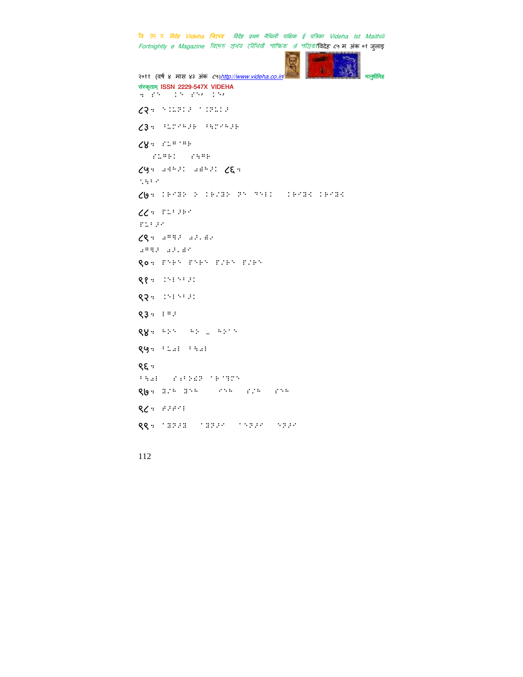दि एन रु विदेह Videha चिएन्श विदेह प्रथम मैथिली पाक्षिक ई पत्रिका Videha Ist Maithili Fortnightly e Magazine রিদেহ প্রথম মৌথিনী পাক্ষিক প্র পত্রিক/**বিदेह' ८५ म अंक ०१ जुलाइ** and i २०११ (वर्ष ४ मास ४३ अंक *८५)http://www.videha.co.in*/ मानुष्य कर स्थानिह संकृताम् ISSN 2229-547X VIDEHA Η (ΦΝ) (ΦΝ) ΦΝ) (ΦΝ) (Ο ८२⣒!⣈⣅⢽⢼!⣈⢽⣅⢼!! ८३⣒!⢸⣅⢳⢼⢷!⢸⣓⢳⢼⢷!! ८४⣒!"⣅⢻ ⢻⢷! 0!"⣅⢻⢷0!"⣓⢻⢷!! ८५⣒!⣔⣚⢳⢼!⣔⣞⢳⢼!८६⣒!  $\Delta$ ८७⣒!⢷⣝⢵0⢵!⢷4⣝⢵!⢽!⢹!0⢷⣝⣊.⢷⣝⣊!! ८८⣒!2⣅B⢼⢷!! 2012 (PDF) ८९⣒!⣔⢻⣛⢼.⣔⢼F⣞⢴! ⣔⢻⣛⢼.⣔⢼F⣞!! ९०⣒!2⢷.2⢷!24⢷.24⢷! ९१ : 1999: 99 ९२ - २०१२ - २०१  $83 : 101$ ९४⣒!⢳⢵.!⢳⢵!–!⢳⢵!! ९५⣒!B⣅⣔!B⣓⣔!!  $95.$ B⣓⣔!)"⣐B⢵⣎⢽!⢷ ⣙\*!! ९७⣒!⣝4⢳!⣝⢳!0!⢳0!"4⢳0!"⢳!! ९८⣒!⢾⢼⢾!! ९९⣒!⣝⢽⢼⣝.!⣝⢽⢼0!⢽⢼0!⢽⢼!!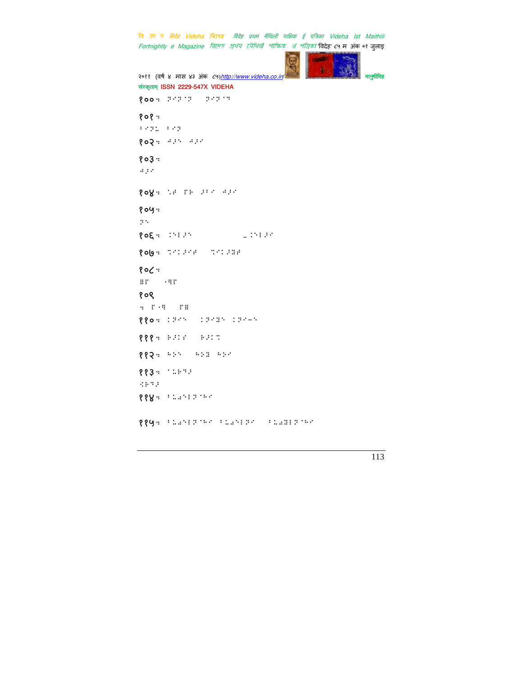```
दि एन रु विदेह Videha चिएन्श विदेह प्रथम मैथिली पाक्षिक ई पत्रिका Videha Ist Maithili
 Fortnightly e Magazine  রিদেহ প্রথম মৌথিনী পাক্ষিক প্র পত্রিকা বিदेह' ८५ म अंक ०१ जुलाइ
                                                                                              and i
२०११ (वर्ष ४ मास ४३ अंक ८५)http://www.videha.co.in/ मानुषी स्थानिक मानुषीमिह
संकृताम् ISSN 2229-547X VIDEHA 
१००⣒!⢽⢽ ⢽.!⢽⢽ ⢹!!
१०१ :
B⢽⣅!B⢽!!
\begin{cases} 0 & \text{if } i < j \leq n \\ 0 & \text{if } i \leq n \end{cases}803:
 \partial Hilijo. Internet fou tegen tegen tegen tegen tegen tegen tegen tegen tegen tegen tegen tegen tegen tegen te
१०४ व अप्रेल
१०५ :
\mu .
\begin{cases} 0 & \text{if } \mathbb{R}^n \\ 0 & \text{if } \mathbb{R}^n \end{cases}१०७⣒!⣉⢼⢾.!⣉⢼⣝⢾!!
१०८\cdot :
\begin{tabular}{ll} H & H & H \\ \hline \end{tabular} \quad \begin{tabular}{ll} \hline \multicolumn{1}{l}{\begin{tabular}{ll} \multicolumn{1}{l}{\textbf{2.2}} \\ \multicolumn{1}{l}{\textbf{2.2}} \\ \multicolumn{1}{l}{\textbf{2.2}} \\ \multicolumn{1}{l}{\textbf{2.2}} \\ \multicolumn{1}{l}{\textbf{2.2}} \\ \multicolumn{1}{l}{\textbf{2.2}} \\ \multicolumn{1}{l}{\textbf{2.3}} \\ \multicolumn{1}{l}{\textbf{2.3}} \\ \multicolumn{1}{l}{\textbf{2.3}} \\ \multicolumn{१०९
\mathbf{u} = \mathbf{F} \times \mathbf{H} \qquad \mathbf{F} \mathbf{H}११० : २२८९ : २२०० : २०००
१११⣒!⢷⢼".!⢷⢼⣉!!
११२ - २२३ १२२
883 \times 10^{11}⣊⢷⢹⢼!!
११४⣒!B⣅⣔⢽ ⢳!)ejggfsfou!nfbojoh.!hpu!
११५⣒!B⣅⣔⢽ ⢳0B⣅⣔⢽0!B⣅⣔⣝⢽ ⢳!
```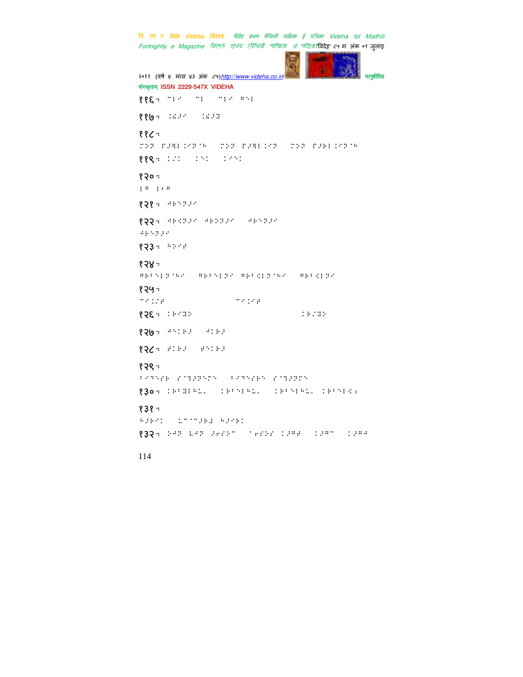```
दि एन रु विदेह Videha चिएन्श विदेह प्रथम मैथिली पाक्षिक ई पत्रिका Videha Ist Maithili
Fortnightly e Magazine  রিদেহ প্রথম মৌথিনী পাক্ষিক প্র পত্রিক/বিदेह' ८५ म अंक ०१ जुलाइ
                                               College
२०११ (वर्ष ४ मास ४३ अंक ८५)http://www.videha.co.in/ सम्मानुबंधिक कर दिये । मानुषीमिह
संकृताम् ISSN 2229-547X VIDEHA 
११६५ मध्य मध्य मध्य प्रथम
११७ अंतर पाठी श
११८\cdot⢵⢽!2⢼⣛⣈⢽ ⢳0!⢵⢽!2⢼⣛⣈⢽0!⢵⢽!2⢼⢷⣈⢽ ⢳!!
११९७ : २२ : २१९ : २१९१
१२०⣒!
\begin{bmatrix} 1 & 0 & 0 \\ 0 & 1 & 0 \\ 0 & 0 & 0 \end{bmatrix}, \begin{bmatrix} 0 & 0 & 0 \\ 0 & 1 & 0 \\ 0 & 0 & 0 \\ 0 & 0 & 0 \end{bmatrix},१२१⣒!⢺⢷⢽⢼!!
१२२⣒!⢺⢷⣊⢽⢼!⢺⢷⢵⢽⢼.!⢺⢷⢽⢼0!
⢺⢷⢽⢼!!
१२३\cdot \cdot \cdot \cdot \cdot \cdot \cdot१२४ ः
⢻⢷B⢽ ⢳0!⢻⢷B⢽!⢻⢷B⣊⢽ ⢳0!⢻⢷B⣊⢽!!
१२५ :
[⣈4⢾.!)up!uftu*[⣈⢾!!
226 + 1444820 + 4444१२८⣒!⢾⢷⢼.!⢾⢷⢼!!
838.BØDSPER BIDDES SAMERES BIDDES
१३०⣒!⢷B⣝⢳⣅F0!⢷B⢳⣅F0!⢷B⢳⣅F!⢷B⣊⣐!!
१३१⣒!
⢳⢼⢷!)⣅[ [⢼⢷⣜!⢳⢼⢷*!!
१३२⣒!⢵⢺⢽!⣇⢺⢽!⢼⢶"⢵[0!⢶"⢵"!⢼⢻⢾0!⢼⢻[0!⢼⢻⢺!
```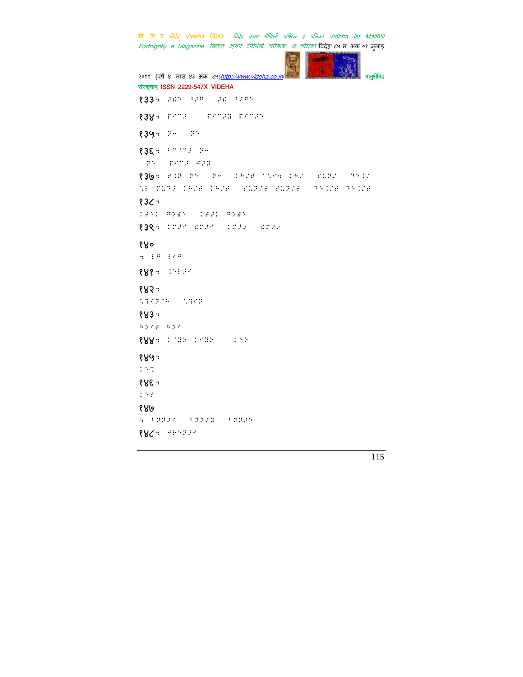```
दि एन रु विदेह Videha चिएन्श विदेह प्रथम मैथिली पाक्षिक ई पत्रिका Videha Ist Maithili
Fortnightly e Magazine  রিদেহ প্রথম মৌথিনী পাক্ষিক প্র পত্রিকা বিदेह' ८५ म अंक ०१ जुलाइ
                                                           Septim
२०११ (वर्ष ४ मास ४३ अंक ८५)http://www.videha.co.in/ मानुषी स्थानिक मानुषीमिह
संकृताम् ISSN 2229-547X VIDEHA 
१३३⣒!⢼⣎!⢸⢼⢻0!⢼⣎.⢸⢼⢻!!
१३४% Provent Provent Proven
१३५: ॥ ॥ ॥ ॥ ॥ ॥ ॥ 
836 + 329)⢽*!2[⢼!⢺⢼⣝!!
१३७⣒!⢾⣈⢽!⢽!)⢽⢲*!⢳4⢾!⣁⣒!⢳40!"⣅⢽40!⢹⣈4!
⣁!⣅⢹⢼!⢳4⢾.⢳4⢾0!"⣅⢽4⢾."⣅⢽4⢾0!⢹⣈4⢾.⢹⣈4⢾!
83C :
⢾!⢻⢵⣞0!⢾⢼!⢻⢵⣞!!
१३९⣒!⢼.⣎⢼0!⢼⢴.!⣎⢼⢴!!
१४०
\frac{1}{2} \left( \frac{1}{2} \right) \frac{1}{2} \left( \frac{1}{2} \right) \frac{1}{2} \left( \frac{1}{2} \right) \frac{1}{2} \left( \frac{1}{2} \right)888 + 1999883.⣁⣙⢽ ⢳0!⣁⣙⢽!!
883.\label{eq:4} \begin{split} \mathcal{L}(\mathcal{G},\mathcal{G},\mathcal{G})=\mathcal{L}(\mathcal{G},\mathcal{G})\end{split}१४४⣒! ⣝⢵!⣝⢵!0!⢵!!
१४५ :
\mathbb{Z} is \mathbb{Z}^+885.1.5\,\mathrm{m}१४७
⣒!B⢽⢽⢼0!B⢽⢽⢼⣝0!B⢽⢽⢼!!
१४८⣒!⢺⢷⢽⢼!!
```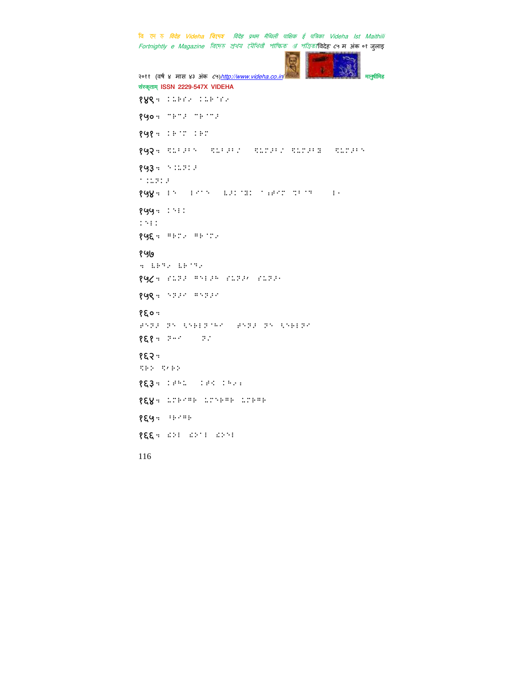```
दि एन रु विदेह Videha चिएन्श विदेह प्रथम मैथिली पाक्षिक ई पत्रिका Videha Ist Maithili
Fortnightly e Magazine  রিদেহ প্রথম মৌথিনী পাক্ষিক প্র পত্রিক/বিदेह' ८५ म अंक ०१ जुलाइ
                                        Septim
२०११ (वर्ष ४ मास ४३ अंक ८५)http://www.videha.co.in/ मानुसीमह
संकृताम् ISSN 2229-547X VIDEHA 
१४९⣒!⣅⢷"⢴!⣅⢷ "⢴!!
१५०⣒![⢷[⢼![⢷ [⢼!!
898 + 1011 + 1011१५२⣒!⣋⣅B⢼B0!⣋⣅B⢼B40!⣋⣅⢼B4!⣋⣅⢼B⣝0!⣋⣅⢼B!!
893 : '::::::\gamma (1191.9)
१५४⣒!0!!)⣇⢼ ⣝!⣐⢾!⣉B ⢹*.!q!!
899: 191:!!
१५६⣒!⢻⢷⢴!⢻⢷ ⢴!!
१५७
⣒!⣇⢷⢹⢴!⣇⢷ ⢹⢴!!
१५८⣒!"⣅⢽⢼!⢻⢼⢳!"⣅⢽⢼'0"⣅⢽⢼q!!
१५९ - १९९७ - १९९९
980:
⢾⢽⢼!⢽!⣃⢷⢽ ⢳0!⢾⢽⢼!⢽!⣃⢷⢽!!
१६१ = २०१० = २२
१६२⣒!!
⣋⢷⢵!⣋'⢷⢵!!
१६३⣒!⢾⢳⣅0!⢾⣊!⢳⢴⣐!!
१६४⣒!⣅⢷⢻⢷.⣅⢷⢻⢷!⣅⢷⢻⢷!!
854: \cdots१६६⣒!⣎⢵0⣎⢵!⣎⢵!!116
```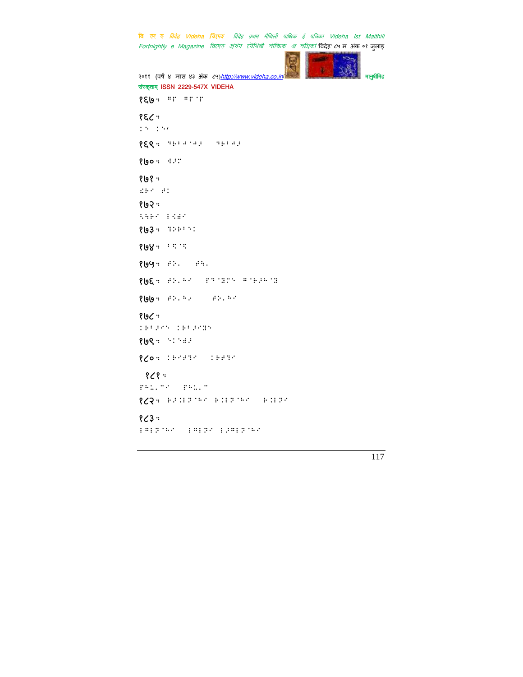```
दि एन रु विदेह Videha चिएन्श विदेह प्रथम मैथिली पाक्षिक ई पत्रिका Videha Ist Maithili
Fortnightly e Magazine  রিদেহ প্রথম মৌথিনী পাক্ষিক প্র পত্রিকা বিदेह' ८५ म अंक ०१ जुलाइ
                                            and i
२०११ (वर्ष ४ मास ४३ अंक ८५)http://www.videha.co.in/ मानुषी स्थानिक मानुषीमिह
संकृताम् ISSN 2229-547X VIDEHA 
१६७⣒!⢻20⢻2 2!!
१६८\cdot :
1.5 \pm 1.5 .
१६९⣒!⢹⢷B⢺ ⢺⢼0!⢹⢷B⢺⢼!!
800: #!!१७१ ः
⣎⢷!⢾!!
१७२ :
⣃⣓⢷!⣊⣞!!
803 : 33433808 + 322809: F:~ F:~१७६⣒!⢾⢵F⢳)!2⢹ ⣝!⢻ ⢷⢼⢳ ⣝*!!
१७७⣒!⢾⢵F⢳⢴!0!⢾⢵F⢳!!
१७८ ः
⢷B⢼!⢷B⢼⣝!!
808 + 220१८०⣒!⢷⢾⣙!0⢷⢾⣙!!
१८१\cdot :
2⢳⣅F[0!2⢳⣅F[!!
१८२⣒!⢷⢼⣈⢽ ⢳!⢷⣈⢽ ⢳0!⢷⣈⢽!!
8<sup>2</sup> :
⢻⢽ ⢳0!⢻⢽!⢼⢻⢽ ⢳!!
```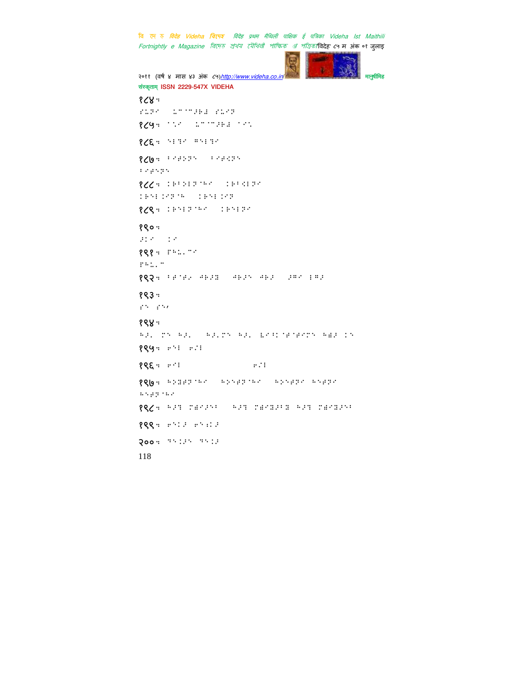दि एन रु विदेह Videha चिएन्श विदेह प्रथम मैथिली पाक्षिक ई पत्रिका Videha Ist Maithili Fortnightly e Magazine রিদেহ প্রথম মৌথিনী পাক্ষিক প্র পত্রিক/**বিदेह' ८५ म अंक ०१ जुलाइ College** २०११ (वर्ष ४ मास ४३ अंक *८५)http://www.videha.co.in*/ मानुष्य क्रिकेट के मानुषीमिह संकृताम् ISSN 2229-547X VIDEHA  $828.1$ TERM (CETTINES TERR) १८५ · Information of the १८६⣒!⣙!⢻⣙!! १८७⣒!B⢾⢵⢽0!B⢾⣊⢽0!! B⢾⢽!! १८८⣒!⢷B⢵⢽ ⢳0!⢷B⣊⢽0! ⢷⣈⢽ ⢳0!⢷⣈⢽!! १८९ : १९१३ ७८ : १९९०  $880:$ ⢼0!!!  $883 : 301.25$ 2⢳⣅F[!! १९२५ महाकर नकरण नकरण नकरण रूपमा क्षम  $883$ :  $\mathcal{L}^{(n)}\in\mathcal{L}^{(n)}$ १९४ : AU FIN AU FAUTY AU FRANCH GROOM AND TA  $889: 711 : 711$  $886$  :  $4.4$   $4.4$ १९७⣒!⢳⢵⣝⢾⢽ ⢳0!⢳⢵⢾⢽ ⢳0!⢳⢵⢾⢽0⢳⢾⢽0! ⢳⢾⢽ ⢳!! १९८⣒!⢳⢼⣙!⣞⢼B0!⢳⢼⣙!⣞⣝⢼B⣝0⢳⢼⣙!⣞⣝⢼B!! १९९⣒!⢶⢼!⢶⣐⢼!! २०० : १९०० : १९०० : १९ 118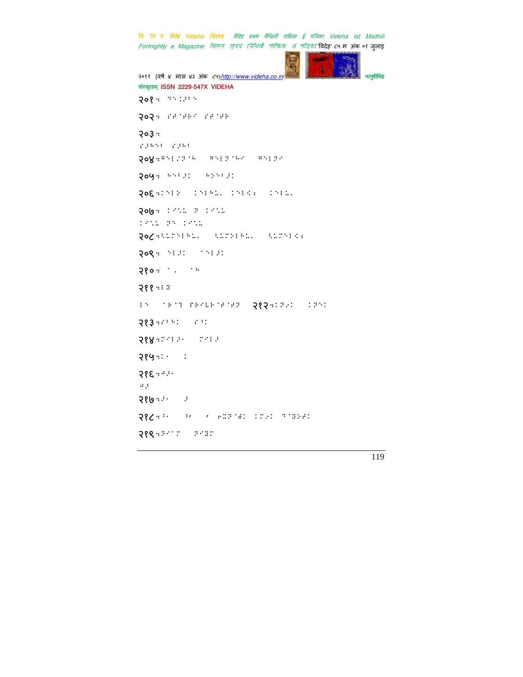```
दि एन रु विदेह Videha चिएन्श विदेह प्रथम मैथिली पाक्षिक ई पत्रिका Videha Ist Maithili
Fortnightly e Magazine  রিদেহ প্রথম মৌথিনী পাক্ষিক প্র পত্রিকা বিदेह' ८५ म अंक ०१ जुलाइ
२०११ (वर्ष ४ मास ४३ अंक ८५)http://www.videha.co.in/ सम्मानुबंधिक कर दिये । मानुषीमिह
संकृताम् ISSN 2229-547X VIDEHA 
२०१ - २४ अ
२०२० जनगरमध्ये असल
२०३ :
"⢼⢳B!"⢼⢳B!!
२०४⣒⢻4⢽ ⢳0!⢻⢽ ⢳0!⢻⢽!!
२०७ ता अध्यात प्रशासक
२०६ चा भारत का पानिस प्राप्त करते हैं। इस प्राप्त का पानिस प्राप्त करते हैं
२०७⣒!⣁⣅!⢽!⣁⣅0!!
⣁⣅!⢽!⣁⣅!!
२०८⣒⣃⣅⢳⣅F0!⣃⣅⢵⢳⣅F0!⣃⣅⣊⣐!!
२०९ = भारत = १९९१:
२१० : पर
२११⣒⣝0!!
!)⢷ ⣙.2⢷⣇⢷ ⢾ ⢾⢽*!२१२⣒⢽⢴0!⢽!!
२१३ मधी में में सा
२१४ व्यक्ति संस्था करते हैं
289:: :
385...\mathcal{A}(\mathcal{G})२१७\cdotः \cdotः
२१८⣒⢸q!0⢸'!)'!⢶⣍⢽ ⣞!⢴!⢹ ⣝⢵⢾*!!
२१९⣒⢽0!⢽⣝!!
```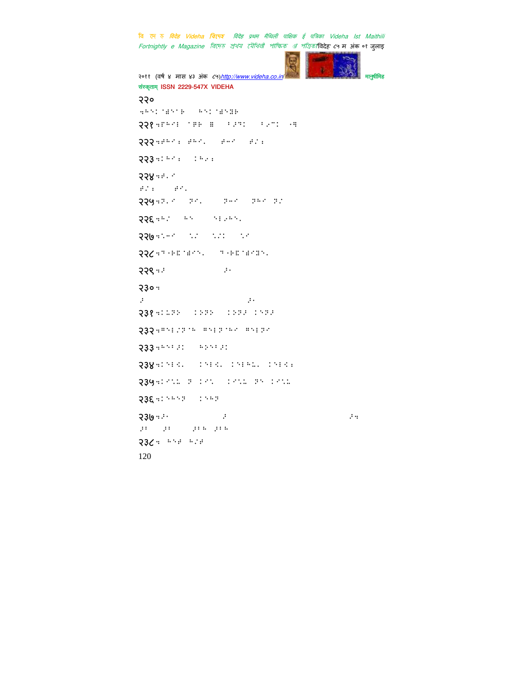दि एन रु विदेह Videha चिएन्श विदेह प्रथम मैथिली पाक्षिक ई पत्रिका Videha Ist Maithili Fortnightly e Magazine রিদেহ প্রথম মৌথিনী পাক্ষিক প্র পত্রিক/**বিदेह' ८५ म अंक ०१ जुलाइ** २०११ (वर्ष ४ मास ४३ अंक *८५)http://www.videha.co.in*/ मानुषी मानुषीमिह संकृताम् ISSN 2229-547X VIDEHA 120 २२० ⣒⢳ ⣞⢷0!⢳ ⣞⣝⢷!! २२१⣒2⢳!⢿⢷!⣟0!B⢼⢹0!B⢴[!C⣛!! २२२⣒⢾⢳⣐0⢾⢳F0!⢾⢲0!⢾4⣐!! २२३⣒⢳⣐0!⢳⢴⣐!! २२४ व्यक्त क ⢾4⣐!0!⢾F!! २२५⣒⢽F0!⢽F0!!⢽⢲0!⢽⢳0⢽4!! २२६ क्षेत्रेण जनसङ्ख्या अञ्चल करते. २२७⣒⣁⢲0!⣁40!⣁4!0⣁!! २२८⣒⢹C⢷⣏ ⣞F0!⢹C⢷⣏ ⣞⣝F!! २२९ करें किया है। २३०⣒!!  $F$  ) dpokvoduje to a secondustry  $F$  . The secondustry  $\mathcal{O}(n)$ २३१⣒⣅⢽⢵0!⢵⢽⢵-!⢵⢽⢼0⢽⢼! २३२⣒⢻4⢽ ⢳.⢻⢽ ⢳.⢻⢽! २३३⣒⢳B⢼.!⢳⢵B⢼! २३४⣒⣊F.!⣊F.⢳⣅F0⣊⣐!! २३५ steps and a control of the set of the २३६⣒⢳⢽.!⢳⢽!  $\mathsf{230}$ करें $\mathsf{230}$ ⢼B(.⢼B(!0⢼B⢳.⢼B⢳! २३८⣒!⢳⢾.⢳4⢾!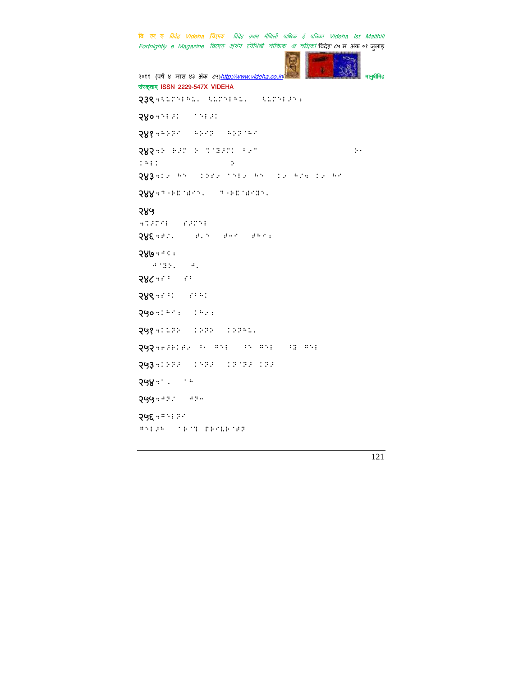```
दि एन रु विदेह Videha चिएन्श विदेह प्रथम मैथिली पाक्षिक ई पत्रिका Videha Ist Maithili
Fortnightly e Magazine  রিদেহ প্রথম মৌথিনী পাক্ষিক প্র পত্রিকা বিदेह' ८५ म अंक ०१ जुलाइ
२०११ (वर्ष ४ मास ४३ अंक ८५)http://www.videha.co.in/ सम्मानुबंधिक कर दिये । मानुषीमिह
संकृताम् ISSN 2229-547X VIDEHA 
२३९ BELIEFER. F. ELENERS
२४० व्यक्त ३२० लाला घर
२४१⣒⢳⢵⢽.!⢳⢵⢽0!⢳⢵⢽ ⢳0!
२४२⣒⢵.⢷⢼!⢵!⣉ ⣝⢼!B⢴[)dpokvodujpo*-!⢵q!
⢳!)if!tbje*0⢵!
२४३⣒⢴!⢳0!⢵"⢴!⢴!⢳0!⢴!⢳4⣒!⢴!⢳!
२४४⣒⢹C⢷⣏ ⣞F0!⢹C⢷⣏ ⣞⣝F!
२४५
⣒⣉⢼0!"⢼!!
२४६⣒⢾4F!0!⢾F0!⢾⢲0!⢾⢳⣐!
२४७⣒⢺⣊⣐!
   00 00 10 10 10 10 10 10 10
२४८ मधी काल
२४९ वटन में सामा
२५० : २८ : २०१०
२५१ ता प्रकार का प्रकार
२५२⣒⢶⢼⢷⢾⢴!⢸q!⢻0!⢸!⢻0!⢸⣝!⢻!
२५३⣒⢵⢽⢼0!⢽⢼0!⢽ ⢽⢼0⢽⢼!
२५४ - २०१० - २०१० - २०१० - २०१० - २०१० - २०१० - २०१० - २०१० - २०१० - २०१० - २०१० - 2010 - 2010 - 2010 - 2010 - 2010 - 2010 - 2010 - 2010 - 2010 - 2010 - 2010 - 2010 - 2010 - 2010 - 2010 - 2010 - 2010 - 2010 - 2010 - 2010 -
२५५ - २२ - २२
२५६ व्यापाट २०
⢻⢼⢳!)⢷ ⣙!2⢷⣇⢷ ⢾⢽*!!
```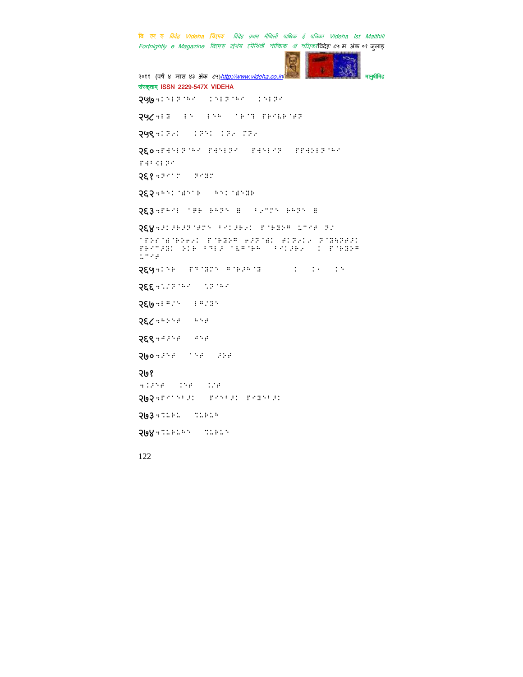Fortnightly e Magazine রিদেহ প্রথম মৌথিনী পাক্ষিক প্র পত্রিক/**বিदेह' ८५ म अंक ०१ जुलाइ County** २०११ (वर्ष ४ मास ४३ अंक *८५)http://www.videha.co.in*/ मानुष्य क्रिकेट मानुषीमिह संकृताम् ISSN 2229-547X VIDEHA २५७⣒⢽ ⢳0!⢽ ⢳0!⢽0!! २५८⣒⣝0!0!⢳!)⢷ ⣙!2⢷⣇⢷ ⢾⢽\*! २५९⣒⢽⢴0!⢽0⢽⢴.⢽⢴! २६०⣒2⣚⢽ ⢳!2⣚⢽0!2⣚⢽0!22⣚⢵⢽ ⢳0! 2⣚B⣊⢽0! २६१⣒⢽0!⢽⣝! २६२⣒⢳ ⣞⢷0!⢳ ⣞⣝⢷! २६३⣒2⢳!⢿⢷!⢷⢳⢽!⣟0!B⢴[!⢷⢳⢽!⣟! २६४⣒⢼⢼⢷⢼⢽ ⢾!B⢼⢷⢴!2 ⢷⣝⢵⢻!⣅[⢾!⢽40! 2⢵" ⣞ ⢷⢵⢶⢴!2 ⢷⣝⢵⢻!⢶⢼⢽ ⣞!⢾⢽⢴⢴!⢽ ⣝⣓⢽⢾⢼! 2⢷[⢼⣝!⢵⢷!B⢹⢼!⣇⢻ ⢷⢳!)B⢼⢷⢴\*!!2 ⢷⣝⢵⢻!  $\frac{1}{\alpha} \frac{1}{\alpha} \frac{1}{\alpha} \frac{1}{\beta}$ २६५⣒⢷!)2⢹ ⣝!⢻ ⢷⢼⢳ ⣝\*!0!.0!q0!! २६६⣒⣁4⢽ ⢳.!⣁⢽ ⢳! २६७ वर्षे में स्टेम के बाद प्राप्त करता है। २६८⣒⢳⢵⢾0!⢳⢾! २६९⣒⢺⢼⢾0!⢺⢾0! २७० करणि परिवा २७१ ⣒⣈⢼⢾0!⣈⢾0!⣈4⢾!! २७२ वसीट पर उपाध करता है। सहस्रकार २७३⣒⣉⣅⢷⣅0!⣉⣅⢷⣅⢳! २७४⣒⣉⣅⢷⣅⢳0!⣉⣅⢷⣅!122

दि एन रु विदेह Videha चिएन्श विदेह प्रथम मैथिली पाक्षिक ई पत्रिका Videha Ist Maithili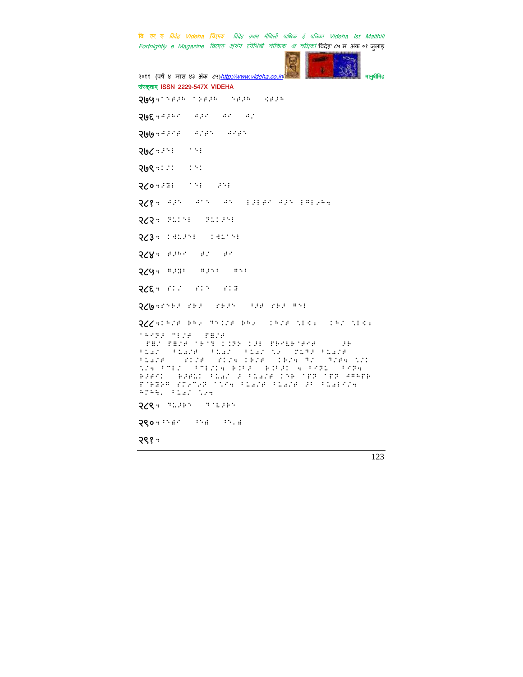दि एन रु विदेह Videha चिएन्श विदेह प्रथम मैथिली पाक्षिक ई पत्रिका Videha Ist Maithili Fortnightly e Magazine রিদেহ প্রথম মৌথিনী পাক্ষিক প্র পত্রিকা **বিदेह' ८५ म अंक ०१ जुलाइ College** २०११ (वर्ष ४ मास ४३ अंक *८५)http://www.videha.co.in*/ मानुष्या कार्यक्रम मानुषीमिह संकृताम् ISSN 2229-547X VIDEHA २७५⣒⢾⢼⢳0⢵⢾⢼⢳0!⢾⢼⢳0!⣊⢾⢼⢳! २७६ कर्णाटक स्थान कर जाने २७७ पालिक प्राप्त स्थान स्थान स्थान स्थान स्थान स्थान स्थान स्थान स्थान स्थान स्थान स्थान स्थान स्थान स्थान स् २७८ करण २० व्य २७९ : : : : : : : : : : २८० वस्था - २१३ - २१३ २८१⣒!⢺⢼0!⢺0!⢺!)⢼⢾!⢺⢼!⢻⢴⢳⣒\*! २८२⣒!⢽⣅0!⢽⣅⢼! २८३⣒!⣚⣅⢼0!⣚⣅! २८४⣒!⢾⢼⢳0!⢾40!⢾! २८५⣒!⢻⢼⣝B0!⢻⢼B0!⢻B! २८६ के साथ जाता था। य २८७⣒"⢷⢼0"⢷⢼0!"⢷⢼!)⢸⢼⢾!"⢷⢼!⢻\*! २८८⣒⢳4⢾!⢷⢳⢴0⢹⣈4⢾!⢷⢳⢴0!⢳4⢾!⣁⣊⣐0!⢳4!⣁⣊⣐.! ⢳⢽⢼![4⢾0!2⣟4⢾! )2⣟4.2⣟4⢾!⢷ ⣙!⣈⢽⢵!⢼!2⢷⣇⢷ ⢾⢾\*!.!⢼⢷! Bian BEiane Bian Bian te Thibe Biane. BQQ2# " 400# 400# 440 AP24 AP24 AP24 AP24 AP2 ⣁4⣒!B[40!B[4⣒!⢷⣈B⢼0!⢷⣈B⢼!⣒!B⢽⣅0!B⢽⣒! ⢷⢼⢾0!⢷⢼⢾⣅!B⣅⣔4!⢼!B⣅⣔4⢾!⢷!2⢽.2⢽!⢺⢻⢳2⢷! 2 ⢷⣝⢵⢻!"⢴[⢴⢽!⣁⣒!B⣅⣔4⢾.B⣅⣔4⢾!⢼B!B⣅⣔4⣒!  $F$ २८९⣒!⢹⣅⢼⢷0!⢹ ⣇⢼⢷! २९० का अवस्थित समिति के

२९१ :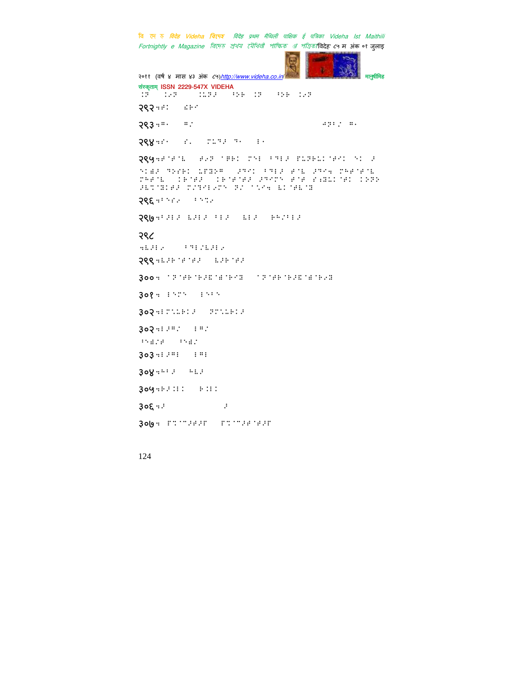दि एन रु विदेह Videha चिएन्श विदेह प्रथम मैथिली पाक्षिक ई पत्रिका Videha Ist Maithili Fortnightly e Magazine রিদেহ প্রথম মৌথিনী পাক্ষিক প্র পত্রিক/**বিदेह' ८५ म अंक ०१ जुलाइ County** २०११ (वर्ष ४ मास ४३ अंक *८५)http://www.videha.co.in*/ मानुष्या कार्यक्रम मानुषीमिह संकृताम् ISSN 2229-547X VIDEHA ⣈⢽0!⣈⢴⢽0!!⣈⣅⢽⢼!)⢸⢵⢷!⣈⢽0!⢸⢵⢷!⣈⢴⢽\*!! २९२⣒⢾0!⣎⢷! २९३ तक सामान को प्रकाश करता है। अन्य का सामान करता है कि अपनी का सामान करता है। अन्य का सामान करता है कि अपनी २९४ तथा जाता है। जिले कि साथ करना है। २९५⣒⢾ ⢾ ⣇-)⢾⢴⢽!⢿⢷!!B⢹⢼!2⣅⢽⢷⣅ ⢾!!⢼! ⣞⢼!⢹⢵"⢷!⣅2⣝⢵⢻\*!⢼⢹!B⢹⢼!⢾ ⣇!⢼⢹⣒!⢳⢾ ⢾ ⣇0! ⢳⢾ ⣇0!⢷ ⢾⢼0!⢷ ⢾ ⢾⢼!⢼⢹!⢾ ⢾!"⣐⣝⣅ ⢾!⢵⢽⢵! ⢼⣇⣉ ⣝⢾⢼!4⣙⢴!⢽4!⣁⣒!⣇ ⢾⣇ ⣝! २९६ कर अंतर कर सामान २९७ ± 80 B + 80 B + 80 B + 80 B + 80 B + 80 B + 80 B + 80 B + 80 B + 80 B + 80 B + 80 B + 80 B + 80 B + 80 B + 80 B + 80 B + 80 B + 80 B + 80 B + 80 B + 80 B + 80 B + 80 B + 80 B + 80 B + 80 B + 80 B + 80 B + 80 B + 80 B २९८ ⣒⣇⢼⢴0!)B⢹4⣇⢼⢴\*!! २९९⣒⣇⢼⢷ ⢾ ⢾⢼0!⣇⢼⢷ ⢾⢼! 300 suit a telement of the product and the same of the same of the same of the same of the same of the same of ३०१⣒!0!B! ३०२⣒⣁⣅⢷⢼-!⢽⣁⣅⢷⢼! ३०२⣒⢼⢻40!⢻4!)! ⢸⣞4⢾0!⢸⣞4\*!! ३०३⣒⢼⢻0!⢻! ३०४⣒⢳B⢼0!⢳⣇⢼! ३०५⣒⢷⢼⣈0!⢷⣈!  $30E$   $\ddots$   $\ddots$ ३०७⣒!2⣉ [⢼⢾⢼20!2⣉ [⢼⢾ ⢾⢼2!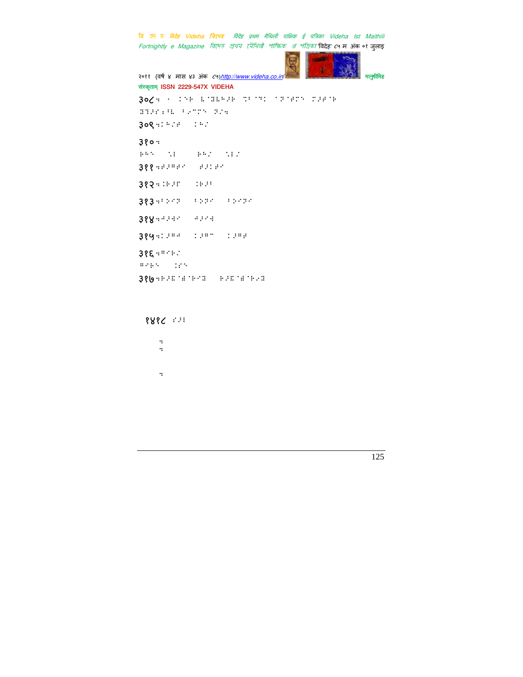Fortnightly e Magazine রিদেহ প্রথম মৌথিনী পাক্ষিক প্র পত্রিকা **বিदेह' ८५ म अंक ०१ जुलाइ Septim** २०११ (वर्ष ४ मास ४३ अंक *८५)http://www.videha.co.in*/ मानुसीमही के सानुयोगिह संकृताम् ISSN 2229-547X VIDEHA ३०८चा २ व ४२% अध्यक्षतक चर्चा घर छन्। यहाँ अध्यक्षतक ⣝⣙⢼"⣐⢸⣇!B⢴[!⢽4⣒! ३०९ मधी में सामान करते  $380$  : ⢷⢳!)⣁\*0!⢷⢳4!)⣁4\*!)nfbojoh!ejggfsfou\*!! ३११⣒⢾⢼⢻⢾0!⢾⢼⢾! ३१२⣒⣈⢷⢼20!⣈⢷⢼B! ३१३⣒B⢵⢽0!B⢵⢽0!B⢵⢽! ३१४⣒⢺⢼⣚0!⢺⢼⣚! ३१५⣒⢼⢻⢺0!⢼⢻[0!⢼⢻⢾!  $38E + 41.4$ ⢻⢷!)⣈"\*! ३१७⣒⢷⢼⣏ ⣞ ⢷⣝0!⢷⢼⣏ ⣞ ⢷⢴⣝!

दि एन रु विदेह Videha चिएन्श विदेह प्रथम मैथिली पाक्षिक ई पत्रिका Videha Ist Maithili

## १४१८ "⢼\*!!

- Open Street, Street, Street, Street, Efde 3121. The second second
- $\mathbf{G}=\mathbf{G}^{\mathbf{S}}$  and  $\mathbf{G}=\mathbf{G}^{\mathbf{S}}$  and  $\mathbf{G}^{\mathbf{S}}$  and  $\mathbf{G}^{\mathbf{S}}$  and  $\mathbf{G}^{\mathbf{S}}$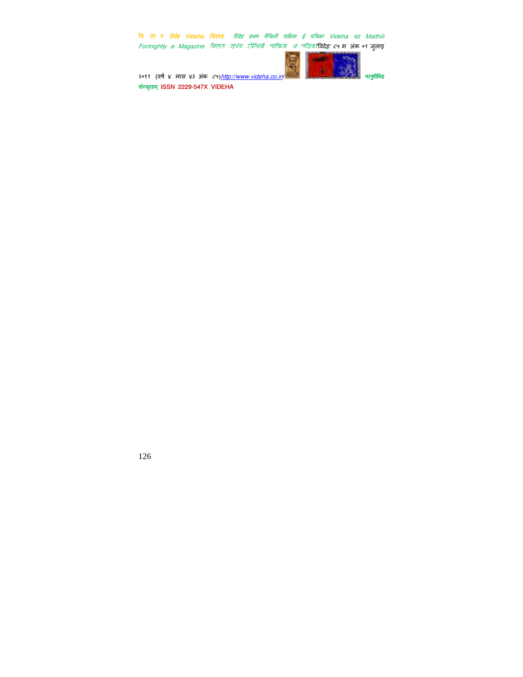दि एन रु विदेह Videha चिएन्श विदेह प्रथम मैथिली पाक्षिक ई पत्रिका Videha Ist Maithili Fortnightly e Magazine রিদেহ প্রথম মৌথিনী পাক্ষিক প্র পত্রিক/**বিदेह' ८५ म अंक ०१ जुलाइ** 



संकृताम् ISSN 2229-547X VIDEHA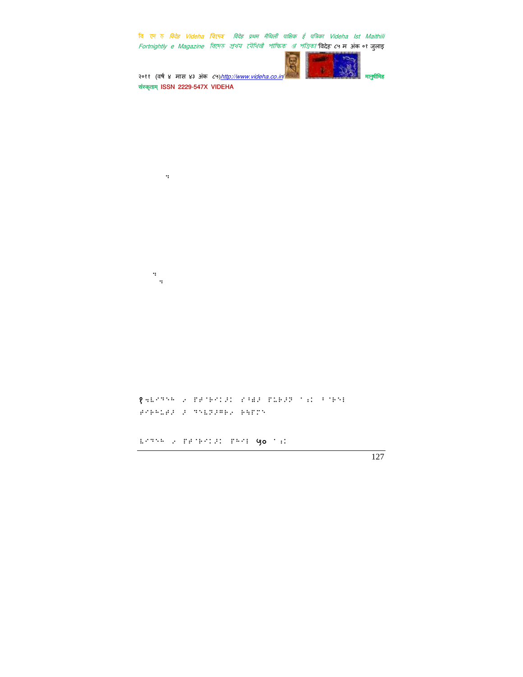दि एन रु विदेह Videha चिएन्श विदेह प्रथम मैथिली पाक्षिक ई पत्रिका Videha Ist Maithili Fortnightly e Magazine রিদেহ প্রথম মৌথিনী পাক্ষিক প্র পত্রিকা **বিदेह' ८५ म अंक ०१ जुलाइ** 

Tibbles bnci... Tibbles bnci... 22 Opwfncfs! Opwfncfs!

संकृताम् ISSN 2229-547X VIDEHA

where  $\sigma$  is both by the set of the set of the set of the set of the set of the set of the set of the set of where  $\Psi$  is built and the problem of the problem of the problem of the problem of the problem of the problem of the problem of the problem of the problem of the problem of the problem of the problem of the problem of the

**College** २०११ (वर्ष ४ मास ४३ अंक *८५)http://www.videha.co.in*/ मानुस्थिति मानुषीमिह

१⣒⣇⢹⢳!⢴.2⢾ ⢷⢼!"⢸⣞⢼!2⣅⢷⢼⢽!⣐!B ⢷-! ⢾⢷⢳⣅⢾⢼!⢼!⢹⣇⢽⢼⢻⢷⢴!⢷⣓2!Wjefib!f!

⣇⢹⢳!⢴.2⢾ ⢷⢼!2⢳!५० ⣐!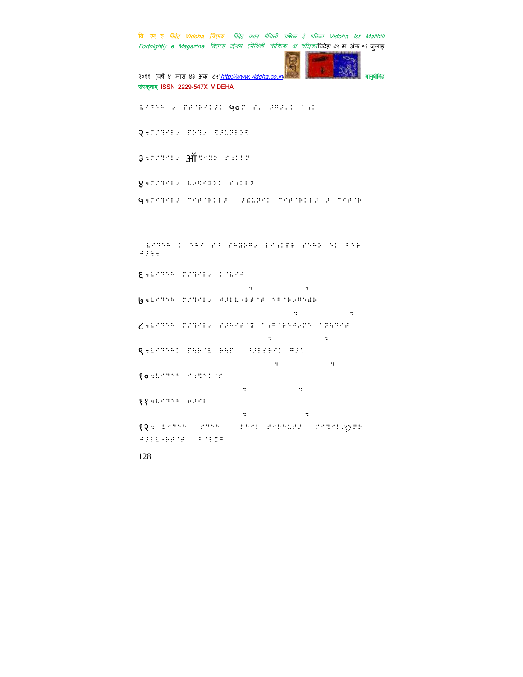दि एन रु विदेह Videha चिएन्श विदेह प्रथम मैथिली पाक्षिक ई पत्रिका Videha Ist Maithili Fortnightly e Magazine রিদেহ প্রথম মৌথিনী পাক্ষিক প্র পত্রিক/**বিदेह' ८५ म अंक ०१ जुलाइ County** २०११ (वर्ष ४ मास ४३ अंक *८५)http://www.videha.co.in*/ मानुषी मानुषीमिह संकृताम् ISSN 2229-547X VIDEHA ⣇⢹⢳!⢴.2⢾ ⢷⢼!५०!"F!⢼⢻⢼F!⣐! २⣒4⣙⢴!2⢵⣙⢴!⣋⢼⣅⢽⢵⣋!Nbjuijmj!Cpplt! ३⣒4⣙⢴!ऑ⣋⣝⢵!"⣐⢽!Nbjuijmj!Bvejp! ४⣒4⣙⢴!⣇⢴⣋⣝⢵!"⣐⢽!Nbjuijmj!Wjefpt!! GHOVER EXTRA PERSONAL PROPERTY AND RELEASED PROPERTY #⣇⢹⢳#!⢳!"⢸!"⢳⣝⢵⢻⢴!⣐2⢷!"⢳⢵!!B⢷!  $\alpha$ ६⣒⣇⢹⢳!4⣙⢴! ⣇⢺!!;!! ius;00wjefibration;00wjefibration;00wjefibration;00wjefibration;00wjefibration;00wjefibration;00wjefibration;0 ७⣒⣇⢹⢳!4⣙⢴!⢺⢼⣇C⢷⢾ ⢾!⢻ ⢷⢴⢻⣞⢷!;!! iuuq;00wjefib.bhhsfhbups⣒cmphtqpu⣒dpn0! ८⣒⣇⢹⢳!4⣙⢴!"⢼⢳⢾ ⣝!⣐⢻ ⢷⢺⢴!⢽⣓⢹⢾! ius;00nbeivcboj.bsu<code>bioj.bsu</code>oj.bsu<code>bioj.bsu</code> SHERMAN THE LOBERT CONTRACTORY iuuq;00hbkfoesbuiblvs⣒cmphtqpu⣒dpn0! १०⣒⣇⢹⢳!⣐⣋ "!!;!! iuuq;00wjefib234⣒cmphtqpu⣒dpn0! ११⣒⣇⢹⢳!⢶⢼!;!! ius;00wjefib234;00wjefib234;00wjefib234;00wjefib234;00wjefib234;00wjefib234;00wjefib234;00wjefib234;00wjefib23 १२⣒!⣇⢹⢳;!"⢹⢳!;!2⢳!⢾⢷⢳⣅⢾⢼!)⣙⢼◌़⢿⢷\*! ⢺⢼⣇C⢷⢾ ⢾!)B ⣍⢻\*!!128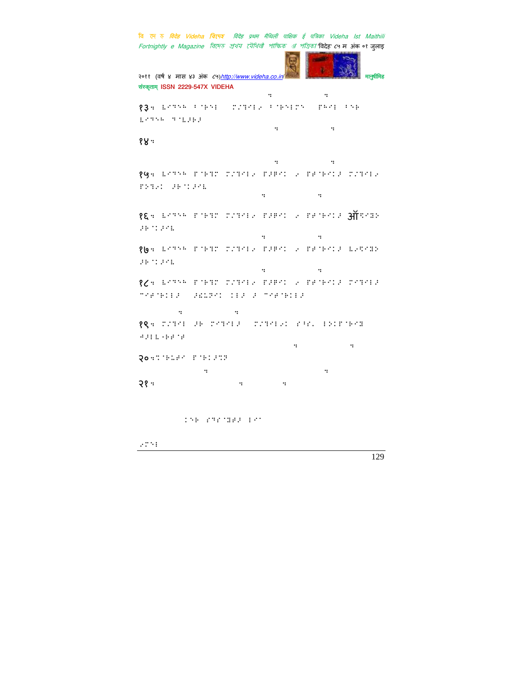दि एन रु विदेह Videha चिएन्श विदेह प्रथम मैथिली पाक्षिक ई पत्रिका Videha Ist Maithili Fortnightly e Magazine রিদেহ প্রথম মৌথিনী পাক্ষিক প্র পত্রিকা **বিदेह' ८५ म अंक ०१ जुलाइ County** २०११ (वर्ष ४ मास ४३ अंक *८५)http://www.videha.co.in*/ मानुषी मानुषीमिह संकृताम् ISSN 2229-547X VIDEHA ius;00wjefib.tbefib.tbefib.tbefib.tbefib.tbefib.tbefib.tbefib.tbefib.tbefib.tbefib.tbefib.tbefib.tbefib.tbefi १३⣒!⣇⢹⢳;B ⢷;!4⣙⢴!B ⢷;!2⢳!B⢷! ⣇⢹⢳!⢹ ⣇⢼⢷⢼! ius;00wjefib.com/20wjefib.com/20wjefib.com/20wjefib.com/20wjefib.com/20wjefib.com/20wjefib.com/20wjefib.com/20  $88$  with  $\sim$ ius;00wjefib.bsdijwania internet banda banda banda banda banda banda banda banda banda banda banda banda banda १५⣒!⣇⢹⢳!2 ⢷⣙!4⣙⢴!2⢼⢿!⢴!2⢾ ⢷⢼!4⣙⢴! 2⢵⣙⢴!⢼⢷ ⢼⣇! iuuq;00wjefib.qpuij⣒cmphtqpu⣒dpn0! १६५ सर्वे अधिकार प्रदर्शन प्रसर्ग न प्रसर्ग अप्रैलियन ⢼⢷ ⢼⣇! ius;00wjefib.bvejpoznatelnik pod protestantne pod protestantne pod protestantne pod protestantne pod protestan १७⣒!⣇⢹⢳!2 ⢷⣙!4⣙⢴!2⢼⢿!⢴!2⢾ ⢷⢼!⣇⢴⣋⣝⢵! ⢼⢷ ⢼⣇! ius;00wjefib.wid;00wjefib.widqn0.widqn0.widqn0.widqn0.widqn0.widqn0.widqn0.widqn0.widqn0.widqn0.widqn0.widqn0. १८⣒!⣇⢹⢳!2 ⢷⣙!4⣙⢴!2⢼⢿!⢴!2⢾ ⢷⢼!⣙⢼!  $\mathcal{P}$   $\mathcal{P}$   $\mathcal{P}$   $\mathcal{P}$   $\mathcal{P}$   $\mathcal{P}$   $\mathcal{P}$   $\mathcal{P}$   $\mathcal{P}$   $\mathcal{P}$   $\mathcal{P}$   $\mathcal{P}$   $\mathcal{P}$   $\mathcal{P}$   $\mathcal{P}$   $\mathcal{P}$   $\mathcal{P}$   $\mathcal{P}$   $\mathcal{P}$   $\mathcal{P}$   $\mathcal{P}$   $\mathcal{P}$   $\mathcal{P}$   $\mathcal{P}$   $\mathcal{P$ qipupta qipupta qoʻlib qipupta qoʻlib qipupta qoʻlib qoʻlib qoʻlib qoʻlib qoʻlib qoʻlib qoʻlib qoʻlib qoʻlib q १९⣒!4⣙!⢼⢷!⣙⢼!)4⣙⢴!"⢸"F!⢵2 ⢷⣝! ⢺⢼⣇C⢷⢾ ⢾\*! iuuq;00nbjuijmbvsnjuijmbvsnjuijmbvsnjuijmbvsnjuijmbvsnjuijmbvsnjuijmbvsnjuijmbvsnjuijmbvsnium (1990) २०⣒⣉ ⢷⣅⢾!2 ⢷⢼⣉⢽! iuuq;00xxx⣒tisvuj.qvcmjdbujpo⣒dpn0!  $28$  iii  $\alpha$ 

WHEFIBID IN THE STATE OF THE STATE OF THE STATE OF THE STATE OF THE STATE OF THE STATE OF THE STATE OF THE STA

 $\mathcal{L} \mathcal{D} \mathcal{M}$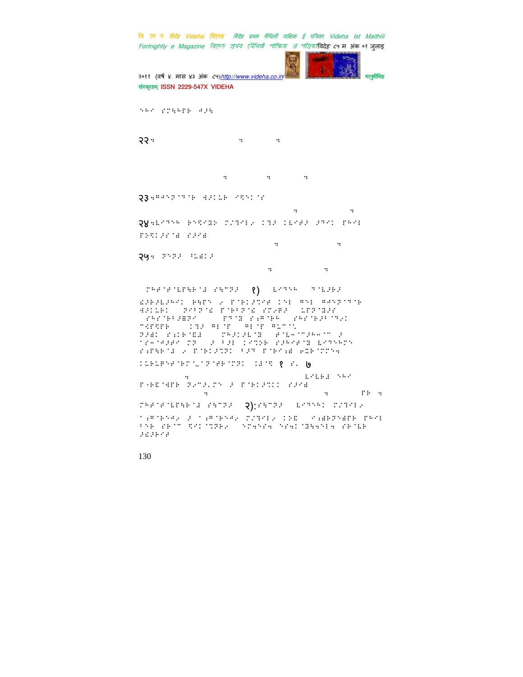दि एन रु विदेह Videha चिएन्श विदेह प्रथम मैथिली पाक्षिक ई पत्रिका Videha Ist Maithili Fortnightly e Magazine রিদেহ প্রথম মৌথিনী পাক্ষিক প্র পত্রিক/**বিदेह' ८५ म अंक ०१ जुलाइ** 

**Cal** 

**COMPANY** 

२०११ (वष ४ मास ४३ अंक ८५)http://www.videha.co.in/ मानुषीिमह संकृताम् ISSN 2229-547X VIDEHA

⢳!"⣓⢳2⢷!⢺⢼⣓!!

 $22$  in the contract of  $\alpha$  in the contract of  $\alpha$ 

 $\mathbf{q}$  and  $\mathbf{q}$  values of  $\mathbf{q}$ 

२३⣒⢻⢺⢽ ⢹ ⢷!⣚⢼⣅⢷!⣋ "!!

iuuq;00hbkfoesbuibly234 and 234 and 234 and 234 and 234 and 234 and 234 and 234 and 234 and 234 and 234 and 23 २४⣒⣇⢹⢳!⢷⣋⣝⢵;4⣙⢴!⣙⢼.⣇⢾⢼!⢼⢹!2⢳! 2⢵⣋⢼" ⣞!"⢼⣞! ius;00wjefib234sbejpedia 34sbejpedia 34sbejpedia 34sbejpedia 34sbejpedia 34sbejpedia 34sbejpedia 34sbejpedia 3

२७ : २७ : २७ : २

iuuq;00nbohbo.libcbto.libcbto.libcbto.libcbto.libcbto.libcbto.libcbto.libcbto.libcbto.libcbto.libcbto.libcbto.

. The related range  $\{ \}$  ,  $\{ \}$  , and the second

⣎⢼⢷⢼⣇⢼⢳!⢷⣓2!⢴.2 ⢷⢼⣉⢾!!⢻!⢻⢺⢽ ⢹ ⢷! ⣚⢼⣅⢷!!⢽B⢽ ⣎.2 ⢷B⢽ ⣎."⢴⢿⢼-!⣅2⢽ ⣝⢼"! )" " GREATER A BOAT A STATE OF THE STATE OF A BOAT AREA AND THE STATE OF A BOAT AREA AND DU  $\overline{a}$  (2002)  $\overline{a}$  (2012)  $\overline{a}$  (2012)  $\overline{a}$  (2012)  $\overline{a}$  (2012)  $\overline{a}$ ⢽⢼⣞)"⣐⢷ ⣏⣜\*-!⢳⢼⢼⣇ ⣝!)⢾ ⣇⢲ [⢼⢳⢲ [!⢼! ", Andrew March (1990), Bernstein (1990), Bernstein (1990), Bernstein (1990), Bernstein (1990), Bernstein (199 "⣐2⣓⢷ ⣜!⢴.2 ⢷⢼⣉⢽!B⢼⢹!2 ⢷⣐⣞!⢶⣍⢷ ⣒! ⣅⢷⣅⢿⢾ ⢷ –⢽ ⢾⢷ ⢽!⣈⣜ ⣋.१ "F!७ Dpncjofe!

JTCO!Op = 19.92.:1883:.8.7.1883:.8.7.1883:.8.7.1883:.8.7.1883:.8.7.1883:.8.7.1883: 2C⢷⣏ ⣚2⢷!⢽⢴[⢼F!⢼!2 ⢷⢼⣉!"⢼⣞! ius;00xxxitisvuj.qvcmjdbujpolitika i poznati po dpn0.  $\mathcal{L}$  is a constant of  $\mathcal{L}$  ,  $\mathcal{L}$   $\mathcal{L}$   $\mathcal{L}$   $\mathcal{L}$   $\mathcal{L}$   $\mathcal{L}$   $\mathcal{L}$   $\mathcal{L}$   $\mathcal{L}$   $\mathcal{L}$   $\mathcal{L}$   $\mathcal{L}$   $\mathcal{L}$   $\mathcal{L}$   $\mathcal{L}$   $\mathcal{L}$   $\mathcal{L}$   $\mathcal{L}$   $\mathcal{L}$   $\mathcal{L}$   $\mathcal$ ⣐⢻ ⢷⢺⢴!⢼!⣐⢻ ⢷⢺⢴!4⣙⢴!⢵⣏!)⣐⣞⢷⢽⣞2⢷!2⢳! Boe recovery there is been shed therefore recovery ⢼⣎⢼⢷⢾!.Cbtfe!po!nt.trm!tfswfs!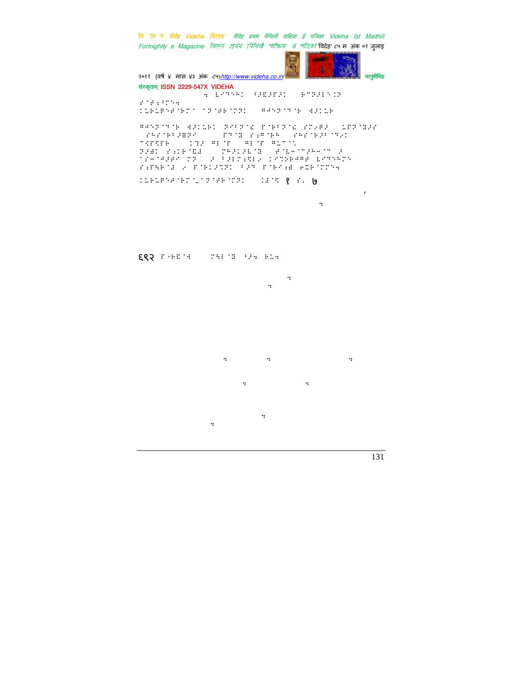दि एन रु विदेह Videha चिएन्श विदेह प्रथम मैथिली पाक्षिक ई पत्रिका Videha Ist Maithili Fortnightly e Magazine রিদেহ প্রথম মৌথিনী পাক্ষিক প্র পত্রিকা **বিदेह' ८५ म अंक ०१ जुलाइ** 

œ

| संस्कृताम ISSN 2229-547X VIDEHA |  |  | 19、 金子花在花园,才是蓝珠的诗文。 人名英格兰人姓氏茨                            |           |
|---------------------------------|--|--|----------------------------------------------------------|-----------|
|                                 |  |  | २०११ (वर्ष ४ मास ४३ अंक ८५)http://www.videha.co.in/ त्या | मानुषीमिह |
|                                 |  |  |                                                          |           |

" ⢾⣐⢸⣒! ⣅⢷⣅⢿⢾ ⢷ !⢽ ⢾⢷ ⢽.!⢻⢺⢽ ⢹ ⢷!⣚⢼⣅⢷!

⢻⢺⢽ ⢹ ⢷!⣚⢼⣅⢷!⢽B⢽ ⣎.2 ⢷B⢽ ⣎."⢴⢿⢼-!⣅2⢽ ⣝⢼"! )" " GREATER A BOAT A STATE OF THE STATE OF A BOAT AREA AND THE STATE OF A BOAT AREA AND DU  $\overline{a}$  (2008)  $\overline{a}$  (2019)  $\overline{a}$  (2019)  $\overline{a}$  (2019)  $\overline{a}$  (2019)  $\overline{a}$ ⢽⢼⣞)"⣐⢷ ⣏⣜\*-!⢳⢼⢼⣇ ⣝!)⢾ ⣇⢲ [⢼⢳⢲ [!⢼! "⢲ ⢺⢼⢾!⢽\*!⢼!B⢼⣐⣋⢴.⣉⢵⢷⢺⢻⢾!⣇⢹⢳!  $\mathcal{L}_2$   $\mathcal{L}_3$   $\mathcal{L}_4$   $\mathcal{L}_5$   $\mathcal{L}_6$   $\mathcal{L}_7$   $\mathcal{L}_7$   $\mathcal{L}_8$   $\mathcal{L}_7$   $\mathcal{L}_7$   $\mathcal{L}_8$   $\mathcal{L}_8$   $\mathcal{L}_7$   $\mathcal{L}_8$   $\mathcal{L}_9$   $\mathcal{L}_9$   $\mathcal{L}_9$   $\mathcal{L}_9$   $\mathcal{L}_9$   $\mathcal{L}_9$   $\mathcal{L}_9$   $\mathcal{L}_9$   $\$ ⣅⢷⣅⢿⢾ ⢷ –⢽ ⢾⢷ ⢽-!⣈⣜ ⣋.१ "F!७

 $J_{\rm eff}$  few states between the states between the states between the states  $J_{\rm eff}$ LvsvLtifusbn.Boutsnbobl.Boutsnbobl.Boutsnbobl.Boutsnbobl.Boutsnbobl.Boutsnbobl.Boutsnbobl.Boutsnbobl.Boutsnbob



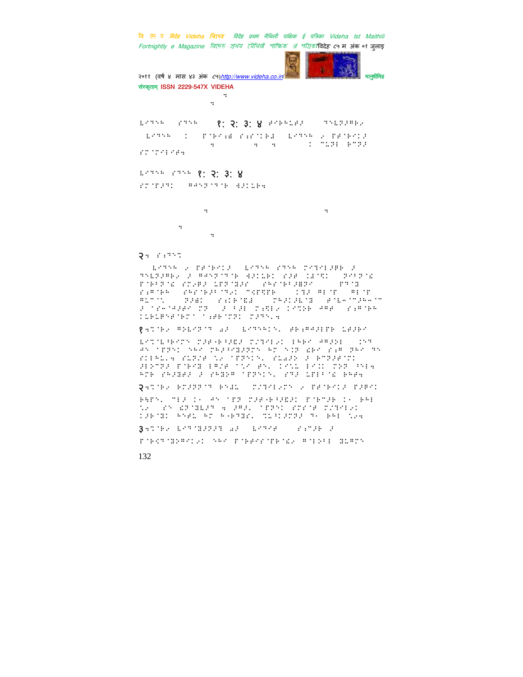दि एन रु विदेह Videha चिएन्श विदेह प्रथम मैथिली पाक्षिक ई पत्रिका Videha Ist Maithili Fortnightly e Magazine রিদেহ প্রথম মৌথিনী পাক্ষিক প্র পত্রিক/**বিदेह' ८५ म अंक ०१ जुलाइ** 

G **County** २०११ (वष ४ मास ४३ अंक ८५)http://www.videha.co.in/ मानुषीिमह

संकृताम् ISSN 2229-547X VIDEHA f.nbj.; tisvuj.dbujpoatisvuj.dbujpoatisvuj.dbujpoatisvuj.dbujpoatisvuj.dbujpoatisvuj.dbujpoatisvuj.dbujpoatisv qvcmjdbujpo bujqara bu

⣇⢹⢳;!"⢹⢳!;!१: २: ३: ४ ⢾⢷⢳⣅⢾⢼!;!⢹⣇⢽⢼⢻⢷⢴!  $\sim$  12  $\sim$  2  $\sim$  2  $\sim$  2  $\sim$  2  $\sim$  2  $\sim$  2  $\sim$  2  $\sim$  2  $\sim$  2  $\sim$  2  $\sim$  2  $\sim$ )iuuq;00xxxiyood;00\*!![��]iuuq;00\*!![��]iuuq;00\*!![��]iuuq;00\*!![��]iuuq;00\*!![��]iuuq;00\*!![��]iuuq;00\*!!  $T$   $T$   $T$   $T$   $T$   $T$   $T$   $T$   $T$   $T$ 

⣇⢹⢳;"⢹⢳;१: २: ३: ४ " 2⢼⢹;!⢻⢺⢽ ⢹ ⢷!⣚⢼⣅⢷⣒!

ius;00xxxx iuu qubit dipn.qvcmjdbujpolitika in participolitika in participolitika in participolitika in particip tisvuje konstantine poznati sve poznati sve poznati sve poznati sve poznati sve poznati sve poznati sve poznat qvcmjdbujpo bujqara in konstruktor

२ ॥ ॥ ॥ ॥ ॥ ॥ ॥ ॥ ॥

\!⣇⢹⢳!⢴.2⢾ ⢷⢼-!⣇⢹⢳;"⢹⢳!⣙⢼⢿⢷!⢼! ⢹⣇⢽⢼⢻⢷⢴!⢼!⢻⢺⢽ ⢹ ⢷!⣚⢼⣅⢷!"⢼⢾!⣈⣜ ⣋.!⢽B⢽ ⣎. 2 ⢷B⢽ ⣎."⢴⢿⢼-⣅2⢽ ⣝⢼"!)"⢳" ⢷B⢼⣟⢽\*!-!2⢹ ⣝.  $^{\circ}$   $^{\circ}$   $^{\circ}$   $^{\circ}$   $^{\circ}$   $^{\circ}$   $^{\circ}$   $^{\circ}$   $^{\circ}$   $^{\circ}$   $^{\circ}$   $^{\circ}$   $^{\circ}$   $^{\circ}$   $^{\circ}$   $^{\circ}$   $^{\circ}$   $^{\circ}$   $^{\circ}$   $^{\circ}$   $^{\circ}$   $^{\circ}$   $^{\circ}$   $^{\circ}$   $^{\circ}$   $^{\circ}$   $^{\circ}$   $^{\circ}$   $^{\circ}$   $^{\circ}$   $^{\circ}$   $^{\circ}$ HAM TO III. DE PARA EL INVESTIGA LA CALIFICARIA DE LA CALIFICARIA DE LA CALIFICARIA DE LA CALIFICARIA DE LA CALIF ⢼!"⢲ ⢺⢼⢾!⢽\*!⢼!B⢼.⣐⣋⢴.⣉⢵⢷!⢺⢻⢾.!"⣐⢻ ⢷⢳! ⣅⢷⣅⢿⢾ ⢷ !⣐⢾⢷ ⢽!⢼⢹F⣒!^!

१⣒⣉ ⢷⢴!⢻⢵⣇⢽ ⢹!⣔⢼.!⣇⢹⢳F!⢾⢷⣐⢻⢺⢼2⢷!⣅⢾⢼⢷!

⣇⣉ ⣇⢸⢷!⢼⢾C⢷⢸⢼⣏⢼!4⣙⢴!⢳⢷!⢺⢻⢼⢵-!⣈⢹!  $\overline{2}$   $\overline{2}$   $\overline{2}$   $\overline{2}$   $\overline{2}$   $\overline{2}$   $\overline{2}$   $\overline{2}$   $\overline{2}$   $\overline{2}$   $\overline{2}$   $\overline{2}$   $\overline{2}$   $\overline{2}$   $\overline{2}$   $\overline{2}$   $\overline{2}$   $\overline{2}$   $\overline{2}$   $\overline{2}$   $\overline{2}$   $\overline{2}$   $\overline{2}$   $\overline{2}$   $\overline{2$  $T$ (FAL)+ (TLACF) \ (FRA)+) (FLAA) (A FTAAF(T) ⢼⢵[⢽⢼!2 ⢷⣝!⢻4⢾!⣁!⢾F!⣁⣅!⣈!⢵⢽!⢸⣒! ⢳⢷!"⢳⢼⣝⢾⢼!⢼!"⢳⣝⢵⢻!2⢽F!"⢹⢼!⣅2B ⣎!⢷⢳⢾⣒!

२⣒⣉ ⢷⢴!⢷⢼⢽⢽ ⢹!⢷⣜⣅.!4⣙⢴!⢴.2⢾ ⢷⢼!2⢼⢿!

⢷⣓2F![⢼!q!⢺!2⢽!⢼⢾C⢷⢸⢼⣏⢼!2 ⢷[⢼⢷!q!⢷⢳!  $\Delta$ e ini ang tanggunang pang ito ang tanggunang panggunang panggunang panggunang panggunang panggunang panggunang panggunang panggunang panggunang panggunang panggunang panggunang panggunang panggunang panggunang pangguna ⢼⢷ ⣝!⢳⢾⣅!⢳!⢳C⢷⢹⣝"F!⣉⣅⢸⢼⢽⢼!⢹q!⢷⢳!⣁⢴⣒!!

3HTTER EKTTERREN WAR IN EKTKEN IN BITZEN R

2 ⢷⣊⢹ ⣝⢵⢻⢴!⢳!2 ⢷⢾" 2⢷ ⣎⢴!⢻ ⢵B!⣝⣅⢻!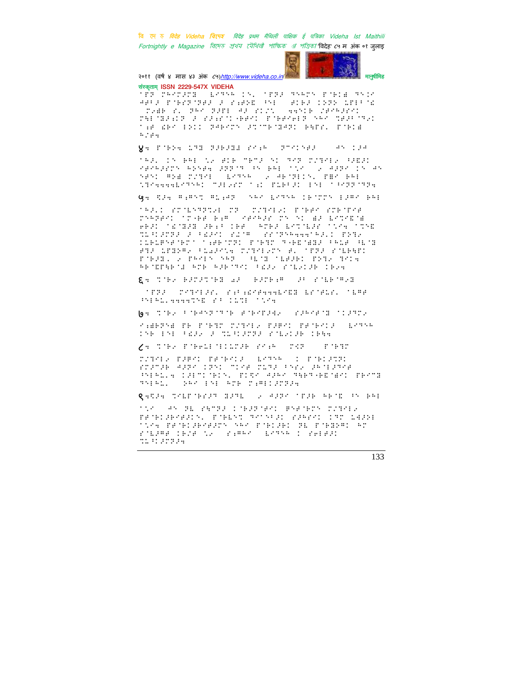त्रि एन् रु विदेह Videha विरमर विदेह प्रथम मैथिली पाक्षिक ई पत्रिका Videha Ist Maithili Fortnightly e Magazine রিদেত প্রথম মৌথিনী পাক্ষিক প্রা পত্রিকা' বিदेह' ८५ म अंक ०१ जुलाइ



२०११ (वर्ष ४ मास ४३ अंक ८५)http://www.videha.co.inl

संस्कृताम् ISSN 2229-547X VIDEHA

tra regrard (1895) is, tras moers roeid moig APPLA INTERNATIONAL ACREAM (PARTICIPATION PRODUCTS) NO i puae al den data ieu acus illegere veneurs.<br>Des dubaco una apartoleen corenead inen deux seus nya yako boss dakoro dinimkidadi karzi riksa  $5.2\pm5.$ 

ga riesa che poeses cole innoves i asicas

TRACTIVERS WAS BEEN TRIANS ON THE CATER AND RADAR serengan berek danam belaki atas 19 kapelis ke<br>1981 mendanan bermula menanjuk pada bel<br>1984 mengerakan menyapi dan pubang bahasa men

ga tra siste sing and a series interview of the series

in Raudi i administrata e i da ilidana a ciente a cara rana.<br>Idestando in diseguis e el ciunalesta a lode insulsa di el ciunale dina. BRAIN NEIGAG ABER 1888 - POBA ERICHEAE INVRS INDRE ana propinsi koadena primerško al mrda rumaari<br>Publo s pekto oed (strum malabo pons nora) RECORRECO POR PARCHAS FORZA OCORRECORA

ER CORPORATION ART  $-3.37837$ GROUP TERMINE

TERR CONTRACTOR CONSTRUCTION AND PARK TARE PREPAIRMENTSE PROTOCHOLOGY

1996 - MITELA I FRIDERED MATELIA E PER PER EL PRIDERED EL PRIDERED EL PER PER PER PER PER EL PER PER PER PER

o gornica KANDRAN TE TYPIT TITKEN TUBKI TEMPAID. THE ENE FEAR OF TURNITIES POLICIES CENT

ZH SORA EORENEOIDER PARK CODE ( i i renc

CONFIDENTIAL PROPERTY SERVANT CONTROLLING STATAR PARK CRYL TIME TORA FREE ARTISTS standle coaminativi sisc sons maamsadnasi sasma SAERIN SPACENE ROBOTHEILPORA

QARDA CHEETHEDS BOSE - 2 ADDA TEDE ARTE IN RAE

TO CONFIDENTIAL CHARGE OF THE REPORT OF THE REAL PATRIZE/AZIN, PTELNO PKONEZI PZPRYD 190 14201 New meter selessory interior territory in mineralery led  $\sim$  EPPNB (1) Primari POLITE CENE NA CRITERY 3123137334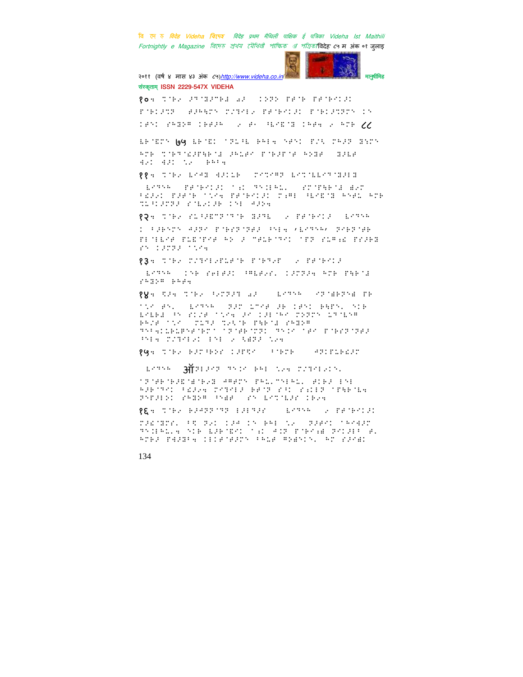त्रि एन् रु विदेह Videha विरमर विदेह प्रथम मैथिली पाक्षिक ई पत्रिका Videha Ist Maithili Fortnightly e Magazine রিদেত প্রথম মৌথিনী পাক্ষিক প্র পত্রিকাবিदेह' ८५ म अंक ०१ जुलाइ



२०११ (वर्ष ४ मास ४३ अंक ८५)http://www.videha.co.in संस्कृताम् ISSN 2229-547X VIDEHA

Row Sites at taarea aan obses mene menerial ESPIRING ARRAIN CONNECTED POINT ESPIRING IN TEND PASSA TERRA CONSERVATION TARE OF ATE ZZ

ERMEDY 09 ERMED MOLPE PRESUNSAD EVA DROG GADY

ATE SIERREAPHEND ARGES ENEATHE ASOF COALA 421 421 521 4854

884 TORY ESSE RELEVATIONS ESTIMATED

SERIES POTENTIAL TO CARSTERLY CONTENENT BAT FERRI BRATA TIRK BATARIRI DARI REPETE ANAL ADA TO REPORT OF TOOL PROCESS APPEAR

834 CORPORATION OF BUILDING BACK CONSTRUCTION

1 FJENTN FJEN EMBYFYFF, PNEH VENTNAV BYBDMAB PERFECT PLEAPS AND SUMMERS CONSTRUCTION PROPER 30 12772 0074

834 Chev Commission Energy Counterpola

SERVAN (198 YELES) PREPAY, LSTOSH ATE THE G 25328 25524

884 SPA STEP FROM WALL ESTABLE SPORESHED

the and laemned gar imeal as rang sarn. Nis EVERA PROVINCIA COMA DE CONTRACTORIOS CATESA Geral nom libera dal de magna vegado.<br>Installaborsa del correguero insimiliam modernad PRENCIPALIZE ENECK REPAIRING

ggs they earliered carry of tere- $-971314477$ 

овитено <del>з</del>правиротели вна синоритиание.

**TO MAKING MANAGEMENT PASSING ASSAULT AS A SERVE** RARITY POACH CYTYLA RESPONSIVED CORRECTE PAPPEND PARAM TABE (PPA ESTIMPE DEPA

**REAL STRACE APPROVAL LEADERS**  $\label{eq:1} \begin{array}{ll} \mathbb{E}[\mathcal{L}^{(0,1,1,2,1)}] & \mathbb{E}[\mathcal{L}^{(0,1,2,1,2,1,2,1)}] \end{array}$ 

radiare, as autopative as the case and tengar SAMBALLE ATECEPENT CONCORTE EMPRESSORIES BL ATES PASSEN ISIANASTY FALA PRANING AT VIRASI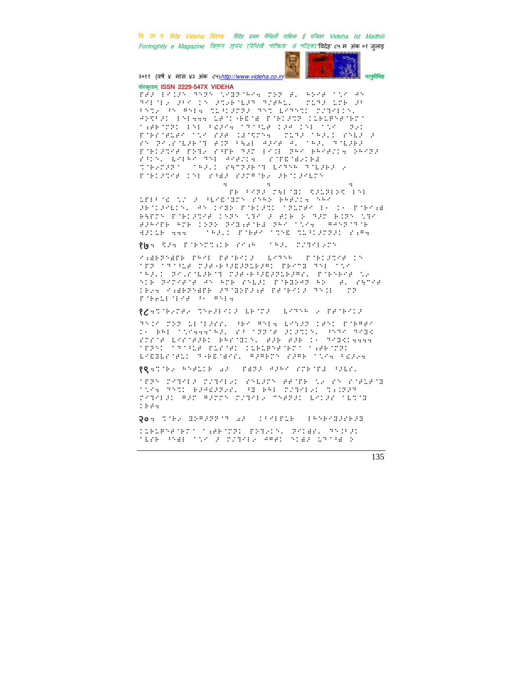त्रि एन् रु विदेह Videha विरमर विदेह प्रथम मैथिली पाक्षिक ई पत्रिका Videha Ist Maithili Fortnightly e Magazine রিদেত প্রথম মৌথিনী পাক্ষিক প্রা পত্রিকা' বিदेह' ८५ म अंक ०१ जुलाइ



२०११ (वर्ष ४ मास ४३ अंक ८५)http://www.videha.co.inl

संस्कृताम् ISSN 2229-547X VIDEHA radicaldo dos portugales de contra contra con SAFTED DEPTITY DEDECEDE SORELLY TEST LEFT OF FATA IN WHIS TORREST TAT ESTATE CONSISTANT ASCRAD ENEMAN CANDIARDNE PORDADO DORCRNANADO nagemobilana (Papel nontege 194 194 novel 0921 PORTGERY TO CARD INTERNAT **COLPACTARIE ENER**  $\cdot$ : rs delralen ald fall sper si hal hal maler FORDUCE FORM PUTE NUMBER OF SPACE PROPERTY a formal a partire compartir e compartamentales.<br>Interpretato come el porte perseguir a partire comparte el pro ESPECIANAMENTO PER EN ARCHITECTURA DE TECNICA

TER PRES THE NEW RELEASE ENE LEFT WORLD A SEPERATOR SERVER PRESSES ARE ae makedoku semidikan seredam indebek sekudik senekae Barry Precame chan was a scelle aar Bian was adente ese codo dispartes den cone (esiódrado **CORPORATION CONTINUES IN AN ARTICLE AND** HALLE HAND

**Right Super Enterprisoner Project**  $\mathcal{L}^{\mathcal{A}}\left(\mathcal{A},\mathcal{B},\mathcal{B}\right)=\mathcal{L}^{\mathcal{A}}\left(\mathcal{A},\mathcal{B},\mathcal{B},\mathcal{B}\right)\mathcal{B}^{\mathcal{A}}$ 

KABEDYBEE ERKE EASEKIJ (BKSYR) ESEIJIVA IV TER TRING DIE BRIEDDEEM TEKTE RYE TOK 1932) Profilement (138-9-130319392) Enemere Na NIE DATABNE AN ATE PNEJD THEONAD AN UP. PATAB 1924 CodePhare SP 1958238 Renewis 7518 (  $\mathbb{R}^n$ PORALE NAVAL SA SANGA

RZHOTEVORVI OSEVENOV, EBIOVA i EKSSARI VI primerova

This cost is need. The final active cand property 19 BAE SCHWARTAG, 23 SOPPIA GEGEN, 3594 SHAR 

RRATTED ANALIS WAS TEADD AGAPTEMENTAL FALM.

TERN CABALA CABALA: SALADN SENER NA SA STELENB TORA PARI PARABARAN PELBAI PARAIAI PELIPAP CARABAD (RAC) RACCA (CARABA) MARRAD (BADAY) MENYE 1984

Row Siles demanding as international reservations

dibebankerezhion geerzazio analizat ez lakogen. Dan zelab<br>In beelo angelo nivel la cizzakello egez longia al bainag disk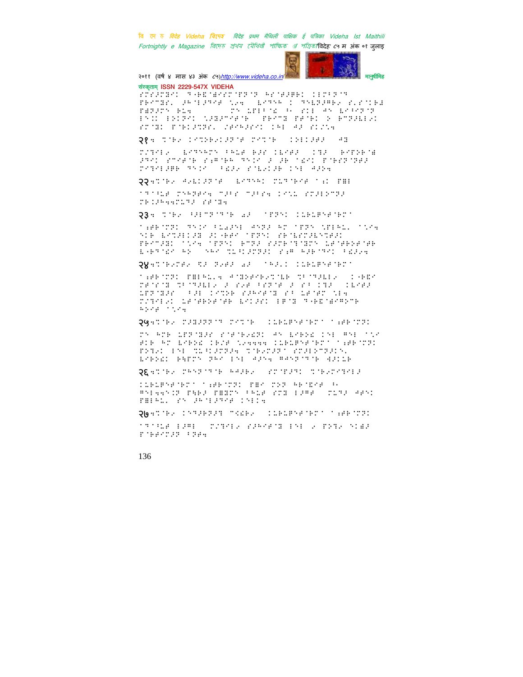त्रि एन् रु विदेह Videha विरमर विदेह प्रथम मैथिली पाक्षिक ई पत्रिका Videha Ist Maithili Fortnightly e Magazine রিদেত প্রথম মৌথিনী পাক্ষিক প্র পত্রিকাবিदेह' ८५ म अंक ०१ जुलाइ



२०११ (वर्ष ४ मास ४३ अंक ८५)http://www.videha.co.inl

संस्कृताम् ISSN 2229-547X VIDEHA

eregrak: Agendeering is seggee: (Erigin an ii aasays waasheene (sheema menes a Andaladi POINT PIECESSEL CAPABRAS 191 42 PLANS

Q04 TH2 IPTERIATE TRITE (1981AR) - 43

PUNCES (ESTARDA PALE BUS ILSEU (INU ) BSPABIE ades coneditations de la servicia de linges conseguidad. PARALDER STATE (FROM PARALDER 1940) ADDA

QQASIBU AUEDURIA (EKSAED SLSIBKA 1931 PRE

ndireba predake mara marae bikto aparomda  $781354471737778734$ 

Q3H CORP FREDRICK WAS CORRECTED FROM THE

THAN MORE CONTROL FILADAME CANORA AD CORONA NEERIC CONTRA nte anterier et den fren de alternativide FRAMABI (1984) 1FRAID RMRA (2008) 1910A (1910-1910-1918) EVER TEXT AND TOAK TO SCAPACE PLACE ARE TAKEN FERRA

QVADIBUDEU RU PUER SU TIPALI ILELENENEDI

THAN TOOL CONFINING CATORAGE AT TEACHING CONTAINS CONFIDE denand (dringee) a lave radial a la crone. Coesa.<br>Cadidae i rae conde lagresid ar Cened New putana upi dia raabaa raaki auro aad ilaa ko limka pila nanabera  $\label{eq:4} \mathcal{L}(\mathbf{y},\mathbf{y},\mathbf{y})=\mathcal{L}(\mathbf{y},\mathbf{y},\mathbf{y}).$ 

QQASIBU CUBUURIS CASSE COLELENAMENT SUBSCORD

DN ADE LEDIGAR RIGHARD, AN ERENE DNE ANE TIV ate an Exeba tera spage tietema rens saechni ESTAD LENE INSPIRATORAL NINANAR 1. VINA SMARING EVENID BATTS DAY ENE APSA AAST TES APDIA

SERIES CRAFTED RAFES.  $\begin{array}{cccccccccc} \mathbb{P} & \mathbb{P} & \mathbb{P} & \mathbb{P} & \mathbb{P} & \mathbb{P} & \mathbb{P} & \mathbb{P} & \mathbb{P} & \mathbb{P} & \mathbb{P} & \mathbb{P} & \mathbb{P} & \mathbb{P} & \mathbb{P} & \mathbb{P} & \mathbb{P} & \mathbb{P} & \mathbb{P} & \mathbb{P} & \mathbb{P} & \mathbb{P} & \mathbb{P} & \mathbb{P} & \mathbb{P} & \mathbb{P} & \mathbb{P} & \mathbb{P} & \mathbb{P} & \mathbb{P} & \$ 

CLELBYS TECHNICS (SEE TOOL) (FBP) (CVO) PENDPS (PH) RNEWANIP PARA PERMIT PALE YMR EARE (MLTA PENI FBIRD, RN JRM JTKP 19814

RIGHT TEV IN THE PART IT CORNER CONFIDENT IN THE 1001

TRING EARL COMPANY CAPACHERE & BATA NIEA rosacrad (pag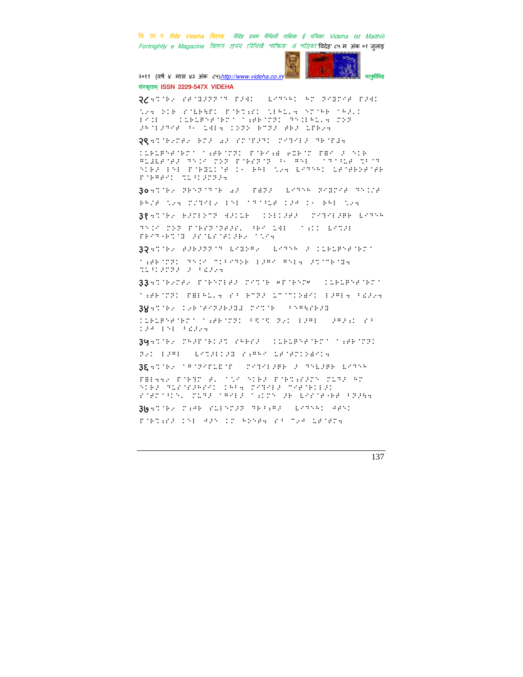त्रि एन् रु विदेह Videha विरमर विदेह प्रथम मैथिली पाक्षिक ई पत्रिका Videha Ist Maithili Fortnightly e Magazine রিদেত প্রথম মৌথিনী পাক্ষিক প্র পত্রিকা' বিदेह' ८५ म अंक ०१ जुलाइ



२०११ (वर्ष ४ मास ४३ अंक ८५)http://www.videha.co. संस्कृताम् ISSN 2229-547X VIDEHA

ROBOTER PROBABLIS EARLY **CEPTARI AT PROPER PARI** 

tes pre ribeard pietard taeble prime inexid a Kita () () tidabena razmi maa modol (1951) alla olodida.<br>Dama dhea () alla olodidad () and di aad () bara () ()

QQ editel/devilled by a substance of the the than

COROBNATRO COMBOTAL ETROPOLICADA DO BBO A NOR **SAMPLE STATE** RIGERARD AND CONFIDENTIAL ROLL SIER ESE PORQUISE IN BAE LAN EXPSAIL LASBARARE ESPRESS TO CONTRAC

3640782 PENPITE WAS PERA SEKTNA PREDVESTING BROE NEW CONFIDENTIAL CROSSE CORPORATION CAN

3880192 9201202 92119 10311282 000001289 10000 SAIR TAR PAPERMENT, SERVICE CONTRACTOR

EBRIT-BOOD CAPOLE ORDER SOCKER

3250 text execution and existing the condensation n 1967-1981 (Rochen in Farba) (Edgar (Rochen) dit in Bindis misianda a saale

3350 revolving resolved on the summary conditional resolved

THER TOOL COOPERS, A COLLECTOR CONTINUES ON A PORT OF A RESPON

3840 team bae necessasse or contemplate established

CONDENSATED TO SERVICE OF STRONG AND ORDER OVER \$1,000 198 151 50924

3951192 PRAECEDAT PREPA COLEDARIADO CHARCOS

PAC EPPE CEPTALIZE PAPPA LA MATINAMIA

3640 resident products in protectives in the sees and the

FERNAND FORTO BUILDING SIRE FORTHEIRS CONFURT Alba Mohnhaens (1984) proves mremetes.<br>Internativo (pode carres chitoviste ornitere er adale

30:57 TER COVER SOLENDAR (PERSPACE LARMAD CAPAC

ESPOINA INFORMACIO ANNES ES MARCIEDADE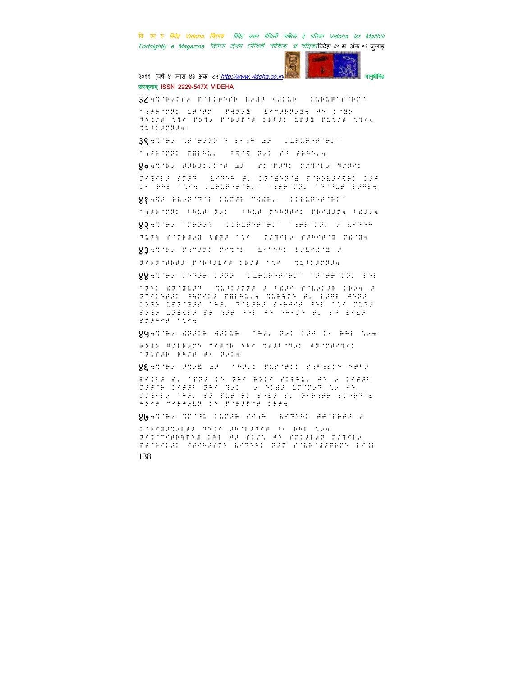त्रि एन् रु विदेह Videha विरमर विदेह प्रथम मैथिली पाक्षिक ई पत्रिका Videha Ist Maithili Fortnightly e Magazine রিদেত প্রথম মৌথিনী পাক্ষিক প্র পত্রিকাবিदेह' ८५ म अंक ०९ जुलाइ



२०११ (वर्ष ४ मास ४३ अंक ८५)http://www.videha.co.in संस्कृताम् ISSN 2229-547X VIDEHA

3ZHT TEACHA CE TEAHNAR CEALACH HAILER COLLEDENATED T

THAN TOOL CARTAO - PAOSO - ESTSARSSON (AN ILIOS) SAINE ANY PANY PORFOR IREST LESS PLAYE ANY dia kaominina

30 editers in a relation of a case of a concept and the control

THE TELL PHEAD, CARIN BALLY CARDENON

Mondrey Beeleceans as contract protes a conce CARABA SOART (BARNA B. 108785878 PTPSEAKRE) 194 IN 1989 CONSE INSURANCE ON THE CORD OF CRUSHING

86453 BESPITE COUPER TREES CONDENSIBUT

THEFTS: PRIE SAI (PRIE SALE) SARGET TEMBRIE PERA 8540 JEAN OPERATOR CORDENEMENT OF BESTIZED OF BARNE

MIDA STORING RADIOTIVE CONTRACT SIRVATO DETON

83 edited in and believe the line of the state and de-

PARPARRA PARAGUARDA DO CONTINUESA

WWW.TER CONTRACTORS CONFIDENT PETER TORONTO ENE

1951 administrativa postane de Faler analysis (1924) d POSINER: PEDSIA PEERSIA CORADNAE, ERRE ANDR 1989 LESTRAR TAAL STEARA PARAMENTER TOOT DUSA rons coachs re ase the an navril all relates 372578 7574

ggandes craie aarbe coeal radioise receives

BOBO PALESTY TARIE YEARDREN TRAD ARRIVEATAD **TRIPARTHALM ARTICLE** 

gg editer advances in test proported presentative sets.

ESTER PLOTERA IN RESORDED PIERL OFNOA ISBN raene reaak dee mar is krea britse sû êsî.<br>Pomma jela voe poeman vela vol deevee voleenno ASKA TKERALE IN POESENE IEEE

RIGHT TEST TO THE COLORED SYSTEM CONTINUES TO BE TO BE A STUDIED

I rekaziveza moltkozenezmka (H) jese (NVS)<br>zkolonkassona (IHE) kaj pliti koj politikaz (ovakev) PANEROSO PARESPOS ERASSO DOMINICEPIDADEM ERIO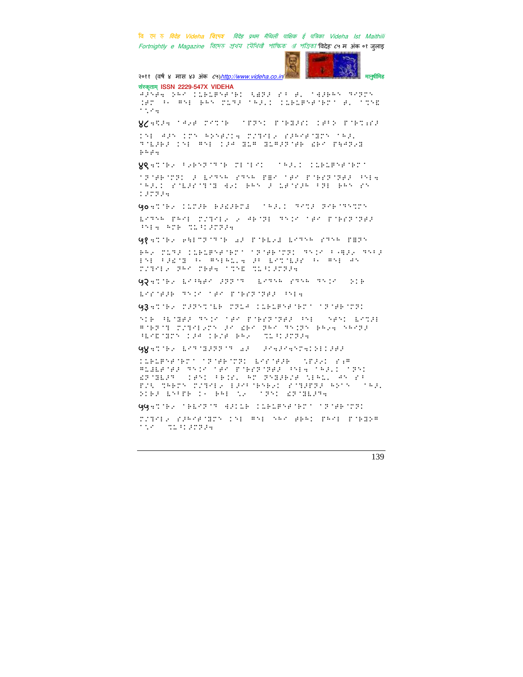त्रि एन् रु विदेह Videha विरमर विदेह प्रथम मैथिली पाक्षिक ई पत्रिका Videha Ist Maithili Fortnightly e Magazine রিদেত প্রথম মৌথিনী পাক্ষিক প্র পত্রিকা' বিदेह' ८५ म अंक ०१ जुलाइ



२०११ (वर्ष ४ मास ४३ अंक ८५)http://www.videha.co.inl

संस्कृताम् ISSN 2229-547X VIDEHA AJNAN DAY COACANAMAD RADU YA AL MAJAAN MYDDN 1970 FOURNE BAN TEMP CAPAIN ISSUED PACK BY CONS  $\mathcal{C} \subset \mathcal{C}$  is

804834 1928 bette infrast riedart tera rietara

 $\begin{minipage}{0.99\textwidth} \begin{minipage}{0.99\textwidth} \begin{itemize} \color{blue}{0.99\textwidth} \begin{itemize} \color{blue}{0.99\textwidth} \begin{itemize} \color{blue}{0.99\textwidth} \begin{itemize} \color{blue}{0.99\textwidth} \begin{itemize} \color{blue}{0.99\textwidth} \begin{itemize} \color{blue}{0.99\textwidth} \begin{itemize} \color{blue}{0.99\textwidth} \begin{itemize} \color{blue}{0.99\textwidth} \begin{itemize} \color{blue}{0.99\textwidth} \begin{itemize} \color{blue}{0.99\textwidth}$ يطيطيني

government in a serve that enters the factor of the background of the term of

TRIANIZAS DE EXTRA CORA TEX INAXIDIADO PALA TRAVE STEAKTHING AVEC BRYO ACCORDER FOR CBRYOSY 197794

Goether Classe escreption testimates are madin-

ESTAR PRSE CONSERVATOR TREATMENTS CONTROLLED **ANEW PORT TO BEFOREE** 

GRANDER PERMITTING WAS PORTED BROAD FORE PERM

BAV TIMA ILBIBNAMBOS SAMBODAI MNIK PORAZ MNPA ENE FORME PO PNERDIN OF EXTREPT PO PNE PN CONFIDENTIAL CHART TONE COLLEGED AN

governed access deems access cress system bis

EACHER PRIATE ENERGY PRESS

9390192 CAPSCIER CODE CORDESPORT CORPORATION

NIE SEMBRA PNIK MAK PMEZZMAA SNE (NANI EKMAE FORD IN CONTRACTS OR SERVICES ON CONSERVE SESON **FERENHALL CAR CEPPE BRACK TO FERENHAL** 

CLELBAR NETA A BAREATZA (ERRANGOREA) ARGOA (RAB ADALA NAS MAJO (NAO) PORZA ORAZ (PARA O ASU) (ORAZ TEND FROM AT PNEPPIR NEAD, AN IP 47.136.37 EVA SPECA CVINES ESNIMARES CONSERVATOR  $\sim 1.1$ SIER ENFERTS PRESSURE SPOKE EPOBERTH

**GGHT TEV INTERPRITE HAS SENSITED TO THE TERMIT ARRANGEMENT OF THE TOPS.** 

DIRECT CARGANIZES IN THE SAM ARE TRAINING  $\epsilon$  ,  $\epsilon$  $-22.32377774$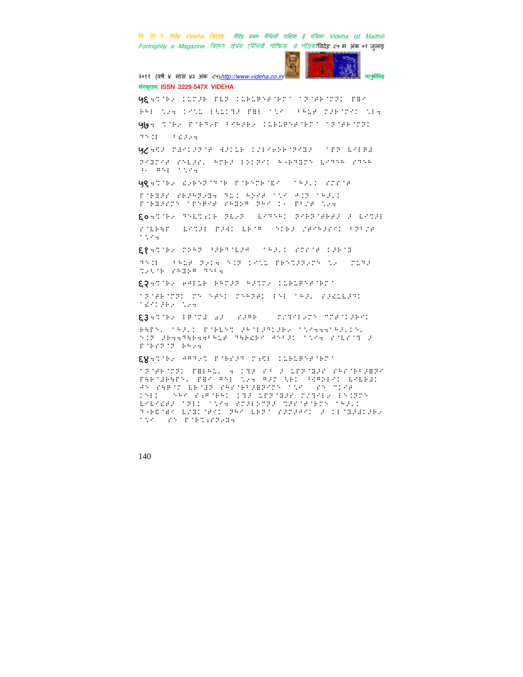त्रि एन् रु विदेह Videha विरमर विदेह प्रथम मैथिली पाक्षिक ई पत्रिका Videha Ist Maithili Fortnightly e Magazine রিদেত প্রথম মৌথিনী পাক্ষিক প্র পত্রিকাবিदेह' ८५ म अंक ०९ जुलाइ



२०११ (वर्ष ४ मास ४३ अंक ८५)http://www.videha.co.in संस्कृताम् ISSN 2229-547X VIDEHA

98 40 telection as capacitos between the telectratic and BRE NAME CANNOT ENGINEER FOR STANDARD WAR TOOL NEW 964 STEV EDENE FRAGE CORDENEMENT CORPORATE 7511 74224

92553 Cartaste Battle Compese today of the Energy PARTAR SALAS, PTPA EDIPAL PAPTRY LATAR STAR  $\{1, \ldots, 0, N\} \subset \mathcal{P}(\mathcal{O}_M)$ 

GRANDER SCHAFFORDE EDENTEDER (1992) 1 STEDER FORDER PREPERDENT POST PARE TO CHAIR CRESS

FORBACCY CENTAR CABDA DAY IN FUSA NAM

gostney that he days. Active: Scepherer a actre ribear (bride roe: beim (sep) cenedric force<br>1934

ERSTER COPP FRESHERS COPRET COOPERATE

 $2.5\times10^{-11}$  , the state of the state of the state state of state state state state states of the state state state state states in the state state state state state states in the state state state state states in the st

ggennes estas senso espris casariens en

TRIANIZED IN NAND INABAD AND TAGO VIGOLETI **TEROPHY CON** 

gastres serballas.  $\mathbb{R}^2$  ,  $\mathbb{R}^2$  is a  $\mathbb{R}^2$ **CONTRACTOR IN THE MORE AND** 

BAPY, TRAVI POBLYT ARGUATIABL TOGHNETRALIS, sid deveneerse haar neemde astat in het ander het d 

EVENTOR PROVIDE DESPESSIONER ENERGY DESCRIPTION

TO THE TOOL CONFINIST ACCORD ON A SUBSTAINABLY OF CORPORATION  $\label{eq:RMS} \begin{minipage}{0.9\textwidth} \begin{minipage}{0.9\textwidth} \begin{minipage}{0.9\textwidth} \begin{minipage}{0.9\textwidth} \begin{minipage}{0.9\textwidth} \begin{minipage}{0.9\textwidth} \begin{minipage}{0.9\textwidth} \begin{minipage}{0.9\textwidth} \begin{minipage}{0.9\textwidth} \begin{minipage}{0.9\textwidth} \begin{minipage}{0.9\textwidth} \begin{minipage}{0.9\textwidth} \begin{minipage}{0.9\textwidth} \begin{minipage}{0.9\textwidth} \begin{minipage}{0.9\textwidth} \begin$ **CAR PORTAGES**  $\sigma_{\rm{eff}}$  and  $\sigma_{\rm{eff}}$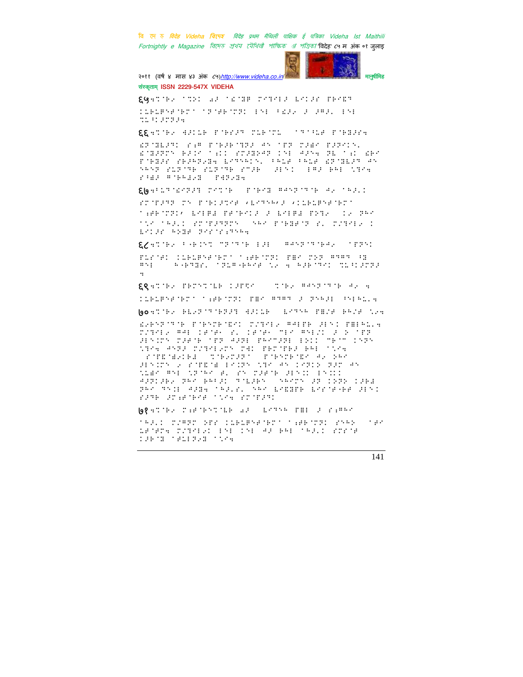त्रि एन् रु विदेह Videha विरमर विदेह प्रथम मैथिली पाक्षिक ई पत्रिका Videha Ist Maithili Fortnightly e Magazine রিদেত প্রথম মৌথিনী পাক্ষিক প্রা পত্রিকা' বিदेह' ८५ म अंक ०१ जुलाइ



२०११ (वर्ष ४ मास ४३ अंक ८५)http://www.videha.co.in संस्कृताम् ISSN 2229-547X VIDEHA

ggebrev indebt av narde bedelv aktive beken

CLELBAR NET STORE NORD (EAE) FRAN DE DRAG (EAE) **CONTRACTOR** 

EERTHA RAILE ENFORT DIFNOL CONTRACTMENTS

ESCREPT PRESENTES AN OFFICIAR FRANCIS. Zhadden edig haif gedagged in gang de hai aeg FORBAY YRAROVBE EKSPEDING FROM FROM WORLDS AN NAND YOUR TRACYONS YOUR COURS IS BRUCHAR CORP. PARA PORTUGAL PARAGH

EBARDATECRAS DODOR - ETROS RANRISTA (AVITARLI

STORAGE TO PORTAGE VERGONA VIENESES POS THE TELL EMPERIES TRINK A BRIEF PATH (12) PHO TO CONSIDER THE THE CONNECTIONS OF THE CONTROL OF THE CONTROL OF THE CONTROL OF THE CONTROL OF THE CONTROL OF THE CONTROL OF THE CONTROL OF THE CONTROL OF THE CONTROL OF THE CONTROL OF THE CONTROL OF THE CONTROL OF THE CON ESTRE ROBE PSECEDORE

ECHOICE PROTECTIVE SECOND o maspirengay. **TERMS** 

ringer (1661858/1677) (386/1721) results (8787) (3 SA PERSON DIARPERSONAL A SALE TROLLOLADORA  $\mathbb{R}^n \times \mathbb{R}^n$ 

ERSTER PEDYODER CRESCO CONFRONTATION AROS

CLELBAR NETA A GREATIST PER SPART OF INAGES AND RELA

MOST TERM BERG TRIEGEN HEADLE WORKING FERE BARBONING

EVEND THIE CONFIDENTIAL CONTACT ARREST ALNOTEERING. DIRECTORE CANAL ZI CANAL MESSING CONSTRUCT absors bakie joba kaab bekoaab baco oe oo caas 1984 ANGG DINASAN DAL ERDIERG RAI 1144 SECRETARIES CONFIDENT **CENTENTENT AV SAM** 

arvony a proportivody species character ex itak eskuistele kunst pakie aksimikit.<br>Aaatak aks kerat mitaks veers aantaas taka PROTESTING AND LONGITY SECTIONS INTO A GRANIC KATE AD BETERE TO CHE KOTEATO

198 900 TEST OF HER TERRITORS CONSIDERED AT STREAM

TRAVE COMPACT SERVICES ARREST THAN TOAL PORS  $\sim 0.3\,M_\odot$ LA MARA (POTABOS) BABILINE (AD GABILINADO COMINA ISBN 2007-01-020-01-120-0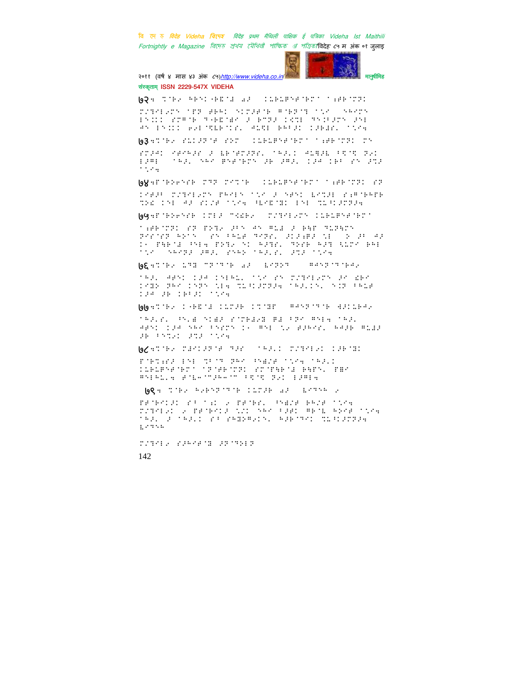त्रि एन् रु विदेह Videha विरमर विदेह प्रथम मैथिली पाक्षिक ई पत्रिका Videha Ist Maithili Fortnightly e Magazine রিদেত প্রথম মৌথিনী পাক্ষিক প্র পত্রিকাবিदेह' ८५ म अंक ०९ जुलाइ



२०११ (वर्ष ४ मास ४३ अंक ८५)http://www.videha.co.in संस्कृताम् ISSN 2229-547X VIDEHA

**GRAND THE SERVICE SERVICE SERVICE**  $\sim$  Infinity and the contract of the contract

DIRECTS TERMINARY SIDERIN ROBERT TO CONFIDE EN DOCTOR DE CRIABINEA COL BORA CONDECRNO PONTADO AN ENDICATEMENTAL ALGEMENTAL DEBAY TIME

63 40 1992 300 2219 300  $\sim$  118181989 (BT)  $\sim$  1988/1791/179

ROWAL PAPARE W LEOROGRY, CARLO ALBUL ARTS RVI TAG, SAR BSB BOS GA GAG, 104 164 255 GSG  $1.291 \gamma$  in  $\gamma$  ,  $\gamma$ 

68 HELP ARE CARD CARDINAL CONFIDENTIAL AND CARD CARDINAL

CRASH CONTRADOR PERMIN CONFIDENTI ERCOS CONTRADE THE CAR PARTICULAR TIME TRACKED RAR TIME CONTRACT

ggernerene infektiveren 

THERMORY ROLLERS ARRESTS AN ALL 2 RAD ALONOS 200102 PATH (25 FRDE) PORT 20208 NELLA DE PR ik sebagai kecamatan ki kuma meneriku kuma ber.<br>Tia mengunungi aker teuran unu tia

68 40 telectional importance calls in a case of conservation of the Set

1980-28-18591-0028

lee street teen all to been to the companies articles.

TRAVEL PROBLAMBA ENTRANGURA POR PRESIDEN. APSI TIA SAN FSERS IN BSE TO APPARE ARRE BLEE SE PANGO SNS TORE

**IBC** Address of a student address to the context of the constant of the context of the context of the context of

minerale a na circo de consegue circo ciedad.<br>Coepensaren circo de rodo contres na ceamino max RNEADLA GREATMONATH FRONT BAC EDREA

160 m The Associate conservation and service

PATENCIAL SOFT TOOLS PATES. THEIR BAIR STOCK rzakowi w renekcji wzilski filez Amerikanek mwye  $\pm$  100 m  $\sim$  11  $\pm$ 

DISPOSAL PIPERTS (PRIMER